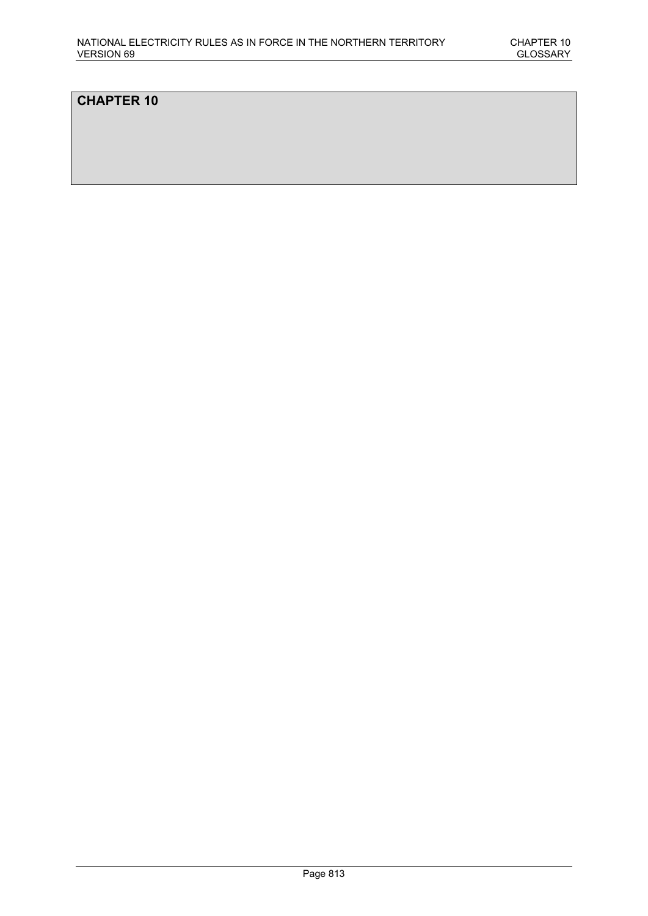# **CHAPTER 10**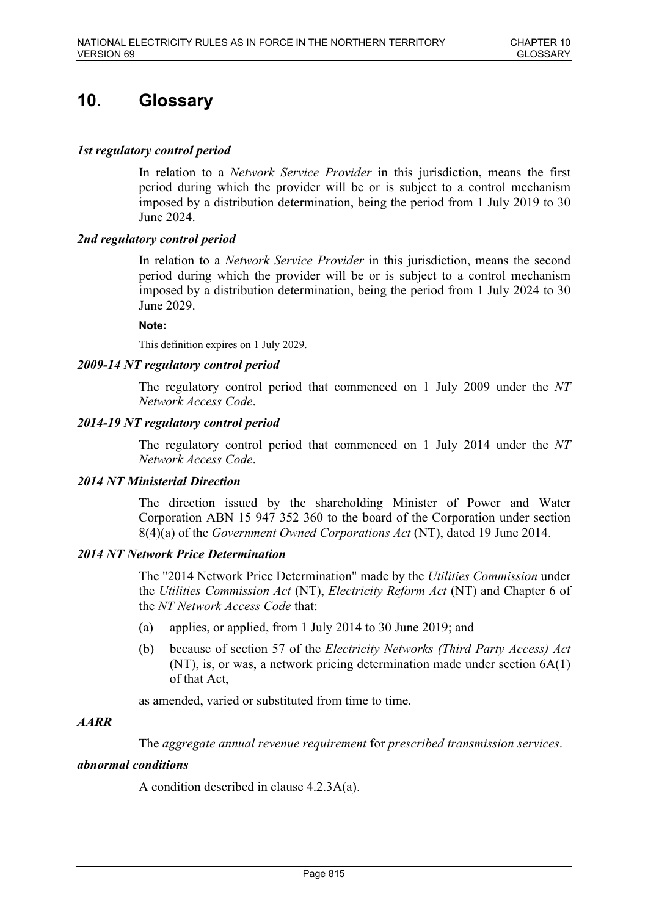# **10. Glossary**

# *1st regulatory control period*

In relation to a *Network Service Provider* in this jurisdiction, means the first period during which the provider will be or is subject to a control mechanism imposed by a distribution determination, being the period from 1 July 2019 to 30 June 2024.

# *2nd regulatory control period*

In relation to a *Network Service Provider* in this jurisdiction, means the second period during which the provider will be or is subject to a control mechanism imposed by a distribution determination, being the period from 1 July 2024 to 30 June 2029.

### **Note:**

This definition expires on 1 July 2029.

# *2009-14 NT regulatory control period*

The regulatory control period that commenced on 1 July 2009 under the *NT Network Access Code*.

# *2014-19 NT regulatory control period*

The regulatory control period that commenced on 1 July 2014 under the *NT Network Access Code*.

# *2014 NT Ministerial Direction*

The direction issued by the shareholding Minister of Power and Water Corporation ABN 15 947 352 360 to the board of the Corporation under section 8(4)(a) of the *Government Owned Corporations Act* (NT), dated 19 June 2014.

# *2014 NT Network Price Determination*

The "2014 Network Price Determination" made by the *Utilities Commission* under the *Utilities Commission Act* (NT), *Electricity Reform Act* (NT) and Chapter 6 of the *NT Network Access Code* that:

- (a) applies, or applied, from 1 July 2014 to 30 June 2019; and
- (b) because of section 57 of the *Electricity Networks (Third Party Access) Act* (NT), is, or was, a network pricing determination made under section 6A(1) of that Act,

as amended, varied or substituted from time to time.

# *AARR*

The *aggregate annual revenue requirement* for *prescribed transmission services*.

# *abnormal conditions*

A condition described in clause 4.2.3A(a).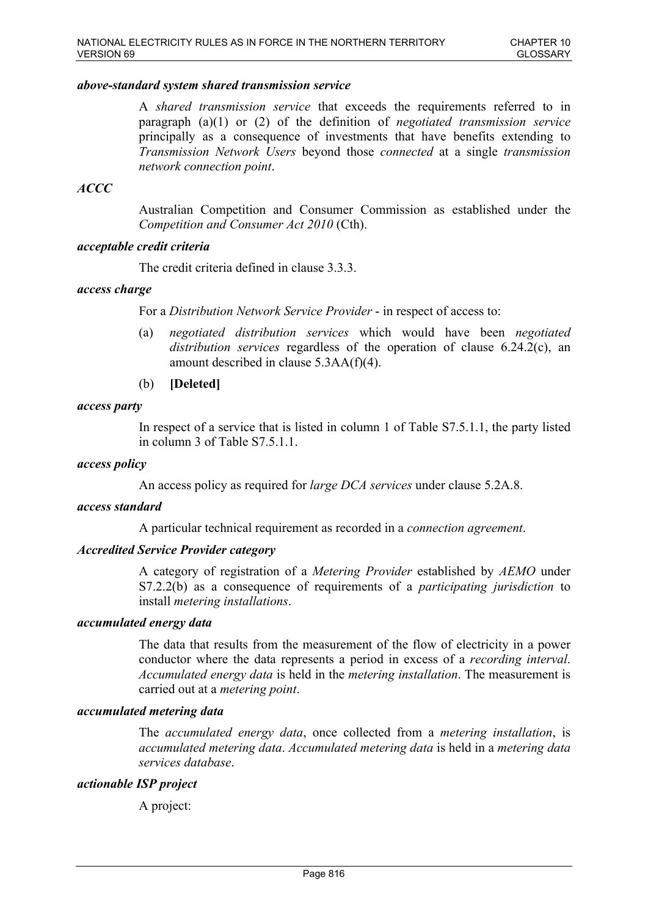### *above-standard system shared transmission service*

A *shared transmission service* that exceeds the requirements referred to in paragraph (a)(1) or (2) of the definition of *negotiated transmission service* principally as a consequence of investments that have benefits extending to *Transmission Network Users* beyond those *connected* at a single *transmission network connection point*.

# *ACCC*

Australian Competition and Consumer Commission as established under the *Competition and Consumer Act 2010* (Cth).

### *acceptable credit criteria*

The credit criteria defined in clause 3.3.3.

### *access charge*

For a *Distribution Network Service Provider* - in respect of access to:

- (a) *negotiated distribution services* which would have been *negotiated distribution services* regardless of the operation of clause 6.24.2(c), an amount described in clause 5.3AA(f)(4).
- (b) **[Deleted]**

### *access party*

In respect of a service that is listed in column 1 of Table S7.5.1.1, the party listed in column 3 of Table S7.5.1.1.

#### *access policy*

An access policy as required for *large DCA services* under clause 5.2A.8.

#### *access standard*

A particular technical requirement as recorded in a *connection agreement*.

# *Accredited Service Provider category*

A category of registration of a *Metering Provider* established by *AEMO* under S7.2.2(b) as a consequence of requirements of a *participating jurisdiction* to install *metering installations*.

#### *accumulated energy data*

The data that results from the measurement of the flow of electricity in a power conductor where the data represents a period in excess of a *recording interval*. *Accumulated energy data* is held in the *metering installation*. The measurement is carried out at a *metering point*.

#### *accumulated metering data*

The *accumulated energy data*, once collected from a *metering installation*, is *accumulated metering data*. *Accumulated metering data* is held in a *metering data services database*.

#### *actionable ISP project*

A project: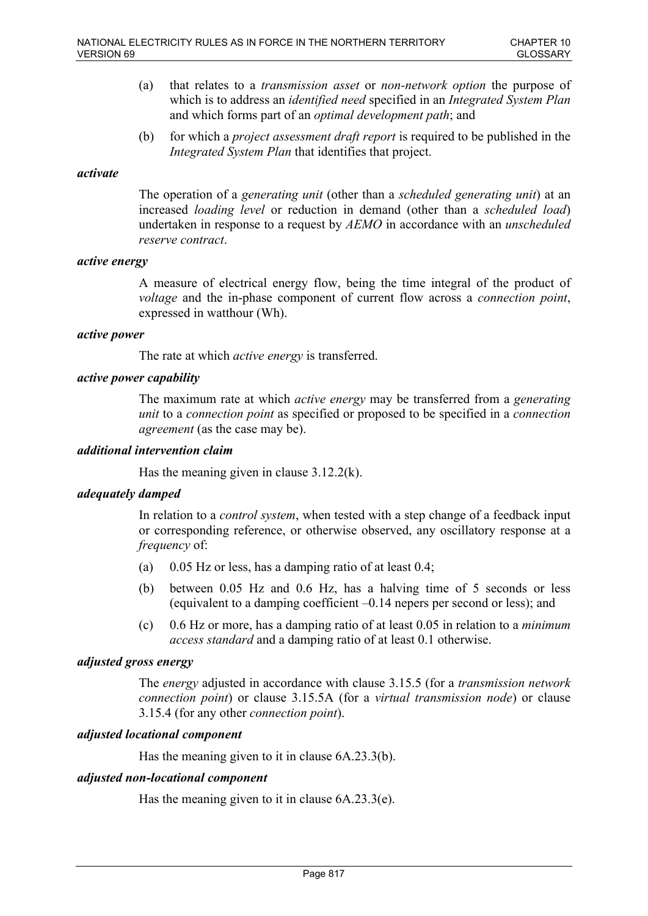- (a) that relates to a *transmission asset* or *non-network option* the purpose of which is to address an *identified need* specified in an *Integrated System Plan* and which forms part of an *optimal development path*; and
- (b) for which a *project assessment draft report* is required to be published in the *Integrated System Plan* that identifies that project.

### *activate*

The operation of a *generating unit* (other than a *scheduled generating unit*) at an increased *loading level* or reduction in demand (other than a *scheduled load*) undertaken in response to a request by *AEMO* in accordance with an *unscheduled reserve contract*.

### *active energy*

A measure of electrical energy flow, being the time integral of the product of *voltage* and the in-phase component of current flow across a *connection point*, expressed in watthour (Wh).

### *active power*

The rate at which *active energy* is transferred.

# *active power capability*

The maximum rate at which *active energy* may be transferred from a *generating unit* to a *connection point* as specified or proposed to be specified in a *connection agreement* (as the case may be).

### *additional intervention claim*

Has the meaning given in clause 3.12.2(k).

# *adequately damped*

In relation to a *control system*, when tested with a step change of a feedback input or corresponding reference, or otherwise observed, any oscillatory response at a *frequency* of:

- (a) 0.05 Hz or less, has a damping ratio of at least  $0.4$ ;
- (b) between 0.05 Hz and 0.6 Hz, has a halving time of 5 seconds or less (equivalent to a damping coefficient –0.14 nepers per second or less); and
- (c) 0.6 Hz or more, has a damping ratio of at least 0.05 in relation to a *minimum access standard* and a damping ratio of at least 0.1 otherwise.

### *adjusted gross energy*

The *energy* adjusted in accordance with clause 3.15.5 (for a *transmission network connection point*) or clause 3.15.5A (for a *virtual transmission node*) or clause 3.15.4 (for any other *connection point*).

# *adjusted locational component*

Has the meaning given to it in clause 6A.23.3(b).

### *adjusted non-locational component*

Has the meaning given to it in clause 6A.23.3(e).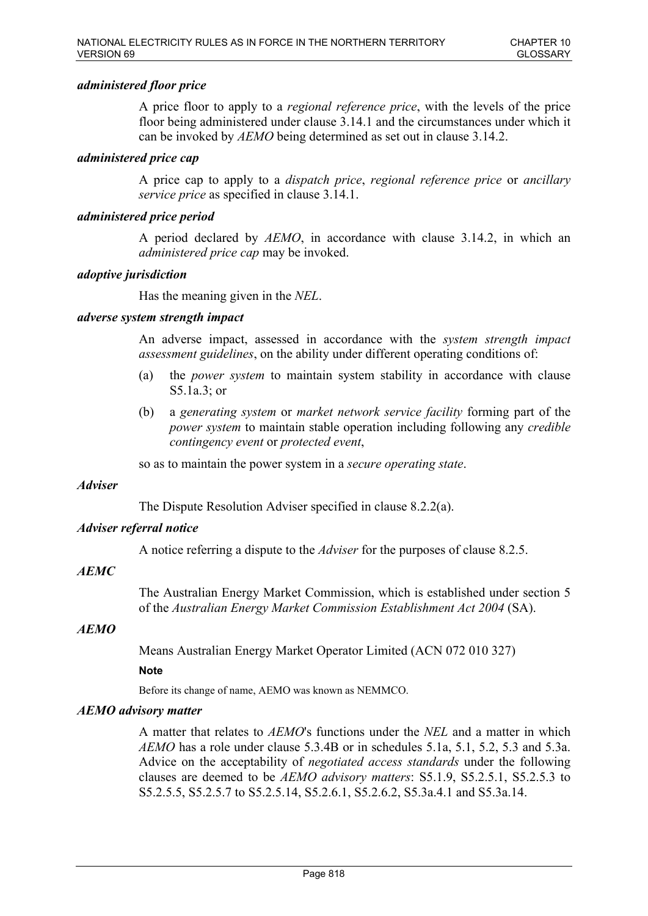# *administered floor price*

A price floor to apply to a *regional reference price*, with the levels of the price floor being administered under clause 3.14.1 and the circumstances under which it can be invoked by *AEMO* being determined as set out in clause 3.14.2.

### *administered price cap*

A price cap to apply to a *dispatch price*, *regional reference price* or *ancillary service price* as specified in clause 3.14.1.

### *administered price period*

A period declared by *AEMO*, in accordance with clause 3.14.2, in which an *administered price cap* may be invoked.

### *adoptive jurisdiction*

Has the meaning given in the *NEL*.

# *adverse system strength impact*

An adverse impact, assessed in accordance with the *system strength impact assessment guidelines*, on the ability under different operating conditions of:

- (a) the *power system* to maintain system stability in accordance with clause S5.1a.3; or
- (b) a *generating system* or *market network service facility* forming part of the *power system* to maintain stable operation including following any *credible contingency event* or *protected event*,

so as to maintain the power system in a *secure operating state*.

#### *Adviser*

The Dispute Resolution Adviser specified in clause 8.2.2(a).

#### *Adviser referral notice*

A notice referring a dispute to the *Adviser* for the purposes of clause 8.2.5.

#### *AEMC*

The Australian Energy Market Commission, which is established under section 5 of the *Australian Energy Market Commission Establishment Act 2004* (SA).

### *AEMO*

Means Australian Energy Market Operator Limited (ACN 072 010 327)

### **Note**

Before its change of name, AEMO was known as NEMMCO.

#### *AEMO advisory matter*

A matter that relates to *AEMO*'s functions under the *NEL* and a matter in which *AEMO* has a role under clause 5.3.4B or in schedules 5.1a, 5.1, 5.2, 5.3 and 5.3a. Advice on the acceptability of *negotiated access standards* under the following clauses are deemed to be *AEMO advisory matters*: S5.1.9, S5.2.5.1, S5.2.5.3 to S5.2.5.5, S5.2.5.7 to S5.2.5.14, S5.2.6.1, S5.2.6.2, S5.3a.4.1 and S5.3a.14.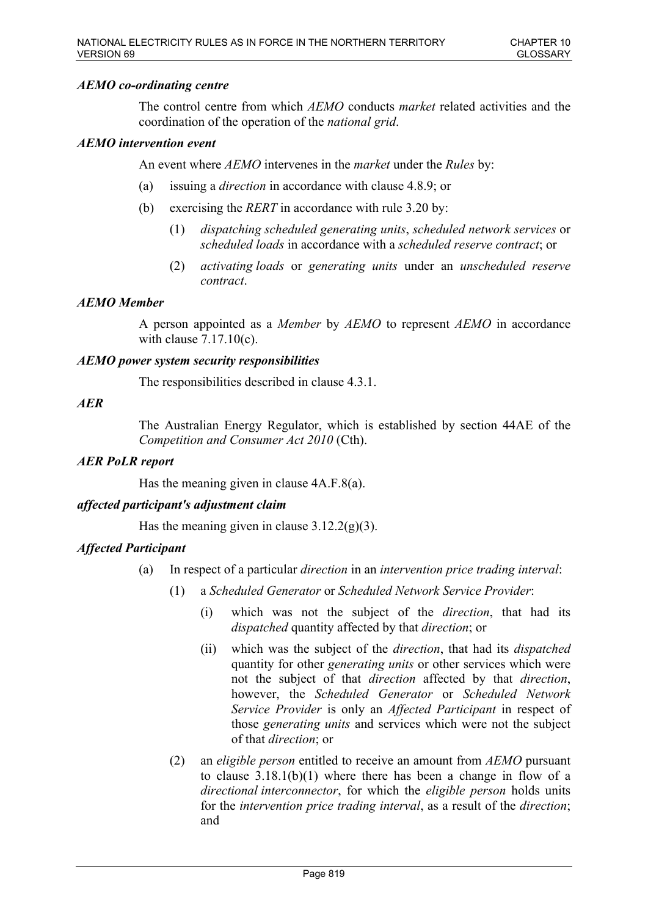# *AEMO co-ordinating centre*

The control centre from which *AEMO* conducts *market* related activities and the coordination of the operation of the *national grid*.

# *AEMO intervention event*

An event where *AEMO* intervenes in the *market* under the *Rules* by:

- (a) issuing a *direction* in accordance with clause 4.8.9; or
- (b) exercising the *RERT* in accordance with rule 3.20 by:
	- (1) *dispatching scheduled generating units*, *scheduled network services* or *scheduled loads* in accordance with a *scheduled reserve contract*; or
	- (2) *activating loads* or *generating units* under an *unscheduled reserve contract*.

### *AEMO Member*

A person appointed as a *Member* by *AEMO* to represent *AEMO* in accordance with clause 7.17.10(c).

### *AEMO power system security responsibilities*

The responsibilities described in clause 4.3.1.

### *AER*

The Australian Energy Regulator, which is established by section 44AE of the *Competition and Consumer Act 2010* (Cth).

# *AER PoLR report*

Has the meaning given in clause 4A.F.8(a).

# *affected participant's adjustment claim*

Has the meaning given in clause  $3.12.2(g)(3)$ .

# *Affected Participant*

- (a) In respect of a particular *direction* in an *intervention price trading interval*:
	- (1) a *Scheduled Generator* or *Scheduled Network Service Provider*:
		- (i) which was not the subject of the *direction*, that had its *dispatched* quantity affected by that *direction*; or
		- (ii) which was the subject of the *direction*, that had its *dispatched* quantity for other *generating units* or other services which were not the subject of that *direction* affected by that *direction*, however, the *Scheduled Generator* or *Scheduled Network Service Provider* is only an *Affected Participant* in respect of those *generating units* and services which were not the subject of that *direction*; or
	- (2) an *eligible person* entitled to receive an amount from *AEMO* pursuant to clause 3.18.1(b)(1) where there has been a change in flow of a *directional interconnector*, for which the *eligible person* holds units for the *intervention price trading interval*, as a result of the *direction*; and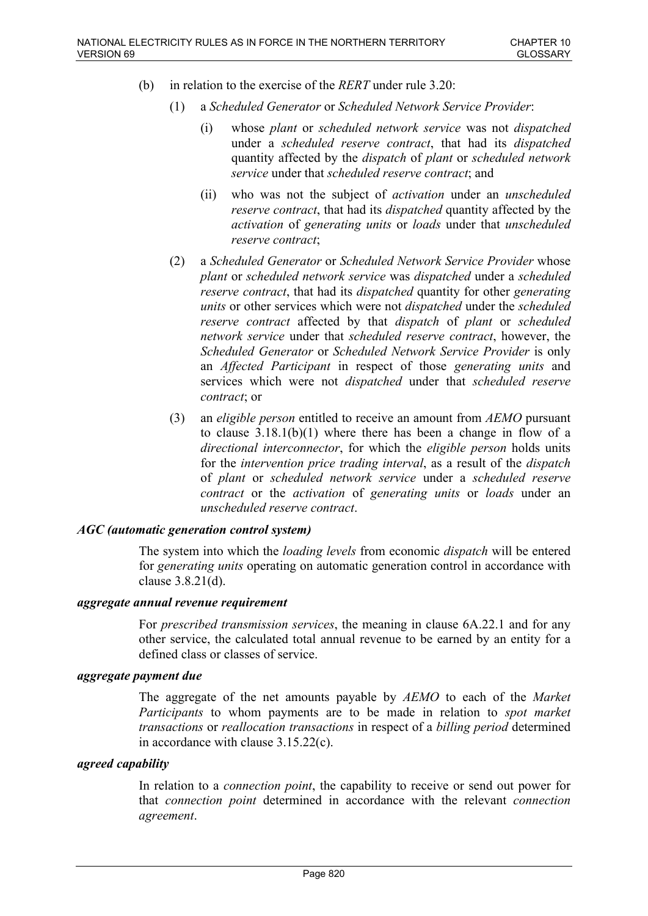- (b) in relation to the exercise of the *RERT* under rule 3.20:
	- (1) a *Scheduled Generator* or *Scheduled Network Service Provider*:
		- (i) whose *plant* or *scheduled network service* was not *dispatched* under a *scheduled reserve contract*, that had its *dispatched* quantity affected by the *dispatch* of *plant* or *scheduled network service* under that *scheduled reserve contract*; and
		- (ii) who was not the subject of *activation* under an *unscheduled reserve contract*, that had its *dispatched* quantity affected by the *activation* of *generating units* or *loads* under that *unscheduled reserve contract*;
	- (2) a *Scheduled Generator* or *Scheduled Network Service Provider* whose *plant* or *scheduled network service* was *dispatched* under a *scheduled reserve contract*, that had its *dispatched* quantity for other *generating units* or other services which were not *dispatched* under the *scheduled reserve contract* affected by that *dispatch* of *plant* or *scheduled network service* under that *scheduled reserve contract*, however, the *Scheduled Generator* or *Scheduled Network Service Provider* is only an *Affected Participant* in respect of those *generating units* and services which were not *dispatched* under that *scheduled reserve contract*; or
	- (3) an *eligible person* entitled to receive an amount from *AEMO* pursuant to clause 3.18.1(b)(1) where there has been a change in flow of a *directional interconnector*, for which the *eligible person* holds units for the *intervention price trading interval*, as a result of the *dispatch* of *plant* or *scheduled network service* under a *scheduled reserve contract* or the *activation* of *generating units* or *loads* under an *unscheduled reserve contract*.

#### *AGC (automatic generation control system)*

The system into which the *loading levels* from economic *dispatch* will be entered for *generating units* operating on automatic generation control in accordance with clause 3.8.21(d).

### *aggregate annual revenue requirement*

For *prescribed transmission services*, the meaning in clause 6A.22.1 and for any other service, the calculated total annual revenue to be earned by an entity for a defined class or classes of service.

### *aggregate payment due*

The aggregate of the net amounts payable by *AEMO* to each of the *Market Participants* to whom payments are to be made in relation to *spot market transactions* or *reallocation transactions* in respect of a *billing period* determined in accordance with clause 3.15.22(c).

#### *agreed capability*

In relation to a *connection point*, the capability to receive or send out power for that *connection point* determined in accordance with the relevant *connection agreement*.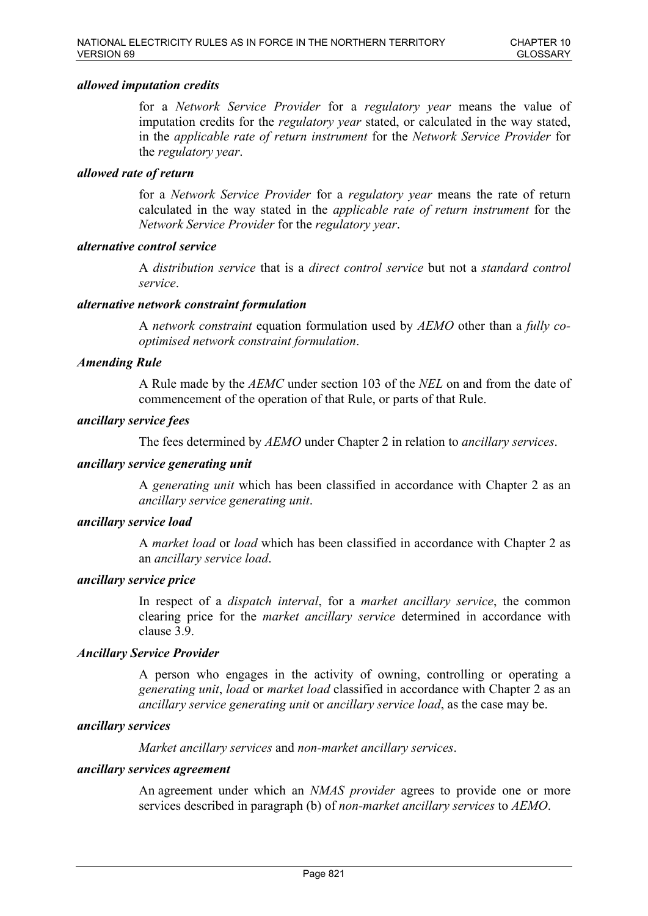### *allowed imputation credits*

for a *Network Service Provider* for a *regulatory year* means the value of imputation credits for the *regulatory year* stated, or calculated in the way stated, in the *applicable rate of return instrument* for the *Network Service Provider* for the *regulatory year*.

### *allowed rate of return*

for a *Network Service Provider* for a *regulatory year* means the rate of return calculated in the way stated in the *applicable rate of return instrument* for the *Network Service Provider* for the *regulatory year*.

### *alternative control service*

A *distribution service* that is a *direct control service* but not a *standard control service*.

### *alternative network constraint formulation*

A *network constraint* equation formulation used by *AEMO* other than a *fully cooptimised network constraint formulation*.

# *Amending Rule*

A Rule made by the *AEMC* under section 103 of the *NEL* on and from the date of commencement of the operation of that Rule, or parts of that Rule.

#### *ancillary service fees*

The fees determined by *AEMO* under Chapter 2 in relation to *ancillary services*.

#### *ancillary service generating unit*

A *generating unit* which has been classified in accordance with Chapter 2 as an *ancillary service generating unit*.

### *ancillary service load*

A *market load* or *load* which has been classified in accordance with Chapter 2 as an *ancillary service load*.

### *ancillary service price*

In respect of a *dispatch interval*, for a *market ancillary service*, the common clearing price for the *market ancillary service* determined in accordance with clause 3.9.

#### *Ancillary Service Provider*

A person who engages in the activity of owning, controlling or operating a *generating unit*, *load* or *market load* classified in accordance with Chapter 2 as an *ancillary service generating unit* or *ancillary service load*, as the case may be.

#### *ancillary services*

*Market ancillary services* and *non-market ancillary services*.

#### *ancillary services agreement*

An agreement under which an *NMAS provider* agrees to provide one or more services described in paragraph (b) of *non-market ancillary services* to *AEMO*.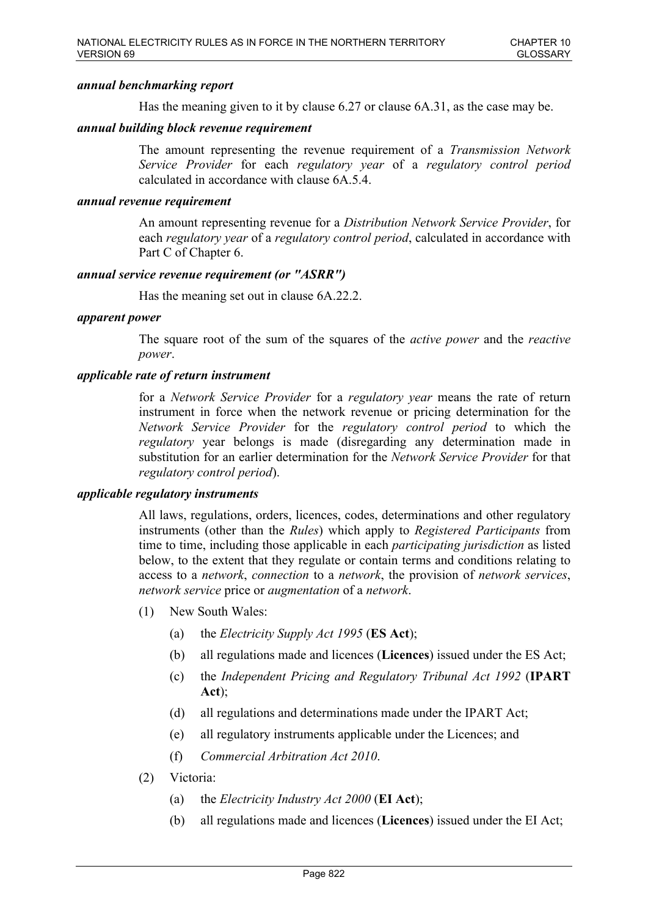# *annual benchmarking report*

Has the meaning given to it by clause 6.27 or clause 6A.31, as the case may be.

### *annual building block revenue requirement*

The amount representing the revenue requirement of a *Transmission Network Service Provider* for each *regulatory year* of a *regulatory control period* calculated in accordance with clause 6A.5.4.

### *annual revenue requirement*

An amount representing revenue for a *Distribution Network Service Provider*, for each *regulatory year* of a *regulatory control period*, calculated in accordance with Part C of Chapter 6.

### *annual service revenue requirement (or "ASRR")*

Has the meaning set out in clause 6A.22.2.

#### *apparent power*

The square root of the sum of the squares of the *active power* and the *reactive power*.

### *applicable rate of return instrument*

for a *Network Service Provider* for a *regulatory year* means the rate of return instrument in force when the network revenue or pricing determination for the *Network Service Provider* for the *regulatory control period* to which the *regulatory* year belongs is made (disregarding any determination made in substitution for an earlier determination for the *Network Service Provider* for that *regulatory control period*).

### *applicable regulatory instruments*

All laws, regulations, orders, licences, codes, determinations and other regulatory instruments (other than the *Rules*) which apply to *Registered Participants* from time to time, including those applicable in each *participating jurisdiction* as listed below, to the extent that they regulate or contain terms and conditions relating to access to a *network*, *connection* to a *network*, the provision of *network services*, *network service* price or *augmentation* of a *network*.

- (1) New South Wales:
	- (a) the *Electricity Supply Act 1995* (**ES Act**);
	- (b) all regulations made and licences (**Licences**) issued under the ES Act;
	- (c) the *Independent Pricing and Regulatory Tribunal Act 1992* (**IPART Act**);
	- (d) all regulations and determinations made under the IPART Act;
	- (e) all regulatory instruments applicable under the Licences; and
	- (f) *Commercial Arbitration Act 2010*.
- (2) Victoria:
	- (a) the *Electricity Industry Act 2000* (**EI Act**);
	- (b) all regulations made and licences (**Licences**) issued under the EI Act;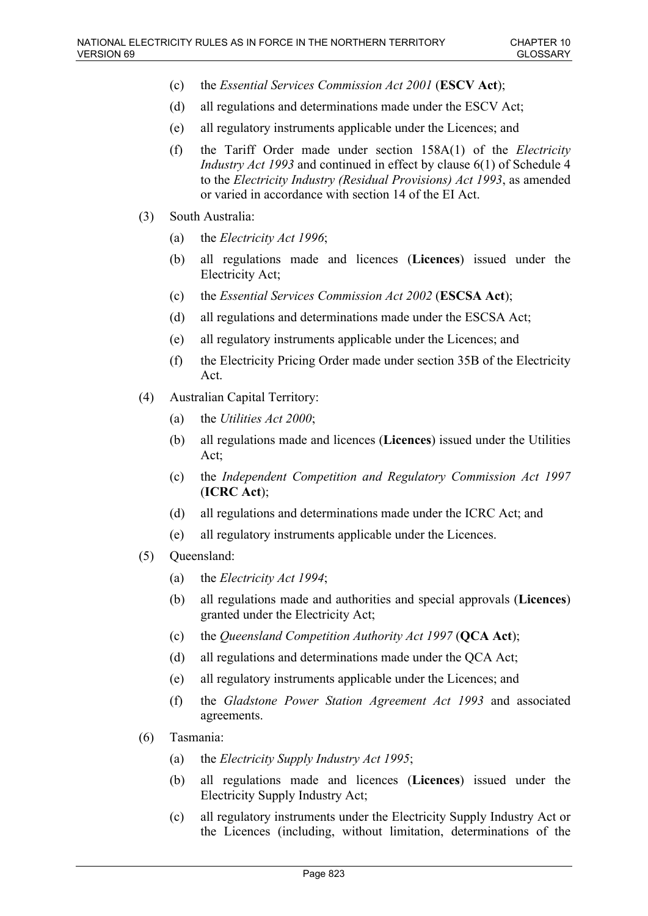- (c) the *Essential Services Commission Act 2001* (**ESCV Act**);
- (d) all regulations and determinations made under the ESCV Act;
- (e) all regulatory instruments applicable under the Licences; and
- (f) the Tariff Order made under section 158A(1) of the *Electricity Industry Act 1993* and continued in effect by clause 6(1) of Schedule 4 to the *Electricity Industry (Residual Provisions) Act 1993*, as amended or varied in accordance with section 14 of the EI Act.
- (3) South Australia:
	- (a) the *Electricity Act 1996*;
	- (b) all regulations made and licences (**Licences**) issued under the Electricity Act;
	- (c) the *Essential Services Commission Act 2002* (**ESCSA Act**);
	- (d) all regulations and determinations made under the ESCSA Act;
	- (e) all regulatory instruments applicable under the Licences; and
	- (f) the Electricity Pricing Order made under section 35B of the Electricity Act.
- (4) Australian Capital Territory:
	- (a) the *Utilities Act 2000*;
	- (b) all regulations made and licences (**Licences**) issued under the Utilities Act;
	- (c) the *Independent Competition and Regulatory Commission Act 1997* (**ICRC Act**);
	- (d) all regulations and determinations made under the ICRC Act; and
	- (e) all regulatory instruments applicable under the Licences.
- (5) Queensland:
	- (a) the *Electricity Act 1994*;
	- (b) all regulations made and authorities and special approvals (**Licences**) granted under the Electricity Act;
	- (c) the *Queensland Competition Authority Act 1997* (**QCA Act**);
	- (d) all regulations and determinations made under the QCA Act;
	- (e) all regulatory instruments applicable under the Licences; and
	- (f) the *Gladstone Power Station Agreement Act 1993* and associated agreements.
- (6) Tasmania:
	- (a) the *Electricity Supply Industry Act 1995*;
	- (b) all regulations made and licences (**Licences**) issued under the Electricity Supply Industry Act;
	- (c) all regulatory instruments under the Electricity Supply Industry Act or the Licences (including, without limitation, determinations of the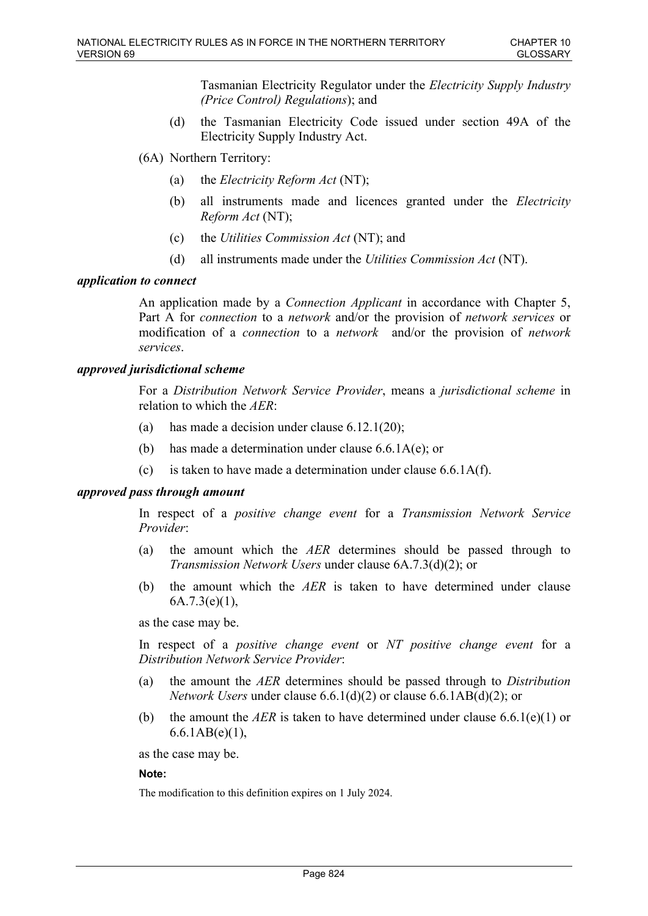Tasmanian Electricity Regulator under the *Electricity Supply Industry (Price Control) Regulations*); and

- (d) the Tasmanian Electricity Code issued under section 49A of the Electricity Supply Industry Act.
- (6A) Northern Territory:
	- (a) the *Electricity Reform Act* (NT);
	- (b) all instruments made and licences granted under the *Electricity Reform Act* (NT);
	- (c) the *Utilities Commission Act* (NT); and
	- (d) all instruments made under the *Utilities Commission Act* (NT).

#### *application to connect*

An application made by a *Connection Applicant* in accordance with Chapter 5, Part A for *connection* to a *network* and/or the provision of *network services* or modification of a *connection* to a *network* and/or the provision of *network services*.

### *approved jurisdictional scheme*

For a *Distribution Network Service Provider*, means a *jurisdictional scheme* in relation to which the *AER*:

- (a) has made a decision under clause  $6.12.1(20)$ ;
- (b) has made a determination under clause 6.6.1A(e); or
- (c) is taken to have made a determination under clause 6.6.1A(f).

#### *approved pass through amount*

In respect of a *positive change event* for a *Transmission Network Service Provider*:

- (a) the amount which the *AER* determines should be passed through to *Transmission Network Users* under clause 6A.7.3(d)(2); or
- (b) the amount which the *AER* is taken to have determined under clause 6A.7.3(e)(1),

as the case may be.

In respect of a *positive change event* or *NT positive change event* for a *Distribution Network Service Provider*:

- (a) the amount the *AER* determines should be passed through to *Distribution Network Users* under clause 6.6.1(d)(2) or clause 6.6.1AB(d)(2); or
- (b) the amount the *AER* is taken to have determined under clause  $6.6.1(e)(1)$  or 6.6.1AB(e)(1),

as the case may be.

#### **Note:**

The modification to this definition expires on 1 July 2024.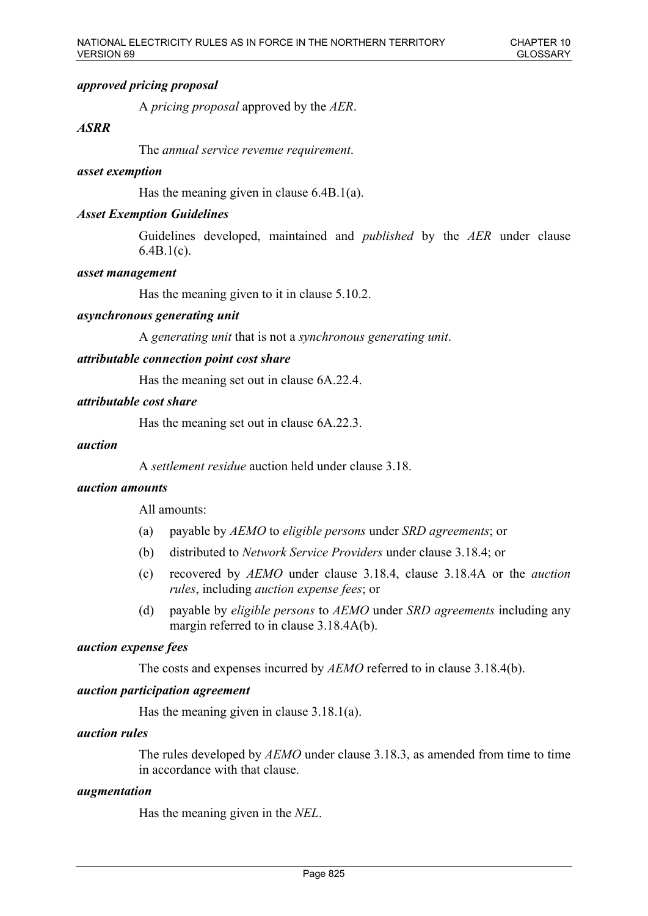# *approved pricing proposal*

A *pricing proposal* approved by the *AER*.

# *ASRR*

The *annual service revenue requirement*.

#### *asset exemption*

Has the meaning given in clause 6.4B.1(a).

### *Asset Exemption Guidelines*

Guidelines developed, maintained and *published* by the *AER* under clause 6.4B.1(c).

#### *asset management*

Has the meaning given to it in clause 5.10.2.

#### *asynchronous generating unit*

A *generating unit* that is not a *synchronous generating unit*.

### *attributable connection point cost share*

Has the meaning set out in clause 6A.22.4.

### *attributable cost share*

Has the meaning set out in clause 6A.22.3.

#### *auction*

A *settlement residue* auction held under clause 3.18.

### *auction amounts*

All amounts:

- (a) payable by *AEMO* to *eligible persons* under *SRD agreements*; or
- (b) distributed to *Network Service Providers* under clause 3.18.4; or
- (c) recovered by *AEMO* under clause 3.18.4, clause 3.18.4A or the *auction rules*, including *auction expense fees*; or
- (d) payable by *eligible persons* to *AEMO* under *SRD agreements* including any margin referred to in clause 3.18.4A(b).

#### *auction expense fees*

The costs and expenses incurred by *AEMO* referred to in clause 3.18.4(b).

#### *auction participation agreement*

Has the meaning given in clause 3.18.1(a).

#### *auction rules*

The rules developed by *AEMO* under clause 3.18.3, as amended from time to time in accordance with that clause.

# *augmentation*

Has the meaning given in the *NEL*.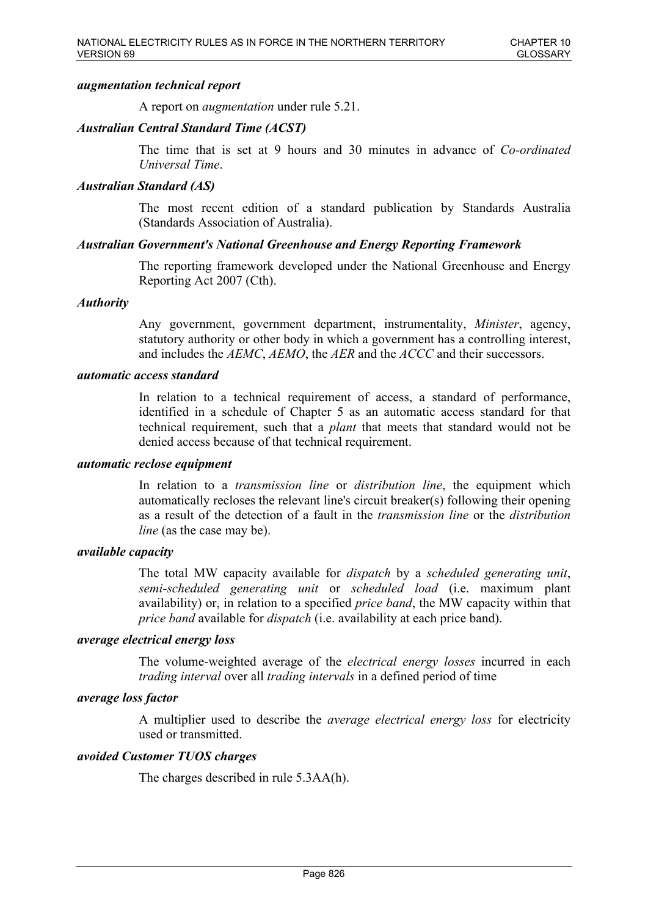# *augmentation technical report*

A report on *augmentation* under rule 5.21.

# *Australian Central Standard Time (ACST)*

The time that is set at 9 hours and 30 minutes in advance of *Co-ordinated Universal Time*.

### *Australian Standard (AS)*

The most recent edition of a standard publication by Standards Australia (Standards Association of Australia).

### *Australian Government's National Greenhouse and Energy Reporting Framework*

The reporting framework developed under the National Greenhouse and Energy Reporting Act 2007 (Cth).

### *Authority*

Any government, government department, instrumentality, *Minister*, agency, statutory authority or other body in which a government has a controlling interest, and includes the *AEMC*, *AEMO*, the *AER* and the *ACCC* and their successors.

#### *automatic access standard*

In relation to a technical requirement of access, a standard of performance, identified in a schedule of Chapter 5 as an automatic access standard for that technical requirement, such that a *plant* that meets that standard would not be denied access because of that technical requirement.

#### *automatic reclose equipment*

In relation to a *transmission line* or *distribution line*, the equipment which automatically recloses the relevant line's circuit breaker(s) following their opening as a result of the detection of a fault in the *transmission line* or the *distribution line* (as the case may be).

### *available capacity*

The total MW capacity available for *dispatch* by a *scheduled generating unit*, *semi-scheduled generating unit* or *scheduled load* (i.e. maximum plant availability) or, in relation to a specified *price band*, the MW capacity within that *price band* available for *dispatch* (i.e. availability at each price band).

#### *average electrical energy loss*

The volume-weighted average of the *electrical energy losses* incurred in each *trading interval* over all *trading intervals* in a defined period of time

#### *average loss factor*

A multiplier used to describe the *average electrical energy loss* for electricity used or transmitted.

### *avoided Customer TUOS charges*

The charges described in rule 5.3AA(h).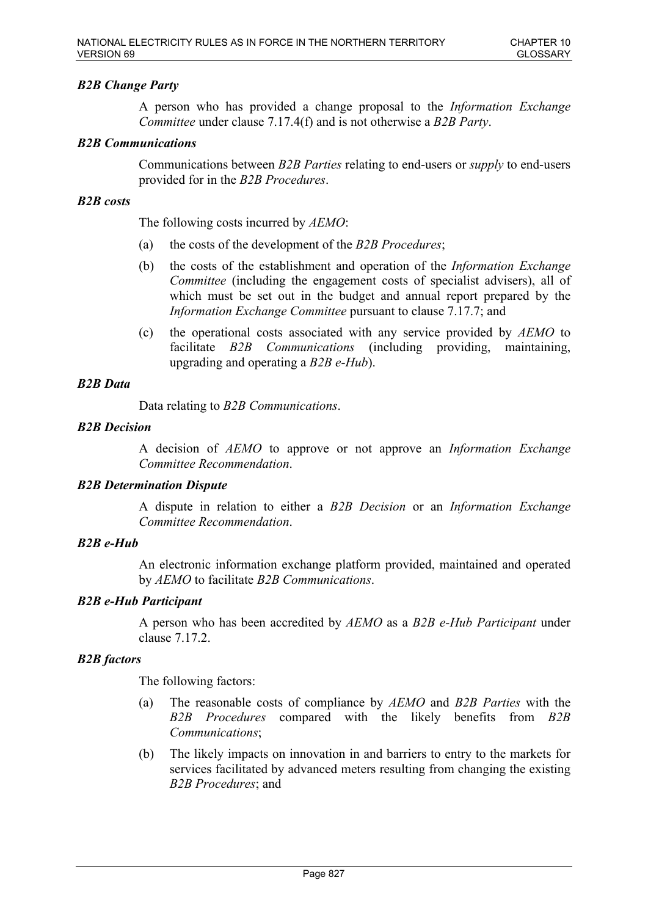# *B2B Change Party*

A person who has provided a change proposal to the *Information Exchange Committee* under clause 7.17.4(f) and is not otherwise a *B2B Party*.

# *B2B Communications*

Communications between *B2B Parties* relating to end-users or *supply* to end-users provided for in the *B2B Procedures*.

### *B2B costs*

The following costs incurred by *AEMO*:

- (a) the costs of the development of the *B2B Procedures*;
- (b) the costs of the establishment and operation of the *Information Exchange Committee* (including the engagement costs of specialist advisers), all of which must be set out in the budget and annual report prepared by the *Information Exchange Committee* pursuant to clause 7.17.7; and
- (c) the operational costs associated with any service provided by *AEMO* to facilitate *B2B Communications* (including providing, maintaining, upgrading and operating a *B2B e-Hub*).

# *B2B Data*

Data relating to *B2B Communications*.

### *B2B Decision*

A decision of *AEMO* to approve or not approve an *Information Exchange Committee Recommendation*.

#### *B2B Determination Dispute*

A dispute in relation to either a *B2B Decision* or an *Information Exchange Committee Recommendation*.

# *B2B e-Hub*

An electronic information exchange platform provided, maintained and operated by *AEMO* to facilitate *B2B Communications*.

### *B2B e-Hub Participant*

A person who has been accredited by *AEMO* as a *B2B e-Hub Participant* under clause 7.17.2.

# *B2B factors*

The following factors:

- (a) The reasonable costs of compliance by *AEMO* and *B2B Parties* with the *B2B Procedures* compared with the likely benefits from *B2B Communications*;
- (b) The likely impacts on innovation in and barriers to entry to the markets for services facilitated by advanced meters resulting from changing the existing *B2B Procedures*; and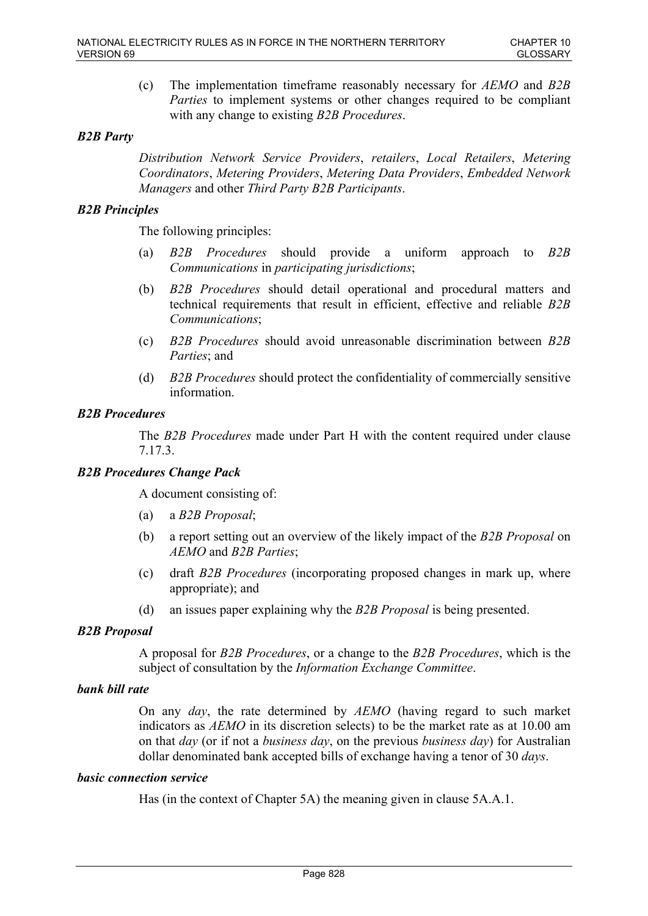(c) The implementation timeframe reasonably necessary for *AEMO* and *B2B Parties* to implement systems or other changes required to be compliant with any change to existing *B2B Procedures*.

# *B2B Party*

*Distribution Network Service Providers*, *retailers*, *Local Retailers*, *Metering Coordinators*, *Metering Providers*, *Metering Data Providers*, *Embedded Network Managers* and other *Third Party B2B Participants*.

# *B2B Principles*

The following principles:

- (a) *B2B Procedures* should provide a uniform approach to *B2B Communications* in *participating jurisdictions*;
- (b) *B2B Procedures* should detail operational and procedural matters and technical requirements that result in efficient, effective and reliable *B2B Communications*;
- (c) *B2B Procedures* should avoid unreasonable discrimination between *B2B Parties*; and
- (d) *B2B Procedures* should protect the confidentiality of commercially sensitive information.

# *B2B Procedures*

The *B2B Procedures* made under Part H with the content required under clause 7.17.3.

# *B2B Procedures Change Pack*

A document consisting of:

- (a) a *B2B Proposal*;
- (b) a report setting out an overview of the likely impact of the *B2B Proposal* on *AEMO* and *B2B Parties*;
- (c) draft *B2B Procedures* (incorporating proposed changes in mark up, where appropriate); and
- (d) an issues paper explaining why the *B2B Proposal* is being presented.

# *B2B Proposal*

A proposal for *B2B Procedures*, or a change to the *B2B Procedures*, which is the subject of consultation by the *Information Exchange Committee*.

# *bank bill rate*

On any *day*, the rate determined by *AEMO* (having regard to such market indicators as *AEMO* in its discretion selects) to be the market rate as at 10.00 am on that *day* (or if not a *business day*, on the previous *business day*) for Australian dollar denominated bank accepted bills of exchange having a tenor of 30 *days*.

# *basic connection service*

Has (in the context of Chapter 5A) the meaning given in clause 5A.A.1.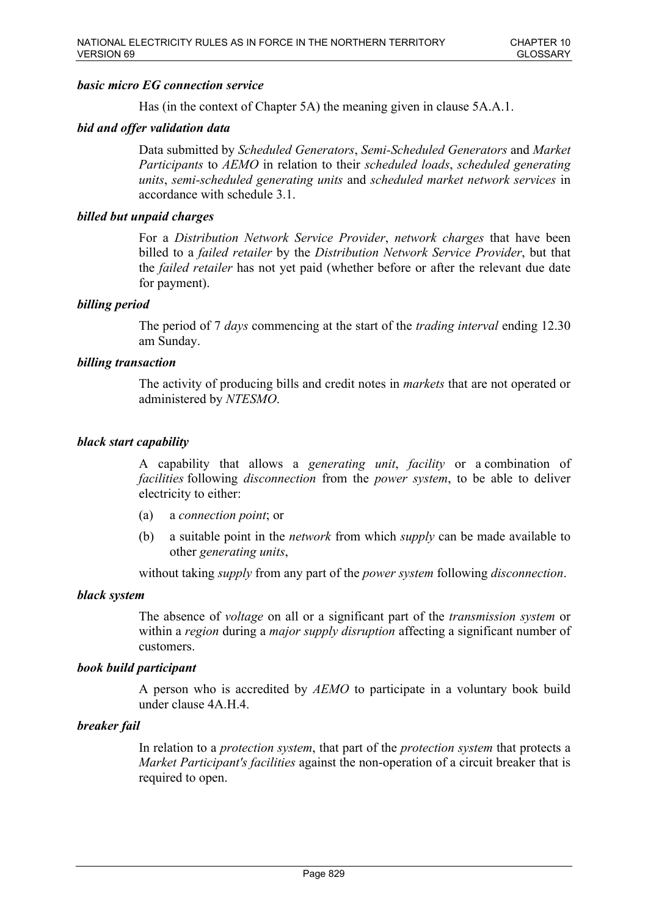# *basic micro EG connection service*

Has (in the context of Chapter 5A) the meaning given in clause 5A.A.1.

# *bid and offer validation data*

Data submitted by *Scheduled Generators*, *Semi-Scheduled Generators* and *Market Participants* to *AEMO* in relation to their *scheduled loads*, *scheduled generating units*, *semi-scheduled generating units* and *scheduled market network services* in accordance with schedule 3.1.

# *billed but unpaid charges*

For a *Distribution Network Service Provider*, *network charges* that have been billed to a *failed retailer* by the *Distribution Network Service Provider*, but that the *failed retailer* has not yet paid (whether before or after the relevant due date for payment).

# *billing period*

The period of 7 *days* commencing at the start of the *trading interval* ending 12.30 am Sunday.

# *billing transaction*

The activity of producing bills and credit notes in *markets* that are not operated or administered by *NTESMO*.

### *black start capability*

A capability that allows a *generating unit*, *facility* or a combination of *facilities* following *disconnection* from the *power system*, to be able to deliver electricity to either:

- (a) a *connection point*; or
- (b) a suitable point in the *network* from which *supply* can be made available to other *generating units*,

without taking *supply* from any part of the *power system* following *disconnection*.

#### *black system*

The absence of *voltage* on all or a significant part of the *transmission system* or within a *region* during a *major supply disruption* affecting a significant number of customers.

#### *book build participant*

A person who is accredited by *AEMO* to participate in a voluntary book build under clause 4A.H.4.

# *breaker fail*

In relation to a *protection system*, that part of the *protection system* that protects a *Market Participant's facilities* against the non-operation of a circuit breaker that is required to open.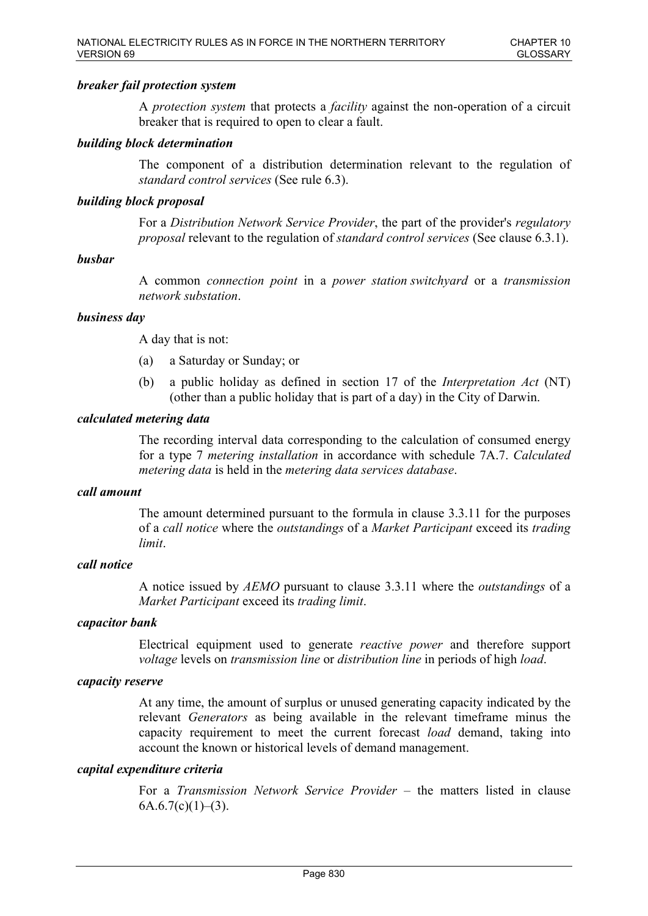# *breaker fail protection system*

A *protection system* that protects a *facility* against the non-operation of a circuit breaker that is required to open to clear a fault.

### *building block determination*

The component of a distribution determination relevant to the regulation of *standard control services* (See rule 6.3).

### *building block proposal*

For a *Distribution Network Service Provider*, the part of the provider's *regulatory proposal* relevant to the regulation of *standard control services* (See clause 6.3.1).

### *busbar*

A common *connection point* in a *power station switchyard* or a *transmission network substation*.

### *business day*

A day that is not:

- (a) a Saturday or Sunday; or
- (b) a public holiday as defined in section 17 of the *Interpretation Act* (NT) (other than a public holiday that is part of a day) in the City of Darwin.

### *calculated metering data*

The recording interval data corresponding to the calculation of consumed energy for a type 7 *metering installation* in accordance with schedule 7A.7. *Calculated metering data* is held in the *metering data services database*.

#### *call amount*

The amount determined pursuant to the formula in clause 3.3.11 for the purposes of a *call notice* where the *outstandings* of a *Market Participant* exceed its *trading limit*.

### *call notice*

A notice issued by *AEMO* pursuant to clause 3.3.11 where the *outstandings* of a *Market Participant* exceed its *trading limit*.

### *capacitor bank*

Electrical equipment used to generate *reactive power* and therefore support *voltage* levels on *transmission line* or *distribution line* in periods of high *load*.

#### *capacity reserve*

At any time, the amount of surplus or unused generating capacity indicated by the relevant *Generators* as being available in the relevant timeframe minus the capacity requirement to meet the current forecast *load* demand, taking into account the known or historical levels of demand management.

### *capital expenditure criteria*

For a *Transmission Network Service Provider* – the matters listed in clause  $6A.6.7(c)(1)–(3)$ .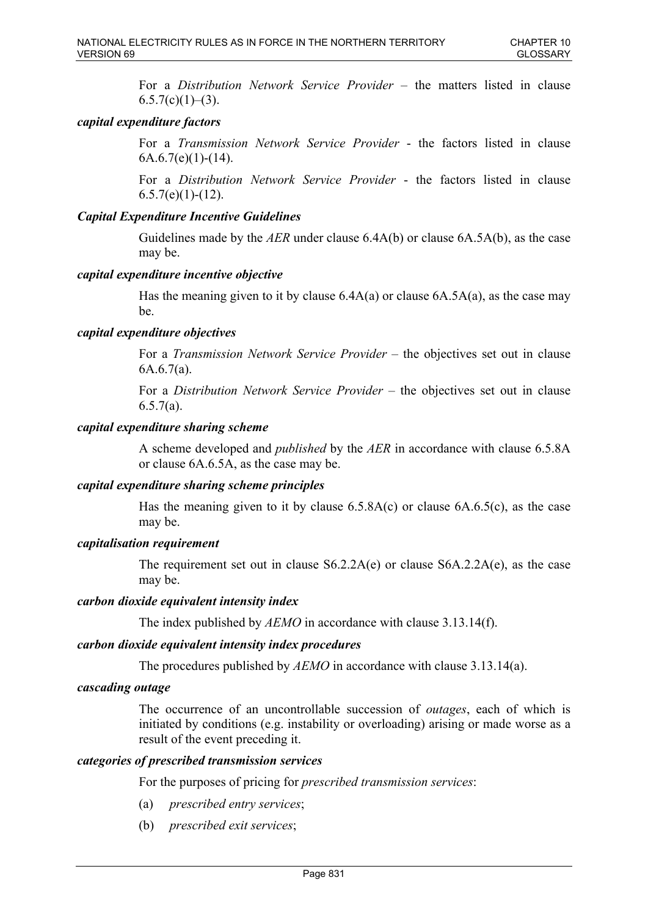For a *Distribution Network Service Provider* – the matters listed in clause  $6.5.7(c)(1)–(3)$ .

# *capital expenditure factors*

For a *Transmission Network Service Provider* - the factors listed in clause  $6A.6.7(e)(1)-(14)$ .

For a *Distribution Network Service Provider* - the factors listed in clause  $6.5.7(e)(1)-(12)$ .

# *Capital Expenditure Incentive Guidelines*

Guidelines made by the *AER* under clause 6.4A(b) or clause 6A.5A(b), as the case may be.

# *capital expenditure incentive objective*

Has the meaning given to it by clause  $6.4A(a)$  or clause  $6A.5A(a)$ , as the case may be.

# *capital expenditure objectives*

For a *Transmission Network Service Provider* – the objectives set out in clause  $6A.6.7(a)$ .

For a *Distribution Network Service Provider* – the objectives set out in clause 6.5.7(a).

### *capital expenditure sharing scheme*

A scheme developed and *published* by the *AER* in accordance with clause 6.5.8A or clause 6A.6.5A, as the case may be.

# *capital expenditure sharing scheme principles*

Has the meaning given to it by clause 6.5.8A(c) or clause 6A.6.5(c), as the case may be.

# *capitalisation requirement*

The requirement set out in clause S6.2.2A(e) or clause S6A.2.2A(e), as the case may be.

### *carbon dioxide equivalent intensity index*

The index published by *AEMO* in accordance with clause 3.13.14(f).

#### *carbon dioxide equivalent intensity index procedures*

The procedures published by *AEMO* in accordance with clause 3.13.14(a).

### *cascading outage*

The occurrence of an uncontrollable succession of *outages*, each of which is initiated by conditions (e.g. instability or overloading) arising or made worse as a result of the event preceding it.

### *categories of prescribed transmission services*

For the purposes of pricing for *prescribed transmission services*:

- (a) *prescribed entry services*;
- (b) *prescribed exit services*;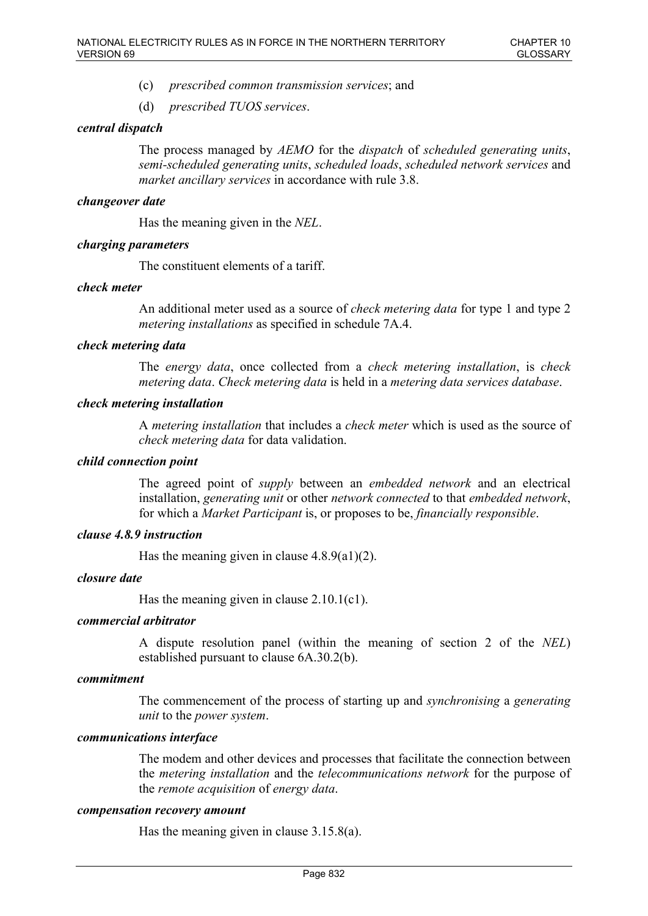- (c) *prescribed common transmission services*; and
- (d) *prescribed TUOS services*.

# *central dispatch*

The process managed by *AEMO* for the *dispatch* of *scheduled generating units*, *semi-scheduled generating units*, *scheduled loads*, *scheduled network services* and *market ancillary services* in accordance with rule 3.8.

### *changeover date*

Has the meaning given in the *NEL*.

# *charging parameters*

The constituent elements of a tariff.

### *check meter*

An additional meter used as a source of *check metering data* for type 1 and type 2 *metering installations* as specified in schedule 7A.4.

### *check metering data*

The *energy data*, once collected from a *check metering installation*, is *check metering data*. *Check metering data* is held in a *metering data services database*.

### *check metering installation*

A *metering installation* that includes a *check meter* which is used as the source of *check metering data* for data validation.

### *child connection point*

The agreed point of *supply* between an *embedded network* and an electrical installation, *generating unit* or other *network connected* to that *embedded network*, for which a *Market Participant* is, or proposes to be, *financially responsible*.

### *clause 4.8.9 instruction*

Has the meaning given in clause  $4.8.9(a1)(2)$ .

#### *closure date*

Has the meaning given in clause 2.10.1(c1).

# *commercial arbitrator*

A dispute resolution panel (within the meaning of section 2 of the *NEL*) established pursuant to clause 6A.30.2(b).

# *commitment*

The commencement of the process of starting up and *synchronising* a *generating unit* to the *power system*.

#### *communications interface*

The modem and other devices and processes that facilitate the connection between the *metering installation* and the *telecommunications network* for the purpose of the *remote acquisition* of *energy data*.

#### *compensation recovery amount*

Has the meaning given in clause 3.15.8(a).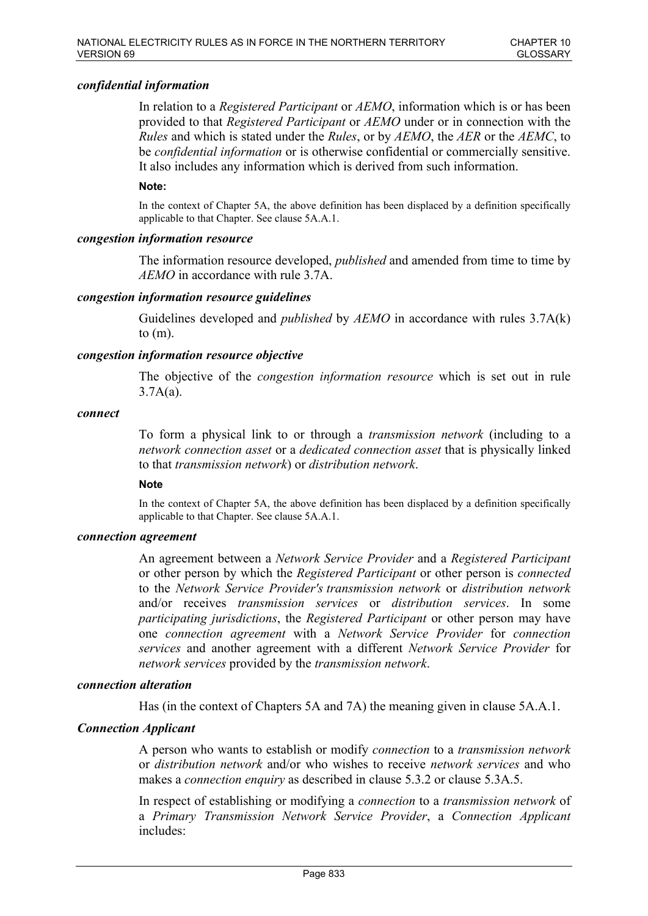### *confidential information*

In relation to a *Registered Participant* or *AEMO*, information which is or has been provided to that *Registered Participant* or *AEMO* under or in connection with the *Rules* and which is stated under the *Rules*, or by *AEMO*, the *AER* or the *AEMC*, to be *confidential information* or is otherwise confidential or commercially sensitive. It also includes any information which is derived from such information.

#### **Note:**

In the context of Chapter 5A, the above definition has been displaced by a definition specifically applicable to that Chapter. See clause 5A.A.1.

#### *congestion information resource*

The information resource developed, *published* and amended from time to time by *AEMO* in accordance with rule 3.7A.

#### *congestion information resource guidelines*

Guidelines developed and *published* by *AEMO* in accordance with rules 3.7A(k) to  $(m)$ .

### *congestion information resource objective*

The objective of the *congestion information resource* which is set out in rule  $3.7A(a)$ .

#### *connect*

To form a physical link to or through a *transmission network* (including to a *network connection asset* or a *dedicated connection asset* that is physically linked to that *transmission network*) or *distribution network*.

#### **Note**

In the context of Chapter 5A, the above definition has been displaced by a definition specifically applicable to that Chapter. See clause 5A.A.1.

#### *connection agreement*

An agreement between a *Network Service Provider* and a *Registered Participant* or other person by which the *Registered Participant* or other person is *connected* to the *Network Service Provider's transmission network* or *distribution network* and/or receives *transmission services* or *distribution services*. In some *participating jurisdictions*, the *Registered Participant* or other person may have one *connection agreement* with a *Network Service Provider* for *connection services* and another agreement with a different *Network Service Provider* for *network services* provided by the *transmission network*.

### *connection alteration*

Has (in the context of Chapters 5A and 7A) the meaning given in clause 5A.A.1.

#### *Connection Applicant*

A person who wants to establish or modify *connection* to a *transmission network* or *distribution network* and/or who wishes to receive *network services* and who makes a *connection enquiry* as described in clause 5.3.2 or clause 5.3A.5.

In respect of establishing or modifying a *connection* to a *transmission network* of a *Primary Transmission Network Service Provider*, a *Connection Applicant* includes: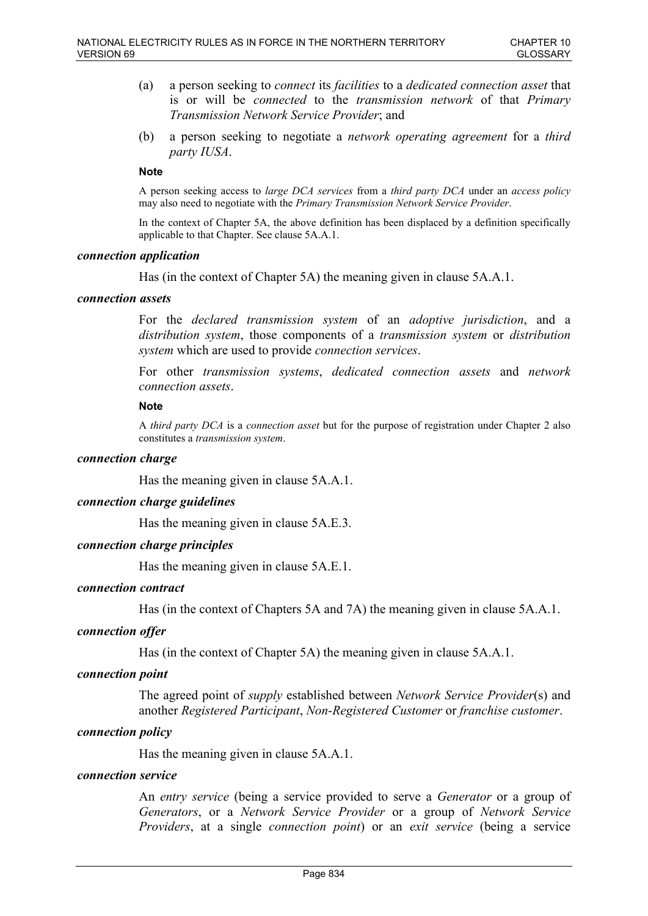- (a) a person seeking to *connect* its *facilities* to a *dedicated connection asset* that is or will be *connected* to the *transmission network* of that *Primary Transmission Network Service Provider*; and
- (b) a person seeking to negotiate a *network operating agreement* for a *third party IUSA*.

#### **Note**

A person seeking access to *large DCA services* from a *third party DCA* under an *access policy* may also need to negotiate with the *Primary Transmission Network Service Provider*.

In the context of Chapter 5A, the above definition has been displaced by a definition specifically applicable to that Chapter. See clause 5A.A.1.

#### *connection application*

Has (in the context of Chapter 5A) the meaning given in clause 5A.A.1.

#### *connection assets*

For the *declared transmission system* of an *adoptive jurisdiction*, and a *distribution system*, those components of a *transmission system* or *distribution system* which are used to provide *connection services*.

For other *transmission systems*, *dedicated connection assets* and *network connection assets*.

#### **Note**

A *third party DCA* is a *connection asset* but for the purpose of registration under Chapter 2 also constitutes a *transmission system*.

# *connection charge*

Has the meaning given in clause 5A.A.1.

#### *connection charge guidelines*

Has the meaning given in clause 5A.E.3.

# *connection charge principles*

Has the meaning given in clause 5A.E.1.

### *connection contract*

Has (in the context of Chapters 5A and 7A) the meaning given in clause 5A.A.1.

#### *connection offer*

Has (in the context of Chapter 5A) the meaning given in clause 5A.A.1.

### *connection point*

The agreed point of *supply* established between *Network Service Provider*(s) and another *Registered Participant*, *Non-Registered Customer* or *franchise customer*.

#### *connection policy*

Has the meaning given in clause 5A.A.1.

#### *connection service*

An *entry service* (being a service provided to serve a *Generator* or a group of *Generators*, or a *Network Service Provider* or a group of *Network Service Providers*, at a single *connection point*) or an *exit service* (being a service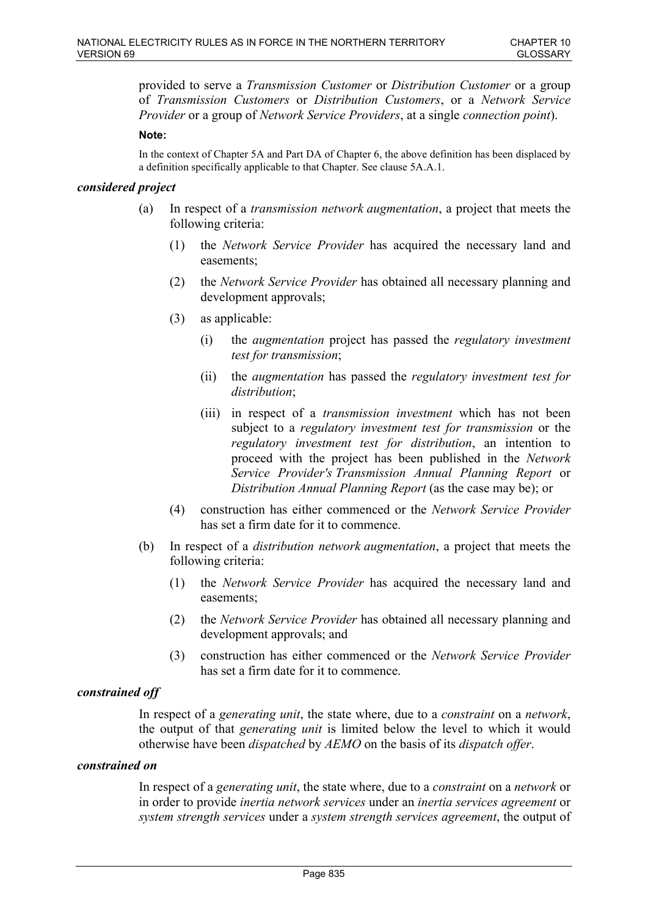provided to serve a *Transmission Customer* or *Distribution Customer* or a group of *Transmission Customers* or *Distribution Customers*, or a *Network Service Provider* or a group of *Network Service Providers*, at a single *connection point*).

#### **Note:**

In the context of Chapter 5A and Part DA of Chapter 6, the above definition has been displaced by a definition specifically applicable to that Chapter. See clause 5A.A.1.

# *considered project*

- (a) In respect of a *transmission network augmentation*, a project that meets the following criteria:
	- (1) the *Network Service Provider* has acquired the necessary land and easements;
	- (2) the *Network Service Provider* has obtained all necessary planning and development approvals;
	- (3) as applicable:
		- (i) the *augmentation* project has passed the *regulatory investment test for transmission*;
		- (ii) the *augmentation* has passed the *regulatory investment test for distribution*;
		- (iii) in respect of a *transmission investment* which has not been subject to a *regulatory investment test for transmission* or the *regulatory investment test for distribution*, an intention to proceed with the project has been published in the *Network Service Provider's Transmission Annual Planning Report* or *Distribution Annual Planning Report* (as the case may be); or
	- (4) construction has either commenced or the *Network Service Provider* has set a firm date for it to commence.
- (b) In respect of a *distribution network augmentation*, a project that meets the following criteria:
	- (1) the *Network Service Provider* has acquired the necessary land and easements;
	- (2) the *Network Service Provider* has obtained all necessary planning and development approvals; and
	- (3) construction has either commenced or the *Network Service Provider* has set a firm date for it to commence.

#### *constrained off*

In respect of a *generating unit*, the state where, due to a *constraint* on a *network*, the output of that *generating unit* is limited below the level to which it would otherwise have been *dispatched* by *AEMO* on the basis of its *dispatch offer*.

#### *constrained on*

In respect of a *generating unit*, the state where, due to a *constraint* on a *network* or in order to provide *inertia network services* under an *inertia services agreement* or *system strength services* under a *system strength services agreement*, the output of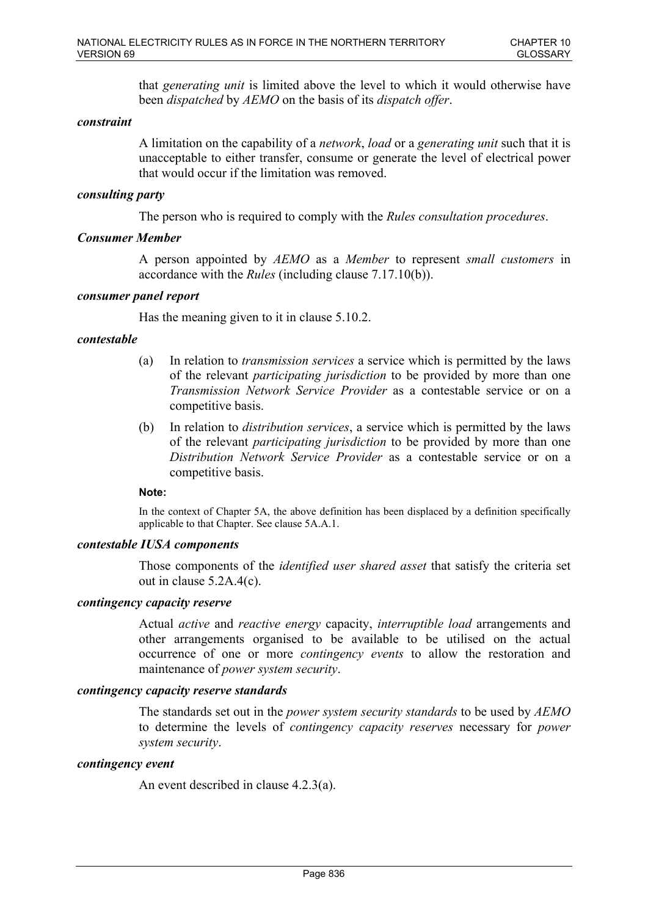that *generating unit* is limited above the level to which it would otherwise have been *dispatched* by *AEMO* on the basis of its *dispatch offer*.

### *constraint*

A limitation on the capability of a *network*, *load* or a *generating unit* such that it is unacceptable to either transfer, consume or generate the level of electrical power that would occur if the limitation was removed.

### *consulting party*

The person who is required to comply with the *Rules consultation procedures*.

### *Consumer Member*

A person appointed by *AEMO* as a *Member* to represent *small customers* in accordance with the *Rules* (including clause 7.17.10(b)).

### *consumer panel report*

Has the meaning given to it in clause 5.10.2.

# *contestable*

- (a) In relation to *transmission services* a service which is permitted by the laws of the relevant *participating jurisdiction* to be provided by more than one *Transmission Network Service Provider* as a contestable service or on a competitive basis.
- (b) In relation to *distribution services*, a service which is permitted by the laws of the relevant *participating jurisdiction* to be provided by more than one *Distribution Network Service Provider* as a contestable service or on a competitive basis.

#### **Note:**

In the context of Chapter 5A, the above definition has been displaced by a definition specifically applicable to that Chapter. See clause 5A.A.1.

### *contestable IUSA components*

Those components of the *identified user shared asset* that satisfy the criteria set out in clause 5.2A.4(c).

### *contingency capacity reserve*

Actual *active* and *reactive energy* capacity, *interruptible load* arrangements and other arrangements organised to be available to be utilised on the actual occurrence of one or more *contingency events* to allow the restoration and maintenance of *power system security*.

#### *contingency capacity reserve standards*

The standards set out in the *power system security standards* to be used by *AEMO* to determine the levels of *contingency capacity reserves* necessary for *power system security*.

#### *contingency event*

An event described in clause 4.2.3(a).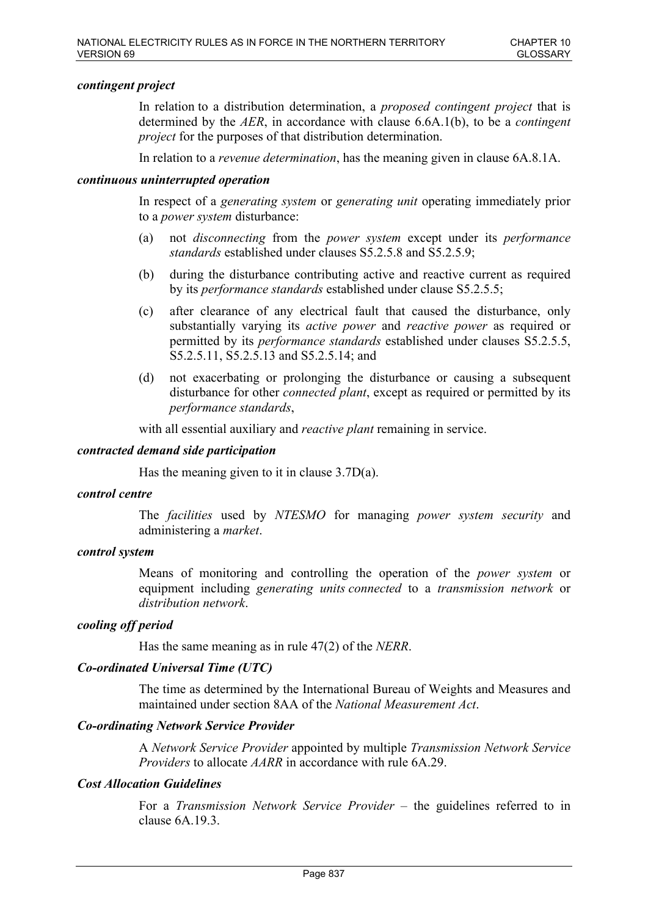# *contingent project*

In relation to a distribution determination, a *proposed contingent project* that is determined by the *AER*, in accordance with clause 6.6A.1(b), to be a *contingent project* for the purposes of that distribution determination.

In relation to a *revenue determination*, has the meaning given in clause 6A.8.1A.

### *continuous uninterrupted operation*

In respect of a *generating system* or *generating unit* operating immediately prior to a *power system* disturbance:

- (a) not *disconnecting* from the *power system* except under its *performance standards* established under clauses S5.2.5.8 and S5.2.5.9;
- (b) during the disturbance contributing active and reactive current as required by its *performance standards* established under clause S5.2.5.5;
- (c) after clearance of any electrical fault that caused the disturbance, only substantially varying its *active power* and *reactive power* as required or permitted by its *performance standards* established under clauses S5.2.5.5, S5.2.5.11, S5.2.5.13 and S5.2.5.14; and
- (d) not exacerbating or prolonging the disturbance or causing a subsequent disturbance for other *connected plant*, except as required or permitted by its *performance standards*,

with all essential auxiliary and *reactive plant* remaining in service.

#### *contracted demand side participation*

Has the meaning given to it in clause 3.7D(a).

### *control centre*

The *facilities* used by *NTESMO* for managing *power system security* and administering a *market*.

#### *control system*

Means of monitoring and controlling the operation of the *power system* or equipment including *generating units connected* to a *transmission network* or *distribution network*.

### *cooling off period*

Has the same meaning as in rule 47(2) of the *NERR*.

### *Co-ordinated Universal Time (UTC)*

The time as determined by the International Bureau of Weights and Measures and maintained under section 8AA of the *National Measurement Act*.

#### *Co-ordinating Network Service Provider*

A *Network Service Provider* appointed by multiple *Transmission Network Service Providers* to allocate *AARR* in accordance with rule 6A.29.

### *Cost Allocation Guidelines*

For a *Transmission Network Service Provider* – the guidelines referred to in clause 6A.19.3.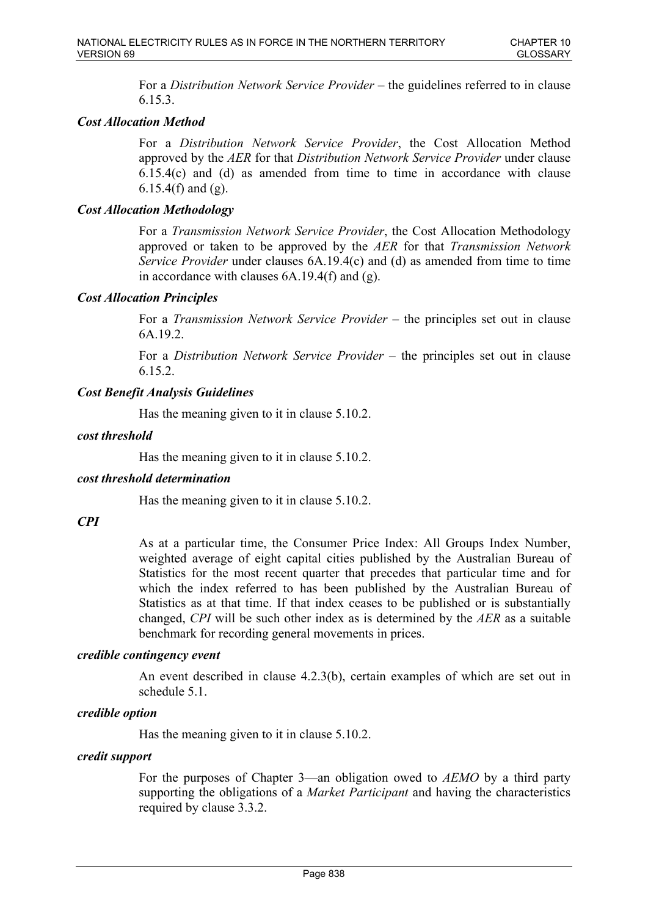For a *Distribution Network Service Provider* – the guidelines referred to in clause 6.15.3.

# *Cost Allocation Method*

For a *Distribution Network Service Provider*, the Cost Allocation Method approved by the *AER* for that *Distribution Network Service Provider* under clause 6.15.4(c) and (d) as amended from time to time in accordance with clause 6.15.4(f) and  $(g)$ .

# *Cost Allocation Methodology*

For a *Transmission Network Service Provider*, the Cost Allocation Methodology approved or taken to be approved by the *AER* for that *Transmission Network Service Provider* under clauses 6A.19.4(c) and (d) as amended from time to time in accordance with clauses 6A.19.4(f) and (g).

# *Cost Allocation Principles*

For a *Transmission Network Service Provider* – the principles set out in clause 6A.19.2.

For a *Distribution Network Service Provider* – the principles set out in clause 6.15.2.

# *Cost Benefit Analysis Guidelines*

Has the meaning given to it in clause 5.10.2.

# *cost threshold*

Has the meaning given to it in clause 5.10.2.

# *cost threshold determination*

Has the meaning given to it in clause 5.10.2.

# *CPI*

As at a particular time, the Consumer Price Index: All Groups Index Number, weighted average of eight capital cities published by the Australian Bureau of Statistics for the most recent quarter that precedes that particular time and for which the index referred to has been published by the Australian Bureau of Statistics as at that time. If that index ceases to be published or is substantially changed, *CPI* will be such other index as is determined by the *AER* as a suitable benchmark for recording general movements in prices.

# *credible contingency event*

An event described in clause 4.2.3(b), certain examples of which are set out in schedule 5.1.

# *credible option*

Has the meaning given to it in clause 5.10.2.

# *credit support*

For the purposes of Chapter 3—an obligation owed to *AEMO* by a third party supporting the obligations of a *Market Participant* and having the characteristics required by clause 3.3.2.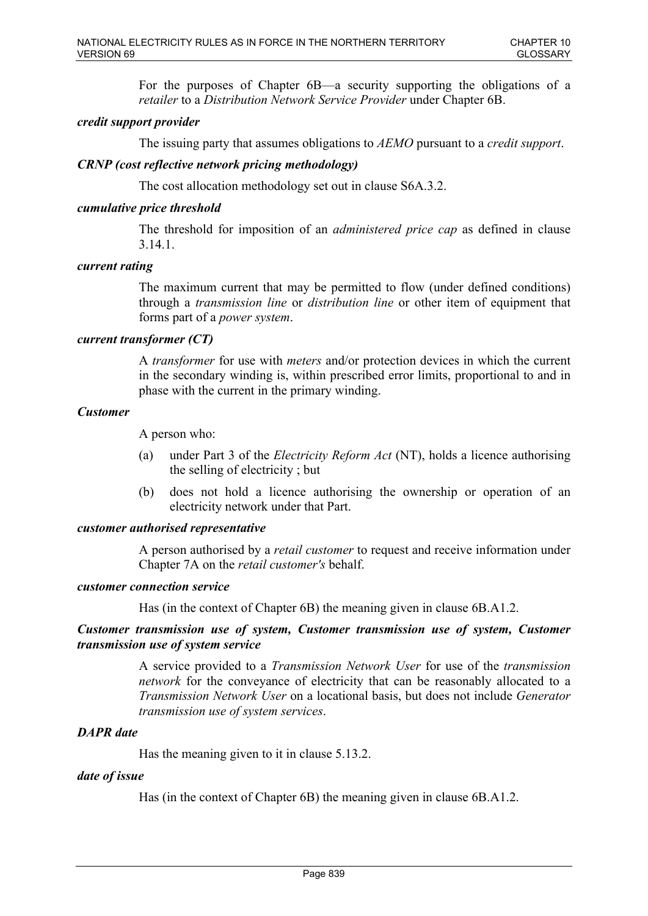For the purposes of Chapter 6B—a security supporting the obligations of a *retailer* to a *Distribution Network Service Provider* under Chapter 6B.

# *credit support provider*

The issuing party that assumes obligations to *AEMO* pursuant to a *credit support*.

# *CRNP (cost reflective network pricing methodology)*

The cost allocation methodology set out in clause S6A.3.2.

# *cumulative price threshold*

The threshold for imposition of an *administered price cap* as defined in clause 3.14.1.

# *current rating*

The maximum current that may be permitted to flow (under defined conditions) through a *transmission line* or *distribution line* or other item of equipment that forms part of a *power system*.

# *current transformer (CT)*

A *transformer* for use with *meters* and/or protection devices in which the current in the secondary winding is, within prescribed error limits, proportional to and in phase with the current in the primary winding.

# *Customer*

A person who:

- (a) under Part 3 of the *Electricity Reform Act* (NT), holds a licence authorising the selling of electricity ; but
- (b) does not hold a licence authorising the ownership or operation of an electricity network under that Part.

# *customer authorised representative*

A person authorised by a *retail customer* to request and receive information under Chapter 7A on the *retail customer's* behalf.

#### *customer connection service*

Has (in the context of Chapter 6B) the meaning given in clause 6B.A1.2.

# *Customer transmission use of system, Customer transmission use of system, Customer transmission use of system service*

A service provided to a *Transmission Network User* for use of the *transmission network* for the conveyance of electricity that can be reasonably allocated to a *Transmission Network User* on a locational basis, but does not include *Generator transmission use of system services*.

# *DAPR date*

Has the meaning given to it in clause 5.13.2.

# *date of issue*

Has (in the context of Chapter 6B) the meaning given in clause 6B.A1.2.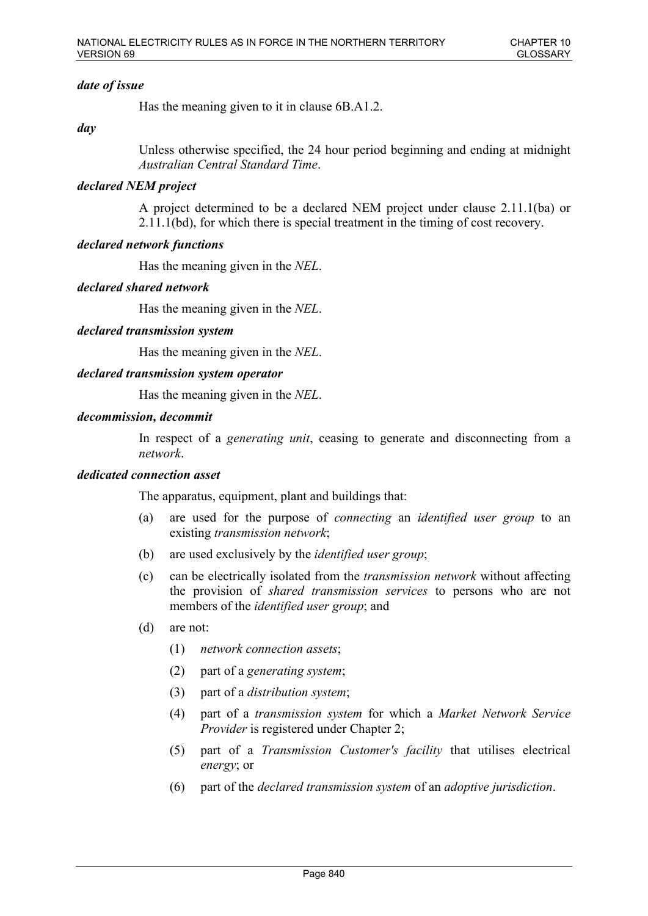# *date of issue*

Has the meaning given to it in clause 6B.A1.2.

# *day*

Unless otherwise specified, the 24 hour period beginning and ending at midnight *Australian Central Standard Time*.

# *declared NEM project*

A project determined to be a declared NEM project under clause 2.11.1(ba) or 2.11.1(bd), for which there is special treatment in the timing of cost recovery.

# *declared network functions*

Has the meaning given in the *NEL*.

# *declared shared network*

Has the meaning given in the *NEL*.

# *declared transmission system*

Has the meaning given in the *NEL*.

# *declared transmission system operator*

Has the meaning given in the *NEL*.

# *decommission, decommit*

In respect of a *generating unit*, ceasing to generate and disconnecting from a *network*.

# *dedicated connection asset*

The apparatus, equipment, plant and buildings that:

- (a) are used for the purpose of *connecting* an *identified user group* to an existing *transmission network*;
- (b) are used exclusively by the *identified user group*;
- (c) can be electrically isolated from the *transmission network* without affecting the provision of *shared transmission services* to persons who are not members of the *identified user group*; and
- (d) are not:
	- (1) *network connection assets*;
	- (2) part of a *generating system*;
	- (3) part of a *distribution system*;
	- (4) part of a *transmission system* for which a *Market Network Service Provider* is registered under Chapter 2;
	- (5) part of a *Transmission Customer's facility* that utilises electrical *energy*; or
	- (6) part of the *declared transmission system* of an *adoptive jurisdiction*.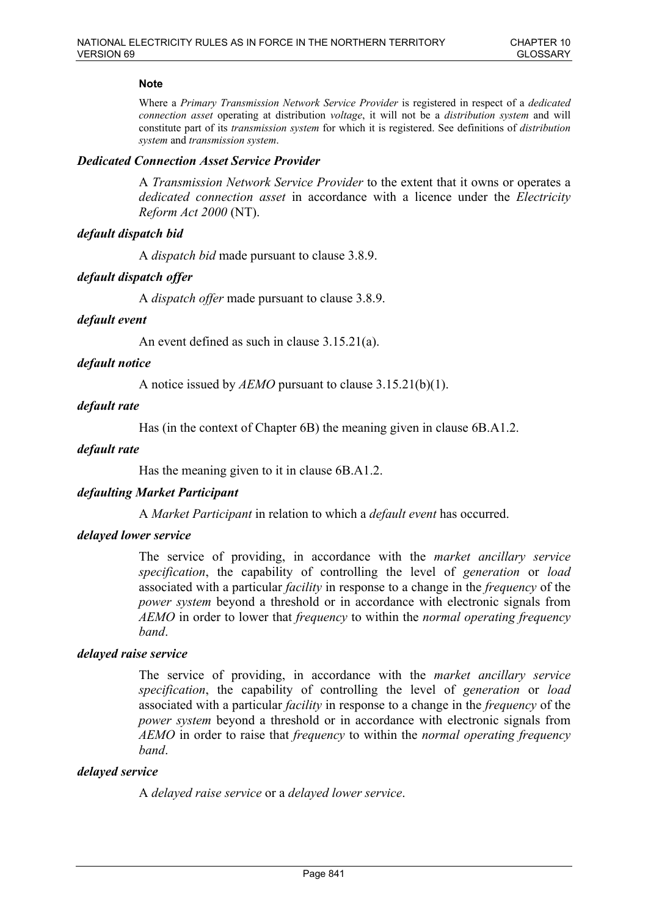# **Note**

Where a *Primary Transmission Network Service Provider* is registered in respect of a *dedicated connection asset* operating at distribution *voltage*, it will not be a *distribution system* and will constitute part of its *transmission system* for which it is registered. See definitions of *distribution system* and *transmission system*.

### *Dedicated Connection Asset Service Provider*

A *Transmission Network Service Provider* to the extent that it owns or operates a *dedicated connection asset* in accordance with a licence under the *Electricity Reform Act 2000* (NT).

### *default dispatch bid*

A *dispatch bid* made pursuant to clause 3.8.9.

### *default dispatch offer*

A *dispatch offer* made pursuant to clause 3.8.9.

### *default event*

An event defined as such in clause 3.15.21(a).

### *default notice*

A notice issued by *AEMO* pursuant to clause 3.15.21(b)(1).

#### *default rate*

Has (in the context of Chapter 6B) the meaning given in clause 6B.A1.2.

#### *default rate*

Has the meaning given to it in clause 6B.A1.2.

#### *defaulting Market Participant*

A *Market Participant* in relation to which a *default event* has occurred.

#### *delayed lower service*

The service of providing, in accordance with the *market ancillary service specification*, the capability of controlling the level of *generation* or *load* associated with a particular *facility* in response to a change in the *frequency* of the *power system* beyond a threshold or in accordance with electronic signals from *AEMO* in order to lower that *frequency* to within the *normal operating frequency band*.

#### *delayed raise service*

The service of providing, in accordance with the *market ancillary service specification*, the capability of controlling the level of *generation* or *load* associated with a particular *facility* in response to a change in the *frequency* of the *power system* beyond a threshold or in accordance with electronic signals from *AEMO* in order to raise that *frequency* to within the *normal operating frequency band*.

#### *delayed service*

A *delayed raise service* or a *delayed lower service*.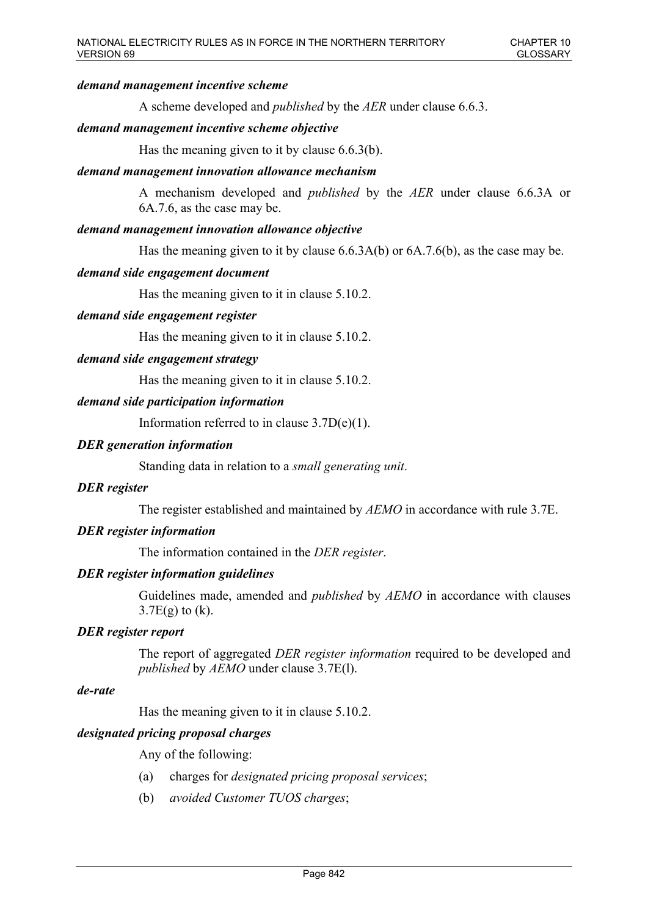### *demand management incentive scheme*

A scheme developed and *published* by the *AER* under clause 6.6.3.

### *demand management incentive scheme objective*

Has the meaning given to it by clause 6.6.3(b).

#### *demand management innovation allowance mechanism*

A mechanism developed and *published* by the *AER* under clause 6.6.3A or 6A.7.6, as the case may be.

#### *demand management innovation allowance objective*

Has the meaning given to it by clause 6.6.3A(b) or 6A.7.6(b), as the case may be.

#### *demand side engagement document*

Has the meaning given to it in clause 5.10.2.

### *demand side engagement register*

Has the meaning given to it in clause 5.10.2.

#### *demand side engagement strategy*

Has the meaning given to it in clause 5.10.2.

### *demand side participation information*

Information referred to in clause 3.7D(e)(1).

#### *DER generation information*

Standing data in relation to a *small generating unit*.

### *DER register*

The register established and maintained by *AEMO* in accordance with rule 3.7E.

### *DER register information*

The information contained in the *DER register*.

#### *DER register information guidelines*

Guidelines made, amended and *published* by *AEMO* in accordance with clauses  $3.7E(g)$  to  $(k)$ .

### *DER register report*

The report of aggregated *DER register information* required to be developed and *published* by *AEMO* under clause 3.7E(l).

#### *de-rate*

Has the meaning given to it in clause 5.10.2.

# *designated pricing proposal charges*

Any of the following:

- (a) charges for *designated pricing proposal services*;
- (b) *avoided Customer TUOS charges*;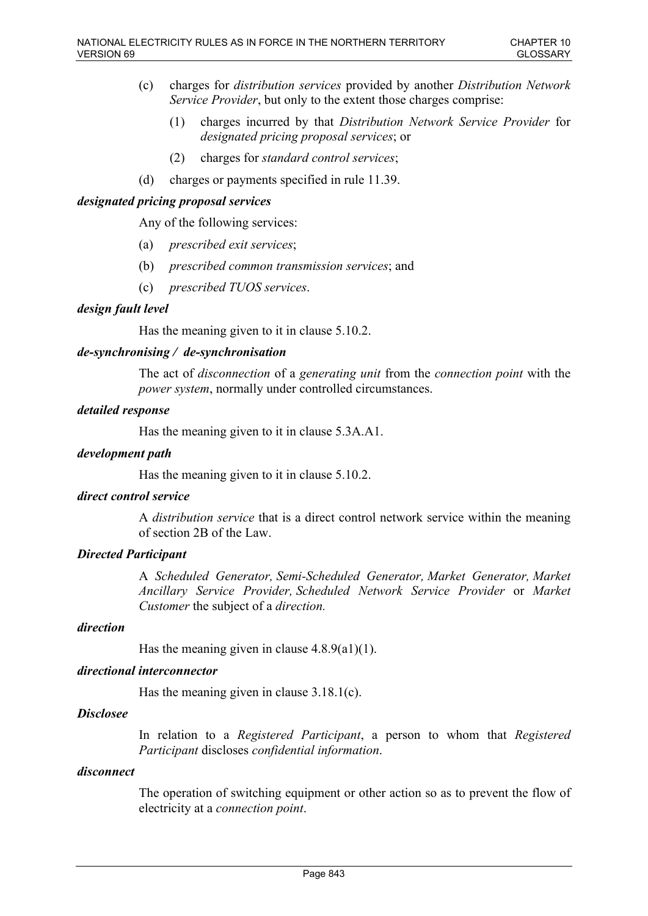- (c) charges for *distribution services* provided by another *Distribution Network Service Provider*, but only to the extent those charges comprise:
	- (1) charges incurred by that *Distribution Network Service Provider* for *designated pricing proposal services*; or
	- (2) charges for *standard control services*;
- (d) charges or payments specified in rule 11.39.

# *designated pricing proposal services*

Any of the following services:

- (a) *prescribed exit services*;
- (b) *prescribed common transmission services*; and
- (c) *prescribed TUOS services*.

### *design fault level*

Has the meaning given to it in clause 5.10.2.

### *de-synchronising / de-synchronisation*

The act of *disconnection* of a *generating unit* from the *connection point* with the *power system*, normally under controlled circumstances.

### *detailed response*

Has the meaning given to it in clause 5.3A.A1.

#### *development path*

Has the meaning given to it in clause 5.10.2.

# *direct control service*

A *distribution service* that is a direct control network service within the meaning of section 2B of the Law.

# *Directed Participant*

A *Scheduled Generator, Semi-Scheduled Generator, Market Generator, Market Ancillary Service Provider, Scheduled Network Service Provider* or *Market Customer* the subject of a *direction.*

# *direction*

Has the meaning given in clause  $4.8.9(a1)(1)$ .

### *directional interconnector*

Has the meaning given in clause 3.18.1(c).

# *Disclosee*

In relation to a *Registered Participant*, a person to whom that *Registered Participant* discloses *confidential information*.

#### *disconnect*

The operation of switching equipment or other action so as to prevent the flow of electricity at a *connection point*.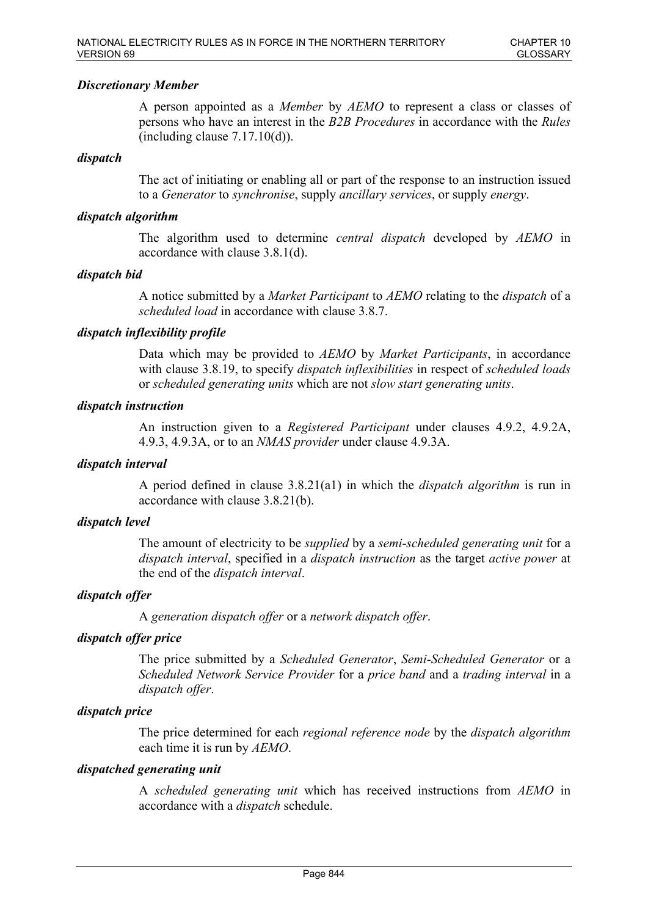# *Discretionary Member*

A person appointed as a *Member* by *AEMO* to represent a class or classes of persons who have an interest in the *B2B Procedures* in accordance with the *Rules*  $(including clause 7.17.10(d)).$ 

### *dispatch*

The act of initiating or enabling all or part of the response to an instruction issued to a *Generator* to *synchronise*, supply *ancillary services*, or supply *energy*.

### *dispatch algorithm*

The algorithm used to determine *central dispatch* developed by *AEMO* in accordance with clause 3.8.1(d).

### *dispatch bid*

A notice submitted by a *Market Participant* to *AEMO* relating to the *dispatch* of a *scheduled load* in accordance with clause 3.8.7.

### *dispatch inflexibility profile*

Data which may be provided to *AEMO* by *Market Participants*, in accordance with clause 3.8.19, to specify *dispatch inflexibilities* in respect of *scheduled loads* or *scheduled generating units* which are not *slow start generating units*.

### *dispatch instruction*

An instruction given to a *Registered Participant* under clauses 4.9.2, 4.9.2A, 4.9.3, 4.9.3A, or to an *NMAS provider* under clause 4.9.3A.

### *dispatch interval*

A period defined in clause 3.8.21(a1) in which the *dispatch algorithm* is run in accordance with clause 3.8.21(b).

#### *dispatch level*

The amount of electricity to be *supplied* by a *semi-scheduled generating unit* for a *dispatch interval*, specified in a *dispatch instruction* as the target *active power* at the end of the *dispatch interval*.

# *dispatch offer*

A *generation dispatch offer* or a *network dispatch offer*.

# *dispatch offer price*

The price submitted by a *Scheduled Generator*, *Semi-Scheduled Generator* or a *Scheduled Network Service Provider* for a *price band* and a *trading interval* in a *dispatch offer*.

# *dispatch price*

The price determined for each *regional reference node* by the *dispatch algorithm* each time it is run by *AEMO*.

#### *dispatched generating unit*

A *scheduled generating unit* which has received instructions from *AEMO* in accordance with a *dispatch* schedule.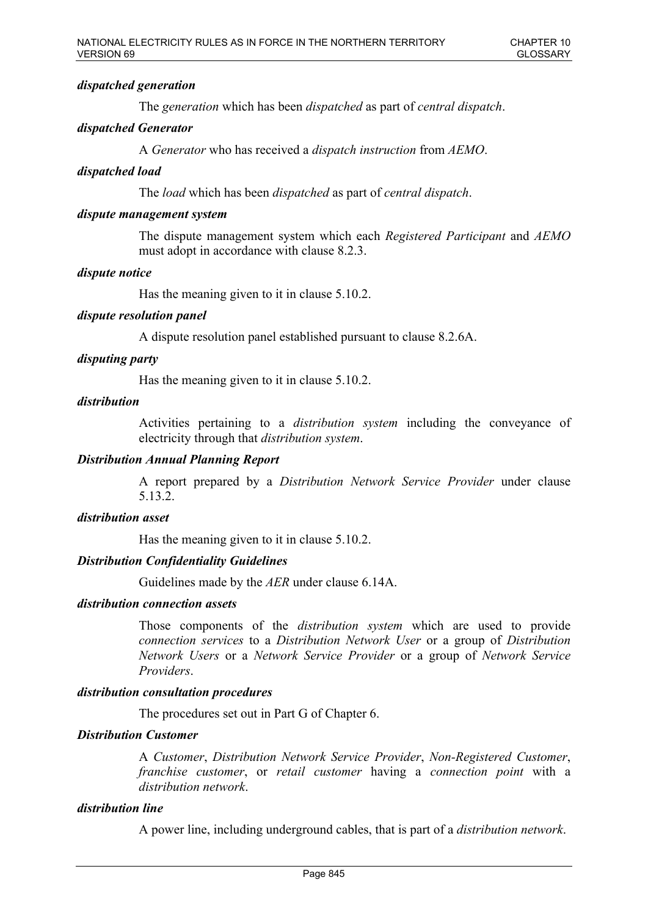# *dispatched generation*

The *generation* which has been *dispatched* as part of *central dispatch*.

# *dispatched Generator*

A *Generator* who has received a *dispatch instruction* from *AEMO*.

# *dispatched load*

The *load* which has been *dispatched* as part of *central dispatch*.

# *dispute management system*

The dispute management system which each *Registered Participant* and *AEMO* must adopt in accordance with clause 8.2.3.

# *dispute notice*

Has the meaning given to it in clause 5.10.2.

# *dispute resolution panel*

A dispute resolution panel established pursuant to clause 8.2.6A.

# *disputing party*

Has the meaning given to it in clause 5.10.2.

### *distribution*

Activities pertaining to a *distribution system* including the conveyance of electricity through that *distribution system*.

# *Distribution Annual Planning Report*

A report prepared by a *Distribution Network Service Provider* under clause 5.13.2.

# *distribution asset*

Has the meaning given to it in clause 5.10.2.

# *Distribution Confidentiality Guidelines*

Guidelines made by the *AER* under clause 6.14A.

#### *distribution connection assets*

Those components of the *distribution system* which are used to provide *connection services* to a *Distribution Network User* or a group of *Distribution Network Users* or a *Network Service Provider* or a group of *Network Service Providers*.

#### *distribution consultation procedures*

The procedures set out in Part G of Chapter 6.

# *Distribution Customer*

A *Customer*, *Distribution Network Service Provider*, *Non-Registered Customer*, *franchise customer*, or *retail customer* having a *connection point* with a *distribution network*.

# *distribution line*

A power line, including underground cables, that is part of a *distribution network*.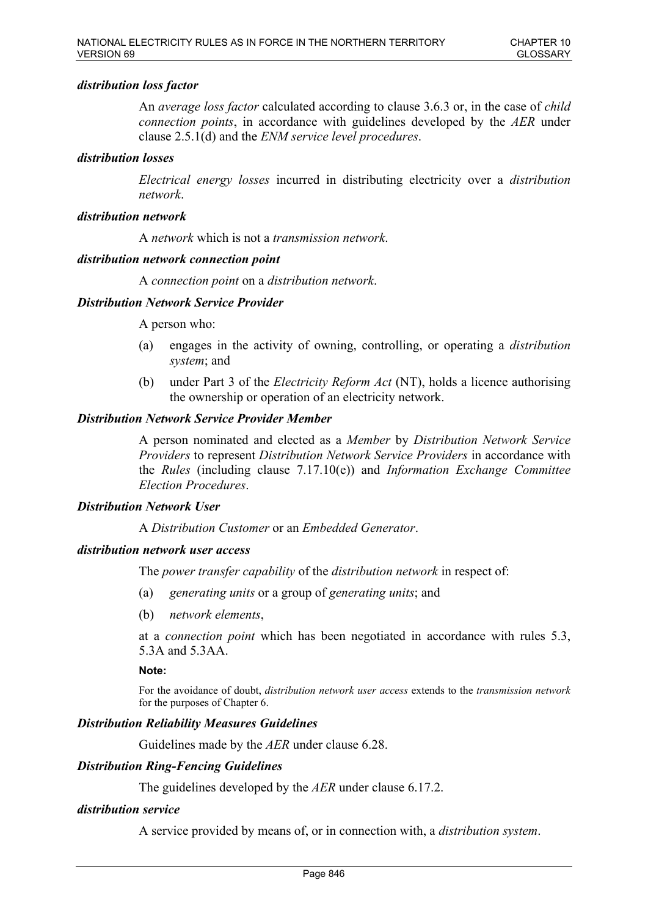# *distribution loss factor*

An *average loss factor* calculated according to clause 3.6.3 or, in the case of *child connection points*, in accordance with guidelines developed by the *AER* under clause 2.5.1(d) and the *ENM service level procedures*.

# *distribution losses*

*Electrical energy losses* incurred in distributing electricity over a *distribution network*.

# *distribution network*

A *network* which is not a *transmission network*.

# *distribution network connection point*

A *connection point* on a *distribution network*.

### *Distribution Network Service Provider*

A person who:

- (a) engages in the activity of owning, controlling, or operating a *distribution system*; and
- (b) under Part 3 of the *Electricity Reform Act* (NT), holds a licence authorising the ownership or operation of an electricity network.

### *Distribution Network Service Provider Member*

A person nominated and elected as a *Member* by *Distribution Network Service Providers* to represent *Distribution Network Service Providers* in accordance with the *Rules* (including clause 7.17.10(e)) and *Information Exchange Committee Election Procedures*.

# *Distribution Network User*

A *Distribution Customer* or an *Embedded Generator*.

# *distribution network user access*

The *power transfer capability* of the *distribution network* in respect of:

- (a) *generating units* or a group of *generating units*; and
- (b) *network elements*,

at a *connection point* which has been negotiated in accordance with rules 5.3, 5.3A and 5.3AA.

#### **Note:**

For the avoidance of doubt, *distribution network user access* extends to the *transmission network* for the purposes of Chapter 6.

# *Distribution Reliability Measures Guidelines*

Guidelines made by the *AER* under clause 6.28.

### *Distribution Ring-Fencing Guidelines*

The guidelines developed by the *AER* under clause 6.17.2.

#### *distribution service*

A service provided by means of, or in connection with, a *distribution system*.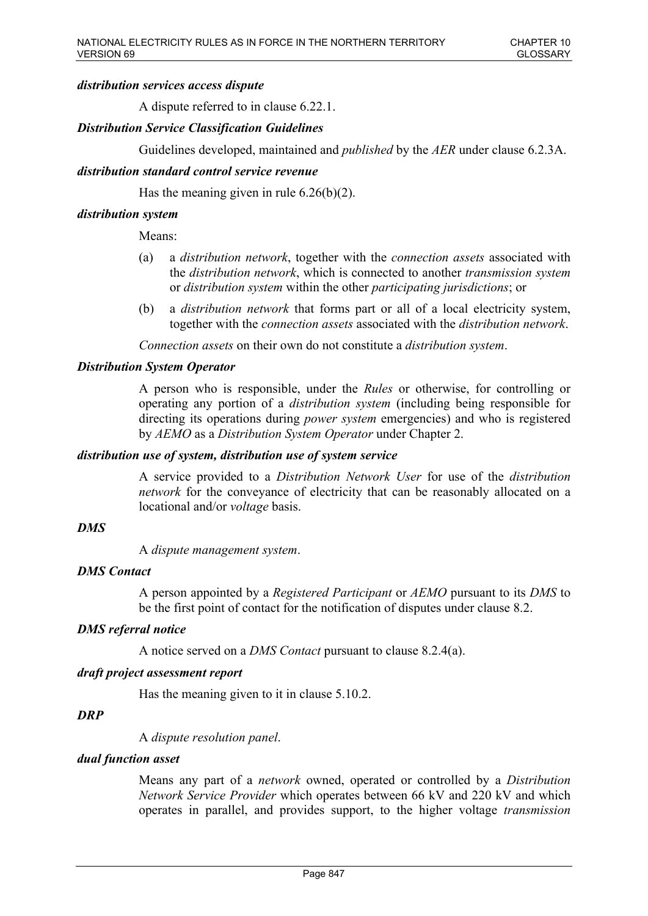### *distribution services access dispute*

A dispute referred to in clause 6.22.1.

# *Distribution Service Classification Guidelines*

Guidelines developed, maintained and *published* by the *AER* under clause 6.2.3A.

### *distribution standard control service revenue*

Has the meaning given in rule  $6.26(b)(2)$ .

### *distribution system*

Means:

- (a) a *distribution network*, together with the *connection assets* associated with the *distribution network*, which is connected to another *transmission system*  or *distribution system* within the other *participating jurisdictions*; or
- (b) a *distribution network* that forms part or all of a local electricity system, together with the *connection assets* associated with the *distribution network*.

*Connection assets* on their own do not constitute a *distribution system*.

### *Distribution System Operator*

A person who is responsible, under the *Rules* or otherwise, for controlling or operating any portion of a *distribution system* (including being responsible for directing its operations during *power system* emergencies) and who is registered by *AEMO* as a *Distribution System Operator* under Chapter 2.

#### *distribution use of system, distribution use of system service*

A service provided to a *Distribution Network User* for use of the *distribution network* for the conveyance of electricity that can be reasonably allocated on a locational and/or *voltage* basis.

#### *DMS*

A *dispute management system*.

#### *DMS Contact*

A person appointed by a *Registered Participant* or *AEMO* pursuant to its *DMS* to be the first point of contact for the notification of disputes under clause 8.2.

#### *DMS referral notice*

A notice served on a *DMS Contact* pursuant to clause 8.2.4(a).

### *draft project assessment report*

Has the meaning given to it in clause 5.10.2.

#### *DRP*

A *dispute resolution panel*.

# *dual function asset*

Means any part of a *network* owned, operated or controlled by a *Distribution Network Service Provider* which operates between 66 kV and 220 kV and which operates in parallel, and provides support, to the higher voltage *transmission*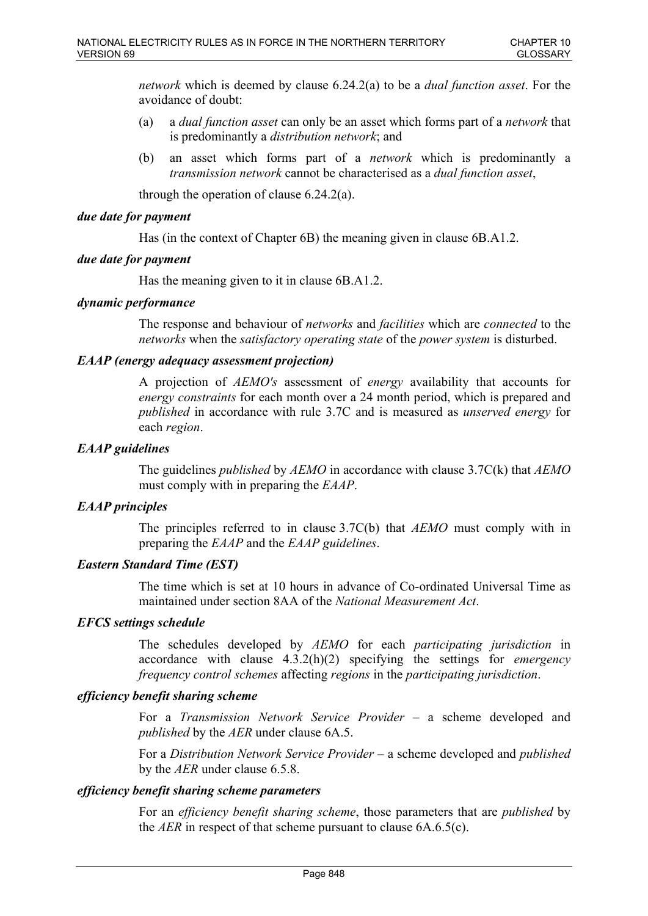*network* which is deemed by clause 6.24.2(a) to be a *dual function asset*. For the avoidance of doubt:

- (a) a *dual function asset* can only be an asset which forms part of a *network* that is predominantly a *distribution network*; and
- (b) an asset which forms part of a *network* which is predominantly a *transmission network* cannot be characterised as a *dual function asset*,

through the operation of clause 6.24.2(a).

# *due date for payment*

Has (in the context of Chapter 6B) the meaning given in clause 6B.A1.2.

# *due date for payment*

Has the meaning given to it in clause 6B.A1.2.

# *dynamic performance*

The response and behaviour of *networks* and *facilities* which are *connected* to the *networks* when the *satisfactory operating state* of the *power system* is disturbed.

# *EAAP (energy adequacy assessment projection)*

A projection of *AEMO's* assessment of *energy* availability that accounts for *energy constraints* for each month over a 24 month period, which is prepared and *published* in accordance with rule 3.7C and is measured as *unserved energy* for each *region*.

# *EAAP guidelines*

The guidelines *published* by *AEMO* in accordance with clause 3.7C(k) that *AEMO* must comply with in preparing the *EAAP*.

# *EAAP principles*

The principles referred to in clause 3.7C(b) that *AEMO* must comply with in preparing the *EAAP* and the *EAAP guidelines*.

# *Eastern Standard Time (EST)*

The time which is set at 10 hours in advance of Co-ordinated Universal Time as maintained under section 8AA of the *National Measurement Act*.

# *EFCS settings schedule*

The schedules developed by *AEMO* for each *participating jurisdiction* in accordance with clause 4.3.2(h)(2) specifying the settings for *emergency frequency control schemes* affecting *regions* in the *participating jurisdiction*.

# *efficiency benefit sharing scheme*

For a *Transmission Network Service Provider* – a scheme developed and *published* by the *AER* under clause 6A.5.

For a *Distribution Network Service Provider* – a scheme developed and *published* by the *AER* under clause 6.5.8.

# *efficiency benefit sharing scheme parameters*

For an *efficiency benefit sharing scheme*, those parameters that are *published* by the *AER* in respect of that scheme pursuant to clause 6A.6.5(c).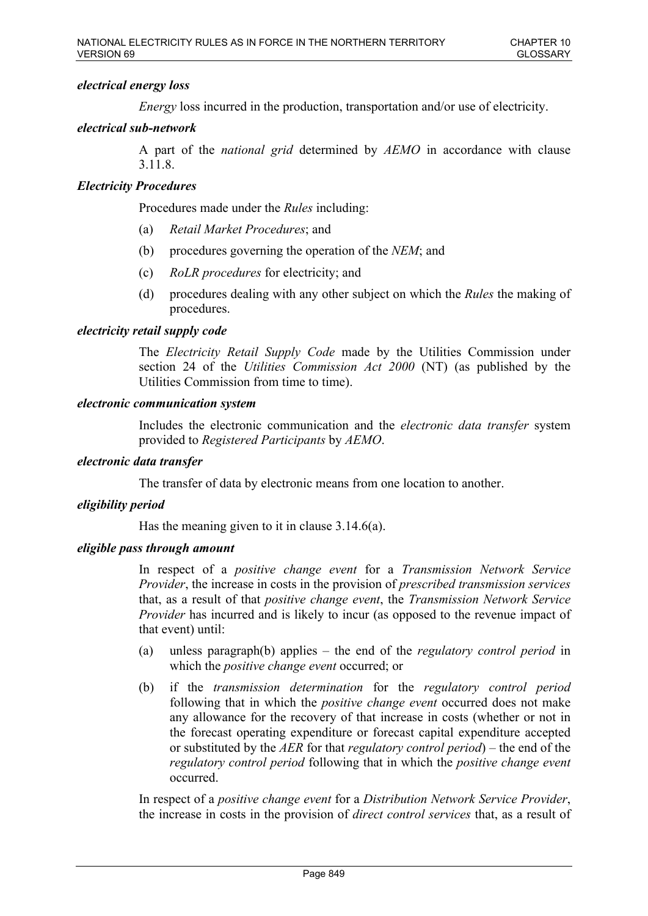# *electrical energy loss*

*Energy* loss incurred in the production, transportation and/or use of electricity.

# *electrical sub-network*

A part of the *national grid* determined by *AEMO* in accordance with clause 3.11.8.

# *Electricity Procedures*

Procedures made under the *Rules* including:

- (a) *Retail Market Procedures*; and
- (b) procedures governing the operation of the *NEM*; and
- (c) *RoLR procedures* for electricity; and
- (d) procedures dealing with any other subject on which the *Rules* the making of procedures.

### *electricity retail supply code*

The *Electricity Retail Supply Code* made by the Utilities Commission under section 24 of the *Utilities Commission Act 2000* (NT) (as published by the Utilities Commission from time to time).

### *electronic communication system*

Includes the electronic communication and the *electronic data transfer* system provided to *Registered Participants* by *AEMO*.

### *electronic data transfer*

The transfer of data by electronic means from one location to another.

### *eligibility period*

Has the meaning given to it in clause 3.14.6(a).

### *eligible pass through amount*

In respect of a *positive change event* for a *Transmission Network Service Provider*, the increase in costs in the provision of *prescribed transmission services* that, as a result of that *positive change event*, the *Transmission Network Service Provider* has incurred and is likely to incur (as opposed to the revenue impact of that event) until:

- (a) unless paragraph(b) applies the end of the *regulatory control period* in which the *positive change event* occurred; or
- (b) if the *transmission determination* for the *regulatory control period* following that in which the *positive change event* occurred does not make any allowance for the recovery of that increase in costs (whether or not in the forecast operating expenditure or forecast capital expenditure accepted or substituted by the *AER* for that *regulatory control period*) – the end of the *regulatory control period* following that in which the *positive change event* occurred.

In respect of a *positive change event* for a *Distribution Network Service Provider*, the increase in costs in the provision of *direct control services* that, as a result of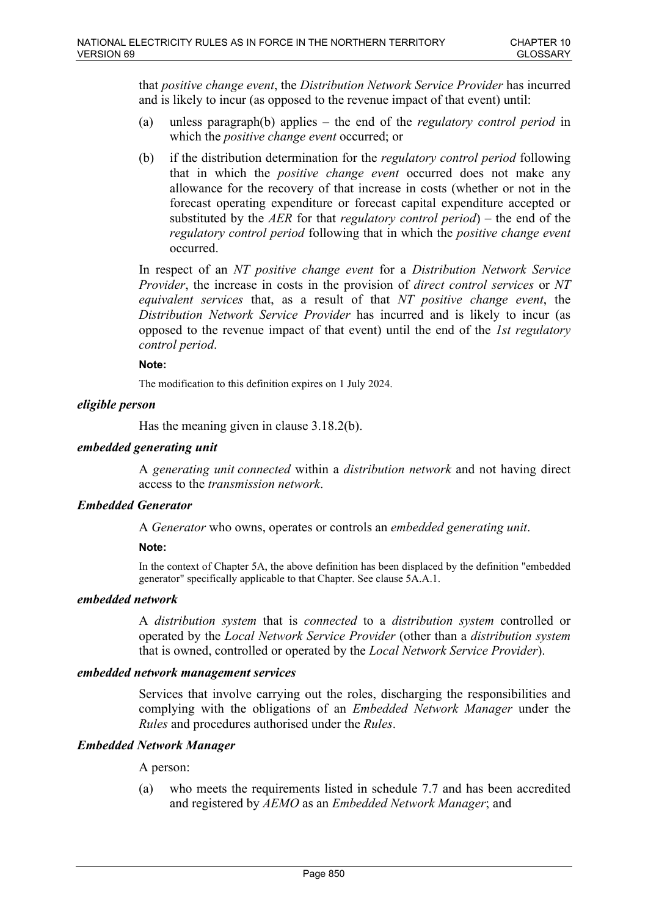that *positive change event*, the *Distribution Network Service Provider* has incurred and is likely to incur (as opposed to the revenue impact of that event) until:

- (a) unless paragraph(b) applies the end of the *regulatory control period* in which the *positive change event* occurred; or
- (b) if the distribution determination for the *regulatory control period* following that in which the *positive change event* occurred does not make any allowance for the recovery of that increase in costs (whether or not in the forecast operating expenditure or forecast capital expenditure accepted or substituted by the *AER* for that *regulatory control period*) – the end of the *regulatory control period* following that in which the *positive change event* occurred.

In respect of an *NT positive change event* for a *Distribution Network Service Provider*, the increase in costs in the provision of *direct control services* or *NT equivalent services* that, as a result of that *NT positive change event*, the *Distribution Network Service Provider* has incurred and is likely to incur (as opposed to the revenue impact of that event) until the end of the *1st regulatory control period*.

### **Note:**

The modification to this definition expires on 1 July 2024.

### *eligible person*

Has the meaning given in clause 3.18.2(b).

### *embedded generating unit*

A *generating unit connected* within a *distribution network* and not having direct access to the *transmission network*.

# *Embedded Generator*

A *Generator* who owns, operates or controls an *embedded generating unit*.

#### **Note:**

In the context of Chapter 5A, the above definition has been displaced by the definition "embedded generator" specifically applicable to that Chapter. See clause 5A.A.1.

#### *embedded network*

A *distribution system* that is *connected* to a *distribution system* controlled or operated by the *Local Network Service Provider* (other than a *distribution system* that is owned, controlled or operated by the *Local Network Service Provider*).

### *embedded network management services*

Services that involve carrying out the roles, discharging the responsibilities and complying with the obligations of an *Embedded Network Manager* under the *Rules* and procedures authorised under the *Rules*.

### *Embedded Network Manager*

A person:

(a) who meets the requirements listed in schedule 7.7 and has been accredited and registered by *AEMO* as an *Embedded Network Manager*; and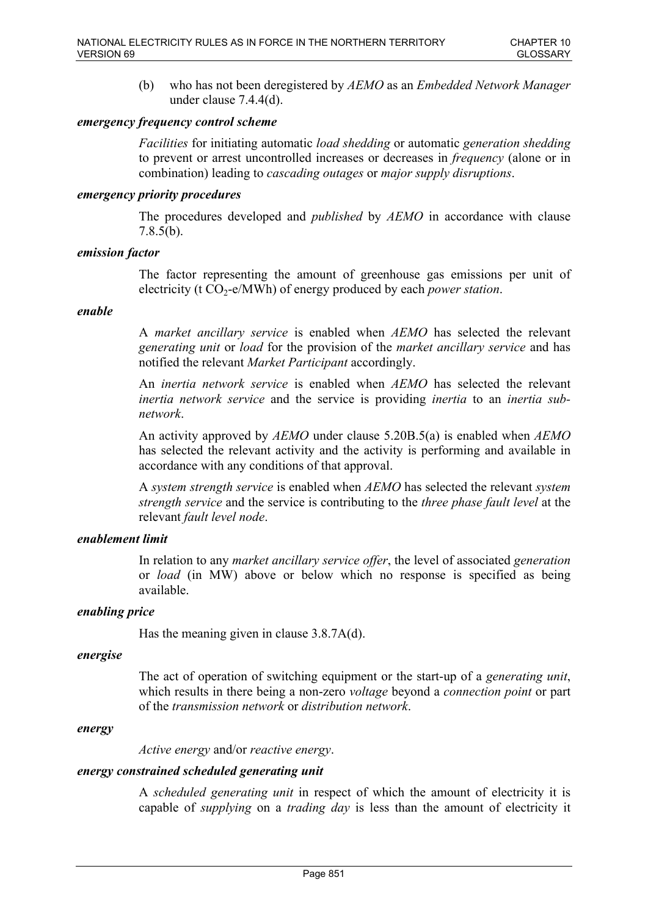(b) who has not been deregistered by *AEMO* as an *Embedded Network Manager* under clause 7.4.4(d).

### *emergency frequency control scheme*

*Facilities* for initiating automatic *load shedding* or automatic *generation shedding* to prevent or arrest uncontrolled increases or decreases in *frequency* (alone or in combination) leading to *cascading outages* or *major supply disruptions*.

#### *emergency priority procedures*

The procedures developed and *published* by *AEMO* in accordance with clause 7.8.5(b).

#### *emission factor*

The factor representing the amount of greenhouse gas emissions per unit of electricity (t CO<sub>2</sub>-e/MWh) of energy produced by each *power station*.

#### *enable*

A *market ancillary service* is enabled when *AEMO* has selected the relevant *generating unit* or *load* for the provision of the *market ancillary service* and has notified the relevant *Market Participant* accordingly.

An *inertia network service* is enabled when *AEMO* has selected the relevant *inertia network service* and the service is providing *inertia* to an *inertia subnetwork*.

An activity approved by *AEMO* under clause 5.20B.5(a) is enabled when *AEMO* has selected the relevant activity and the activity is performing and available in accordance with any conditions of that approval.

A *system strength service* is enabled when *AEMO* has selected the relevant *system strength service* and the service is contributing to the *three phase fault level* at the relevant *fault level node*.

#### *enablement limit*

In relation to any *market ancillary service offer*, the level of associated *generation* or *load* (in MW) above or below which no response is specified as being available.

### *enabling price*

Has the meaning given in clause 3.8.7A(d).

#### *energise*

The act of operation of switching equipment or the start-up of a *generating unit*, which results in there being a non-zero *voltage* beyond a *connection point* or part of the *transmission network* or *distribution network*.

#### *energy*

*Active energy* and/or *reactive energy*.

#### *energy constrained scheduled generating unit*

A *scheduled generating unit* in respect of which the amount of electricity it is capable of *supplying* on a *trading day* is less than the amount of electricity it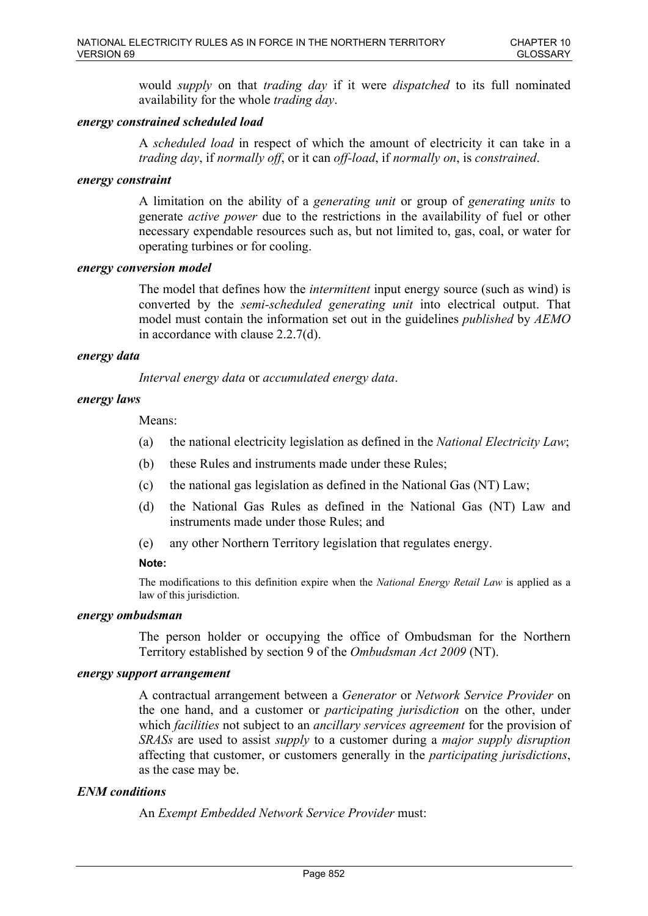would *supply* on that *trading day* if it were *dispatched* to its full nominated availability for the whole *trading day*.

### *energy constrained scheduled load*

A *scheduled load* in respect of which the amount of electricity it can take in a *trading day*, if *normally off*, or it can *off-load*, if *normally on*, is *constrained*.

#### *energy constraint*

A limitation on the ability of a *generating unit* or group of *generating units* to generate *active power* due to the restrictions in the availability of fuel or other necessary expendable resources such as, but not limited to, gas, coal, or water for operating turbines or for cooling.

#### *energy conversion model*

The model that defines how the *intermittent* input energy source (such as wind) is converted by the *semi-scheduled generating unit* into electrical output. That model must contain the information set out in the guidelines *published* by *AEMO* in accordance with clause 2.2.7(d).

### *energy data*

*Interval energy data* or *accumulated energy data*.

### *energy laws*

Means:

- (a) the national electricity legislation as defined in the *National Electricity Law*;
- (b) these Rules and instruments made under these Rules;
- (c) the national gas legislation as defined in the National Gas (NT) Law;
- (d) the National Gas Rules as defined in the National Gas (NT) Law and instruments made under those Rules; and
- (e) any other Northern Territory legislation that regulates energy.

#### **Note:**

The modifications to this definition expire when the *National Energy Retail Law* is applied as a law of this jurisdiction.

#### *energy ombudsman*

The person holder or occupying the office of Ombudsman for the Northern Territory established by section 9 of the *Ombudsman Act 2009* (NT).

#### *energy support arrangement*

A contractual arrangement between a *Generator* or *Network Service Provider* on the one hand, and a customer or *participating jurisdiction* on the other, under which *facilities* not subject to an *ancillary services agreement* for the provision of *SRASs* are used to assist *supply* to a customer during a *major supply disruption* affecting that customer, or customers generally in the *participating jurisdictions*, as the case may be.

### *ENM conditions*

An *Exempt Embedded Network Service Provider* must: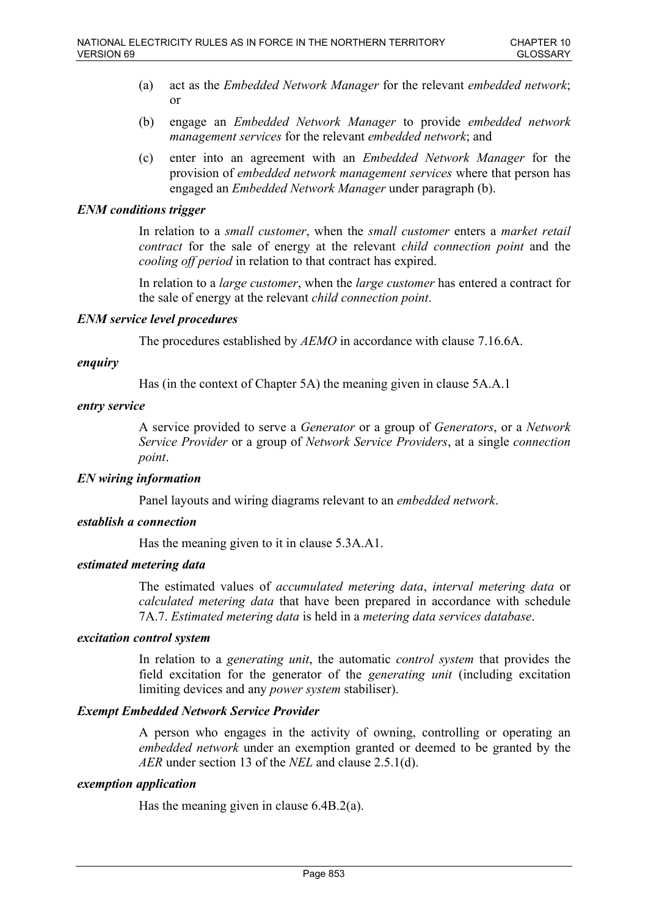- (a) act as the *Embedded Network Manager* for the relevant *embedded network*; or
- (b) engage an *Embedded Network Manager* to provide *embedded network management services* for the relevant *embedded network*; and
- (c) enter into an agreement with an *Embedded Network Manager* for the provision of *embedded network management services* where that person has engaged an *Embedded Network Manager* under paragraph (b).

### *ENM conditions trigger*

In relation to a *small customer*, when the *small customer* enters a *market retail contract* for the sale of energy at the relevant *child connection point* and the *cooling off period* in relation to that contract has expired.

In relation to a *large customer*, when the *large customer* has entered a contract for the sale of energy at the relevant *child connection point*.

### *ENM service level procedures*

The procedures established by *AEMO* in accordance with clause 7.16.6A.

### *enquiry*

Has (in the context of Chapter 5A) the meaning given in clause 5A.A.1

### *entry service*

A service provided to serve a *Generator* or a group of *Generators*, or a *Network Service Provider* or a group of *Network Service Providers*, at a single *connection point*.

### *EN wiring information*

Panel layouts and wiring diagrams relevant to an *embedded network*.

# *establish a connection*

Has the meaning given to it in clause 5.3A.A1.

### *estimated metering data*

The estimated values of *accumulated metering data*, *interval metering data* or *calculated metering data* that have been prepared in accordance with schedule 7A.7. *Estimated metering data* is held in a *metering data services database*.

#### *excitation control system*

In relation to a *generating unit*, the automatic *control system* that provides the field excitation for the generator of the *generating unit* (including excitation limiting devices and any *power system* stabiliser).

### *Exempt Embedded Network Service Provider*

A person who engages in the activity of owning, controlling or operating an *embedded network* under an exemption granted or deemed to be granted by the *AER* under section 13 of the *NEL* and clause 2.5.1(d).

#### *exemption application*

Has the meaning given in clause 6.4B.2(a).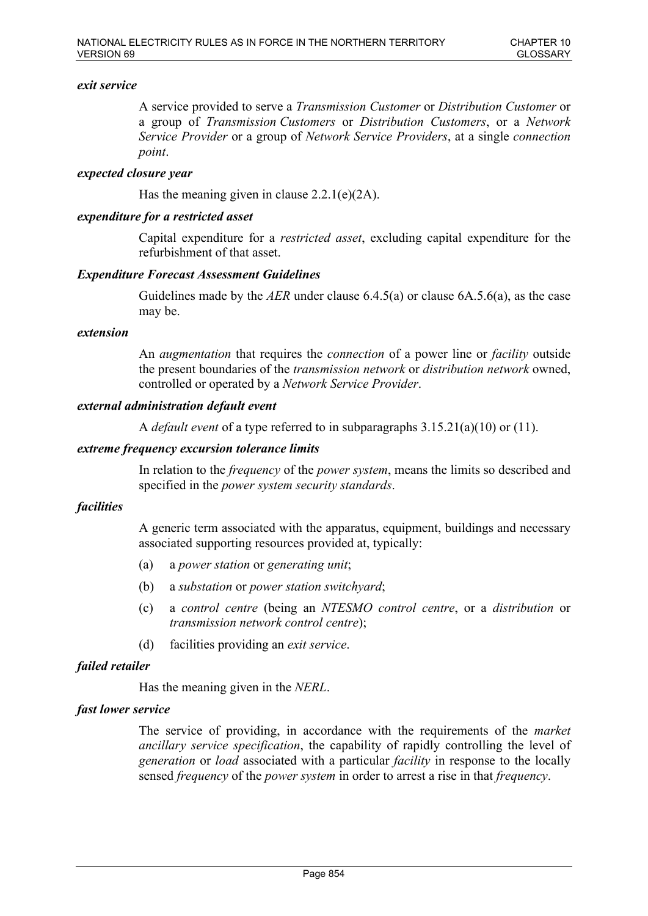### *exit service*

A service provided to serve a *Transmission Customer* or *Distribution Customer* or a group of *Transmission Customers* or *Distribution Customers*, or a *Network Service Provider* or a group of *Network Service Providers*, at a single *connection point*.

### *expected closure year*

Has the meaning given in clause  $2.2.1(e)(2A)$ .

### *expenditure for a restricted asset*

Capital expenditure for a *restricted asset*, excluding capital expenditure for the refurbishment of that asset.

### *Expenditure Forecast Assessment Guidelines*

Guidelines made by the *AER* under clause 6.4.5(a) or clause 6A.5.6(a), as the case may be.

#### *extension*

An *augmentation* that requires the *connection* of a power line or *facility* outside the present boundaries of the *transmission network* or *distribution network* owned, controlled or operated by a *Network Service Provider*.

#### *external administration default event*

A *default event* of a type referred to in subparagraphs 3.15.21(a)(10) or (11).

### *extreme frequency excursion tolerance limits*

In relation to the *frequency* of the *power system*, means the limits so described and specified in the *power system security standards*.

#### *facilities*

A generic term associated with the apparatus, equipment, buildings and necessary associated supporting resources provided at, typically:

- (a) a *power station* or *generating unit*;
- (b) a *substation* or *power station switchyard*;
- (c) a *control centre* (being an *NTESMO control centre*, or a *distribution* or *transmission network control centre*);
- (d) facilities providing an *exit service*.

### *failed retailer*

Has the meaning given in the *NERL*.

### *fast lower service*

The service of providing, in accordance with the requirements of the *market ancillary service specification*, the capability of rapidly controlling the level of *generation* or *load* associated with a particular *facility* in response to the locally sensed *frequency* of the *power system* in order to arrest a rise in that *frequency*.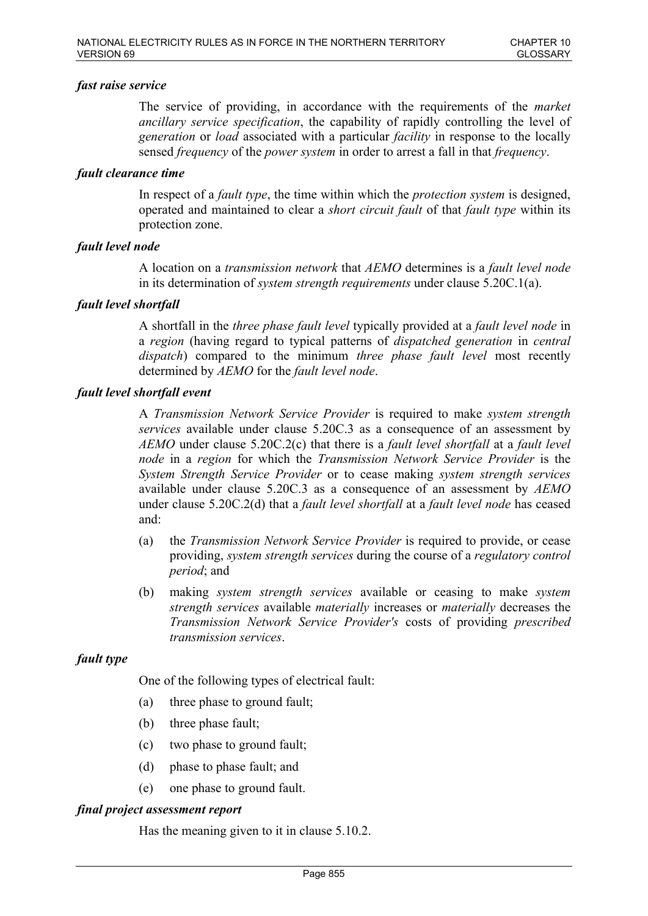### *fast raise service*

The service of providing, in accordance with the requirements of the *market ancillary service specification*, the capability of rapidly controlling the level of *generation* or *load* associated with a particular *facility* in response to the locally sensed *frequency* of the *power system* in order to arrest a fall in that *frequency*.

### *fault clearance time*

In respect of a *fault type*, the time within which the *protection system* is designed, operated and maintained to clear a *short circuit fault* of that *fault type* within its protection zone.

### *fault level node*

A location on a *transmission network* that *AEMO* determines is a *fault level node* in its determination of *system strength requirements* under clause 5.20C.1(a).

### *fault level shortfall*

A shortfall in the *three phase fault level* typically provided at a *fault level node* in a *region* (having regard to typical patterns of *dispatched generation* in *central dispatch*) compared to the minimum *three phase fault level* most recently determined by *AEMO* for the *fault level node*.

### *fault level shortfall event*

A *Transmission Network Service Provider* is required to make *system strength services* available under clause 5.20C.3 as a consequence of an assessment by *AEMO* under clause 5.20C.2(c) that there is a *fault level shortfall* at a *fault level node* in a *region* for which the *Transmission Network Service Provider* is the *System Strength Service Provider* or to cease making *system strength services* available under clause 5.20C.3 as a consequence of an assessment by *AEMO* under clause 5.20C.2(d) that a *fault level shortfall* at a *fault level node* has ceased and:

- (a) the *Transmission Network Service Provider* is required to provide, or cease providing, *system strength services* during the course of a *regulatory control period*; and
- (b) making *system strength services* available or ceasing to make *system strength services* available *materially* increases or *materially* decreases the *Transmission Network Service Provider's* costs of providing *prescribed transmission services*.

### *fault type*

One of the following types of electrical fault:

- (a) three phase to ground fault;
- (b) three phase fault;
- (c) two phase to ground fault;
- (d) phase to phase fault; and
- (e) one phase to ground fault.

#### *final project assessment report*

Has the meaning given to it in clause 5.10.2.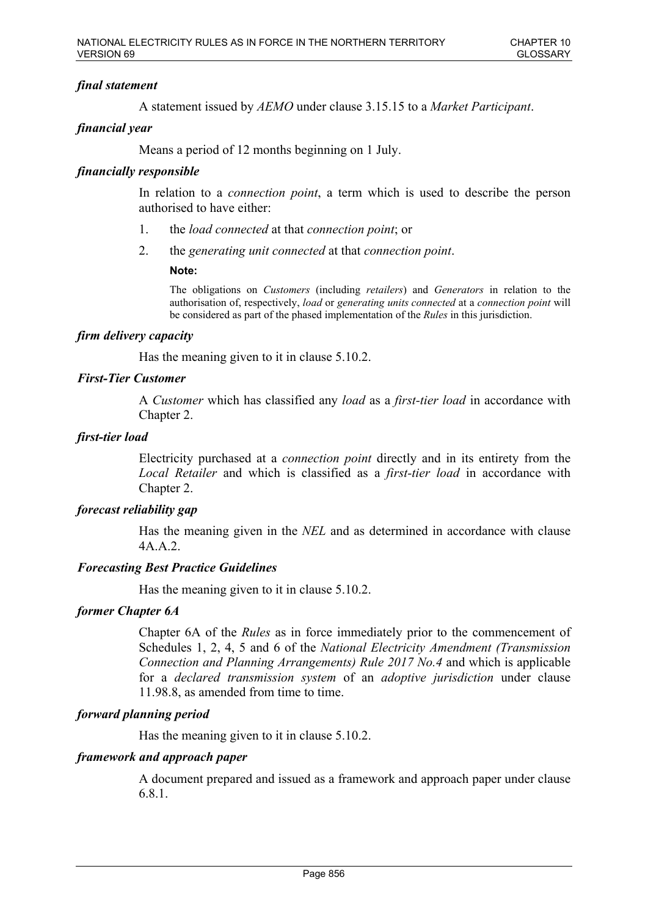# *final statement*

A statement issued by *AEMO* under clause 3.15.15 to a *Market Participant*.

# *financial year*

Means a period of 12 months beginning on 1 July.

# *financially responsible*

In relation to a *connection point*, a term which is used to describe the person authorised to have either:

- 1. the *load connected* at that *connection point*; or
- 2. the *generating unit connected* at that *connection point*.

### **Note:**

The obligations on *Customers* (including *retailers*) and *Generators* in relation to the authorisation of, respectively, *load* or *generating units connected* at a *connection point* will be considered as part of the phased implementation of the *Rules* in this jurisdiction.

### *firm delivery capacity*

Has the meaning given to it in clause 5.10.2.

# *First-Tier Customer*

A *Customer* which has classified any *load* as a *first-tier load* in accordance with Chapter 2.

### *first-tier load*

Electricity purchased at a *connection point* directly and in its entirety from the *Local Retailer* and which is classified as a *first-tier load* in accordance with Chapter 2.

### *forecast reliability gap*

Has the meaning given in the *NEL* and as determined in accordance with clause 4A.A.2.

### *Forecasting Best Practice Guidelines*

Has the meaning given to it in clause 5.10.2.

### *former Chapter 6A*

Chapter 6A of the *Rules* as in force immediately prior to the commencement of Schedules 1, 2, 4, 5 and 6 of the *National Electricity Amendment (Transmission Connection and Planning Arrangements) Rule 2017 No.4* and which is applicable for a *declared transmission system* of an *adoptive jurisdiction* under clause 11.98.8, as amended from time to time.

### *forward planning period*

Has the meaning given to it in clause 5.10.2.

### *framework and approach paper*

A document prepared and issued as a framework and approach paper under clause 6.8.1.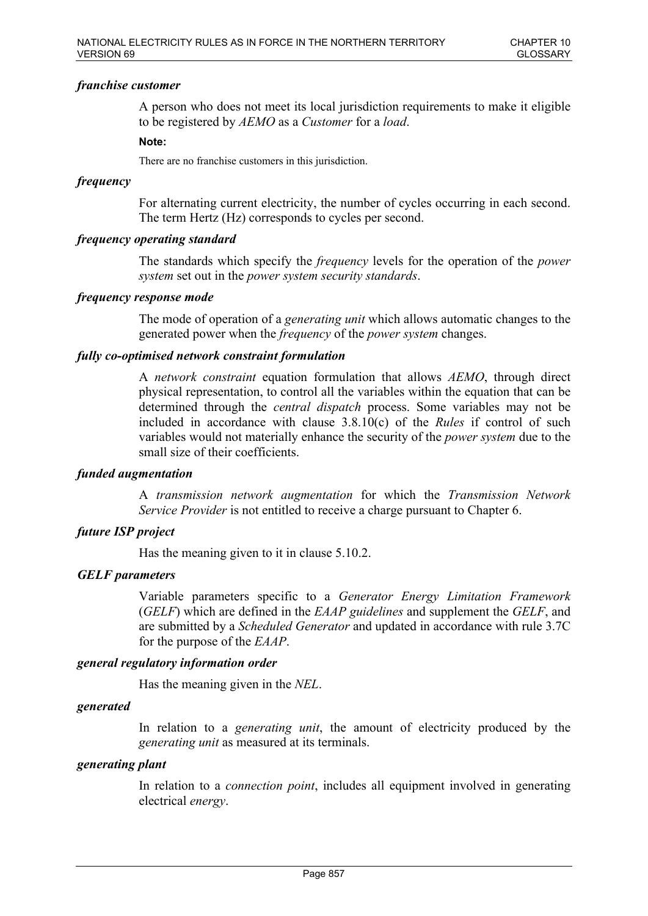### *franchise customer*

A person who does not meet its local jurisdiction requirements to make it eligible to be registered by *AEMO* as a *Customer* for a *load*.

#### **Note:**

There are no franchise customers in this jurisdiction.

### *frequency*

For alternating current electricity, the number of cycles occurring in each second. The term Hertz (Hz) corresponds to cycles per second.

### *frequency operating standard*

The standards which specify the *frequency* levels for the operation of the *power system* set out in the *power system security standards*.

### *frequency response mode*

The mode of operation of a *generating unit* which allows automatic changes to the generated power when the *frequency* of the *power system* changes.

### *fully co-optimised network constraint formulation*

A *network constraint* equation formulation that allows *AEMO*, through direct physical representation, to control all the variables within the equation that can be determined through the *central dispatch* process. Some variables may not be included in accordance with clause 3.8.10(c) of the *Rules* if control of such variables would not materially enhance the security of the *power system* due to the small size of their coefficients.

### *funded augmentation*

A *transmission network augmentation* for which the *Transmission Network Service Provider* is not entitled to receive a charge pursuant to Chapter 6.

### *future ISP project*

Has the meaning given to it in clause 5.10.2.

### *GELF parameters*

Variable parameters specific to a *Generator Energy Limitation Framework* (*GELF*) which are defined in the *EAAP guidelines* and supplement the *GELF*, and are submitted by a *Scheduled Generator* and updated in accordance with rule 3.7C for the purpose of the *EAAP*.

#### *general regulatory information order*

Has the meaning given in the *NEL*.

#### *generated*

In relation to a *generating unit*, the amount of electricity produced by the *generating unit* as measured at its terminals.

# *generating plant*

In relation to a *connection point*, includes all equipment involved in generating electrical *energy*.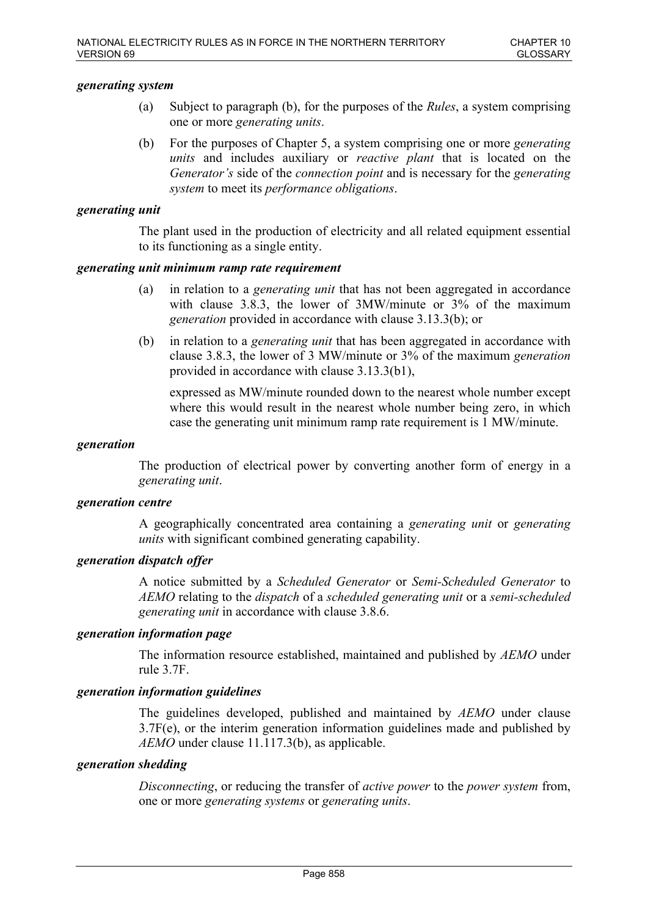### *generating system*

- (a) Subject to paragraph (b), for the purposes of the *Rules*, a system comprising one or more *generating units*.
- (b) For the purposes of Chapter 5, a system comprising one or more *generating units* and includes auxiliary or *reactive plant* that is located on the *Generator's* side of the *connection point* and is necessary for the *generating system* to meet its *performance obligations*.

#### *generating unit*

The plant used in the production of electricity and all related equipment essential to its functioning as a single entity.

### *generating unit minimum ramp rate requirement*

- (a) in relation to a *generating unit* that has not been aggregated in accordance with clause 3.8.3, the lower of 3MW/minute or 3% of the maximum *generation* provided in accordance with clause 3.13.3(b); or
- (b) in relation to a *generating unit* that has been aggregated in accordance with clause 3.8.3, the lower of 3 MW/minute or 3% of the maximum *generation* provided in accordance with clause 3.13.3(b1),

expressed as MW/minute rounded down to the nearest whole number except where this would result in the nearest whole number being zero, in which case the generating unit minimum ramp rate requirement is 1 MW/minute.

#### *generation*

The production of electrical power by converting another form of energy in a *generating unit*.

#### *generation centre*

A geographically concentrated area containing a *generating unit* or *generating units* with significant combined generating capability.

### *generation dispatch offer*

A notice submitted by a *Scheduled Generator* or *Semi-Scheduled Generator* to *AEMO* relating to the *dispatch* of a *scheduled generating unit* or a *semi-scheduled generating unit* in accordance with clause 3.8.6.

### *generation information page*

The information resource established, maintained and published by *AEMO* under rule 3.7F.

### *generation information guidelines*

The guidelines developed, published and maintained by *AEMO* under clause 3.7F(e), or the interim generation information guidelines made and published by *AEMO* under clause 11.117.3(b), as applicable.

#### *generation shedding*

*Disconnecting*, or reducing the transfer of *active power* to the *power system* from, one or more *generating systems* or *generating units*.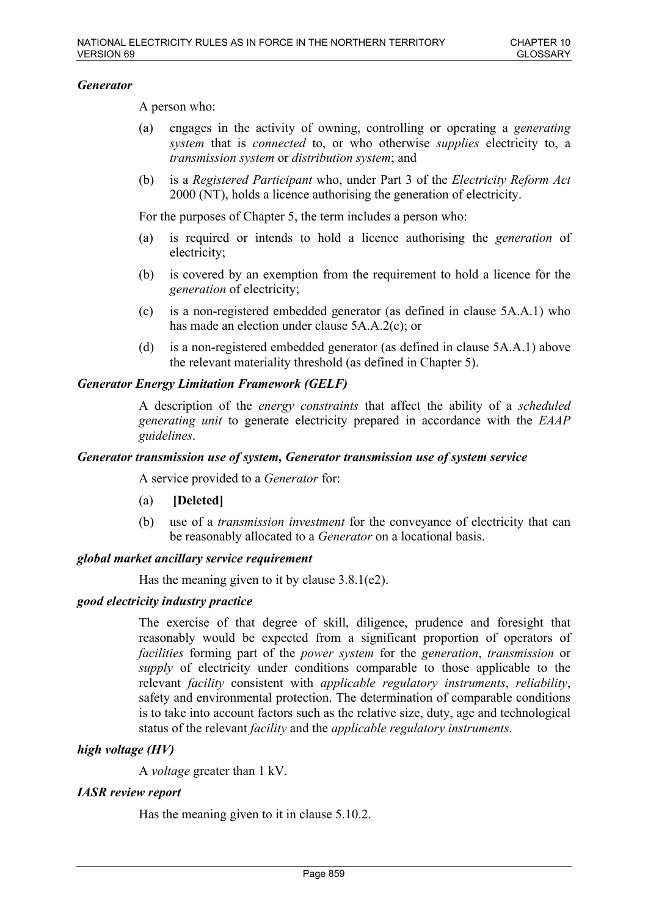### *Generator*

A person who:

- (a) engages in the activity of owning, controlling or operating a *generating system* that is *connected* to, or who otherwise *supplies* electricity to, a *transmission system* or *distribution system*; and
- (b) is a *Registered Participant* who, under Part 3 of the *Electricity Reform Act* 2000 (NT), holds a licence authorising the generation of electricity.

For the purposes of Chapter 5, the term includes a person who:

- (a) is required or intends to hold a licence authorising the *generation* of electricity;
- (b) is covered by an exemption from the requirement to hold a licence for the *generation* of electricity;
- (c) is a non-registered embedded generator (as defined in clause 5A.A.1) who has made an election under clause 5A.A.2(c); or
- (d) is a non-registered embedded generator (as defined in clause 5A.A.1) above the relevant materiality threshold (as defined in Chapter 5).

# *Generator Energy Limitation Framework (GELF)*

A description of the *energy constraints* that affect the ability of a *scheduled generating unit* to generate electricity prepared in accordance with the *EAAP guidelines*.

### *Generator transmission use of system, Generator transmission use of system service*

A service provided to a *Generator* for:

- (a) **[Deleted]**
- (b) use of a *transmission investment* for the conveyance of electricity that can be reasonably allocated to a *Generator* on a locational basis.

### *global market ancillary service requirement*

Has the meaning given to it by clause 3.8.1(e2).

### *good electricity industry practice*

The exercise of that degree of skill, diligence, prudence and foresight that reasonably would be expected from a significant proportion of operators of *facilities* forming part of the *power system* for the *generation*, *transmission* or *supply* of electricity under conditions comparable to those applicable to the relevant *facility* consistent with *applicable regulatory instruments*, *reliability*, safety and environmental protection. The determination of comparable conditions is to take into account factors such as the relative size, duty, age and technological status of the relevant *facility* and the *applicable regulatory instruments*.

### *high voltage (HV)*

A *voltage* greater than 1 kV.

### *IASR review report*

Has the meaning given to it in clause 5.10.2.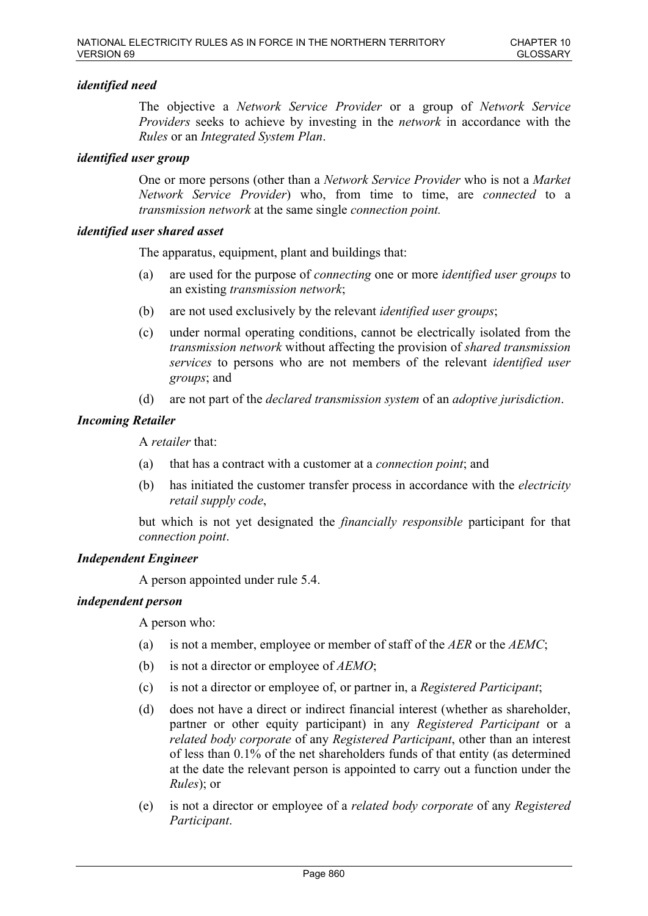# *identified need*

The objective a *Network Service Provider* or a group of *Network Service Providers* seeks to achieve by investing in the *network* in accordance with the *Rules* or an *Integrated System Plan*.

### *identified user group*

One or more persons (other than a *Network Service Provider* who is not a *Market Network Service Provider*) who, from time to time, are *connected* to a *transmission network* at the same single *connection point.*

### *identified user shared asset*

The apparatus, equipment, plant and buildings that:

- (a) are used for the purpose of *connecting* one or more *identified user groups* to an existing *transmission network*;
- (b) are not used exclusively by the relevant *identified user groups*;
- (c) under normal operating conditions, cannot be electrically isolated from the *transmission network* without affecting the provision of *shared transmission services* to persons who are not members of the relevant *identified user groups*; and
- (d) are not part of the *declared transmission system* of an *adoptive jurisdiction*.

### *Incoming Retailer*

A *retailer* that:

- (a) that has a contract with a customer at a *connection point*; and
- (b) has initiated the customer transfer process in accordance with the *electricity retail supply code*,

but which is not yet designated the *financially responsible* participant for that *connection point*.

### *Independent Engineer*

A person appointed under rule 5.4.

### *independent person*

A person who:

- (a) is not a member, employee or member of staff of the *AER* or the *AEMC*;
- (b) is not a director or employee of *AEMO*;
- (c) is not a director or employee of, or partner in, a *Registered Participant*;
- (d) does not have a direct or indirect financial interest (whether as shareholder, partner or other equity participant) in any *Registered Participant* or a *related body corporate* of any *Registered Participant*, other than an interest of less than 0.1% of the net shareholders funds of that entity (as determined at the date the relevant person is appointed to carry out a function under the *Rules*); or
- (e) is not a director or employee of a *related body corporate* of any *Registered Participant*.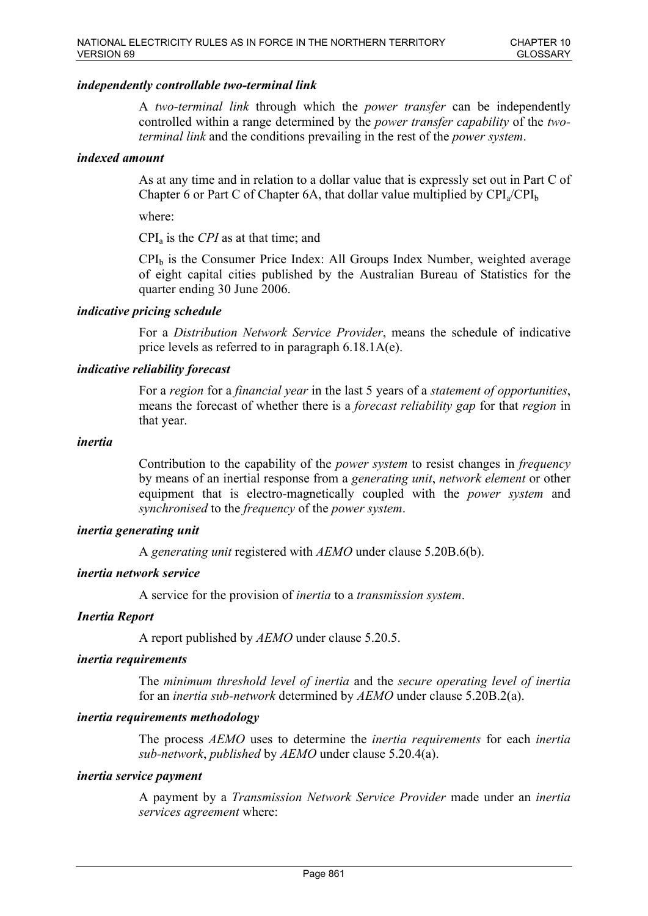### *independently controllable two-terminal link*

A *two-terminal link* through which the *power transfer* can be independently controlled within a range determined by the *power transfer capability* of the *twoterminal link* and the conditions prevailing in the rest of the *power system*.

#### *indexed amount*

As at any time and in relation to a dollar value that is expressly set out in Part C of Chapter 6 or Part C of Chapter 6A, that dollar value multiplied by  $\text{CPI}_a/\text{CPI}_b$ 

where:

CPI<sup>a</sup> is the *CPI* as at that time; and

 $CPI<sub>b</sub>$  is the Consumer Price Index: All Groups Index Number, weighted average of eight capital cities published by the Australian Bureau of Statistics for the quarter ending 30 June 2006.

# *indicative pricing schedule*

For a *Distribution Network Service Provider*, means the schedule of indicative price levels as referred to in paragraph 6.18.1A(e).

# *indicative reliability forecast*

For a *region* for a *financial year* in the last 5 years of a *statement of opportunities*, means the forecast of whether there is a *forecast reliability gap* for that *region* in that year.

#### *inertia*

Contribution to the capability of the *power system* to resist changes in *frequency* by means of an inertial response from a *generating unit*, *network element* or other equipment that is electro-magnetically coupled with the *power system* and *synchronised* to the *frequency* of the *power system*.

#### *inertia generating unit*

A *generating unit* registered with *AEMO* under clause 5.20B.6(b).

#### *inertia network service*

A service for the provision of *inertia* to a *transmission system*.

#### *Inertia Report*

A report published by *AEMO* under clause 5.20.5.

### *inertia requirements*

The *minimum threshold level of inertia* and the *secure operating level of inertia* for an *inertia sub-network* determined by *AEMO* under clause 5.20B.2(a).

#### *inertia requirements methodology*

The process *AEMO* uses to determine the *inertia requirements* for each *inertia sub-network*, *published* by *AEMO* under clause 5.20.4(a).

#### *inertia service payment*

A payment by a *Transmission Network Service Provider* made under an *inertia services agreement* where: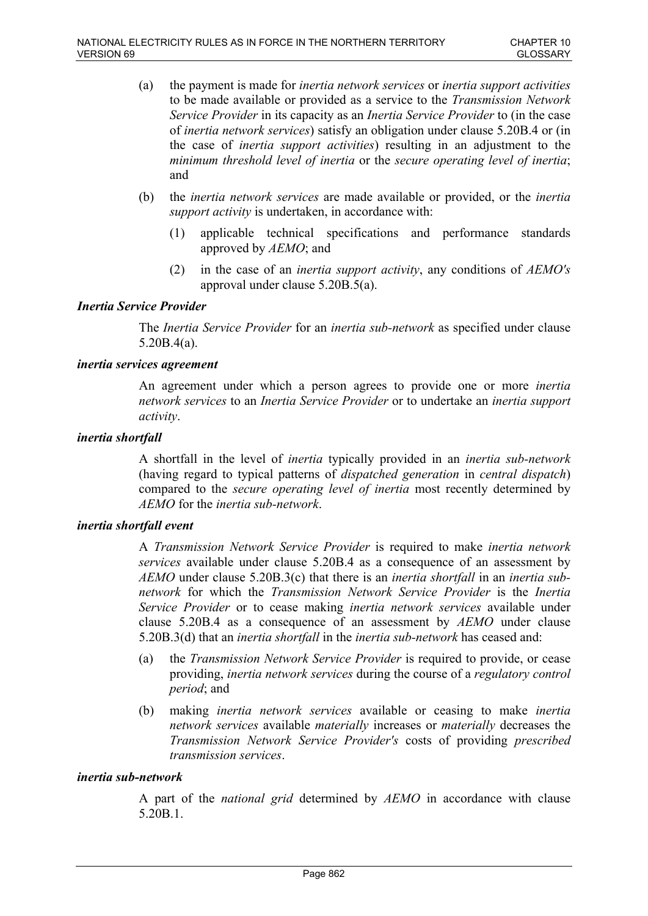- (a) the payment is made for *inertia network services* or *inertia support activities* to be made available or provided as a service to the *Transmission Network Service Provider* in its capacity as an *Inertia Service Provider* to (in the case of *inertia network services*) satisfy an obligation under clause 5.20B.4 or (in the case of *inertia support activities*) resulting in an adjustment to the *minimum threshold level of inertia* or the *secure operating level of inertia*; and
- (b) the *inertia network services* are made available or provided, or the *inertia support activity* is undertaken, in accordance with:
	- (1) applicable technical specifications and performance standards approved by *AEMO*; and
	- (2) in the case of an *inertia support activity*, any conditions of *AEMO's* approval under clause 5.20B.5(a).

### *Inertia Service Provider*

The *Inertia Service Provider* for an *inertia sub-network* as specified under clause 5.20B.4(a).

### *inertia services agreement*

An agreement under which a person agrees to provide one or more *inertia network services* to an *Inertia Service Provider* or to undertake an *inertia support activity*.

### *inertia shortfall*

A shortfall in the level of *inertia* typically provided in an *inertia sub-network* (having regard to typical patterns of *dispatched generation* in *central dispatch*) compared to the *secure operating level of inertia* most recently determined by *AEMO* for the *inertia sub-network*.

### *inertia shortfall event*

A *Transmission Network Service Provider* is required to make *inertia network services* available under clause 5.20B.4 as a consequence of an assessment by *AEMO* under clause 5.20B.3(c) that there is an *inertia shortfall* in an *inertia subnetwork* for which the *Transmission Network Service Provider* is the *Inertia Service Provider* or to cease making *inertia network services* available under clause 5.20B.4 as a consequence of an assessment by *AEMO* under clause 5.20B.3(d) that an *inertia shortfall* in the *inertia sub-network* has ceased and:

- (a) the *Transmission Network Service Provider* is required to provide, or cease providing, *inertia network services* during the course of a *regulatory control period*; and
- (b) making *inertia network services* available or ceasing to make *inertia network services* available *materially* increases or *materially* decreases the *Transmission Network Service Provider's* costs of providing *prescribed transmission services*.

#### *inertia sub-network*

A part of the *national grid* determined by *AEMO* in accordance with clause 5.20B.1.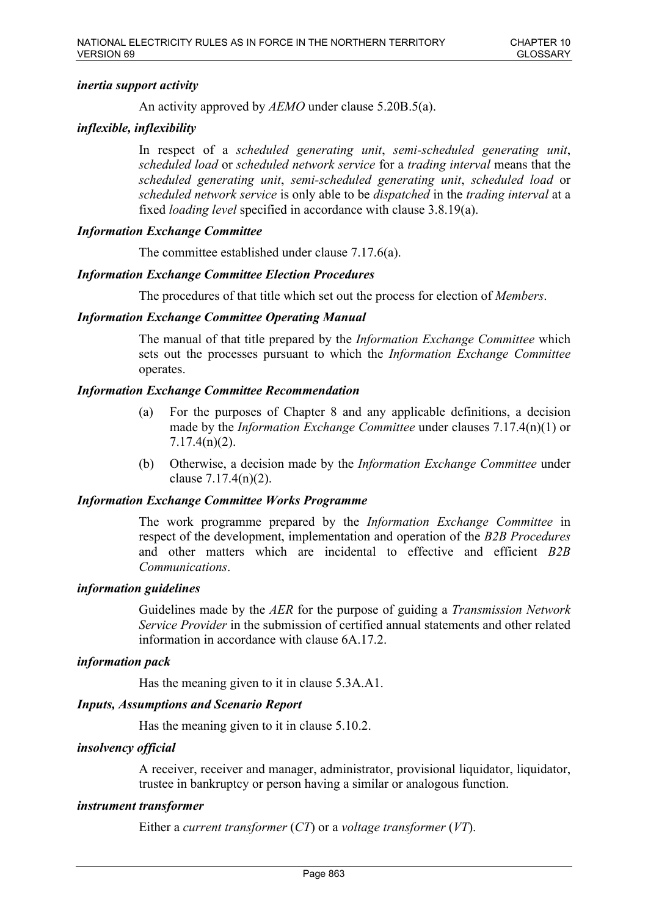# *inertia support activity*

An activity approved by *AEMO* under clause 5.20B.5(a).

# *inflexible, inflexibility*

In respect of a *scheduled generating unit*, *semi-scheduled generating unit*, *scheduled load* or *scheduled network service* for a *trading interval* means that the *scheduled generating unit*, *semi-scheduled generating unit*, *scheduled load* or *scheduled network service* is only able to be *dispatched* in the *trading interval* at a fixed *loading level* specified in accordance with clause 3.8.19(a).

# *Information Exchange Committee*

The committee established under clause 7.17.6(a).

# *Information Exchange Committee Election Procedures*

The procedures of that title which set out the process for election of *Members*.

# *Information Exchange Committee Operating Manual*

The manual of that title prepared by the *Information Exchange Committee* which sets out the processes pursuant to which the *Information Exchange Committee*  operates.

# *Information Exchange Committee Recommendation*

- (a) For the purposes of Chapter 8 and any applicable definitions, a decision made by the *Information Exchange Committee* under clauses 7.17.4(n)(1) or 7.17.4(n)(2).
- (b) Otherwise, a decision made by the *Information Exchange Committee* under clause 7.17.4(n)(2).

### *Information Exchange Committee Works Programme*

The work programme prepared by the *Information Exchange Committee* in respect of the development, implementation and operation of the *B2B Procedures* and other matters which are incidental to effective and efficient *B2B Communications*.

### *information guidelines*

Guidelines made by the *AER* for the purpose of guiding a *Transmission Network Service Provider* in the submission of certified annual statements and other related information in accordance with clause 6A.17.2.

### *information pack*

Has the meaning given to it in clause 5.3A.A1.

### *Inputs, Assumptions and Scenario Report*

Has the meaning given to it in clause 5.10.2.

### *insolvency official*

A receiver, receiver and manager, administrator, provisional liquidator, liquidator, trustee in bankruptcy or person having a similar or analogous function.

### *instrument transformer*

Either a *current transformer* (*CT*) or a *voltage transformer* (*VT*).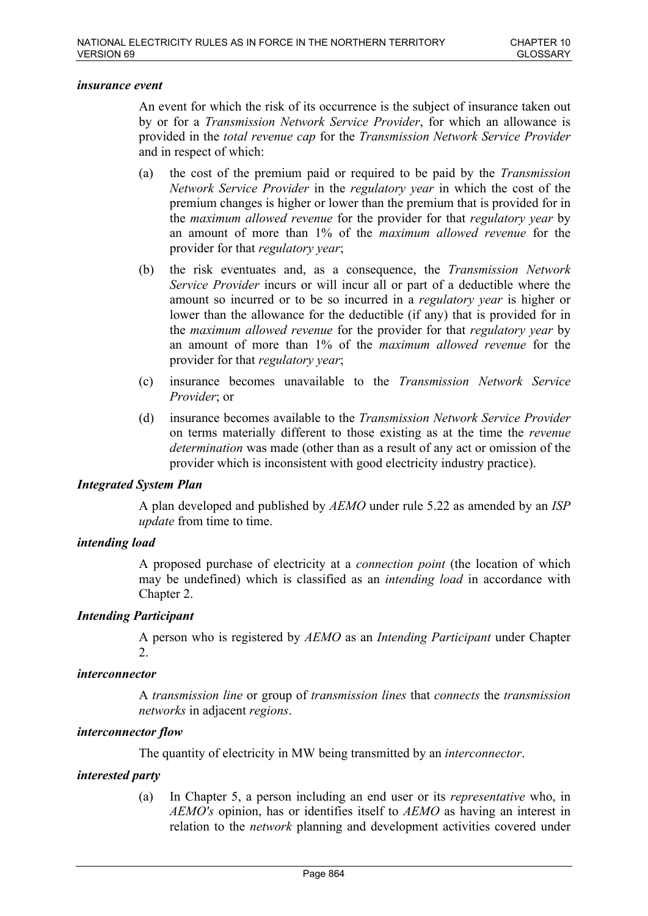#### *insurance event*

An event for which the risk of its occurrence is the subject of insurance taken out by or for a *Transmission Network Service Provider*, for which an allowance is provided in the *total revenue cap* for the *Transmission Network Service Provider* and in respect of which:

- (a) the cost of the premium paid or required to be paid by the *Transmission Network Service Provider* in the *regulatory year* in which the cost of the premium changes is higher or lower than the premium that is provided for in the *maximum allowed revenue* for the provider for that *regulatory year* by an amount of more than 1% of the *maximum allowed revenue* for the provider for that *regulatory year*;
- (b) the risk eventuates and, as a consequence, the *Transmission Network Service Provider* incurs or will incur all or part of a deductible where the amount so incurred or to be so incurred in a *regulatory year* is higher or lower than the allowance for the deductible (if any) that is provided for in the *maximum allowed revenue* for the provider for that *regulatory year* by an amount of more than 1% of the *maximum allowed revenue* for the provider for that *regulatory year*;
- (c) insurance becomes unavailable to the *Transmission Network Service Provider*; or
- (d) insurance becomes available to the *Transmission Network Service Provider* on terms materially different to those existing as at the time the *revenue determination* was made (other than as a result of any act or omission of the provider which is inconsistent with good electricity industry practice).

#### *Integrated System Plan*

A plan developed and published by *AEMO* under rule 5.22 as amended by an *ISP update* from time to time.

#### *intending load*

A proposed purchase of electricity at a *connection point* (the location of which may be undefined) which is classified as an *intending load* in accordance with Chapter 2.

#### *Intending Participant*

A person who is registered by *AEMO* as an *Intending Participant* under Chapter 2.

#### *interconnector*

A *transmission line* or group of *transmission lines* that *connects* the *transmission networks* in adjacent *regions*.

#### *interconnector flow*

The quantity of electricity in MW being transmitted by an *interconnector*.

#### *interested party*

(a) In Chapter 5, a person including an end user or its *representative* who, in *AEMO's* opinion, has or identifies itself to *AEMO* as having an interest in relation to the *network* planning and development activities covered under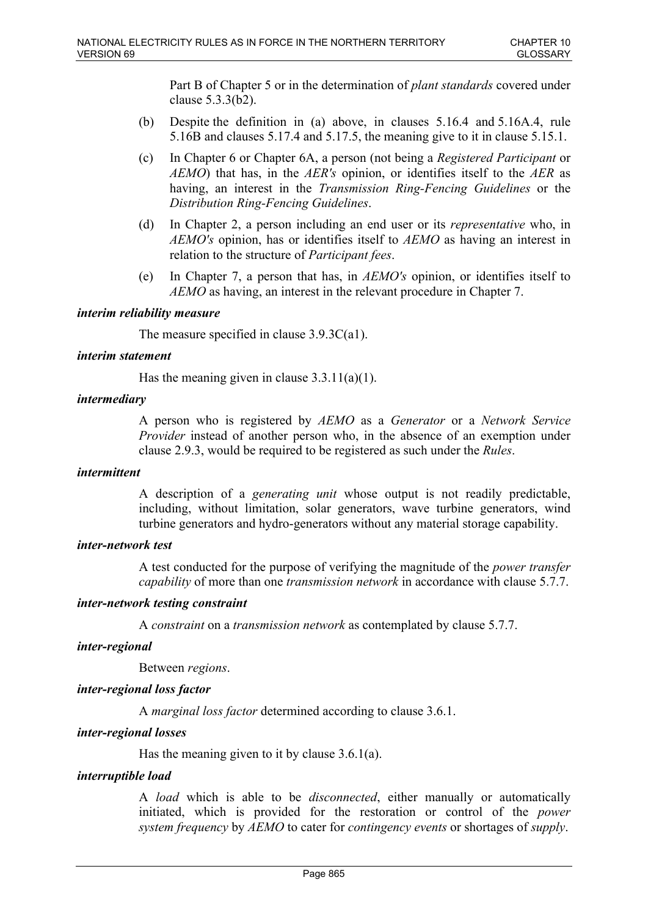Part B of Chapter 5 or in the determination of *plant standards* covered under clause 5.3.3(b2).

- (b) Despite the definition in (a) above, in clauses 5.16.4 and 5.16A.4, rule 5.16B and clauses 5.17.4 and 5.17.5, the meaning give to it in clause 5.15.1.
- (c) In Chapter 6 or Chapter 6A, a person (not being a *Registered Participant* or *AEMO*) that has, in the *AER's* opinion, or identifies itself to the *AER* as having, an interest in the *Transmission Ring-Fencing Guidelines* or the *Distribution Ring-Fencing Guidelines*.
- (d) In Chapter 2, a person including an end user or its *representative* who, in *AEMO's* opinion, has or identifies itself to *AEMO* as having an interest in relation to the structure of *Participant fees*.
- (e) In Chapter 7, a person that has, in *AEMO's* opinion, or identifies itself to *AEMO* as having, an interest in the relevant procedure in Chapter 7.

### *interim reliability measure*

The measure specified in clause 3.9.3C(a1).

### *interim statement*

Has the meaning given in clause 3.3.11(a)(1).

# *intermediary*

A person who is registered by *AEMO* as a *Generator* or a *Network Service Provider* instead of another person who, in the absence of an exemption under clause 2.9.3, would be required to be registered as such under the *Rules*.

#### *intermittent*

A description of a *generating unit* whose output is not readily predictable, including, without limitation, solar generators, wave turbine generators, wind turbine generators and hydro-generators without any material storage capability.

#### *inter-network test*

A test conducted for the purpose of verifying the magnitude of the *power transfer capability* of more than one *transmission network* in accordance with clause 5.7.7.

#### *inter-network testing constraint*

A *constraint* on a *transmission network* as contemplated by clause 5.7.7.

#### *inter-regional*

Between *regions*.

### *inter-regional loss factor*

A *marginal loss factor* determined according to clause 3.6.1.

### *inter-regional losses*

Has the meaning given to it by clause 3.6.1(a).

#### *interruptible load*

A *load* which is able to be *disconnected*, either manually or automatically initiated, which is provided for the restoration or control of the *power system frequency* by *AEMO* to cater for *contingency events* or shortages of *supply*.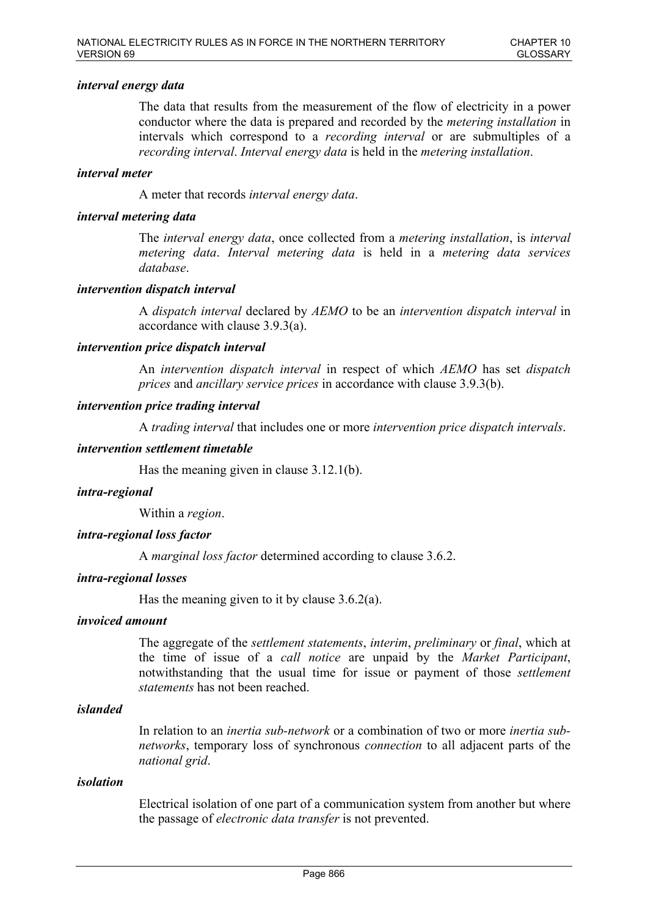### *interval energy data*

The data that results from the measurement of the flow of electricity in a power conductor where the data is prepared and recorded by the *metering installation* in intervals which correspond to a *recording interval* or are submultiples of a *recording interval*. *Interval energy data* is held in the *metering installation*.

### *interval meter*

A meter that records *interval energy data*.

### *interval metering data*

The *interval energy data*, once collected from a *metering installation*, is *interval metering data*. *Interval metering data* is held in a *metering data services database*.

### *intervention dispatch interval*

A *dispatch interval* declared by *AEMO* to be an *intervention dispatch interval* in accordance with clause 3.9.3(a).

### *intervention price dispatch interval*

An *intervention dispatch interval* in respect of which *AEMO* has set *dispatch prices* and *ancillary service prices* in accordance with clause 3.9.3(b).

### *intervention price trading interval*

A *trading interval* that includes one or more *intervention price dispatch intervals*.

#### *intervention settlement timetable*

Has the meaning given in clause 3.12.1(b).

#### *intra-regional*

Within a *region*.

### *intra-regional loss factor*

A *marginal loss factor* determined according to clause 3.6.2.

#### *intra-regional losses*

Has the meaning given to it by clause  $3.6.2(a)$ .

#### *invoiced amount*

The aggregate of the *settlement statements*, *interim*, *preliminary* or *final*, which at the time of issue of a *call notice* are unpaid by the *Market Participant*, notwithstanding that the usual time for issue or payment of those *settlement statements* has not been reached.

### *islanded*

In relation to an *inertia sub-network* or a combination of two or more *inertia subnetworks*, temporary loss of synchronous *connection* to all adjacent parts of the *national grid*.

#### *isolation*

Electrical isolation of one part of a communication system from another but where the passage of *electronic data transfer* is not prevented.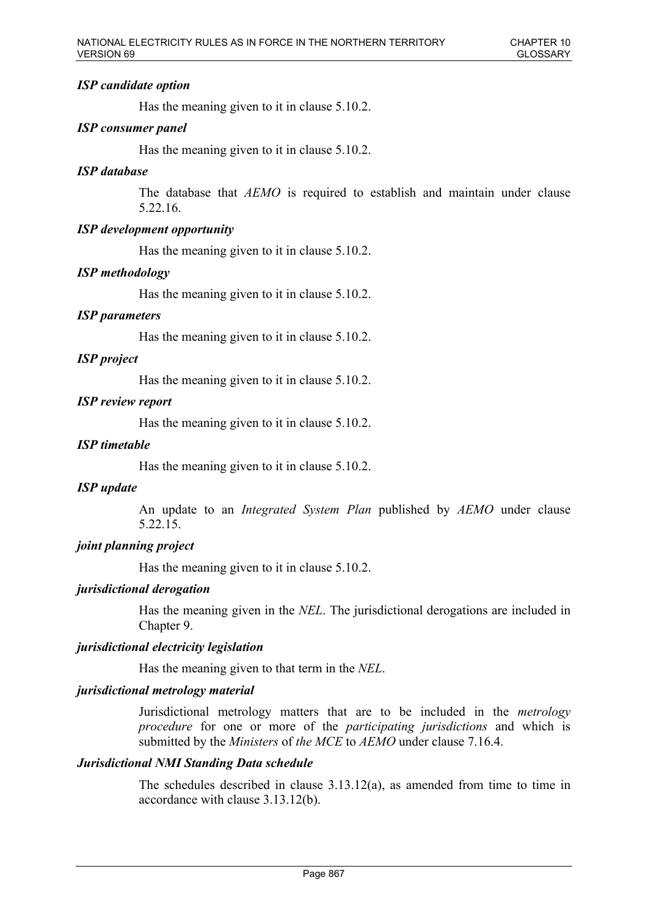# *ISP candidate option*

Has the meaning given to it in clause 5.10.2.

# *ISP consumer panel*

Has the meaning given to it in clause 5.10.2.

### *ISP database*

The database that *AEMO* is required to establish and maintain under clause 5.22.16.

### *ISP development opportunity*

Has the meaning given to it in clause 5.10.2.

### *ISP methodology*

Has the meaning given to it in clause 5.10.2.

### *ISP parameters*

Has the meaning given to it in clause 5.10.2.

### *ISP project*

Has the meaning given to it in clause 5.10.2.

### *ISP review report*

Has the meaning given to it in clause 5.10.2.

### *ISP timetable*

Has the meaning given to it in clause 5.10.2.

#### *ISP update*

An update to an *Integrated System Plan* published by *AEMO* under clause 5.22.15.

### *joint planning project*

Has the meaning given to it in clause 5.10.2.

### *jurisdictional derogation*

Has the meaning given in the *NEL*. The jurisdictional derogations are included in Chapter 9.

### *jurisdictional electricity legislation*

Has the meaning given to that term in the *NEL*.

### *jurisdictional metrology material*

Jurisdictional metrology matters that are to be included in the *metrology procedure* for one or more of the *participating jurisdictions* and which is submitted by the *Ministers* of *the MCE* to *AEMO* under clause 7.16.4.

#### *Jurisdictional NMI Standing Data schedule*

The schedules described in clause 3.13.12(a), as amended from time to time in accordance with clause 3.13.12(b).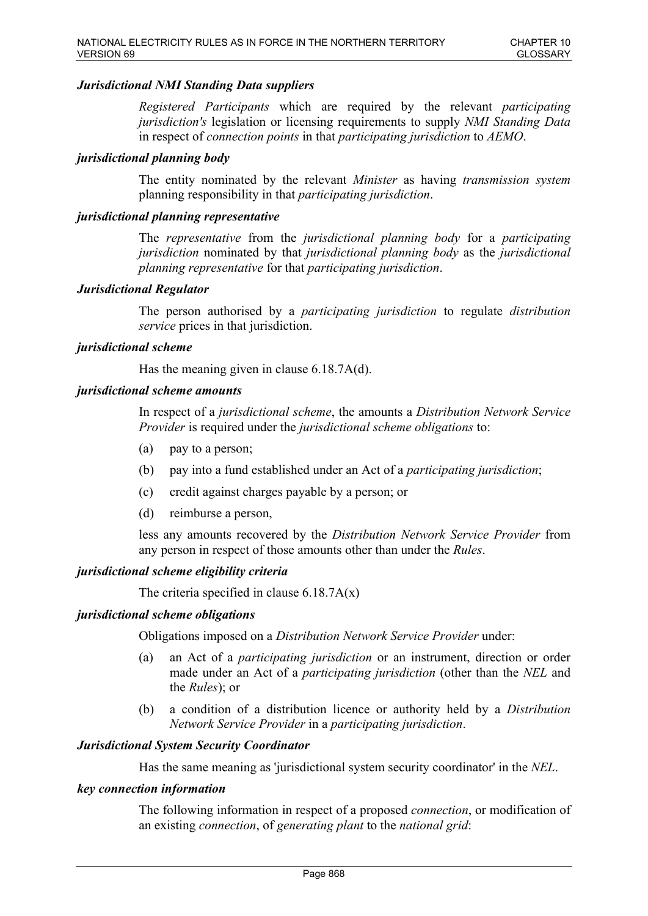# *Jurisdictional NMI Standing Data suppliers*

*Registered Participants* which are required by the relevant *participating jurisdiction's* legislation or licensing requirements to supply *NMI Standing Data* in respect of *connection points* in that *participating jurisdiction* to *AEMO*.

### *jurisdictional planning body*

The entity nominated by the relevant *Minister* as having *transmission system* planning responsibility in that *participating jurisdiction*.

### *jurisdictional planning representative*

The *representative* from the *jurisdictional planning body* for a *participating jurisdiction* nominated by that *jurisdictional planning body* as the *jurisdictional planning representative* for that *participating jurisdiction*.

### *Jurisdictional Regulator*

The person authorised by a *participating jurisdiction* to regulate *distribution service* prices in that jurisdiction.

### *jurisdictional scheme*

Has the meaning given in clause 6.18.7A(d).

### *jurisdictional scheme amounts*

In respect of a *jurisdictional scheme*, the amounts a *Distribution Network Service Provider* is required under the *jurisdictional scheme obligations* to:

- (a) pay to a person;
- (b) pay into a fund established under an Act of a *participating jurisdiction*;
- (c) credit against charges payable by a person; or
- (d) reimburse a person,

less any amounts recovered by the *Distribution Network Service Provider* from any person in respect of those amounts other than under the *Rules*.

#### *jurisdictional scheme eligibility criteria*

The criteria specified in clause  $6.18.7A(x)$ 

#### *jurisdictional scheme obligations*

Obligations imposed on a *Distribution Network Service Provider* under:

- (a) an Act of a *participating jurisdiction* or an instrument, direction or order made under an Act of a *participating jurisdiction* (other than the *NEL* and the *Rules*); or
- (b) a condition of a distribution licence or authority held by a *Distribution Network Service Provider* in a *participating jurisdiction*.

### *Jurisdictional System Security Coordinator*

Has the same meaning as 'jurisdictional system security coordinator' in the *NEL*.

#### *key connection information*

The following information in respect of a proposed *connection*, or modification of an existing *connection*, of *generating plant* to the *national grid*: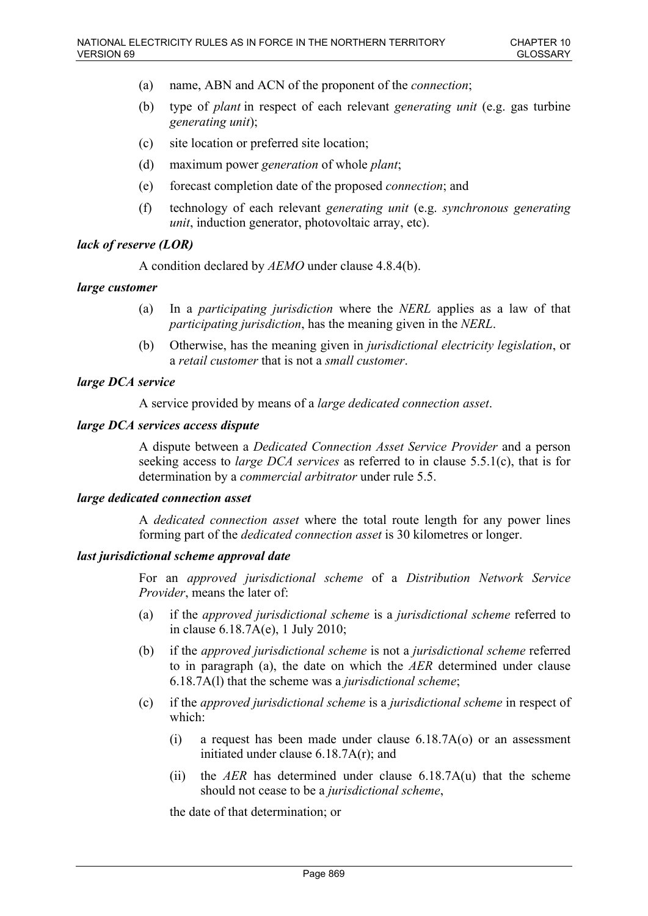- (a) name, ABN and ACN of the proponent of the *connection*;
- (b) type of *plant* in respect of each relevant *generating unit* (e.g. gas turbine *generating unit*);
- (c) site location or preferred site location;
- (d) maximum power *generation* of whole *plant*;
- (e) forecast completion date of the proposed *connection*; and
- (f) technology of each relevant *generating unit* (e.g. *synchronous generating unit*, induction generator, photovoltaic array, etc).

# *lack of reserve (LOR)*

A condition declared by *AEMO* under clause 4.8.4(b).

### *large customer*

- (a) In a *participating jurisdiction* where the *NERL* applies as a law of that *participating jurisdiction*, has the meaning given in the *NERL*.
- (b) Otherwise, has the meaning given in *jurisdictional electricity legislation*, or a *retail customer* that is not a *small customer*.

### *large DCA service*

A service provided by means of a *large dedicated connection asset*.

### *large DCA services access dispute*

A dispute between a *Dedicated Connection Asset Service Provider* and a person seeking access to *large DCA services* as referred to in clause 5.5.1(c), that is for determination by a *commercial arbitrator* under rule 5.5.

#### *large dedicated connection asset*

A *dedicated connection asset* where the total route length for any power lines forming part of the *dedicated connection asset* is 30 kilometres or longer.

### *last jurisdictional scheme approval date*

For an *approved jurisdictional scheme* of a *Distribution Network Service Provider*, means the later of:

- (a) if the *approved jurisdictional scheme* is a *jurisdictional scheme* referred to in clause 6.18.7A(e), 1 July 2010;
- (b) if the *approved jurisdictional scheme* is not a *jurisdictional scheme* referred to in paragraph (a), the date on which the *AER* determined under clause 6.18.7A(l) that the scheme was a *jurisdictional scheme*;
- (c) if the *approved jurisdictional scheme* is a *jurisdictional scheme* in respect of which:
	- (i) a request has been made under clause 6.18.7A(o) or an assessment initiated under clause 6.18.7A(r); and
	- (ii) the *AER* has determined under clause 6.18.7A(u) that the scheme should not cease to be a *jurisdictional scheme*,

the date of that determination; or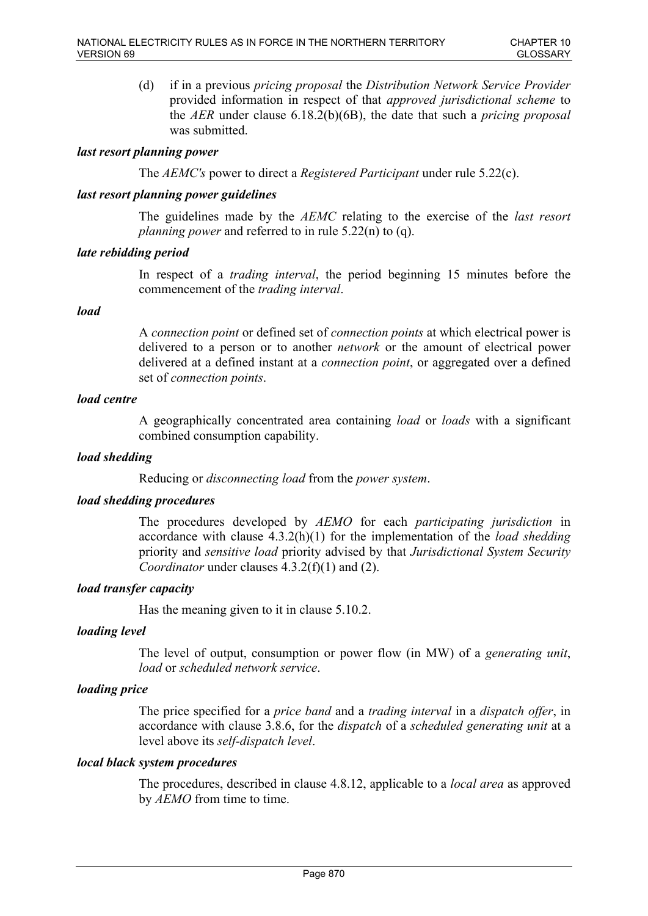(d) if in a previous *pricing proposal* the *Distribution Network Service Provider* provided information in respect of that *approved jurisdictional scheme* to the *AER* under clause 6.18.2(b)(6B), the date that such a *pricing proposal* was submitted.

# *last resort planning power*

The *AEMC's* power to direct a *Registered Participant* under rule 5.22(c).

### *last resort planning power guidelines*

The guidelines made by the *AEMC* relating to the exercise of the *last resort planning power* and referred to in rule 5.22(n) to (q).

### *late rebidding period*

In respect of a *trading interval*, the period beginning 15 minutes before the commencement of the *trading interval*.

### *load*

A *connection point* or defined set of *connection points* at which electrical power is delivered to a person or to another *network* or the amount of electrical power delivered at a defined instant at a *connection point*, or aggregated over a defined set of *connection points*.

# *load centre*

A geographically concentrated area containing *load* or *loads* with a significant combined consumption capability.

### *load shedding*

Reducing or *disconnecting load* from the *power system*.

### *load shedding procedures*

The procedures developed by *AEMO* for each *participating jurisdiction* in accordance with clause 4.3.2(h)(1) for the implementation of the *load shedding* priority and *sensitive load* priority advised by that *Jurisdictional System Security Coordinator* under clauses 4.3.2(f)(1) and (2).

### *load transfer capacity*

Has the meaning given to it in clause 5.10.2.

### *loading level*

The level of output, consumption or power flow (in MW) of a *generating unit*, *load* or *scheduled network service*.

### *loading price*

The price specified for a *price band* and a *trading interval* in a *dispatch offer*, in accordance with clause 3.8.6, for the *dispatch* of a *scheduled generating unit* at a level above its *self-dispatch level*.

#### *local black system procedures*

The procedures, described in clause 4.8.12, applicable to a *local area* as approved by *AEMO* from time to time.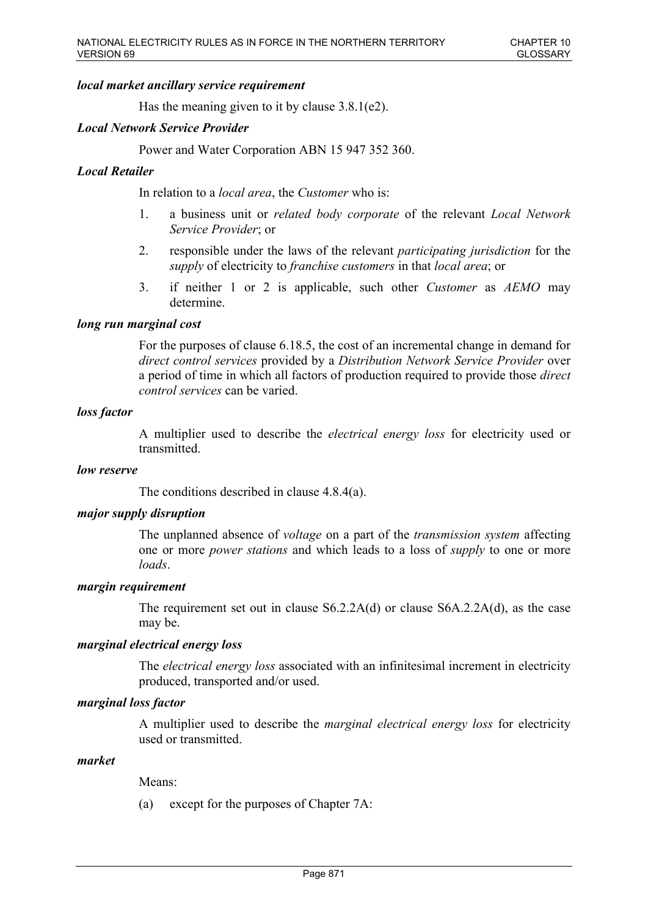### *local market ancillary service requirement*

Has the meaning given to it by clause 3.8.1(e2).

### *Local Network Service Provider*

Power and Water Corporation ABN 15 947 352 360.

### *Local Retailer*

In relation to a *local area*, the *Customer* who is:

- 1. a business unit or *related body corporate* of the relevant *Local Network Service Provider*; or
- 2. responsible under the laws of the relevant *participating jurisdiction* for the *supply* of electricity to *franchise customers* in that *local area*; or
- 3. if neither 1 or 2 is applicable, such other *Customer* as *AEMO* may determine.

#### *long run marginal cost*

For the purposes of clause 6.18.5, the cost of an incremental change in demand for *direct control services* provided by a *Distribution Network Service Provider* over a period of time in which all factors of production required to provide those *direct control services* can be varied.

### *loss factor*

A multiplier used to describe the *electrical energy loss* for electricity used or transmitted.

#### *low reserve*

The conditions described in clause 4.8.4(a).

### *major supply disruption*

The unplanned absence of *voltage* on a part of the *transmission system* affecting one or more *power stations* and which leads to a loss of *supply* to one or more *loads*.

#### *margin requirement*

The requirement set out in clause S6.2.2A(d) or clause S6A.2.2A(d), as the case may be.

#### *marginal electrical energy loss*

The *electrical energy loss* associated with an infinitesimal increment in electricity produced, transported and/or used.

#### *marginal loss factor*

A multiplier used to describe the *marginal electrical energy loss* for electricity used or transmitted.

#### *market*

Means:

(a) except for the purposes of Chapter 7A: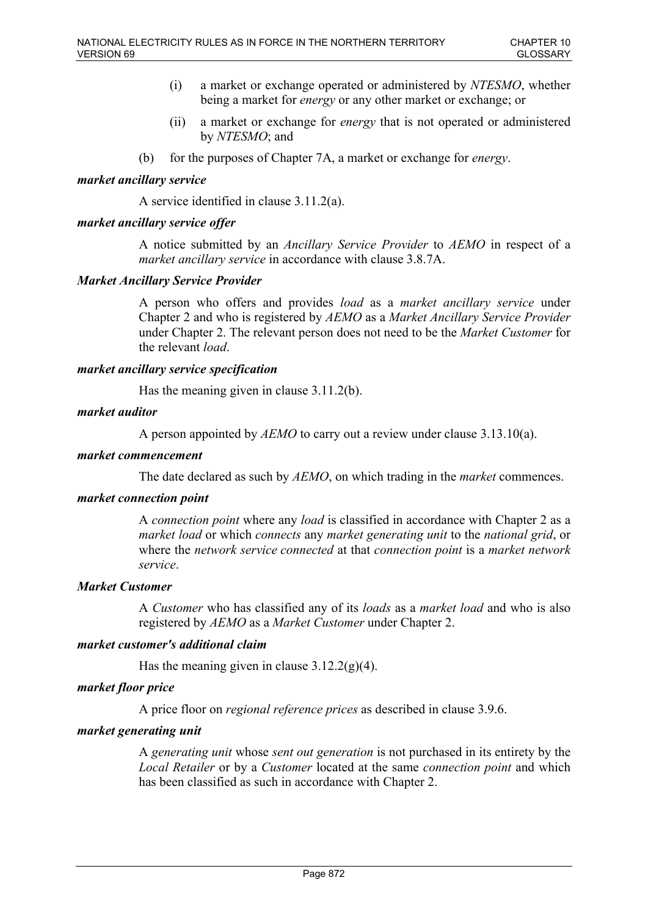- (i) a market or exchange operated or administered by *NTESMO*, whether being a market for *energy* or any other market or exchange; or
- (ii) a market or exchange for *energy* that is not operated or administered by *NTESMO*; and
- (b) for the purposes of Chapter 7A, a market or exchange for *energy*.

# *market ancillary service*

A service identified in clause 3.11.2(a).

# *market ancillary service offer*

A notice submitted by an *Ancillary Service Provider* to *AEMO* in respect of a *market ancillary service* in accordance with clause 3.8.7A.

### *Market Ancillary Service Provider*

A person who offers and provides *load* as a *market ancillary service* under Chapter 2 and who is registered by *AEMO* as a *Market Ancillary Service Provider*  under Chapter 2. The relevant person does not need to be the *Market Customer* for the relevant *load*.

### *market ancillary service specification*

Has the meaning given in clause 3.11.2(b).

### *market auditor*

A person appointed by *AEMO* to carry out a review under clause 3.13.10(a).

### *market commencement*

The date declared as such by *AEMO*, on which trading in the *market* commences.

### *market connection point*

A *connection point* where any *load* is classified in accordance with Chapter 2 as a *market load* or which *connects* any *market generating unit* to the *national grid*, or where the *network service connected* at that *connection point* is a *market network service*.

### *Market Customer*

A *Customer* who has classified any of its *loads* as a *market load* and who is also registered by *AEMO* as a *Market Customer* under Chapter 2.

### *market customer's additional claim*

Has the meaning given in clause  $3.12.2(g)(4)$ .

### *market floor price*

A price floor on *regional reference prices* as described in clause 3.9.6.

# *market generating unit*

A *generating unit* whose *sent out generation* is not purchased in its entirety by the *Local Retailer* or by a *Customer* located at the same *connection point* and which has been classified as such in accordance with Chapter 2.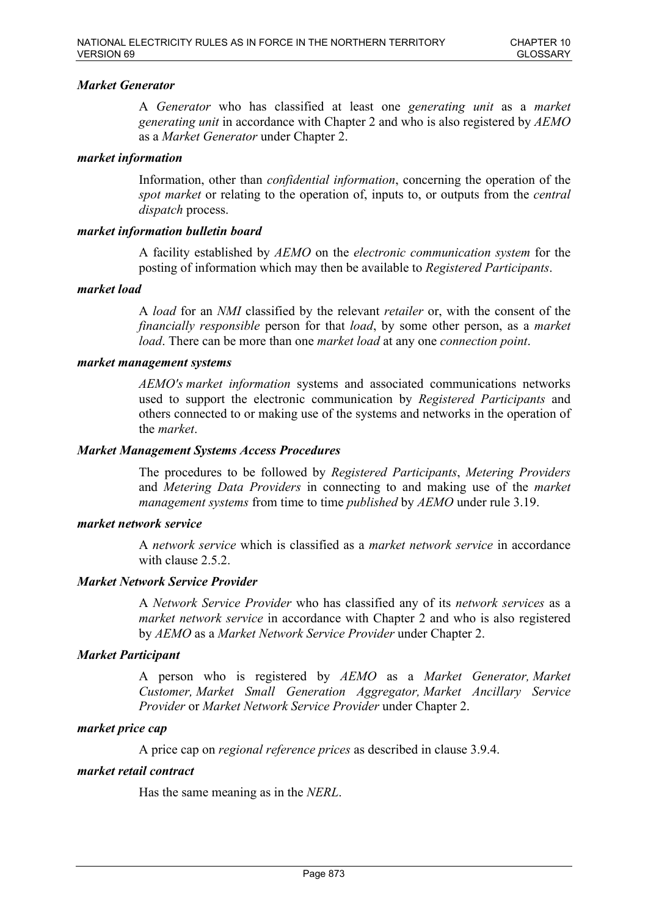### *Market Generator*

A *Generator* who has classified at least one *generating unit* as a *market generating unit* in accordance with Chapter 2 and who is also registered by *AEMO* as a *Market Generator* under Chapter 2.

#### *market information*

Information, other than *confidential information*, concerning the operation of the *spot market* or relating to the operation of, inputs to, or outputs from the *central dispatch* process.

### *market information bulletin board*

A facility established by *AEMO* on the *electronic communication system* for the posting of information which may then be available to *Registered Participants*.

#### *market load*

A *load* for an *NMI* classified by the relevant *retailer* or, with the consent of the *financially responsible* person for that *load*, by some other person, as a *market load*. There can be more than one *market load* at any one *connection point*.

#### *market management systems*

*AEMO's market information* systems and associated communications networks used to support the electronic communication by *Registered Participants* and others connected to or making use of the systems and networks in the operation of the *market*.

#### *Market Management Systems Access Procedures*

The procedures to be followed by *Registered Participants*, *Metering Providers* and *Metering Data Providers* in connecting to and making use of the *market management systems* from time to time *published* by *AEMO* under rule 3.19.

### *market network service*

A *network service* which is classified as a *market network service* in accordance with clause 2.5.2.

## *Market Network Service Provider*

A *Network Service Provider* who has classified any of its *network services* as a *market network service* in accordance with Chapter 2 and who is also registered by *AEMO* as a *Market Network Service Provider* under Chapter 2.

### *Market Participant*

A person who is registered by *AEMO* as a *Market Generator, Market Customer, Market Small Generation Aggregator, Market Ancillary Service Provider* or *Market Network Service Provider* under Chapter 2.

#### *market price cap*

A price cap on *regional reference prices* as described in clause 3.9.4.

#### *market retail contract*

Has the same meaning as in the *NERL*.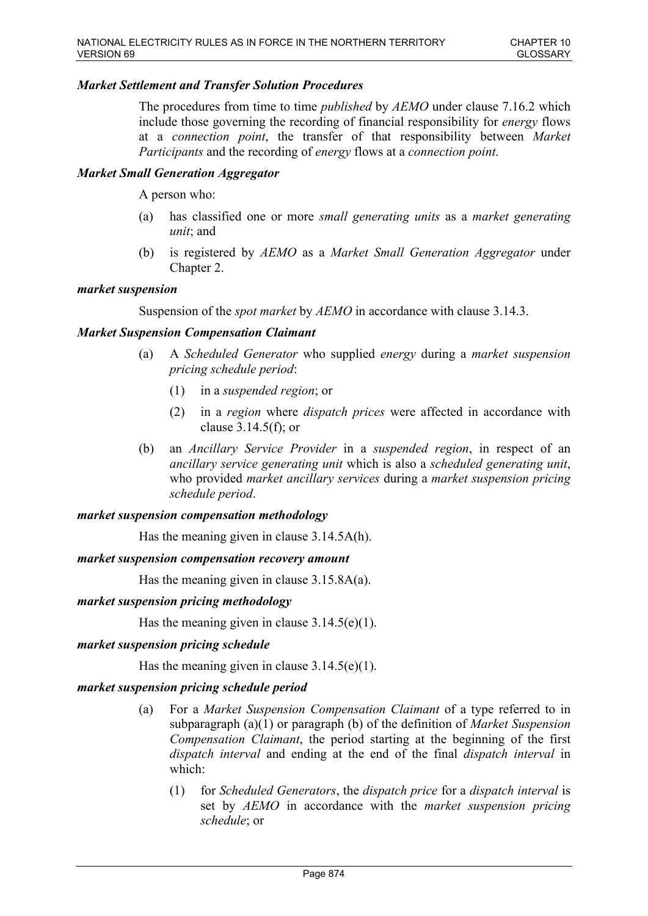### *Market Settlement and Transfer Solution Procedures*

The procedures from time to time *published* by *AEMO* under clause 7.16.2 which include those governing the recording of financial responsibility for *energy* flows at a *connection point*, the transfer of that responsibility between *Market Participants* and the recording of *energy* flows at a *connection point*.

### *Market Small Generation Aggregator*

A person who:

- (a) has classified one or more *small generating units* as a *market generating unit*; and
- (b) is registered by *AEMO* as a *Market Small Generation Aggregator* under Chapter 2.

#### *market suspension*

Suspension of the *spot market* by *AEMO* in accordance with clause 3.14.3.

### *Market Suspension Compensation Claimant*

- (a) A *Scheduled Generator* who supplied *energy* during a *market suspension pricing schedule period*:
	- (1) in a *suspended region*; or
	- (2) in a *region* where *dispatch prices* were affected in accordance with clause 3.14.5(f); or
- (b) an *Ancillary Service Provider* in a *suspended region*, in respect of an *ancillary service generating unit* which is also a *scheduled generating unit*, who provided *market ancillary services* during a *market suspension pricing schedule period*.

#### *market suspension compensation methodology*

Has the meaning given in clause 3.14.5A(h).

#### *market suspension compensation recovery amount*

Has the meaning given in clause 3.15.8A(a).

#### *market suspension pricing methodology*

Has the meaning given in clause  $3.14.5(e)(1)$ .

#### *market suspension pricing schedule*

Has the meaning given in clause  $3.14.5(e)(1)$ .

### *market suspension pricing schedule period*

- (a) For a *Market Suspension Compensation Claimant* of a type referred to in subparagraph (a)(1) or paragraph (b) of the definition of *Market Suspension Compensation Claimant*, the period starting at the beginning of the first *dispatch interval* and ending at the end of the final *dispatch interval* in which:
	- (1) for *Scheduled Generators*, the *dispatch price* for a *dispatch interval* is set by *AEMO* in accordance with the *market suspension pricing schedule*; or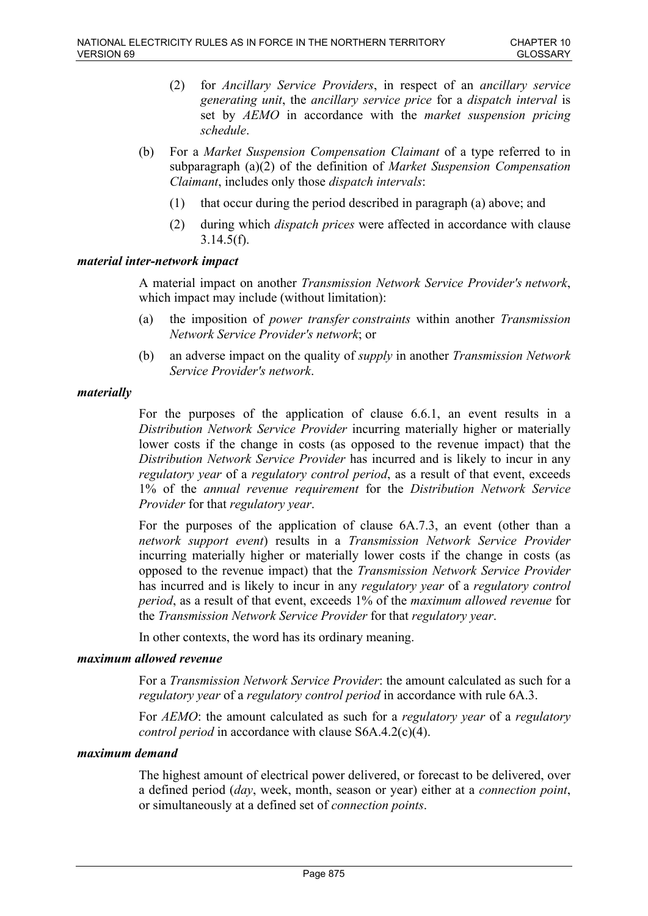- (2) for *Ancillary Service Providers*, in respect of an *ancillary service generating unit*, the *ancillary service price* for a *dispatch interval* is set by *AEMO* in accordance with the *market suspension pricing schedule*.
- (b) For a *Market Suspension Compensation Claimant* of a type referred to in subparagraph (a)(2) of the definition of *Market Suspension Compensation Claimant*, includes only those *dispatch intervals*:
	- (1) that occur during the period described in paragraph (a) above; and
	- (2) during which *dispatch prices* were affected in accordance with clause  $3.14.5(f)$ .

### *material inter-network impact*

A material impact on another *Transmission Network Service Provider's network*, which impact may include (without limitation):

- (a) the imposition of *power transfer constraints* within another *Transmission Network Service Provider's network*; or
- (b) an adverse impact on the quality of *supply* in another *Transmission Network Service Provider's network*.

### *materially*

For the purposes of the application of clause 6.6.1, an event results in a *Distribution Network Service Provider* incurring materially higher or materially lower costs if the change in costs (as opposed to the revenue impact) that the *Distribution Network Service Provider* has incurred and is likely to incur in any *regulatory year* of a *regulatory control period*, as a result of that event, exceeds 1% of the *annual revenue requirement* for the *Distribution Network Service Provider* for that *regulatory year*.

For the purposes of the application of clause 6A.7.3, an event (other than a *network support event*) results in a *Transmission Network Service Provider* incurring materially higher or materially lower costs if the change in costs (as opposed to the revenue impact) that the *Transmission Network Service Provider* has incurred and is likely to incur in any *regulatory year* of a *regulatory control period*, as a result of that event, exceeds 1% of the *maximum allowed revenue* for the *Transmission Network Service Provider* for that *regulatory year*.

In other contexts, the word has its ordinary meaning.

#### *maximum allowed revenue*

For a *Transmission Network Service Provider*: the amount calculated as such for a *regulatory year* of a *regulatory control period* in accordance with rule 6A.3.

For *AEMO*: the amount calculated as such for a *regulatory year* of a *regulatory control period* in accordance with clause S6A.4.2(c)(4).

#### *maximum demand*

The highest amount of electrical power delivered, or forecast to be delivered, over a defined period (*day*, week, month, season or year) either at a *connection point*, or simultaneously at a defined set of *connection points*.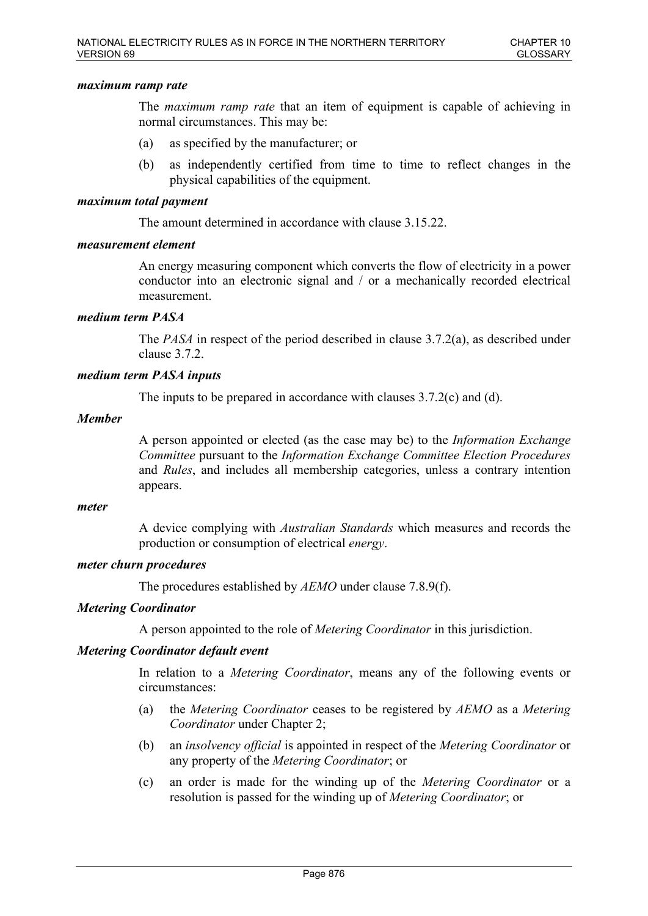### *maximum ramp rate*

The *maximum ramp rate* that an item of equipment is capable of achieving in normal circumstances. This may be:

- (a) as specified by the manufacturer; or
- (b) as independently certified from time to time to reflect changes in the physical capabilities of the equipment.

#### *maximum total payment*

The amount determined in accordance with clause 3.15.22.

### *measurement element*

An energy measuring component which converts the flow of electricity in a power conductor into an electronic signal and / or a mechanically recorded electrical measurement.

### *medium term PASA*

The *PASA* in respect of the period described in clause 3.7.2(a), as described under clause 3.7.2.

### *medium term PASA inputs*

The inputs to be prepared in accordance with clauses 3.7.2(c) and (d).

### *Member*

A person appointed or elected (as the case may be) to the *Information Exchange Committee* pursuant to the *Information Exchange Committee Election Procedures* and *Rules*, and includes all membership categories, unless a contrary intention appears.

#### *meter*

A device complying with *Australian Standards* which measures and records the production or consumption of electrical *energy*.

### *meter churn procedures*

The procedures established by *AEMO* under clause 7.8.9(f).

### *Metering Coordinator*

A person appointed to the role of *Metering Coordinator* in this jurisdiction.

### *Metering Coordinator default event*

In relation to a *Metering Coordinator*, means any of the following events or circumstances:

- (a) the *Metering Coordinator* ceases to be registered by *AEMO* as a *Metering Coordinator* under Chapter 2;
- (b) an *insolvency official* is appointed in respect of the *Metering Coordinator* or any property of the *Metering Coordinator*; or
- (c) an order is made for the winding up of the *Metering Coordinator* or a resolution is passed for the winding up of *Metering Coordinator*; or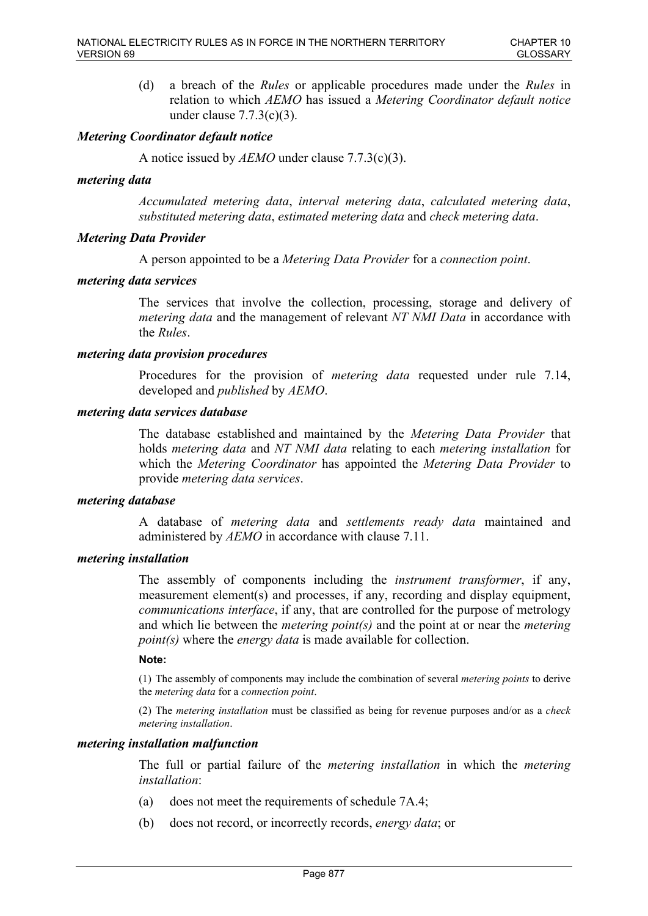(d) a breach of the *Rules* or applicable procedures made under the *Rules* in relation to which *AEMO* has issued a *Metering Coordinator default notice* under clause 7.7.3(c)(3).

### *Metering Coordinator default notice*

A notice issued by *AEMO* under clause 7.7.3(c)(3).

### *metering data*

*Accumulated metering data*, *interval metering data*, *calculated metering data*, *substituted metering data*, *estimated metering data* and *check metering data*.

### *Metering Data Provider*

A person appointed to be a *Metering Data Provider* for a *connection point*.

### *metering data services*

The services that involve the collection, processing, storage and delivery of *metering data* and the management of relevant *NT NMI Data* in accordance with the *Rules*.

### *metering data provision procedures*

Procedures for the provision of *metering data* requested under rule 7.14, developed and *published* by *AEMO*.

### *metering data services database*

The database established and maintained by the *Metering Data Provider* that holds *metering data* and *NT NMI data* relating to each *metering installation* for which the *Metering Coordinator* has appointed the *Metering Data Provider* to provide *metering data services*.

#### *metering database*

A database of *metering data* and *settlements ready data* maintained and administered by *AEMO* in accordance with clause 7.11.

#### *metering installation*

The assembly of components including the *instrument transformer*, if any, measurement element(s) and processes, if any, recording and display equipment, *communications interface*, if any, that are controlled for the purpose of metrology and which lie between the *metering point(s)* and the point at or near the *metering point(s)* where the *energy data* is made available for collection.

#### **Note:**

(1) The assembly of components may include the combination of several *metering points* to derive the *metering data* for a *connection point*.

(2) The *metering installation* must be classified as being for revenue purposes and/or as a *check metering installation*.

#### *metering installation malfunction*

The full or partial failure of the *metering installation* in which the *metering installation*:

- (a) does not meet the requirements of schedule 7A.4;
- (b) does not record, or incorrectly records, *energy data*; or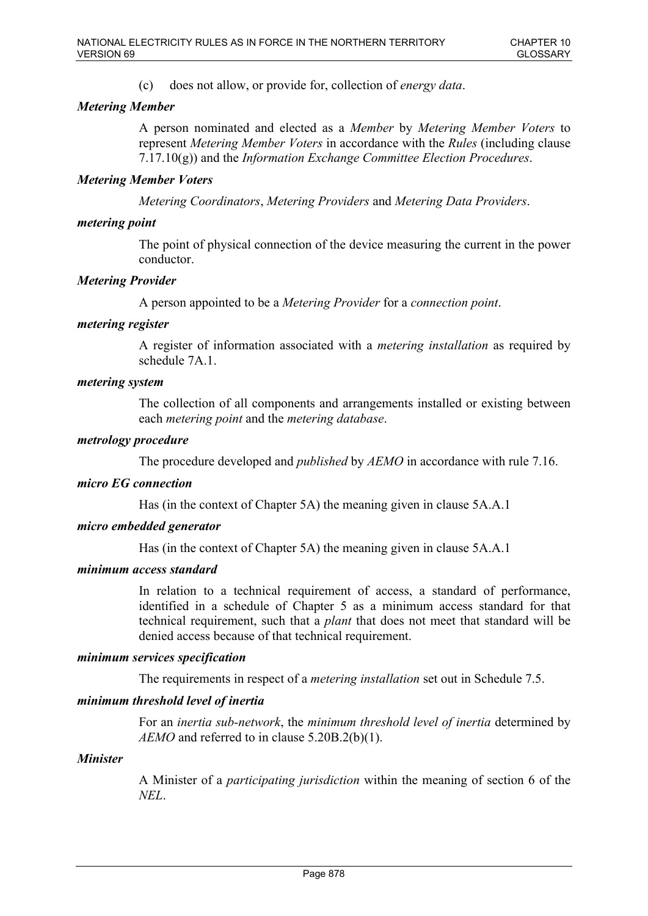(c) does not allow, or provide for, collection of *energy data*.

# *Metering Member*

A person nominated and elected as a *Member* by *Metering Member Voters* to represent *Metering Member Voters* in accordance with the *Rules* (including clause 7.17.10(g)) and the *Information Exchange Committee Election Procedures*.

### *Metering Member Voters*

*Metering Coordinators*, *Metering Providers* and *Metering Data Providers*.

### *metering point*

The point of physical connection of the device measuring the current in the power conductor.

### *Metering Provider*

A person appointed to be a *Metering Provider* for a *connection point*.

### *metering register*

A register of information associated with a *metering installation* as required by schedule 7A.1.

### *metering system*

The collection of all components and arrangements installed or existing between each *metering point* and the *metering database*.

### *metrology procedure*

The procedure developed and *published* by *AEMO* in accordance with rule 7.16.

## *micro EG connection*

Has (in the context of Chapter 5A) the meaning given in clause 5A.A.1

### *micro embedded generator*

Has (in the context of Chapter 5A) the meaning given in clause 5A.A.1

### *minimum access standard*

In relation to a technical requirement of access, a standard of performance, identified in a schedule of Chapter 5 as a minimum access standard for that technical requirement, such that a *plant* that does not meet that standard will be denied access because of that technical requirement.

#### *minimum services specification*

The requirements in respect of a *metering installation* set out in Schedule 7.5.

### *minimum threshold level of inertia*

For an *inertia sub-network*, the *minimum threshold level of inertia* determined by *AEMO* and referred to in clause 5.20B.2(b)(1).

#### *Minister*

A Minister of a *participating jurisdiction* within the meaning of section 6 of the *NEL*.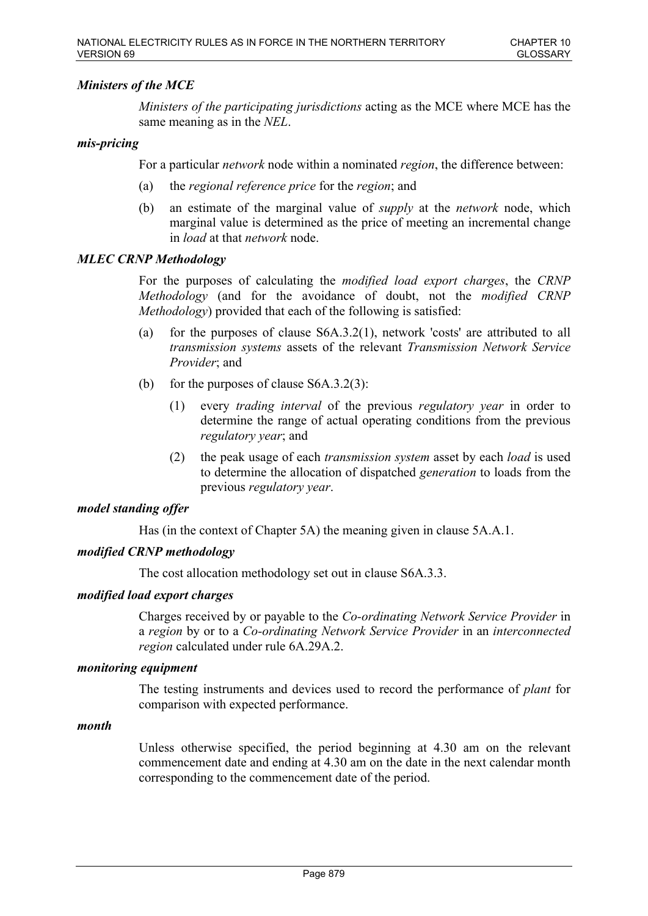# *Ministers of the MCE*

*Ministers of the participating jurisdictions* acting as the MCE where MCE has the same meaning as in the *NEL*.

### *mis-pricing*

For a particular *network* node within a nominated *region*, the difference between:

- (a) the *regional reference price* for the *region*; and
- (b) an estimate of the marginal value of *supply* at the *network* node, which marginal value is determined as the price of meeting an incremental change in *load* at that *network* node.

### *MLEC CRNP Methodology*

For the purposes of calculating the *modified load export charges*, the *CRNP Methodology* (and for the avoidance of doubt, not the *modified CRNP Methodology*) provided that each of the following is satisfied:

- (a) for the purposes of clause S6A.3.2(1), network 'costs' are attributed to all *transmission systems* assets of the relevant *Transmission Network Service Provider*; and
- (b) for the purposes of clause S6A.3.2(3):
	- (1) every *trading interval* of the previous *regulatory year* in order to determine the range of actual operating conditions from the previous *regulatory year*; and
	- (2) the peak usage of each *transmission system* asset by each *load* is used to determine the allocation of dispatched *generation* to loads from the previous *regulatory year*.

#### *model standing offer*

Has (in the context of Chapter 5A) the meaning given in clause 5A.A.1.

### *modified CRNP methodology*

The cost allocation methodology set out in clause S6A.3.3.

#### *modified load export charges*

Charges received by or payable to the *Co-ordinating Network Service Provider* in a *region* by or to a *Co-ordinating Network Service Provider* in an *interconnected region* calculated under rule 6A.29A.2.

#### *monitoring equipment*

The testing instruments and devices used to record the performance of *plant* for comparison with expected performance.

#### *month*

Unless otherwise specified, the period beginning at 4.30 am on the relevant commencement date and ending at 4.30 am on the date in the next calendar month corresponding to the commencement date of the period.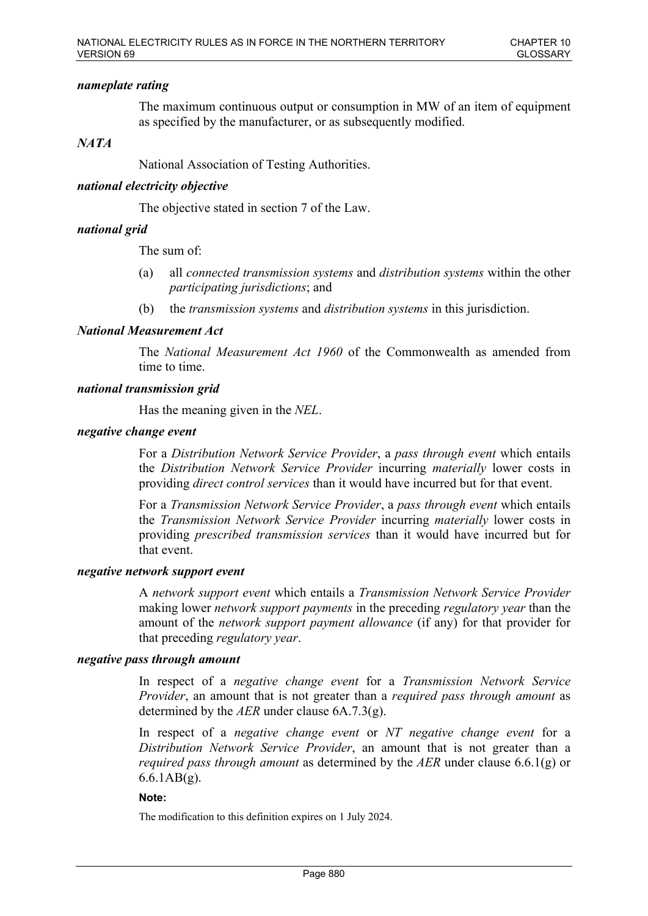### *nameplate rating*

The maximum continuous output or consumption in MW of an item of equipment as specified by the manufacturer, or as subsequently modified.

### *NATA*

National Association of Testing Authorities.

### *national electricity objective*

The objective stated in section 7 of the Law.

### *national grid*

The sum of:

- (a) all *connected transmission systems* and *distribution systems* within the other *participating jurisdictions*; and
- (b) the *transmission systems* and *distribution systems* in this jurisdiction.

### *National Measurement Act*

The *National Measurement Act 1960* of the Commonwealth as amended from time to time.

#### *national transmission grid*

Has the meaning given in the *NEL*.

#### *negative change event*

For a *Distribution Network Service Provider*, a *pass through event* which entails the *Distribution Network Service Provider* incurring *materially* lower costs in providing *direct control services* than it would have incurred but for that event.

For a *Transmission Network Service Provider*, a *pass through event* which entails the *Transmission Network Service Provider* incurring *materially* lower costs in providing *prescribed transmission services* than it would have incurred but for that event.

#### *negative network support event*

A *network support event* which entails a *Transmission Network Service Provider* making lower *network support payments* in the preceding *regulatory year* than the amount of the *network support payment allowance* (if any) for that provider for that preceding *regulatory year*.

#### *negative pass through amount*

In respect of a *negative change event* for a *Transmission Network Service Provider*, an amount that is not greater than a *required pass through amount* as determined by the *AER* under clause 6A.7.3(g).

In respect of a *negative change event* or *NT negative change event* for a *Distribution Network Service Provider*, an amount that is not greater than a *required pass through amount* as determined by the *AER* under clause 6.6.1(g) or 6.6.1AB(g).

#### **Note:**

The modification to this definition expires on 1 July 2024.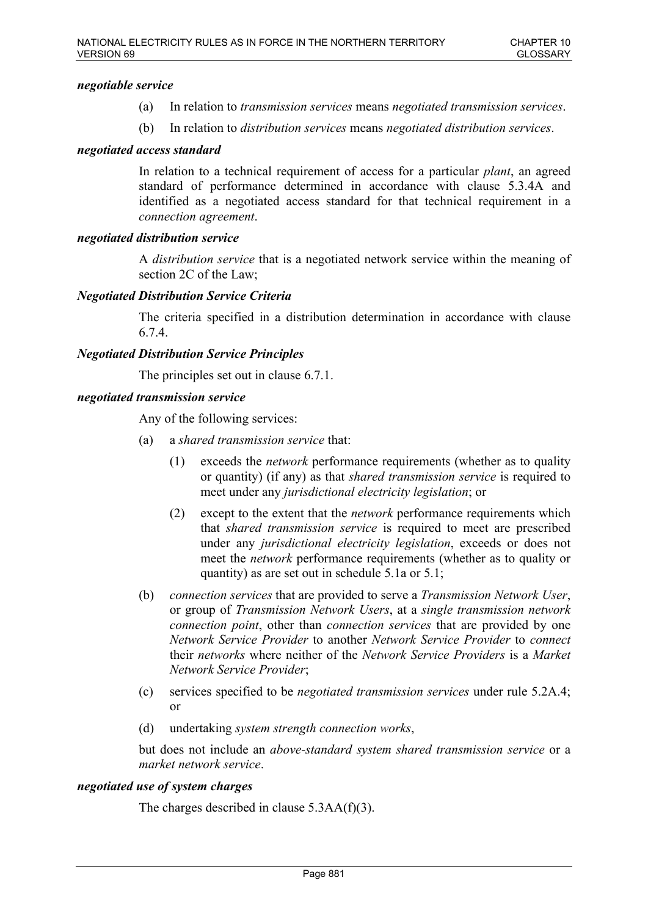### *negotiable service*

- (a) In relation to *transmission services* means *negotiated transmission services*.
- (b) In relation to *distribution services* means *negotiated distribution services*.

### *negotiated access standard*

In relation to a technical requirement of access for a particular *plant*, an agreed standard of performance determined in accordance with clause 5.3.4A and identified as a negotiated access standard for that technical requirement in a *connection agreement*.

### *negotiated distribution service*

A *distribution service* that is a negotiated network service within the meaning of section 2C of the Law;

### *Negotiated Distribution Service Criteria*

The criteria specified in a distribution determination in accordance with clause 6.7.4.

### *Negotiated Distribution Service Principles*

The principles set out in clause 6.7.1.

### *negotiated transmission service*

Any of the following services:

- (a) a *shared transmission service* that:
	- (1) exceeds the *network* performance requirements (whether as to quality or quantity) (if any) as that *shared transmission service* is required to meet under any *jurisdictional electricity legislation*; or
	- (2) except to the extent that the *network* performance requirements which that *shared transmission service* is required to meet are prescribed under any *jurisdictional electricity legislation*, exceeds or does not meet the *network* performance requirements (whether as to quality or quantity) as are set out in schedule 5.1a or 5.1;
- (b) *connection services* that are provided to serve a *Transmission Network User*, or group of *Transmission Network Users*, at a *single transmission network connection point*, other than *connection services* that are provided by one *Network Service Provider* to another *Network Service Provider* to *connect* their *networks* where neither of the *Network Service Providers* is a *Market Network Service Provider*;
- (c) services specified to be *negotiated transmission services* under rule 5.2A.4; or
- (d) undertaking *system strength connection works*,

but does not include an *above-standard system shared transmission service* or a *market network service*.

### *negotiated use of system charges*

The charges described in clause 5.3AA(f)(3).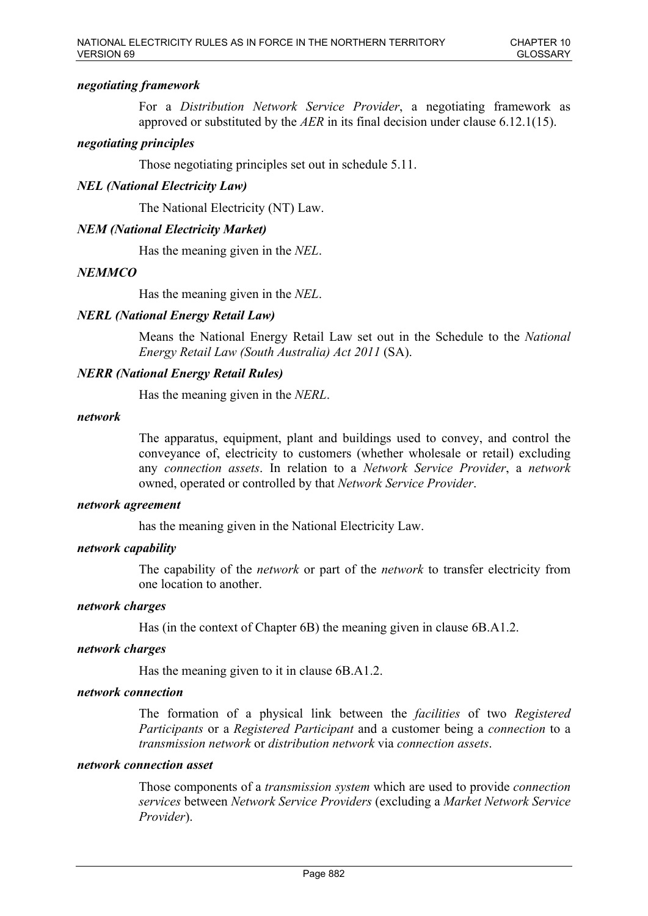# *negotiating framework*

For a *Distribution Network Service Provider*, a negotiating framework as approved or substituted by the *AER* in its final decision under clause 6.12.1(15).

# *negotiating principles*

Those negotiating principles set out in schedule 5.11.

# *NEL (National Electricity Law)*

The National Electricity (NT) Law.

# *NEM (National Electricity Market)*

Has the meaning given in the *NEL*.

### *NEMMCO*

Has the meaning given in the *NEL*.

# *NERL (National Energy Retail Law)*

Means the National Energy Retail Law set out in the Schedule to the *National Energy Retail Law (South Australia) Act 2011* (SA).

# *NERR (National Energy Retail Rules)*

Has the meaning given in the *NERL*.

### *network*

The apparatus, equipment, plant and buildings used to convey, and control the conveyance of, electricity to customers (whether wholesale or retail) excluding any *connection assets*. In relation to a *Network Service Provider*, a *network* owned, operated or controlled by that *Network Service Provider*.

### *network agreement*

has the meaning given in the National Electricity Law.

### *network capability*

The capability of the *network* or part of the *network* to transfer electricity from one location to another.

#### *network charges*

Has (in the context of Chapter 6B) the meaning given in clause 6B.A1.2.

#### *network charges*

Has the meaning given to it in clause 6B.A1.2.

### *network connection*

The formation of a physical link between the *facilities* of two *Registered Participants* or a *Registered Participant* and a customer being a *connection* to a *transmission network* or *distribution network* via *connection assets*.

### *network connection asset*

Those components of a *transmission system* which are used to provide *connection services* between *Network Service Providers* (excluding a *Market Network Service Provider*).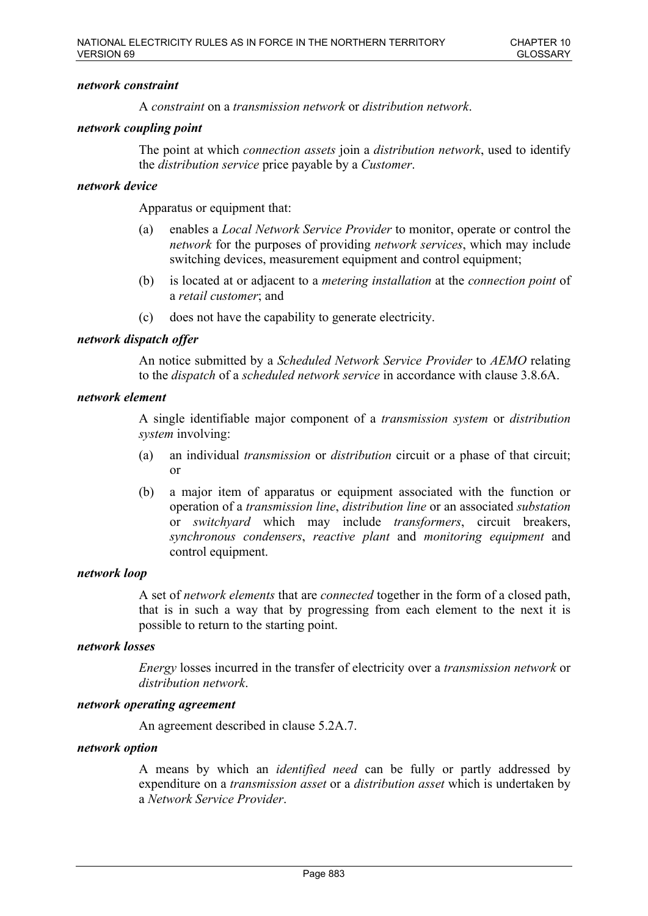### *network constraint*

A *constraint* on a *transmission network* or *distribution network*.

### *network coupling point*

The point at which *connection assets* join a *distribution network*, used to identify the *distribution service* price payable by a *Customer*.

### *network device*

Apparatus or equipment that:

- (a) enables a *Local Network Service Provider* to monitor, operate or control the *network* for the purposes of providing *network services*, which may include switching devices, measurement equipment and control equipment;
- (b) is located at or adjacent to a *metering installation* at the *connection point* of a *retail customer*; and
- (c) does not have the capability to generate electricity.

### *network dispatch offer*

An notice submitted by a *Scheduled Network Service Provider* to *AEMO* relating to the *dispatch* of a *scheduled network service* in accordance with clause 3.8.6A.

### *network element*

A single identifiable major component of a *transmission system* or *distribution system* involving:

- (a) an individual *transmission* or *distribution* circuit or a phase of that circuit; or
- (b) a major item of apparatus or equipment associated with the function or operation of a *transmission line*, *distribution line* or an associated *substation* or *switchyard* which may include *transformers*, circuit breakers, *synchronous condensers*, *reactive plant* and *monitoring equipment* and control equipment.

#### *network loop*

A set of *network elements* that are *connected* together in the form of a closed path, that is in such a way that by progressing from each element to the next it is possible to return to the starting point.

#### *network losses*

*Energy* losses incurred in the transfer of electricity over a *transmission network* or *distribution network*.

#### *network operating agreement*

An agreement described in clause 5.2A.7.

#### *network option*

A means by which an *identified need* can be fully or partly addressed by expenditure on a *transmission asset* or a *distribution asset* which is undertaken by a *Network Service Provider*.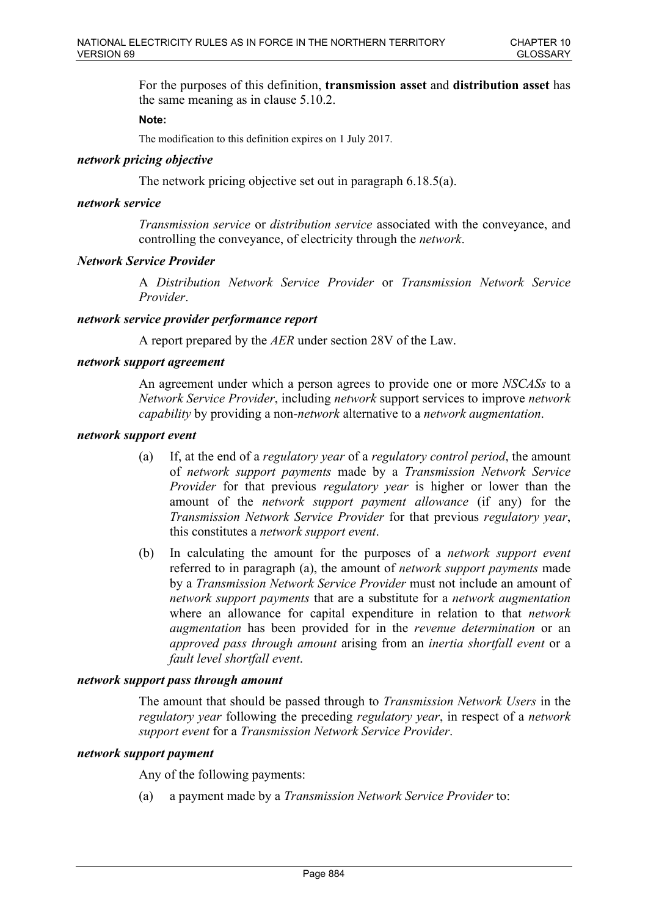For the purposes of this definition, **transmission asset** and **distribution asset** has the same meaning as in clause 5.10.2.

### **Note:**

The modification to this definition expires on 1 July 2017.

### *network pricing objective*

The network pricing objective set out in paragraph 6.18.5(a).

### *network service*

*Transmission service* or *distribution service* associated with the conveyance, and controlling the conveyance, of electricity through the *network*.

### *Network Service Provider*

A *Distribution Network Service Provider* or *Transmission Network Service Provider*.

### *network service provider performance report*

A report prepared by the *AER* under section 28V of the Law.

### *network support agreement*

An agreement under which a person agrees to provide one or more *NSCASs* to a *Network Service Provider*, including *network* support services to improve *network capability* by providing a non-*network* alternative to a *network augmentation*.

### *network support event*

- (a) If, at the end of a *regulatory year* of a *regulatory control period*, the amount of *network support payments* made by a *Transmission Network Service Provider* for that previous *regulatory year* is higher or lower than the amount of the *network support payment allowance* (if any) for the *Transmission Network Service Provider* for that previous *regulatory year*, this constitutes a *network support event*.
- (b) In calculating the amount for the purposes of a *network support event* referred to in paragraph (a), the amount of *network support payments* made by a *Transmission Network Service Provider* must not include an amount of *network support payments* that are a substitute for a *network augmentation* where an allowance for capital expenditure in relation to that *network augmentation* has been provided for in the *revenue determination* or an *approved pass through amount* arising from an *inertia shortfall event* or a *fault level shortfall event*.

### *network support pass through amount*

The amount that should be passed through to *Transmission Network Users* in the *regulatory year* following the preceding *regulatory year*, in respect of a *network support event* for a *Transmission Network Service Provider*.

#### *network support payment*

Any of the following payments:

(a) a payment made by a *Transmission Network Service Provider* to: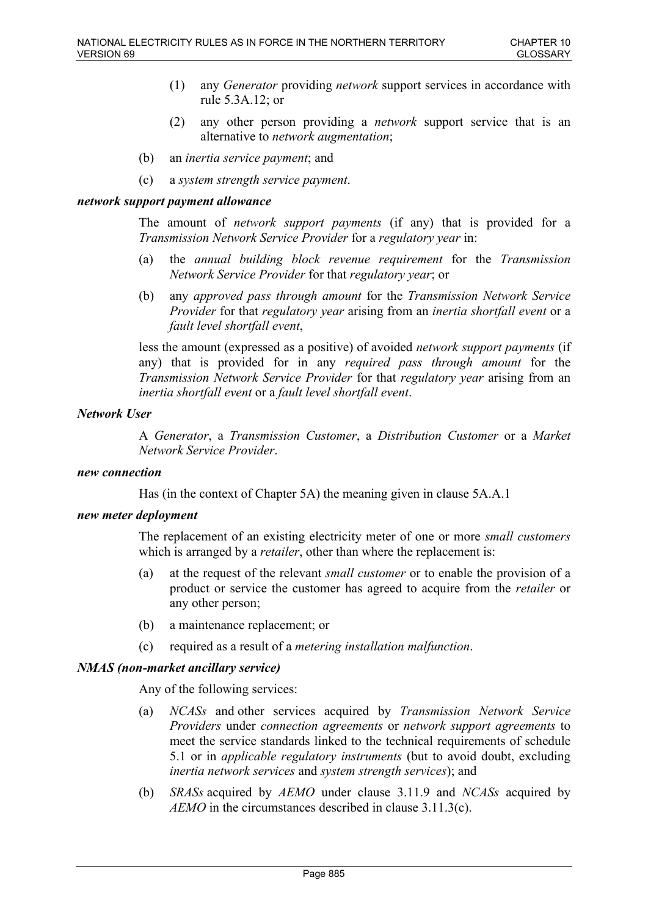- (1) any *Generator* providing *network* support services in accordance with rule 5.3A.12; or
- (2) any other person providing a *network* support service that is an alternative to *network augmentation*;
- (b) an *inertia service payment*; and
- (c) a *system strength service payment*.

### *network support payment allowance*

The amount of *network support payments* (if any) that is provided for a *Transmission Network Service Provider* for a *regulatory year* in:

- (a) the *annual building block revenue requirement* for the *Transmission Network Service Provider* for that *regulatory year*; or
- (b) any *approved pass through amount* for the *Transmission Network Service Provider* for that *regulatory year* arising from an *inertia shortfall event* or a *fault level shortfall event*,

less the amount (expressed as a positive) of avoided *network support payments* (if any) that is provided for in any *required pass through amount* for the *Transmission Network Service Provider* for that *regulatory year* arising from an *inertia shortfall event* or a *fault level shortfall event*.

## *Network User*

A *Generator*, a *Transmission Customer*, a *Distribution Customer* or a *Market Network Service Provider*.

# *new connection*

Has (in the context of Chapter 5A) the meaning given in clause 5A.A.1

## *new meter deployment*

The replacement of an existing electricity meter of one or more *small customers* which is arranged by a *retailer*, other than where the replacement is:

- (a) at the request of the relevant *small customer* or to enable the provision of a product or service the customer has agreed to acquire from the *retailer* or any other person;
- (b) a maintenance replacement; or
- (c) required as a result of a *metering installation malfunction*.

## *NMAS (non-market ancillary service)*

Any of the following services:

- (a) *NCASs* and other services acquired by *Transmission Network Service Providers* under *connection agreements* or *network support agreements* to meet the service standards linked to the technical requirements of schedule 5.1 or in *applicable regulatory instruments* (but to avoid doubt, excluding *inertia network services* and *system strength services*); and
- (b) *SRASs* acquired by *AEMO* under clause 3.11.9 and *NCASs* acquired by *AEMO* in the circumstances described in clause 3.11.3(c).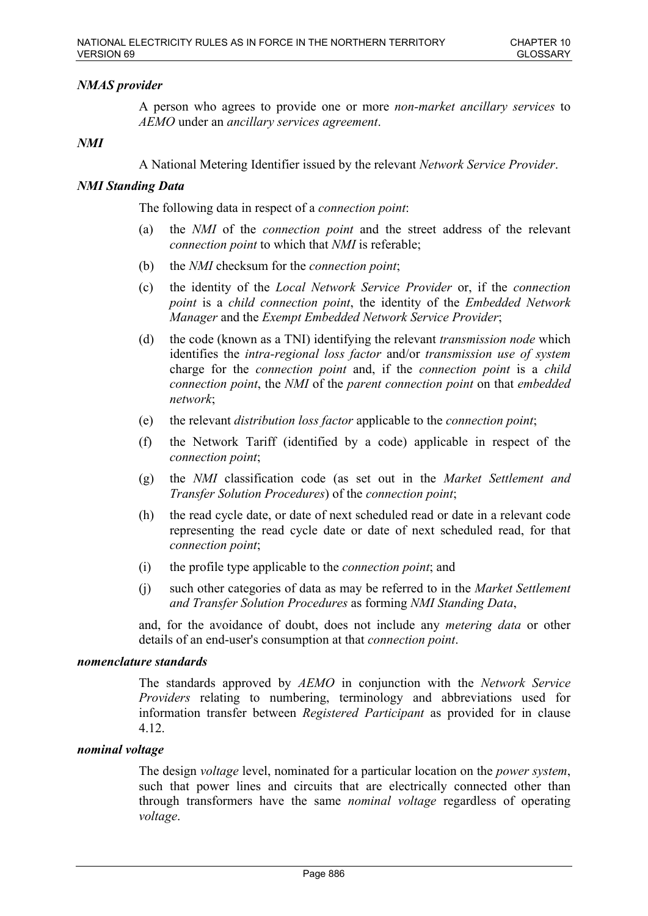# *NMAS provider*

A person who agrees to provide one or more *non-market ancillary services* to *AEMO* under an *ancillary services agreement*.

### *NMI*

A National Metering Identifier issued by the relevant *Network Service Provider*.

### *NMI Standing Data*

The following data in respect of a *connection point*:

- (a) the *NMI* of the *connection point* and the street address of the relevant *connection point* to which that *NMI* is referable;
- (b) the *NMI* checksum for the *connection point*;
- (c) the identity of the *Local Network Service Provider* or, if the *connection point* is a *child connection point*, the identity of the *Embedded Network Manager* and the *Exempt Embedded Network Service Provider*;
- (d) the code (known as a TNI) identifying the relevant *transmission node* which identifies the *intra-regional loss factor* and/or *transmission use of system* charge for the *connection point* and, if the *connection point* is a *child connection point*, the *NMI* of the *parent connection point* on that *embedded network*;
- (e) the relevant *distribution loss factor* applicable to the *connection point*;
- (f) the Network Tariff (identified by a code) applicable in respect of the *connection point*;
- (g) the *NMI* classification code (as set out in the *Market Settlement and Transfer Solution Procedures*) of the *connection point*;
- (h) the read cycle date, or date of next scheduled read or date in a relevant code representing the read cycle date or date of next scheduled read, for that *connection point*;
- (i) the profile type applicable to the *connection point*; and
- (j) such other categories of data as may be referred to in the *Market Settlement and Transfer Solution Procedures* as forming *NMI Standing Data*,

and, for the avoidance of doubt, does not include any *metering data* or other details of an end-user's consumption at that *connection point*.

# *nomenclature standards*

The standards approved by *AEMO* in conjunction with the *Network Service Providers* relating to numbering, terminology and abbreviations used for information transfer between *Registered Participant* as provided for in clause 4.12.

#### *nominal voltage*

The design *voltage* level, nominated for a particular location on the *power system*, such that power lines and circuits that are electrically connected other than through transformers have the same *nominal voltage* regardless of operating *voltage*.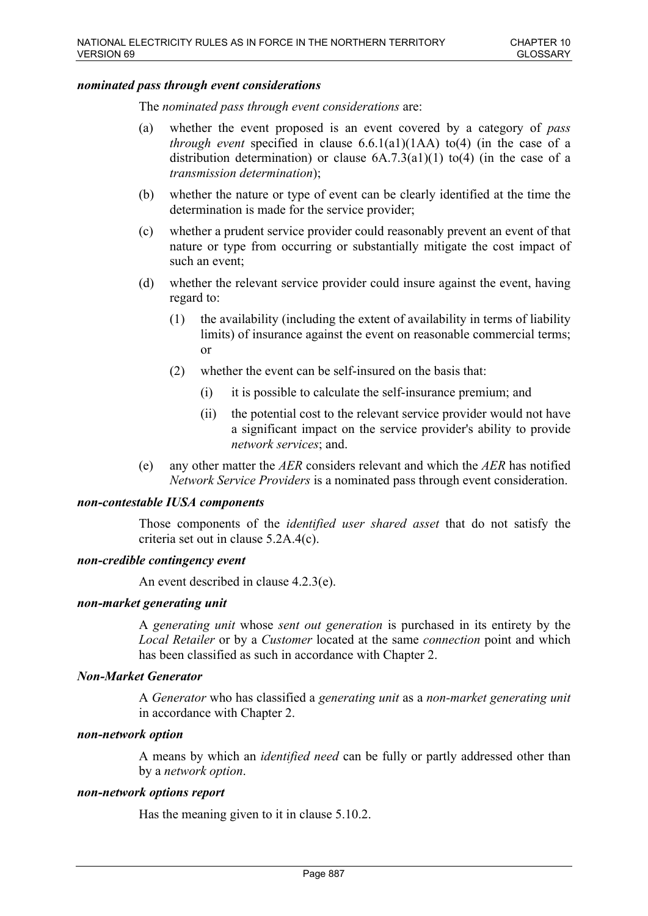### *nominated pass through event considerations*

The *nominated pass through event considerations* are:

- (a) whether the event proposed is an event covered by a category of *pass through event* specified in clause 6.6.1(a1)(1AA) to(4) (in the case of a distribution determination) or clause  $6A.7.3(a1)(1)$  to(4) (in the case of a *transmission determination*);
- (b) whether the nature or type of event can be clearly identified at the time the determination is made for the service provider;
- (c) whether a prudent service provider could reasonably prevent an event of that nature or type from occurring or substantially mitigate the cost impact of such an event;
- (d) whether the relevant service provider could insure against the event, having regard to:
	- (1) the availability (including the extent of availability in terms of liability limits) of insurance against the event on reasonable commercial terms; or
	- (2) whether the event can be self-insured on the basis that:
		- (i) it is possible to calculate the self-insurance premium; and
		- (ii) the potential cost to the relevant service provider would not have a significant impact on the service provider's ability to provide *network services*; and.
- (e) any other matter the *AER* considers relevant and which the *AER* has notified *Network Service Providers* is a nominated pass through event consideration.

### *non-contestable IUSA components*

Those components of the *identified user shared asset* that do not satisfy the criteria set out in clause 5.2A.4(c).

#### *non-credible contingency event*

An event described in clause 4.2.3(e).

#### *non-market generating unit*

A *generating unit* whose *sent out generation* is purchased in its entirety by the *Local Retailer* or by a *Customer* located at the same *connection* point and which has been classified as such in accordance with Chapter 2.

### *Non-Market Generator*

A *Generator* who has classified a *generating unit* as a *non-market generating unit* in accordance with Chapter 2.

#### *non-network option*

A means by which an *identified need* can be fully or partly addressed other than by a *network option*.

#### *non-network options report*

Has the meaning given to it in clause 5.10.2.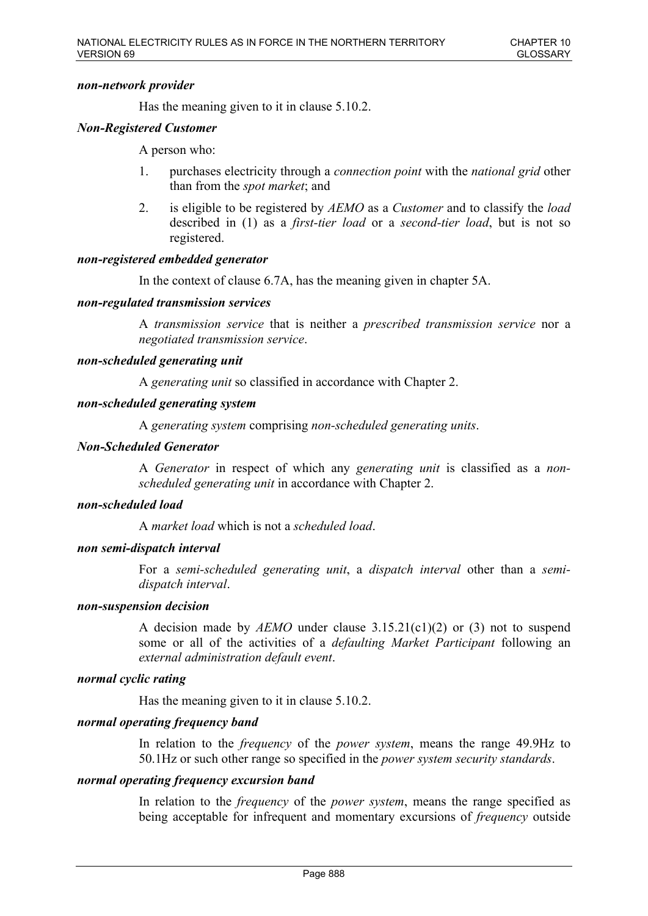### *non-network provider*

Has the meaning given to it in clause 5.10.2.

## *Non-Registered Customer*

A person who:

- 1. purchases electricity through a *connection point* with the *national grid* other than from the *spot market*; and
- 2. is eligible to be registered by *AEMO* as a *Customer* and to classify the *load* described in (1) as a *first-tier load* or a *second-tier load*, but is not so registered.

## *non-registered embedded generator*

In the context of clause 6.7A, has the meaning given in chapter 5A.

### *non-regulated transmission services*

A *transmission service* that is neither a *prescribed transmission service* nor a *negotiated transmission service*.

### *non-scheduled generating unit*

A *generating unit* so classified in accordance with Chapter 2.

### *non-scheduled generating system*

A *generating system* comprising *non-scheduled generating units*.

*Non-Scheduled Generator* 

A *Generator* in respect of which any *generating unit* is classified as a *nonscheduled generating unit* in accordance with Chapter 2.

## *non-scheduled load*

A *market load* which is not a *scheduled load*.

## *non semi-dispatch interval*

For a *semi-scheduled generating unit*, a *dispatch interval* other than a *semidispatch interval*.

#### *non-suspension decision*

A decision made by *AEMO* under clause 3.15.21(c1)(2) or (3) not to suspend some or all of the activities of a *defaulting Market Participant* following an *external administration default event*.

## *normal cyclic rating*

Has the meaning given to it in clause 5.10.2.

## *normal operating frequency band*

In relation to the *frequency* of the *power system*, means the range 49.9Hz to 50.1Hz or such other range so specified in the *power system security standards*.

#### *normal operating frequency excursion band*

In relation to the *frequency* of the *power system*, means the range specified as being acceptable for infrequent and momentary excursions of *frequency* outside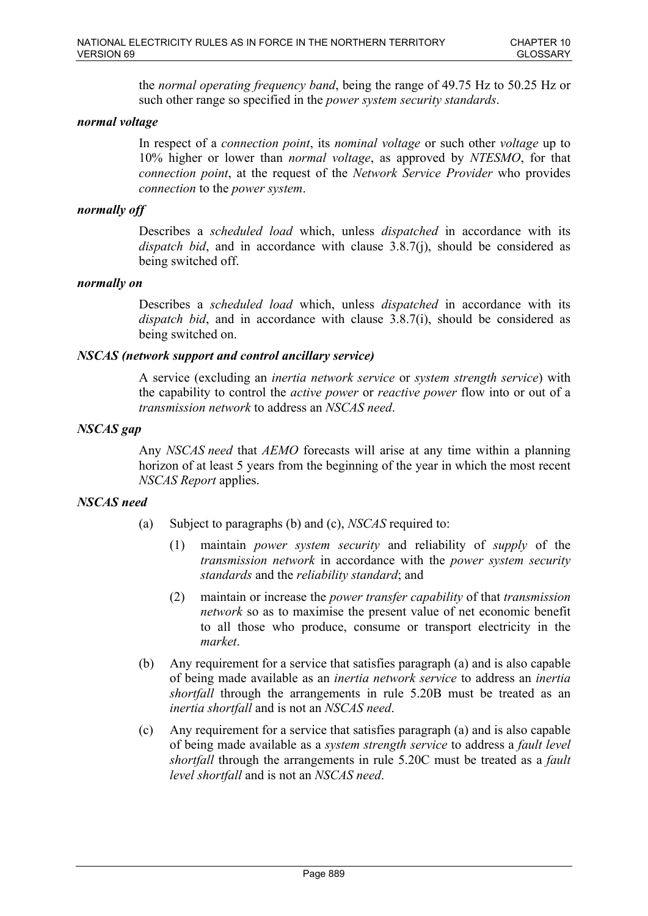the *normal operating frequency band*, being the range of 49.75 Hz to 50.25 Hz or such other range so specified in the *power system security standards*.

# *normal voltage*

In respect of a *connection point*, its *nominal voltage* or such other *voltage* up to 10% higher or lower than *normal voltage*, as approved by *NTESMO*, for that *connection point*, at the request of the *Network Service Provider* who provides *connection* to the *power system*.

### *normally off*

Describes a *scheduled load* which, unless *dispatched* in accordance with its *dispatch bid*, and in accordance with clause 3.8.7(j), should be considered as being switched off.

### *normally on*

Describes a *scheduled load* which, unless *dispatched* in accordance with its *dispatch bid*, and in accordance with clause 3.8.7(i), should be considered as being switched on.

### *NSCAS (network support and control ancillary service)*

A service (excluding an *inertia network service* or *system strength service*) with the capability to control the *active power* or *reactive power* flow into or out of a *transmission network* to address an *NSCAS need*.

### *NSCAS gap*

Any *NSCAS need* that *AEMO* forecasts will arise at any time within a planning horizon of at least 5 years from the beginning of the year in which the most recent *NSCAS Report* applies.

## *NSCAS need*

- (a) Subject to paragraphs (b) and (c), *NSCAS* required to:
	- (1) maintain *power system security* and reliability of *supply* of the *transmission network* in accordance with the *power system security standards* and the *reliability standard*; and
	- (2) maintain or increase the *power transfer capability* of that *transmission network* so as to maximise the present value of net economic benefit to all those who produce, consume or transport electricity in the *market*.
- (b) Any requirement for a service that satisfies paragraph (a) and is also capable of being made available as an *inertia network service* to address an *inertia shortfall* through the arrangements in rule 5.20B must be treated as an *inertia shortfall* and is not an *NSCAS need*.
- (c) Any requirement for a service that satisfies paragraph (a) and is also capable of being made available as a *system strength service* to address a *fault level shortfall* through the arrangements in rule 5.20C must be treated as a *fault level shortfall* and is not an *NSCAS need*.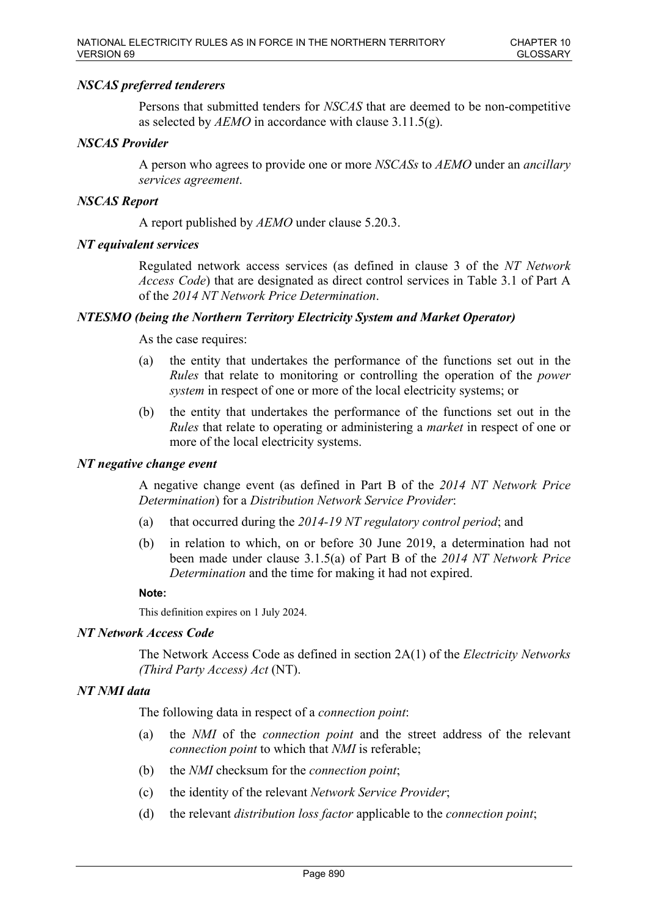## *NSCAS preferred tenderers*

Persons that submitted tenders for *NSCAS* that are deemed to be non-competitive as selected by *AEMO* in accordance with clause 3.11.5(g).

### *NSCAS Provider*

A person who agrees to provide one or more *NSCASs* to *AEMO* under an *ancillary services agreement*.

### *NSCAS Report*

A report published by *AEMO* under clause 5.20.3.

### *NT equivalent services*

Regulated network access services (as defined in clause 3 of the *NT Network Access Code*) that are designated as direct control services in Table 3.1 of Part A of the *2014 NT Network Price Determination*.

### *NTESMO (being the Northern Territory Electricity System and Market Operator)*

As the case requires:

- (a) the entity that undertakes the performance of the functions set out in the *Rules* that relate to monitoring or controlling the operation of the *power system* in respect of one or more of the local electricity systems; or
- (b) the entity that undertakes the performance of the functions set out in the *Rules* that relate to operating or administering a *market* in respect of one or more of the local electricity systems.

#### *NT negative change event*

A negative change event (as defined in Part B of the *2014 NT Network Price Determination*) for a *Distribution Network Service Provider*:

- (a) that occurred during the *2014-19 NT regulatory control period*; and
- (b) in relation to which, on or before 30 June 2019, a determination had not been made under clause 3.1.5(a) of Part B of the *2014 NT Network Price Determination* and the time for making it had not expired.

#### **Note:**

This definition expires on 1 July 2024.

#### *NT Network Access Code*

The Network Access Code as defined in section 2A(1) of the *Electricity Networks (Third Party Access) Act* (NT).

#### *NT NMI data*

The following data in respect of a *connection point*:

- (a) the *NMI* of the *connection point* and the street address of the relevant *connection point* to which that *NMI* is referable;
- (b) the *NMI* checksum for the *connection point*;
- (c) the identity of the relevant *Network Service Provider*;
- (d) the relevant *distribution loss factor* applicable to the *connection point*;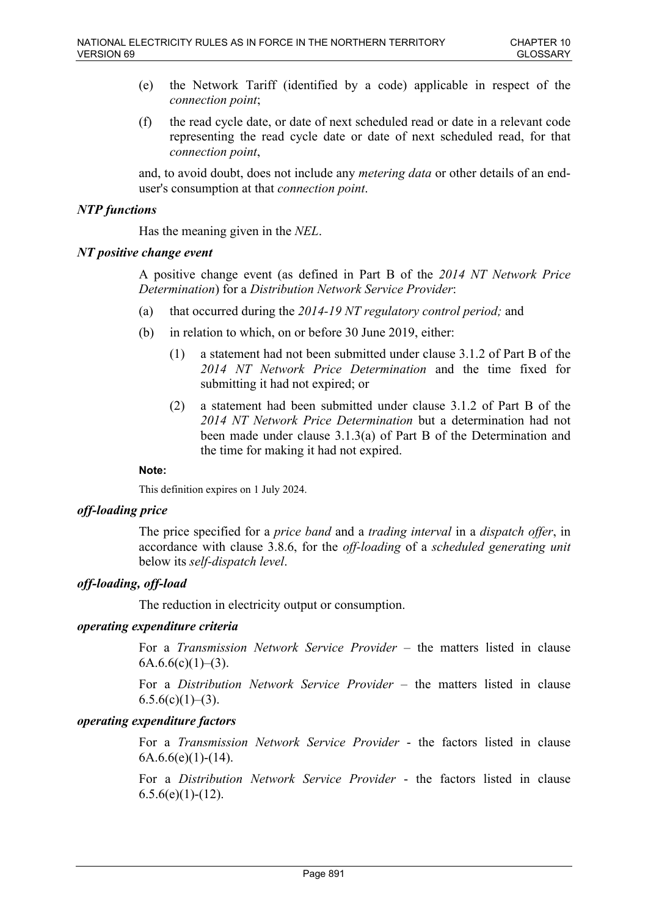- (e) the Network Tariff (identified by a code) applicable in respect of the *connection point*;
- (f) the read cycle date, or date of next scheduled read or date in a relevant code representing the read cycle date or date of next scheduled read, for that *connection point*,

and, to avoid doubt, does not include any *metering data* or other details of an enduser's consumption at that *connection point*.

# *NTP functions*

Has the meaning given in the *NEL*.

## *NT positive change event*

A positive change event (as defined in Part B of the *2014 NT Network Price Determination*) for a *Distribution Network Service Provider*:

- (a) that occurred during the *2014-19 NT regulatory control period;* and
- (b) in relation to which, on or before 30 June 2019, either:
	- (1) a statement had not been submitted under clause 3.1.2 of Part B of the *2014 NT Network Price Determination* and the time fixed for submitting it had not expired; or
	- (2) a statement had been submitted under clause 3.1.2 of Part B of the *2014 NT Network Price Determination* but a determination had not been made under clause 3.1.3(a) of Part B of the Determination and the time for making it had not expired.

## **Note:**

This definition expires on 1 July 2024.

## *off-loading price*

The price specified for a *price band* and a *trading interval* in a *dispatch offer*, in accordance with clause 3.8.6, for the *off-loading* of a *scheduled generating unit* below its *self-dispatch level*.

## *off-loading, off-load*

The reduction in electricity output or consumption.

## *operating expenditure criteria*

For a *Transmission Network Service Provider* – the matters listed in clause  $6A.6.6(c)(1)–(3)$ .

For a *Distribution Network Service Provider* – the matters listed in clause  $6.5.6(c)(1)–(3)$ .

# *operating expenditure factors*

For a *Transmission Network Service Provider* - the factors listed in clause  $6A.6.6(e)(1)-(14)$ .

For a *Distribution Network Service Provider* - the factors listed in clause  $6.5.6(e)(1)-(12)$ .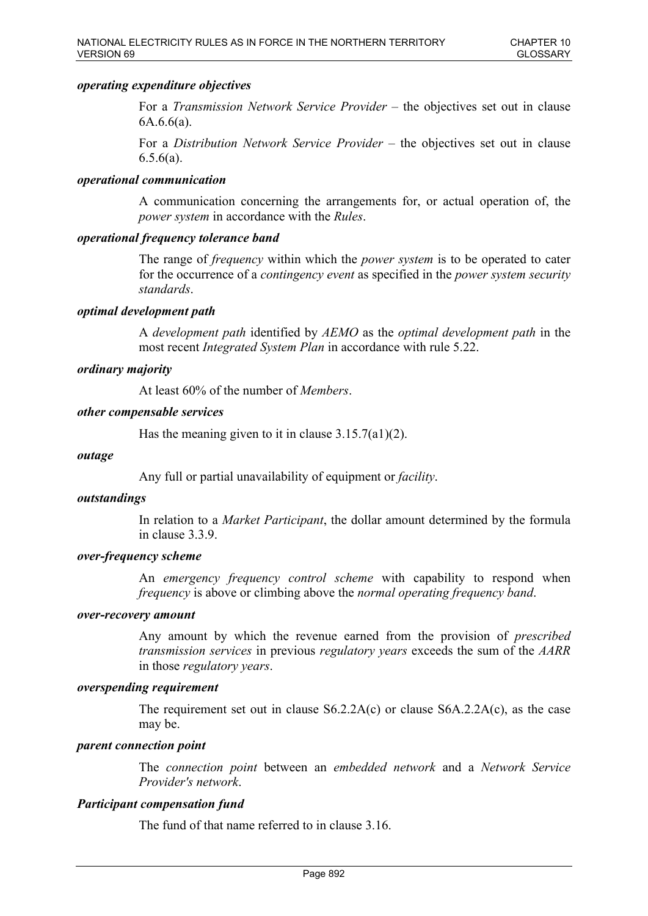### *operating expenditure objectives*

For a *Transmission Network Service Provider* – the objectives set out in clause 6A.6.6(a).

For a *Distribution Network Service Provider* – the objectives set out in clause  $6.5.6(a)$ .

### *operational communication*

A communication concerning the arrangements for, or actual operation of, the *power system* in accordance with the *Rules*.

## *operational frequency tolerance band*

The range of *frequency* within which the *power system* is to be operated to cater for the occurrence of a *contingency event* as specified in the *power system security standards*.

### *optimal development path*

A *development path* identified by *AEMO* as the *optimal development path* in the most recent *Integrated System Plan* in accordance with rule 5.22.

### *ordinary majority*

At least 60% of the number of *Members*.

### *other compensable services*

Has the meaning given to it in clause  $3.15.7(a1)(2)$ .

#### *outage*

Any full or partial unavailability of equipment or *facility*.

#### *outstandings*

In relation to a *Market Participant*, the dollar amount determined by the formula in clause 3.3.9.

## *over-frequency scheme*

An *emergency frequency control scheme* with capability to respond when *frequency* is above or climbing above the *normal operating frequency band*.

#### *over-recovery amount*

Any amount by which the revenue earned from the provision of *prescribed transmission services* in previous *regulatory years* exceeds the sum of the *AARR* in those *regulatory years*.

#### *overspending requirement*

The requirement set out in clause  $S6.2.2A(c)$  or clause  $S6A.2.2A(c)$ , as the case may be.

### *parent connection point*

The *connection point* between an *embedded network* and a *Network Service Provider's network*.

## *Participant compensation fund*

The fund of that name referred to in clause 3.16.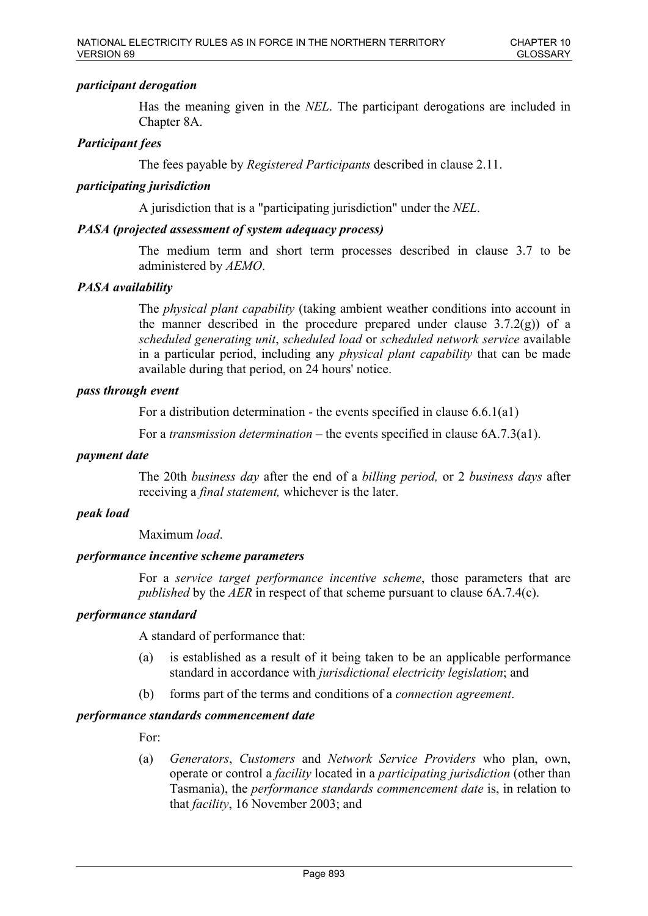# *participant derogation*

Has the meaning given in the *NEL*. The participant derogations are included in Chapter 8A.

# *Participant fees*

The fees payable by *Registered Participants* described in clause 2.11.

# *participating jurisdiction*

A jurisdiction that is a "participating jurisdiction" under the *NEL*.

## *PASA (projected assessment of system adequacy process)*

The medium term and short term processes described in clause 3.7 to be administered by *AEMO*.

# *PASA availability*

The *physical plant capability* (taking ambient weather conditions into account in the manner described in the procedure prepared under clause  $3.7.2(g)$  of a *scheduled generating unit*, *scheduled load* or *scheduled network service* available in a particular period, including any *physical plant capability* that can be made available during that period, on 24 hours' notice.

## *pass through event*

For a distribution determination - the events specified in clause 6.6.1(a1)

For a *transmission determination* – the events specified in clause 6A.7.3(a1).

## *payment date*

The 20th *business day* after the end of a *billing period,* or 2 *business days* after receiving a *final statement,* whichever is the later.

## *peak load*

Maximum *load*.

## *performance incentive scheme parameters*

For a *service target performance incentive scheme*, those parameters that are *published* by the *AER* in respect of that scheme pursuant to clause 6A.7.4(c).

# *performance standard*

A standard of performance that:

- (a) is established as a result of it being taken to be an applicable performance standard in accordance with *jurisdictional electricity legislation*; and
- (b) forms part of the terms and conditions of a *connection agreement*.

# *performance standards commencement date*

For:

(a) *Generators*, *Customers* and *Network Service Providers* who plan, own, operate or control a *facility* located in a *participating jurisdiction* (other than Tasmania), the *performance standards commencement date* is, in relation to that *facility*, 16 November 2003; and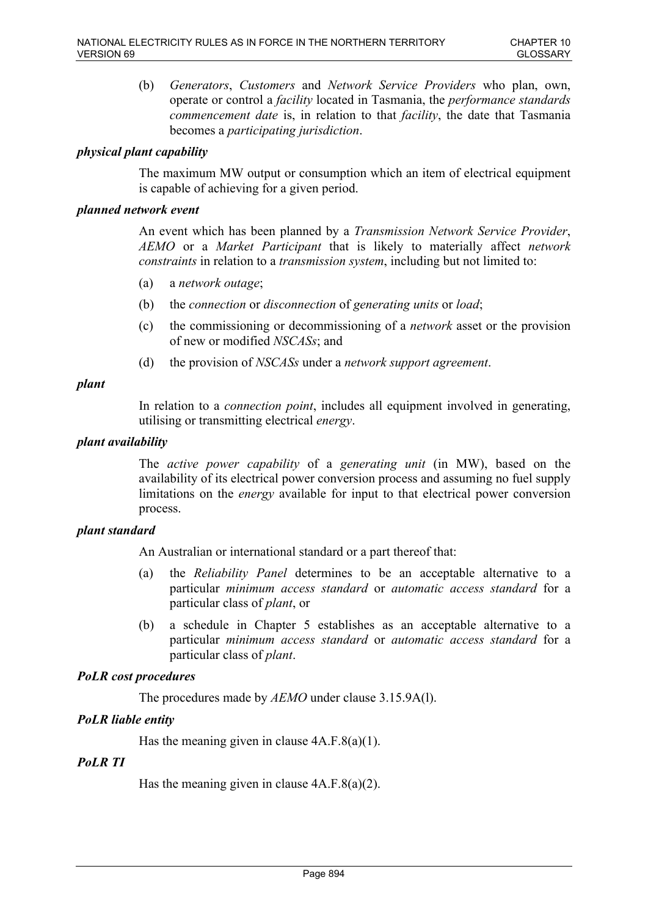(b) *Generators*, *Customers* and *Network Service Providers* who plan, own, operate or control a *facility* located in Tasmania, the *performance standards commencement date* is, in relation to that *facility*, the date that Tasmania becomes a *participating jurisdiction*.

# *physical plant capability*

The maximum MW output or consumption which an item of electrical equipment is capable of achieving for a given period.

### *planned network event*

An event which has been planned by a *Transmission Network Service Provider*, *AEMO* or a *Market Participant* that is likely to materially affect *network constraints* in relation to a *transmission system*, including but not limited to:

- (a) a *network outage*;
- (b) the *connection* or *disconnection* of *generating units* or *load*;
- (c) the commissioning or decommissioning of a *network* asset or the provision of new or modified *NSCASs*; and
- (d) the provision of *NSCASs* under a *network support agreement*.

## *plant*

In relation to a *connection point*, includes all equipment involved in generating, utilising or transmitting electrical *energy*.

## *plant availability*

The *active power capability* of a *generating unit* (in MW), based on the availability of its electrical power conversion process and assuming no fuel supply limitations on the *energy* available for input to that electrical power conversion process.

## *plant standard*

An Australian or international standard or a part thereof that:

- (a) the *Reliability Panel* determines to be an acceptable alternative to a particular *minimum access standard* or *automatic access standard* for a particular class of *plant*, or
- (b) a schedule in Chapter 5 establishes as an acceptable alternative to a particular *minimum access standard* or *automatic access standard* for a particular class of *plant*.

# *PoLR cost procedures*

The procedures made by *AEMO* under clause 3.15.9A(l).

# *PoLR liable entity*

Has the meaning given in clause  $4A.F.8(a)(1)$ .

# *PoLR TI*

Has the meaning given in clause  $4A.F.8(a)(2)$ .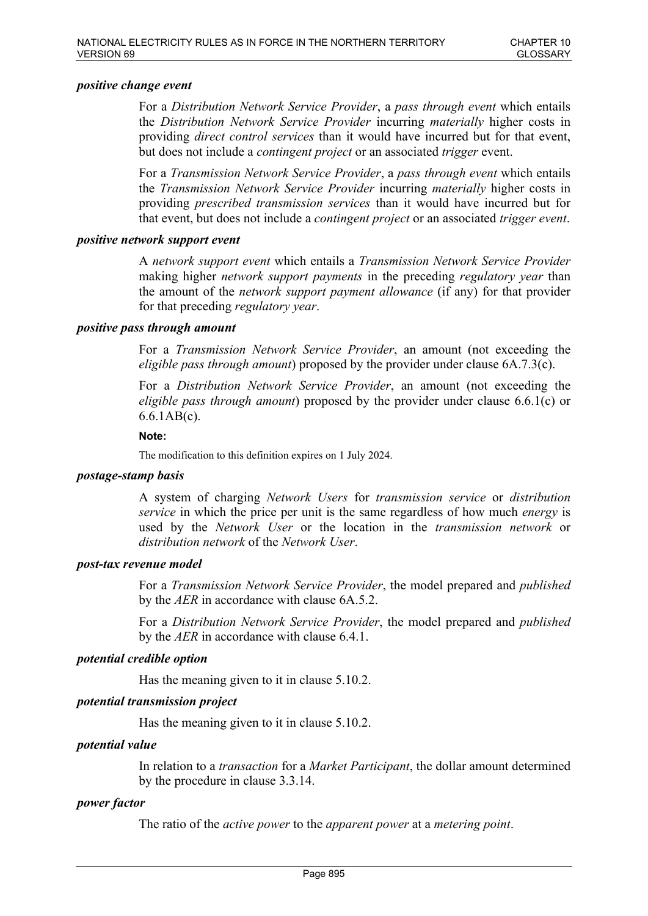### *positive change event*

For a *Distribution Network Service Provider*, a *pass through event* which entails the *Distribution Network Service Provider* incurring *materially* higher costs in providing *direct control services* than it would have incurred but for that event, but does not include a *contingent project* or an associated *trigger* event.

For a *Transmission Network Service Provider*, a *pass through event* which entails the *Transmission Network Service Provider* incurring *materially* higher costs in providing *prescribed transmission services* than it would have incurred but for that event, but does not include a *contingent project* or an associated *trigger event*.

### *positive network support event*

A *network support event* which entails a *Transmission Network Service Provider* making higher *network support payments* in the preceding *regulatory year* than the amount of the *network support payment allowance* (if any) for that provider for that preceding *regulatory year*.

### *positive pass through amount*

For a *Transmission Network Service Provider*, an amount (not exceeding the *eligible pass through amount*) proposed by the provider under clause 6A.7.3(c).

For a *Distribution Network Service Provider*, an amount (not exceeding the *eligible pass through amount*) proposed by the provider under clause 6.6.1(c) or 6.6.1AB(c).

#### **Note:**

The modification to this definition expires on 1 July 2024.

#### *postage-stamp basis*

A system of charging *Network Users* for *transmission service* or *distribution service* in which the price per unit is the same regardless of how much *energy* is used by the *Network User* or the location in the *transmission network* or *distribution network* of the *Network User*.

## *post-tax revenue model*

For a *Transmission Network Service Provider*, the model prepared and *published* by the *AER* in accordance with clause 6A.5.2.

For a *Distribution Network Service Provider*, the model prepared and *published* by the *AER* in accordance with clause 6.4.1.

## *potential credible option*

Has the meaning given to it in clause 5.10.2.

## *potential transmission project*

Has the meaning given to it in clause 5.10.2.

#### *potential value*

In relation to a *transaction* for a *Market Participant*, the dollar amount determined by the procedure in clause 3.3.14.

## *power factor*

The ratio of the *active power* to the *apparent power* at a *metering point*.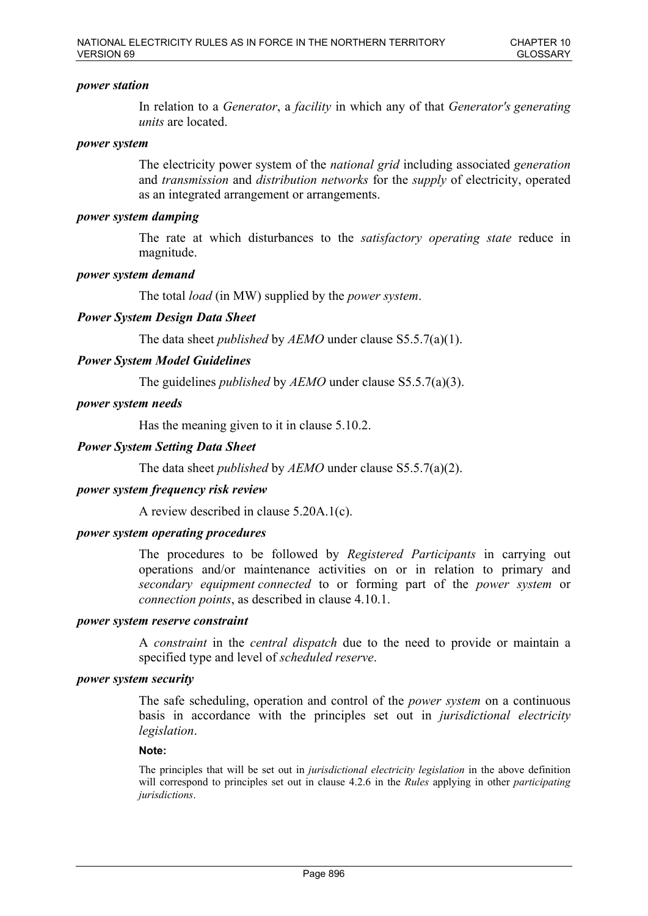### *power station*

In relation to a *Generator*, a *facility* in which any of that *Generator's generating units* are located.

#### *power system*

The electricity power system of the *national grid* including associated *generation* and *transmission* and *distribution networks* for the *supply* of electricity, operated as an integrated arrangement or arrangements.

### *power system damping*

The rate at which disturbances to the *satisfactory operating state* reduce in magnitude.

### *power system demand*

The total *load* (in MW) supplied by the *power system*.

## *Power System Design Data Sheet*

The data sheet *published* by *AEMO* under clause S5.5.7(a)(1).

### *Power System Model Guidelines*

The guidelines *published* by *AEMO* under clause S5.5.7(a)(3).

### *power system needs*

Has the meaning given to it in clause 5.10.2.

### *Power System Setting Data Sheet*

The data sheet *published* by *AEMO* under clause S5.5.7(a)(2).

#### *power system frequency risk review*

A review described in clause 5.20A.1(c).

#### *power system operating procedures*

The procedures to be followed by *Registered Participants* in carrying out operations and/or maintenance activities on or in relation to primary and *secondary equipment connected* to or forming part of the *power system* or *connection points*, as described in clause 4.10.1.

# *power system reserve constraint*

A *constraint* in the *central dispatch* due to the need to provide or maintain a specified type and level of *scheduled reserve*.

#### *power system security*

The safe scheduling, operation and control of the *power system* on a continuous basis in accordance with the principles set out in *jurisdictional electricity legislation*.

#### **Note:**

The principles that will be set out in *jurisdictional electricity legislation* in the above definition will correspond to principles set out in clause 4.2.6 in the *Rules* applying in other *participating jurisdictions*.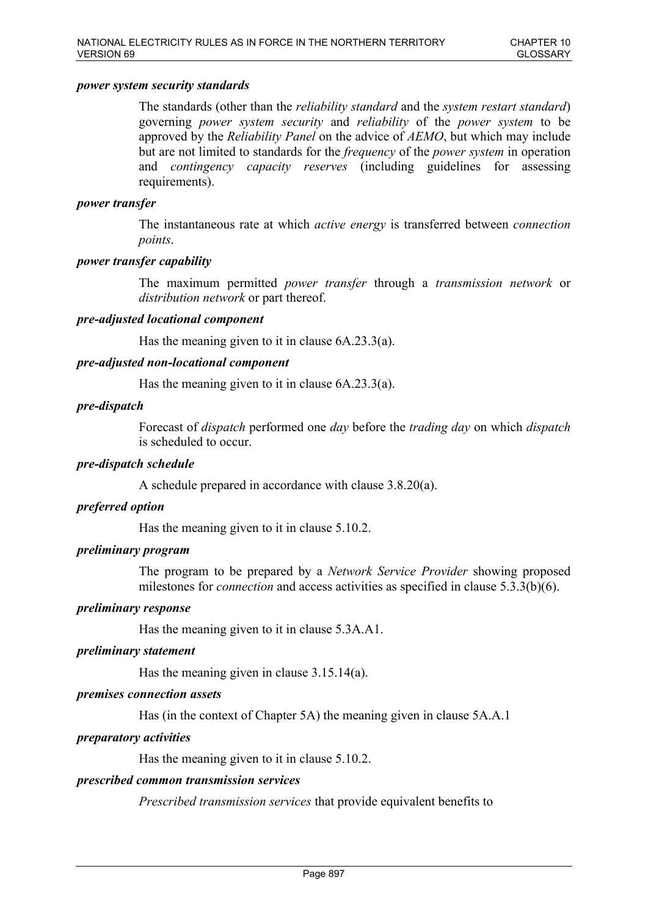### *power system security standards*

The standards (other than the *reliability standard* and the *system restart standard*) governing *power system security* and *reliability* of the *power system* to be approved by the *Reliability Panel* on the advice of *AEMO*, but which may include but are not limited to standards for the *frequency* of the *power system* in operation and *contingency capacity reserves* (including guidelines for assessing requirements).

### *power transfer*

The instantaneous rate at which *active energy* is transferred between *connection points*.

### *power transfer capability*

The maximum permitted *power transfer* through a *transmission network* or *distribution network* or part thereof.

### *pre-adjusted locational component*

Has the meaning given to it in clause 6A.23.3(a).

### *pre-adjusted non-locational component*

Has the meaning given to it in clause 6A.23.3(a).

### *pre-dispatch*

Forecast of *dispatch* performed one *day* before the *trading day* on which *dispatch* is scheduled to occur.

### *pre-dispatch schedule*

A schedule prepared in accordance with clause 3.8.20(a).

#### *preferred option*

Has the meaning given to it in clause 5.10.2.

## *preliminary program*

The program to be prepared by a *Network Service Provider* showing proposed milestones for *connection* and access activities as specified in clause 5.3.3(b)(6).

#### *preliminary response*

Has the meaning given to it in clause 5.3A.A1.

### *preliminary statement*

Has the meaning given in clause 3.15.14(a).

#### *premises connection assets*

Has (in the context of Chapter 5A) the meaning given in clause 5A.A.1

#### *preparatory activities*

Has the meaning given to it in clause 5.10.2.

#### *prescribed common transmission services*

*Prescribed transmission services* that provide equivalent benefits to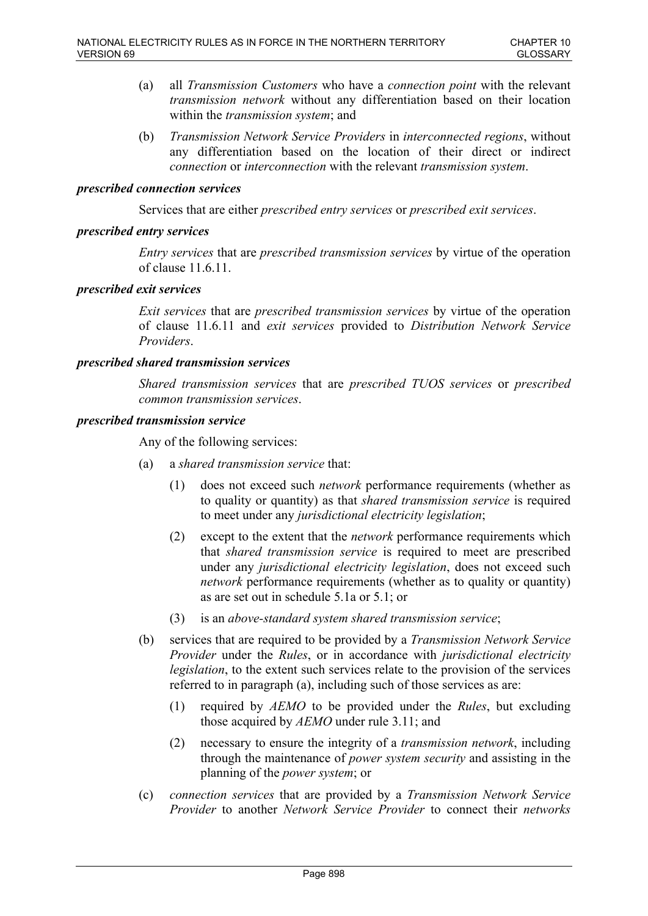- (a) all *Transmission Customers* who have a *connection point* with the relevant *transmission network* without any differentiation based on their location within the *transmission system*; and
- (b) *Transmission Network Service Providers* in *interconnected regions*, without any differentiation based on the location of their direct or indirect *connection* or *interconnection* with the relevant *transmission system*.

### *prescribed connection services*

Services that are either *prescribed entry services* or *prescribed exit services*.

### *prescribed entry services*

*Entry services* that are *prescribed transmission services* by virtue of the operation of clause 11.6.11.

### *prescribed exit services*

*Exit services* that are *prescribed transmission services* by virtue of the operation of clause 11.6.11 and *exit services* provided to *Distribution Network Service Providers*.

### *prescribed shared transmission services*

*Shared transmission services* that are *prescribed TUOS services* or *prescribed common transmission services*.

#### *prescribed transmission service*

Any of the following services:

- (a) a *shared transmission service* that:
	- (1) does not exceed such *network* performance requirements (whether as to quality or quantity) as that *shared transmission service* is required to meet under any *jurisdictional electricity legislation*;
	- (2) except to the extent that the *network* performance requirements which that *shared transmission service* is required to meet are prescribed under any *jurisdictional electricity legislation*, does not exceed such *network* performance requirements (whether as to quality or quantity) as are set out in schedule 5.1a or 5.1; or
	- (3) is an *above-standard system shared transmission service*;
- (b) services that are required to be provided by a *Transmission Network Service Provider* under the *Rules*, or in accordance with *jurisdictional electricity legislation*, to the extent such services relate to the provision of the services referred to in paragraph (a), including such of those services as are:
	- (1) required by *AEMO* to be provided under the *Rules*, but excluding those acquired by *AEMO* under rule 3.11; and
	- (2) necessary to ensure the integrity of a *transmission network*, including through the maintenance of *power system security* and assisting in the planning of the *power system*; or
- (c) *connection services* that are provided by a *Transmission Network Service Provider* to another *Network Service Provider* to connect their *networks*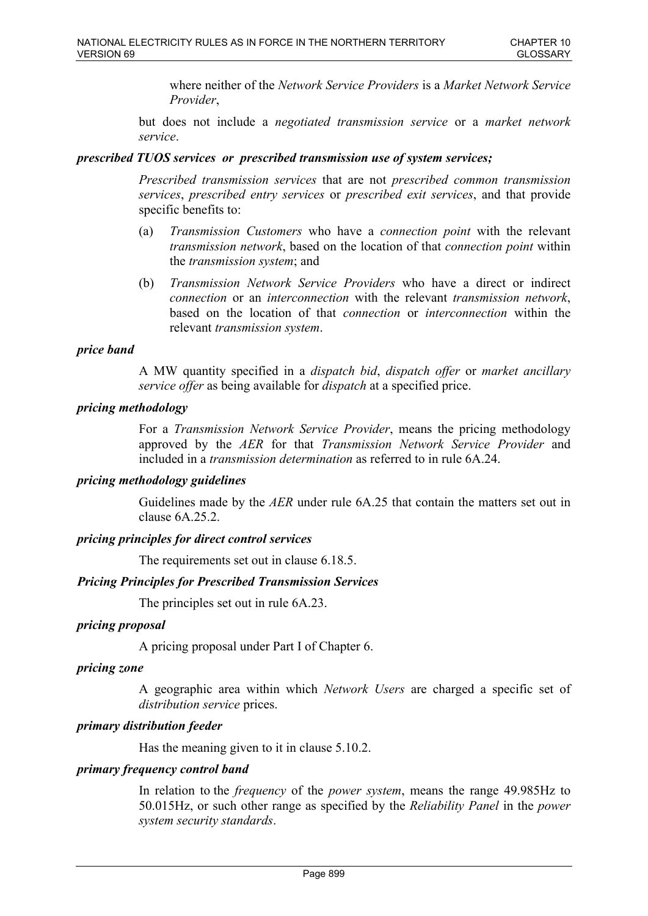where neither of the *Network Service Providers* is a *Market Network Service Provider*,

but does not include a *negotiated transmission service* or a *market network service*.

## *prescribed TUOS services or prescribed transmission use of system services;*

*Prescribed transmission services* that are not *prescribed common transmission services*, *prescribed entry services* or *prescribed exit services*, and that provide specific benefits to:

- (a) *Transmission Customers* who have a *connection point* with the relevant *transmission network*, based on the location of that *connection point* within the *transmission system*; and
- (b) *Transmission Network Service Providers* who have a direct or indirect *connection* or an *interconnection* with the relevant *transmission network*, based on the location of that *connection* or *interconnection* within the relevant *transmission system*.

### *price band*

A MW quantity specified in a *dispatch bid*, *dispatch offer* or *market ancillary service offer* as being available for *dispatch* at a specified price.

### *pricing methodology*

For a *Transmission Network Service Provider*, means the pricing methodology approved by the *AER* for that *Transmission Network Service Provider* and included in a *transmission determination* as referred to in rule 6A.24.

#### *pricing methodology guidelines*

Guidelines made by the *AER* under rule 6A.25 that contain the matters set out in clause 6A.25.2.

## *pricing principles for direct control services*

The requirements set out in clause 6.18.5.

## *Pricing Principles for Prescribed Transmission Services*

The principles set out in rule 6A.23.

## *pricing proposal*

A pricing proposal under Part I of Chapter 6.

#### *pricing zone*

A geographic area within which *Network Users* are charged a specific set of *distribution service* prices.

## *primary distribution feeder*

Has the meaning given to it in clause 5.10.2.

#### *primary frequency control band*

In relation to the *frequency* of the *power system*, means the range 49.985Hz to 50.015Hz, or such other range as specified by the *Reliability Panel* in the *power system security standards*.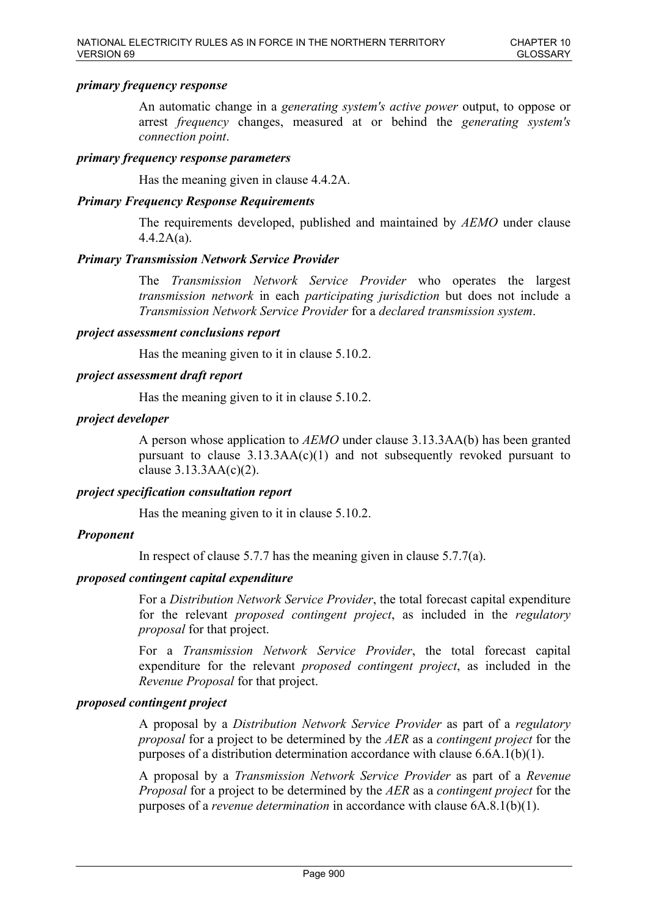### *primary frequency response*

An automatic change in a *generating system's active power* output, to oppose or arrest *frequency* changes, measured at or behind the *generating system's connection point*.

### *primary frequency response parameters*

Has the meaning given in clause 4.4.2A.

### *Primary Frequency Response Requirements*

The requirements developed, published and maintained by *AEMO* under clause 4.4.2A(a).

### *Primary Transmission Network Service Provider*

The *Transmission Network Service Provider* who operates the largest *transmission network* in each *participating jurisdiction* but does not include a *Transmission Network Service Provider* for a *declared transmission system*.

#### *project assessment conclusions report*

Has the meaning given to it in clause 5.10.2.

### *project assessment draft report*

Has the meaning given to it in clause 5.10.2.

### *project developer*

A person whose application to *AEMO* under clause 3.13.3AA(b) has been granted pursuant to clause  $3.13.3AA(c)(1)$  and not subsequently revoked pursuant to clause  $3.13.3AA(c)(2)$ .

## *project specification consultation report*

Has the meaning given to it in clause 5.10.2.

## *Proponent*

In respect of clause 5.7.7 has the meaning given in clause 5.7.7(a).

### *proposed contingent capital expenditure*

For a *Distribution Network Service Provider*, the total forecast capital expenditure for the relevant *proposed contingent project*, as included in the *regulatory proposal* for that project.

For a *Transmission Network Service Provider*, the total forecast capital expenditure for the relevant *proposed contingent project*, as included in the *Revenue Proposal* for that project.

#### *proposed contingent project*

A proposal by a *Distribution Network Service Provider* as part of a *regulatory proposal* for a project to be determined by the *AER* as a *contingent project* for the purposes of a distribution determination accordance with clause 6.6A.1(b)(1).

A proposal by a *Transmission Network Service Provider* as part of a *Revenue Proposal* for a project to be determined by the *AER* as a *contingent project* for the purposes of a *revenue determination* in accordance with clause 6A.8.1(b)(1).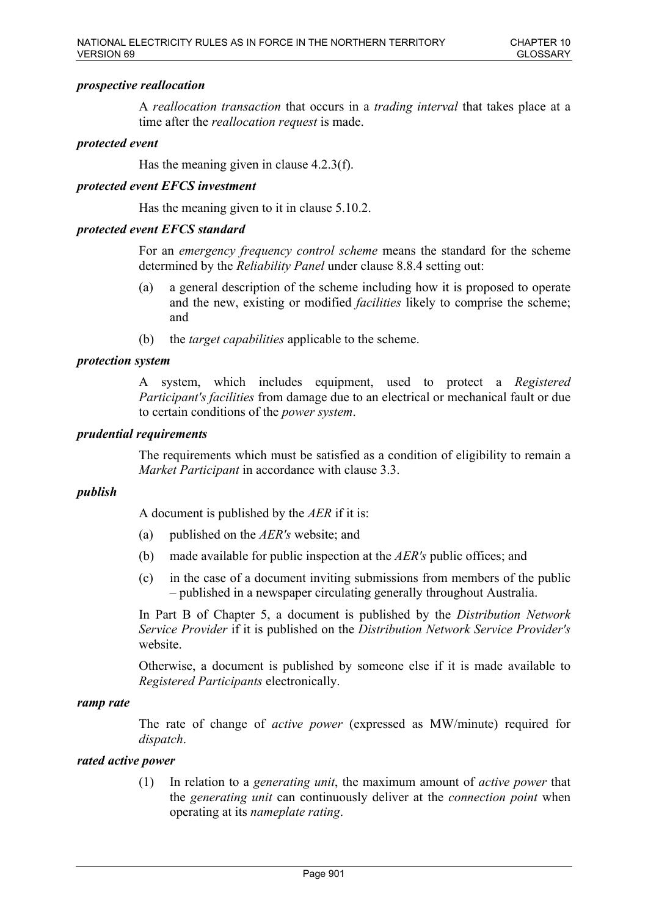### *prospective reallocation*

A *reallocation transaction* that occurs in a *trading interval* that takes place at a time after the *reallocation request* is made.

### *protected event*

Has the meaning given in clause 4.2.3(f).

### *protected event EFCS investment*

Has the meaning given to it in clause 5.10.2.

### *protected event EFCS standard*

For an *emergency frequency control scheme* means the standard for the scheme determined by the *Reliability Panel* under clause 8.8.4 setting out:

- (a) a general description of the scheme including how it is proposed to operate and the new, existing or modified *facilities* likely to comprise the scheme; and
- (b) the *target capabilities* applicable to the scheme.

### *protection system*

A system, which includes equipment, used to protect a *Registered Participant's facilities* from damage due to an electrical or mechanical fault or due to certain conditions of the *power system*.

### *prudential requirements*

The requirements which must be satisfied as a condition of eligibility to remain a *Market Participant* in accordance with clause 3.3.

#### *publish*

A document is published by the *AER* if it is:

- (a) published on the *AER's* website; and
- (b) made available for public inspection at the *AER's* public offices; and
- (c) in the case of a document inviting submissions from members of the public – published in a newspaper circulating generally throughout Australia.

In Part B of Chapter 5, a document is published by the *Distribution Network Service Provider* if it is published on the *Distribution Network Service Provider's* website.

Otherwise, a document is published by someone else if it is made available to *Registered Participants* electronically.

#### *ramp rate*

The rate of change of *active power* (expressed as MW/minute) required for *dispatch*.

### *rated active power*

(1) In relation to a *generating unit*, the maximum amount of *active power* that the *generating unit* can continuously deliver at the *connection point* when operating at its *nameplate rating*.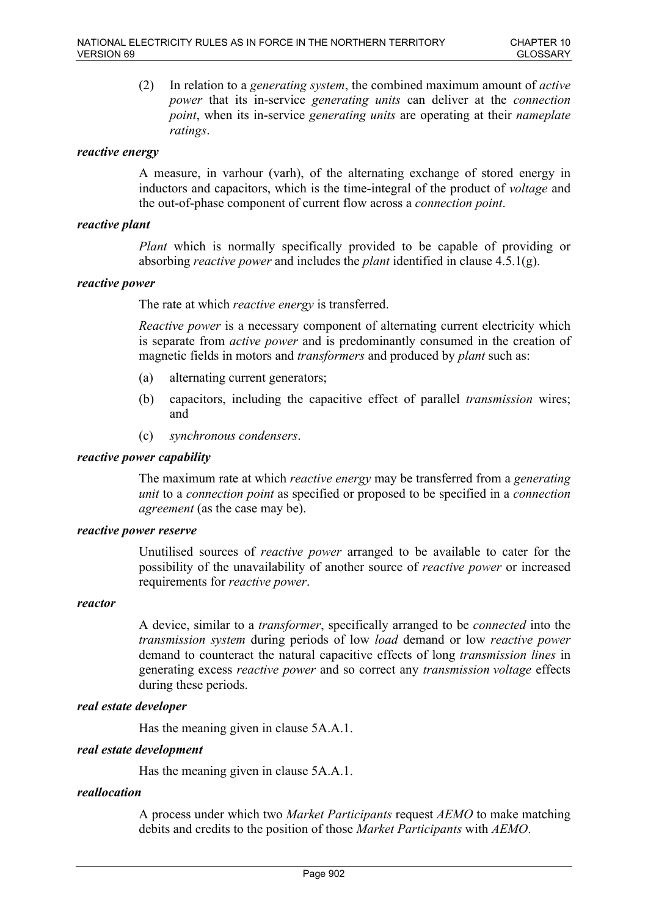(2) In relation to a *generating system*, the combined maximum amount of *active power* that its in-service *generating units* can deliver at the *connection point*, when its in-service *generating units* are operating at their *nameplate ratings*.

### *reactive energy*

A measure, in varhour (varh), of the alternating exchange of stored energy in inductors and capacitors, which is the time-integral of the product of *voltage* and the out-of-phase component of current flow across a *connection point*.

### *reactive plant*

*Plant* which is normally specifically provided to be capable of providing or absorbing *reactive power* and includes the *plant* identified in clause 4.5.1(g).

### *reactive power*

The rate at which *reactive energy* is transferred.

*Reactive power* is a necessary component of alternating current electricity which is separate from *active power* and is predominantly consumed in the creation of magnetic fields in motors and *transformers* and produced by *plant* such as:

- (a) alternating current generators;
- (b) capacitors, including the capacitive effect of parallel *transmission* wires; and
- (c) *synchronous condensers*.

### *reactive power capability*

The maximum rate at which *reactive energy* may be transferred from a *generating unit* to a *connection point* as specified or proposed to be specified in a *connection agreement* (as the case may be).

### *reactive power reserve*

Unutilised sources of *reactive power* arranged to be available to cater for the possibility of the unavailability of another source of *reactive power* or increased requirements for *reactive power*.

#### *reactor*

A device, similar to a *transformer*, specifically arranged to be *connected* into the *transmission system* during periods of low *load* demand or low *reactive power* demand to counteract the natural capacitive effects of long *transmission lines* in generating excess *reactive power* and so correct any *transmission voltage* effects during these periods.

#### *real estate developer*

Has the meaning given in clause 5A.A.1.

#### *real estate development*

Has the meaning given in clause 5A.A.1.

# *reallocation*

A process under which two *Market Participants* request *AEMO* to make matching debits and credits to the position of those *Market Participants* with *AEMO*.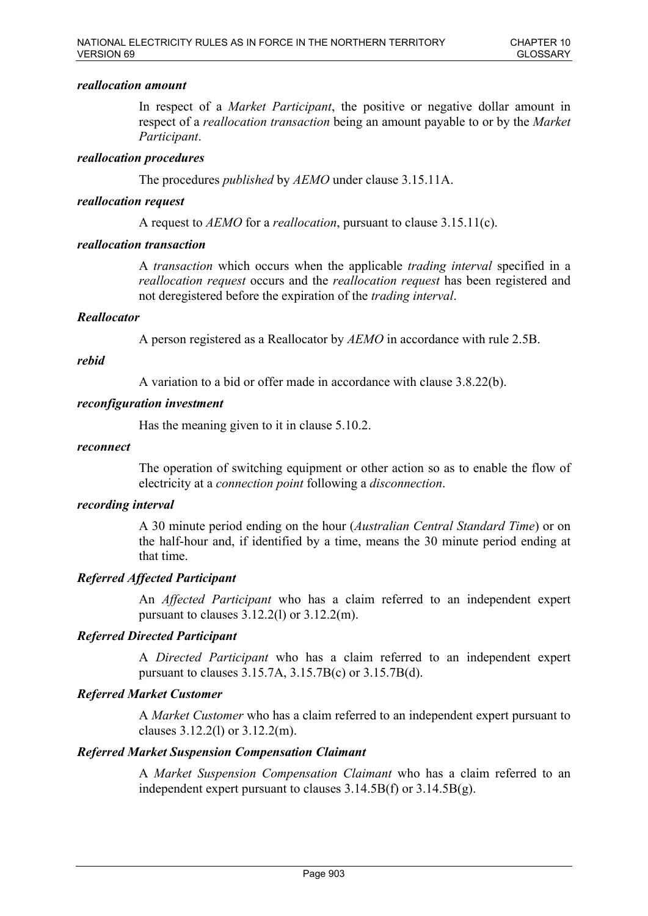## *reallocation amount*

In respect of a *Market Participant*, the positive or negative dollar amount in respect of a *reallocation transaction* being an amount payable to or by the *Market Participant*.

### *reallocation procedures*

The procedures *published* by *AEMO* under clause 3.15.11A.

### *reallocation request*

A request to *AEMO* for a *reallocation*, pursuant to clause 3.15.11(c).

### *reallocation transaction*

A *transaction* which occurs when the applicable *trading interval* specified in a *reallocation request* occurs and the *reallocation request* has been registered and not deregistered before the expiration of the *trading interval*.

### *Reallocator*

A person registered as a Reallocator by *AEMO* in accordance with rule 2.5B.

### *rebid*

A variation to a bid or offer made in accordance with clause 3.8.22(b).

### *reconfiguration investment*

Has the meaning given to it in clause 5.10.2.

#### *reconnect*

The operation of switching equipment or other action so as to enable the flow of electricity at a *connection point* following a *disconnection*.

### *recording interval*

A 30 minute period ending on the hour (*Australian Central Standard Time*) or on the half-hour and, if identified by a time, means the 30 minute period ending at that time.

## *Referred Affected Participant*

An *Affected Participant* who has a claim referred to an independent expert pursuant to clauses  $3.12.2(1)$  or  $3.12.2(m)$ .

## *Referred Directed Participant*

A *Directed Participant* who has a claim referred to an independent expert pursuant to clauses 3.15.7A, 3.15.7B(c) or 3.15.7B(d).

## *Referred Market Customer*

A *Market Customer* who has a claim referred to an independent expert pursuant to clauses 3.12.2(l) or 3.12.2(m).

## *Referred Market Suspension Compensation Claimant*

A *Market Suspension Compensation Claimant* who has a claim referred to an independent expert pursuant to clauses 3.14.5B(f) or 3.14.5B(g).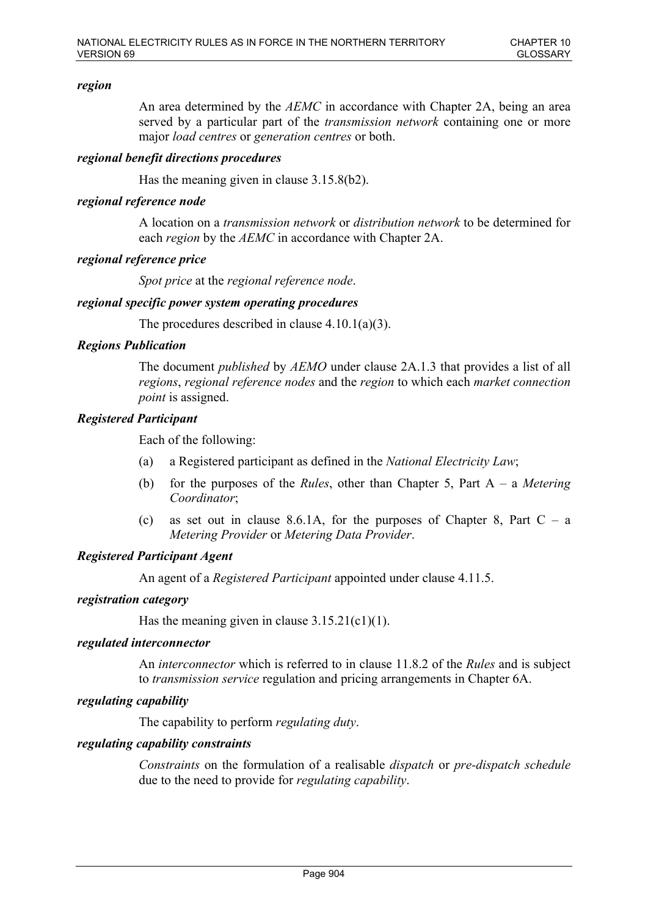## *region*

An area determined by the *AEMC* in accordance with Chapter 2A, being an area served by a particular part of the *transmission network* containing one or more major *load centres* or *generation centres* or both.

### *regional benefit directions procedures*

Has the meaning given in clause 3.15.8(b2).

### *regional reference node*

A location on a *transmission network* or *distribution network* to be determined for each *region* by the *AEMC* in accordance with Chapter 2A.

### *regional reference price*

*Spot price* at the *regional reference node*.

### *regional specific power system operating procedures*

The procedures described in clause 4.10.1(a)(3).

### *Regions Publication*

The document *published* by *AEMO* under clause 2A.1.3 that provides a list of all *regions*, *regional reference nodes* and the *region* to which each *market connection point* is assigned.

### *Registered Participant*

Each of the following:

- (a) a Registered participant as defined in the *National Electricity Law*;
- (b) for the purposes of the *Rules*, other than Chapter 5, Part A a *Metering Coordinator*;
- (c) as set out in clause 8.6.1A, for the purposes of Chapter 8, Part  $C a$ *Metering Provider* or *Metering Data Provider*.

# *Registered Participant Agent*

An agent of a *Registered Participant* appointed under clause 4.11.5.

#### *registration category*

Has the meaning given in clause  $3.15.21(c1)(1)$ .

#### *regulated interconnector*

An *interconnector* which is referred to in clause 11.8.2 of the *Rules* and is subject to *transmission service* regulation and pricing arrangements in Chapter 6A.

#### *regulating capability*

The capability to perform *regulating duty*.

#### *regulating capability constraints*

*Constraints* on the formulation of a realisable *dispatch* or *pre-dispatch schedule* due to the need to provide for *regulating capability*.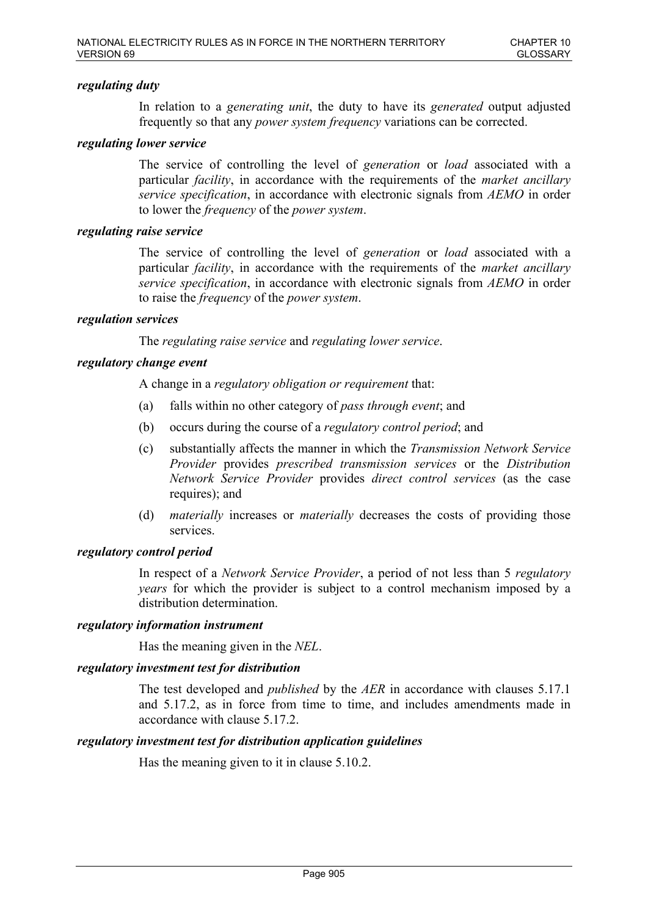# *regulating duty*

In relation to a *generating unit*, the duty to have its *generated* output adjusted frequently so that any *power system frequency* variations can be corrected.

## *regulating lower service*

The service of controlling the level of *generation* or *load* associated with a particular *facility*, in accordance with the requirements of the *market ancillary service specification*, in accordance with electronic signals from *AEMO* in order to lower the *frequency* of the *power system*.

### *regulating raise service*

The service of controlling the level of *generation* or *load* associated with a particular *facility*, in accordance with the requirements of the *market ancillary service specification*, in accordance with electronic signals from *AEMO* in order to raise the *frequency* of the *power system*.

### *regulation services*

The *regulating raise service* and *regulating lower service*.

## *regulatory change event*

A change in a *regulatory obligation or requirement* that:

- (a) falls within no other category of *pass through event*; and
- (b) occurs during the course of a *regulatory control period*; and
- (c) substantially affects the manner in which the *Transmission Network Service Provider* provides *prescribed transmission services* or the *Distribution Network Service Provider* provides *direct control services* (as the case requires); and
- (d) *materially* increases or *materially* decreases the costs of providing those services.

## *regulatory control period*

In respect of a *Network Service Provider*, a period of not less than 5 *regulatory years* for which the provider is subject to a control mechanism imposed by a distribution determination.

## *regulatory information instrument*

Has the meaning given in the *NEL*.

### *regulatory investment test for distribution*

The test developed and *published* by the *AER* in accordance with clauses 5.17.1 and 5.17.2, as in force from time to time, and includes amendments made in accordance with clause 5.17.2.

#### *regulatory investment test for distribution application guidelines*

Has the meaning given to it in clause 5.10.2.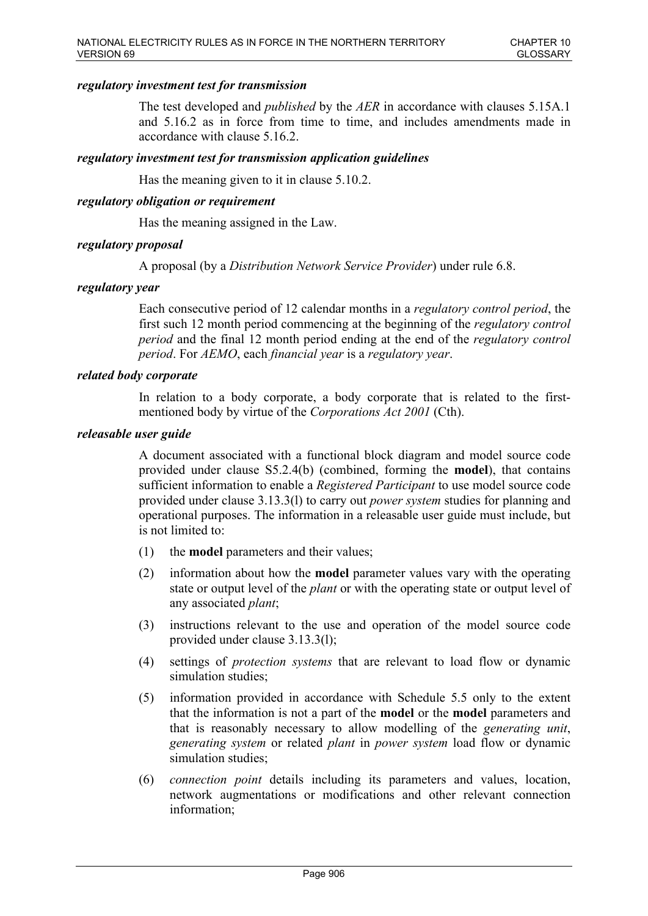# *regulatory investment test for transmission*

The test developed and *published* by the *AER* in accordance with clauses 5.15A.1 and 5.16.2 as in force from time to time, and includes amendments made in accordance with clause 5.16.2.

## *regulatory investment test for transmission application guidelines*

Has the meaning given to it in clause 5.10.2.

### *regulatory obligation or requirement*

Has the meaning assigned in the Law.

### *regulatory proposal*

A proposal (by a *Distribution Network Service Provider*) under rule 6.8.

### *regulatory year*

Each consecutive period of 12 calendar months in a *regulatory control period*, the first such 12 month period commencing at the beginning of the *regulatory control period* and the final 12 month period ending at the end of the *regulatory control period*. For *AEMO*, each *financial year* is a *regulatory year*.

## *related body corporate*

In relation to a body corporate, a body corporate that is related to the firstmentioned body by virtue of the *Corporations Act 2001* (Cth).

#### *releasable user guide*

A document associated with a functional block diagram and model source code provided under clause S5.2.4(b) (combined, forming the **model**), that contains sufficient information to enable a *Registered Participant* to use model source code provided under clause 3.13.3(l) to carry out *power system* studies for planning and operational purposes. The information in a releasable user guide must include, but is not limited to:

- (1) the **model** parameters and their values;
- (2) information about how the **model** parameter values vary with the operating state or output level of the *plant* or with the operating state or output level of any associated *plant*;
- (3) instructions relevant to the use and operation of the model source code provided under clause 3.13.3(l);
- (4) settings of *protection systems* that are relevant to load flow or dynamic simulation studies;
- (5) information provided in accordance with Schedule 5.5 only to the extent that the information is not a part of the **model** or the **model** parameters and that is reasonably necessary to allow modelling of the *generating unit*, *generating system* or related *plant* in *power system* load flow or dynamic simulation studies:
- (6) *connection point* details including its parameters and values, location, network augmentations or modifications and other relevant connection information;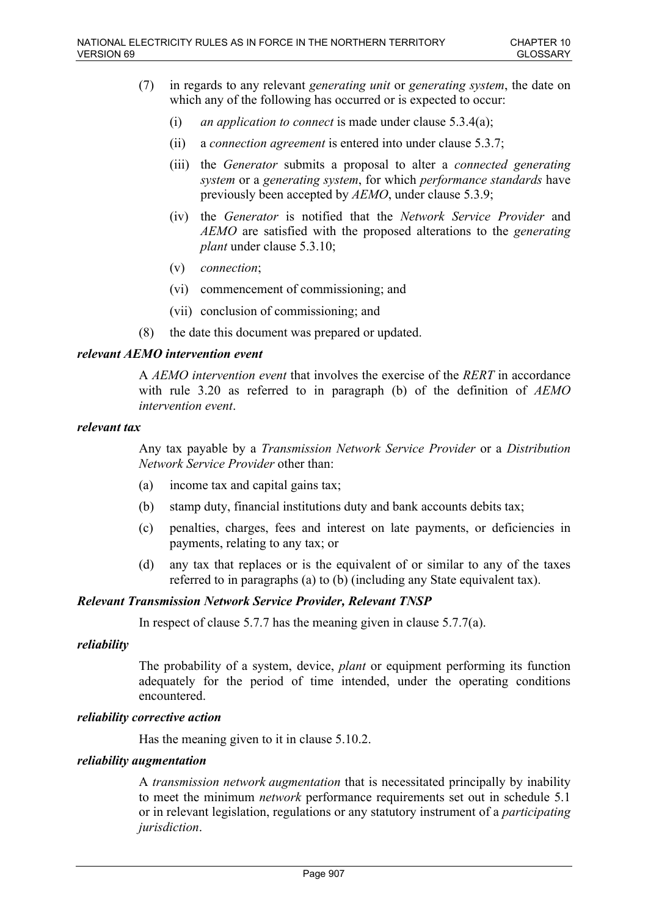- (7) in regards to any relevant *generating unit* or *generating system*, the date on which any of the following has occurred or is expected to occur:
	- (i) *an application to connect* is made under clause 5.3.4(a);
	- (ii) a *connection agreement* is entered into under clause 5.3.7;
	- (iii) the *Generator* submits a proposal to alter a *connected generating system* or a *generating system*, for which *performance standards* have previously been accepted by *AEMO*, under clause 5.3.9;
	- (iv) the *Generator* is notified that the *Network Service Provider* and *AEMO* are satisfied with the proposed alterations to the *generating plant* under clause 5.3.10;
	- (v) *connection*;
	- (vi) commencement of commissioning; and
	- (vii) conclusion of commissioning; and
- (8) the date this document was prepared or updated.

# *relevant AEMO intervention event*

A *AEMO intervention event* that involves the exercise of the *RERT* in accordance with rule 3.20 as referred to in paragraph (b) of the definition of *AEMO intervention event*.

## *relevant tax*

Any tax payable by a *Transmission Network Service Provider* or a *Distribution Network Service Provider* other than:

- (a) income tax and capital gains tax;
- (b) stamp duty, financial institutions duty and bank accounts debits tax;
- (c) penalties, charges, fees and interest on late payments, or deficiencies in payments, relating to any tax; or
- (d) any tax that replaces or is the equivalent of or similar to any of the taxes referred to in paragraphs (a) to (b) (including any State equivalent tax).

## *Relevant Transmission Network Service Provider, Relevant TNSP*

In respect of clause 5.7.7 has the meaning given in clause 5.7.7(a).

## *reliability*

The probability of a system, device, *plant* or equipment performing its function adequately for the period of time intended, under the operating conditions encountered.

## *reliability corrective action*

Has the meaning given to it in clause 5.10.2.

## *reliability augmentation*

A *transmission network augmentation* that is necessitated principally by inability to meet the minimum *network* performance requirements set out in schedule 5.1 or in relevant legislation, regulations or any statutory instrument of a *participating jurisdiction*.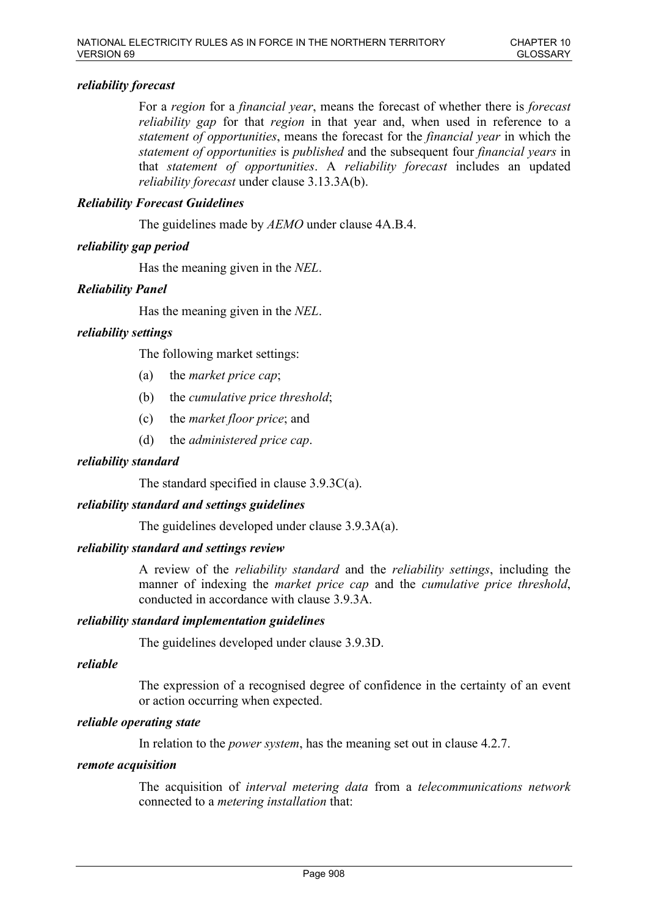# *reliability forecast*

For a *region* for a *financial year*, means the forecast of whether there is *forecast reliability gap* for that *region* in that year and, when used in reference to a *statement of opportunities*, means the forecast for the *financial year* in which the *statement of opportunities* is *published* and the subsequent four *financial years* in that *statement of opportunities*. A *reliability forecast* includes an updated *reliability forecast* under clause 3.13.3A(b).

# *Reliability Forecast Guidelines*

The guidelines made by *AEMO* under clause 4A.B.4.

# *reliability gap period*

Has the meaning given in the *NEL*.

# *Reliability Panel*

Has the meaning given in the *NEL*.

# *reliability settings*

The following market settings:

- (a) the *market price cap*;
- (b) the *cumulative price threshold*;
- (c) the *market floor price*; and
- (d) the *administered price cap*.

# *reliability standard*

The standard specified in clause 3.9.3C(a).

## *reliability standard and settings guidelines*

The guidelines developed under clause 3.9.3A(a).

## *reliability standard and settings review*

A review of the *reliability standard* and the *reliability settings*, including the manner of indexing the *market price cap* and the *cumulative price threshold*, conducted in accordance with clause 3.9.3A.

## *reliability standard implementation guidelines*

The guidelines developed under clause 3.9.3D.

## *reliable*

The expression of a recognised degree of confidence in the certainty of an event or action occurring when expected.

# *reliable operating state*

In relation to the *power system*, has the meaning set out in clause 4.2.7.

## *remote acquisition*

The acquisition of *interval metering data* from a *telecommunications network* connected to a *metering installation* that: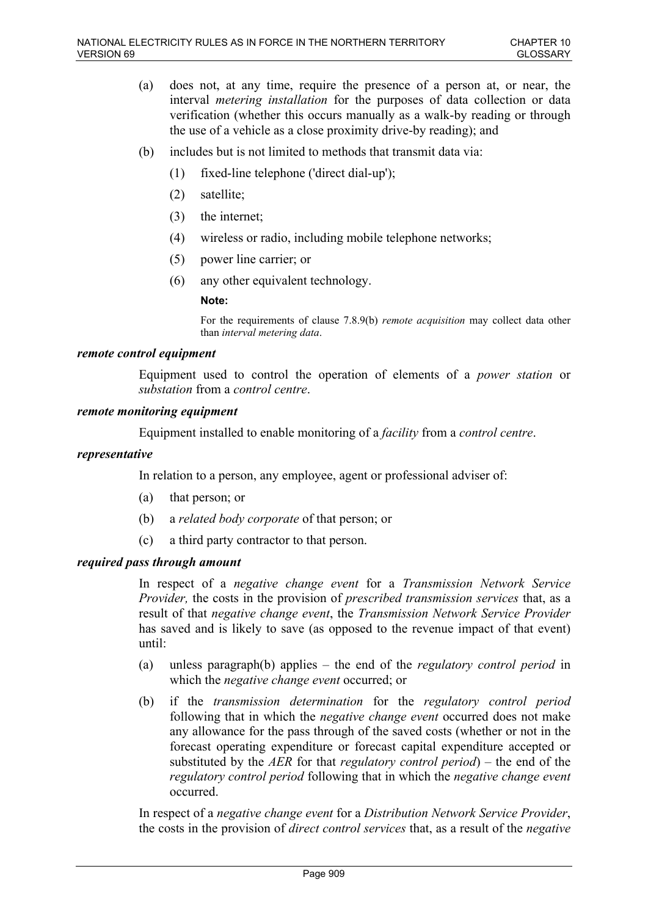- (a) does not, at any time, require the presence of a person at, or near, the interval *metering installation* for the purposes of data collection or data verification (whether this occurs manually as a walk-by reading or through the use of a vehicle as a close proximity drive-by reading); and
- (b) includes but is not limited to methods that transmit data via:
	- (1) fixed-line telephone ('direct dial-up');
	- (2) satellite;
	- (3) the internet;
	- (4) wireless or radio, including mobile telephone networks;
	- (5) power line carrier; or
	- (6) any other equivalent technology.

#### **Note:**

For the requirements of clause 7.8.9(b) *remote acquisition* may collect data other than *interval metering data*.

### *remote control equipment*

Equipment used to control the operation of elements of a *power station* or *substation* from a *control centre*.

### *remote monitoring equipment*

Equipment installed to enable monitoring of a *facility* from a *control centre*.

### *representative*

In relation to a person, any employee, agent or professional adviser of:

- (a) that person; or
- (b) a *related body corporate* of that person; or
- (c) a third party contractor to that person.

## *required pass through amount*

In respect of a *negative change event* for a *Transmission Network Service Provider,* the costs in the provision of *prescribed transmission services* that, as a result of that *negative change event*, the *Transmission Network Service Provider* has saved and is likely to save (as opposed to the revenue impact of that event) until:

- (a) unless paragraph(b) applies the end of the *regulatory control period* in which the *negative change event* occurred; or
- (b) if the *transmission determination* for the *regulatory control period* following that in which the *negative change event* occurred does not make any allowance for the pass through of the saved costs (whether or not in the forecast operating expenditure or forecast capital expenditure accepted or substituted by the *AER* for that *regulatory control period*) – the end of the *regulatory control period* following that in which the *negative change event* occurred.

In respect of a *negative change event* for a *Distribution Network Service Provider*, the costs in the provision of *direct control services* that, as a result of the *negative*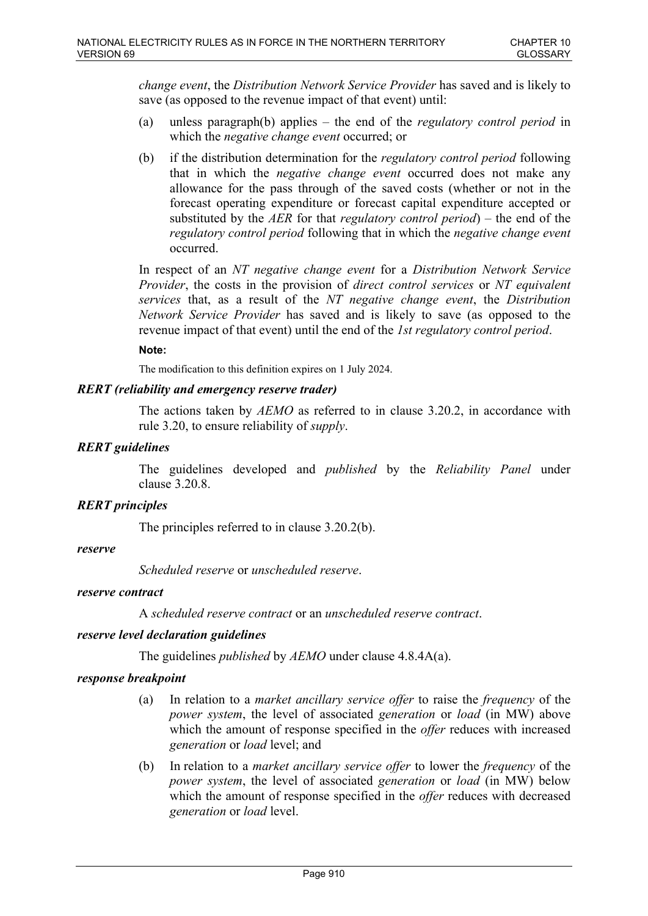*change event*, the *Distribution Network Service Provider* has saved and is likely to save (as opposed to the revenue impact of that event) until:

- (a) unless paragraph(b) applies the end of the *regulatory control period* in which the *negative change event* occurred; or
- (b) if the distribution determination for the *regulatory control period* following that in which the *negative change event* occurred does not make any allowance for the pass through of the saved costs (whether or not in the forecast operating expenditure or forecast capital expenditure accepted or substituted by the *AER* for that *regulatory control period*) – the end of the *regulatory control period* following that in which the *negative change event* occurred.

In respect of an *NT negative change event* for a *Distribution Network Service Provider*, the costs in the provision of *direct control services* or *NT equivalent services* that, as a result of the *NT negative change event*, the *Distribution Network Service Provider* has saved and is likely to save (as opposed to the revenue impact of that event) until the end of the *1st regulatory control period*.

### **Note:**

The modification to this definition expires on 1 July 2024.

## *RERT (reliability and emergency reserve trader)*

The actions taken by *AEMO* as referred to in clause 3.20.2, in accordance with rule 3.20, to ensure reliability of *supply*.

## *RERT guidelines*

The guidelines developed and *published* by the *Reliability Panel* under clause 3.20.8.

## *RERT principles*

The principles referred to in clause 3.20.2(b).

#### *reserve*

*Scheduled reserve* or *unscheduled reserve*.

#### *reserve contract*

A *scheduled reserve contract* or an *unscheduled reserve contract*.

## *reserve level declaration guidelines*

The guidelines *published* by *AEMO* under clause 4.8.4A(a).

## *response breakpoint*

- (a) In relation to a *market ancillary service offer* to raise the *frequency* of the *power system*, the level of associated *generation* or *load* (in MW) above which the amount of response specified in the *offer* reduces with increased *generation* or *load* level; and
- (b) In relation to a *market ancillary service offer* to lower the *frequency* of the *power system*, the level of associated *generation* or *load* (in MW) below which the amount of response specified in the *offer* reduces with decreased *generation* or *load* level.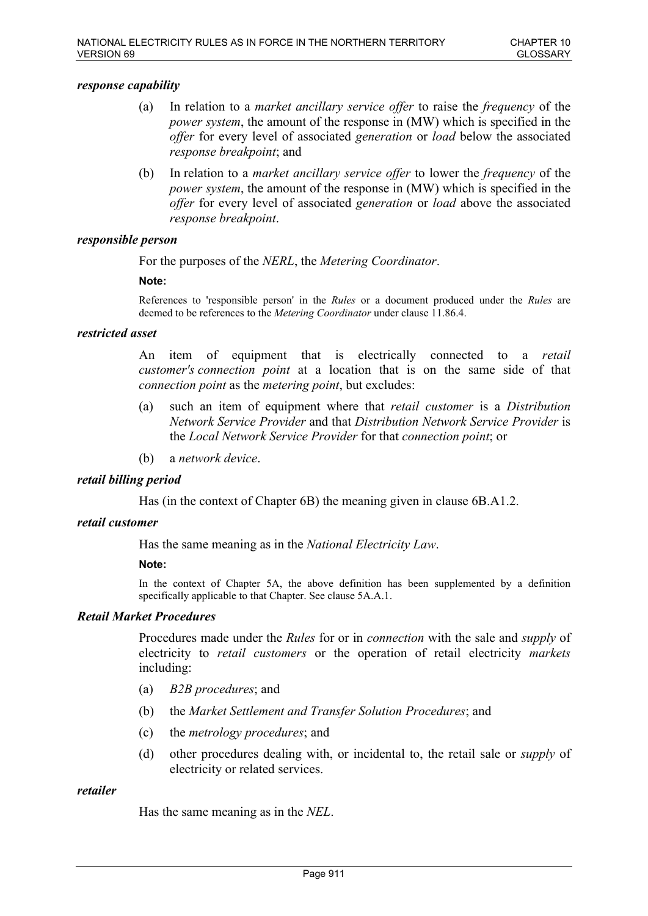### *response capability*

- (a) In relation to a *market ancillary service offer* to raise the *frequency* of the *power system*, the amount of the response in (MW) which is specified in the *offer* for every level of associated *generation* or *load* below the associated *response breakpoint*; and
- (b) In relation to a *market ancillary service offer* to lower the *frequency* of the *power system*, the amount of the response in (MW) which is specified in the *offer* for every level of associated *generation* or *load* above the associated *response breakpoint*.

### *responsible person*

For the purposes of the *NERL*, the *Metering Coordinator*.

#### **Note:**

References to 'responsible person' in the *Rules* or a document produced under the *Rules* are deemed to be references to the *Metering Coordinator* under clause 11.86.4.

### *restricted asset*

An item of equipment that is electrically connected to a *retail customer's connection point* at a location that is on the same side of that *connection point* as the *metering point*, but excludes:

- (a) such an item of equipment where that *retail customer* is a *Distribution Network Service Provider* and that *Distribution Network Service Provider* is the *Local Network Service Provider* for that *connection point*; or
- (b) a *network device*.

## *retail billing period*

Has (in the context of Chapter 6B) the meaning given in clause 6B.A1.2.

#### *retail customer*

Has the same meaning as in the *National Electricity Law*.

#### **Note:**

In the context of Chapter 5A, the above definition has been supplemented by a definition specifically applicable to that Chapter. See clause 5A.A.1.

### *Retail Market Procedures*

Procedures made under the *Rules* for or in *connection* with the sale and *supply* of electricity to *retail customers* or the operation of retail electricity *markets* including:

- (a) *B2B procedures*; and
- (b) the *Market Settlement and Transfer Solution Procedures*; and
- (c) the *metrology procedures*; and
- (d) other procedures dealing with, or incidental to, the retail sale or *supply* of electricity or related services.

### *retailer*

Has the same meaning as in the *NEL*.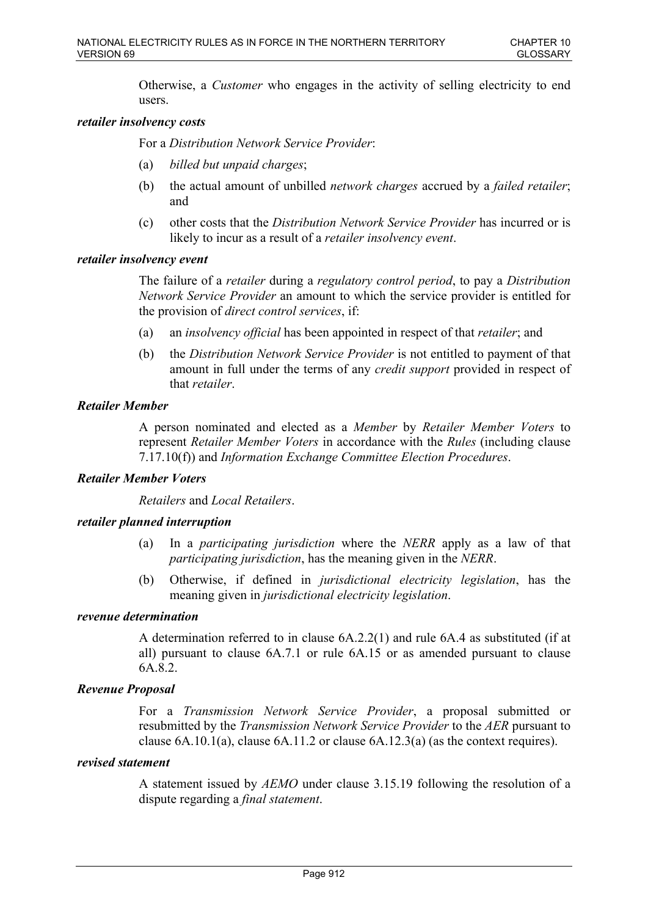Otherwise, a *Customer* who engages in the activity of selling electricity to end users.

### *retailer insolvency costs*

For a *Distribution Network Service Provider*:

- (a) *billed but unpaid charges*;
- (b) the actual amount of unbilled *network charges* accrued by a *failed retailer*; and
- (c) other costs that the *Distribution Network Service Provider* has incurred or is likely to incur as a result of a *retailer insolvency event*.

### *retailer insolvency event*

The failure of a *retailer* during a *regulatory control period*, to pay a *Distribution Network Service Provider* an amount to which the service provider is entitled for the provision of *direct control services*, if:

- (a) an *insolvency official* has been appointed in respect of that *retailer*; and
- (b) the *Distribution Network Service Provider* is not entitled to payment of that amount in full under the terms of any *credit support* provided in respect of that *retailer*.

### *Retailer Member*

A person nominated and elected as a *Member* by *Retailer Member Voters* to represent *Retailer Member Voters* in accordance with the *Rules* (including clause 7.17.10(f)) and *Information Exchange Committee Election Procedures*.

## *Retailer Member Voters*

*Retailers* and *Local Retailers*.

## *retailer planned interruption*

- (a) In a *participating jurisdiction* where the *NERR* apply as a law of that *participating jurisdiction*, has the meaning given in the *NERR*.
- (b) Otherwise, if defined in *jurisdictional electricity legislation*, has the meaning given in *jurisdictional electricity legislation*.

## *revenue determination*

A determination referred to in clause 6A.2.2(1) and rule 6A.4 as substituted (if at all) pursuant to clause 6A.7.1 or rule 6A.15 or as amended pursuant to clause 6A.8.2.

## *Revenue Proposal*

For a *Transmission Network Service Provider*, a proposal submitted or resubmitted by the *Transmission Network Service Provider* to the *AER* pursuant to clause 6A.10.1(a), clause 6A.11.2 or clause 6A.12.3(a) (as the context requires).

### *revised statement*

A statement issued by *AEMO* under clause 3.15.19 following the resolution of a dispute regarding a *final statement*.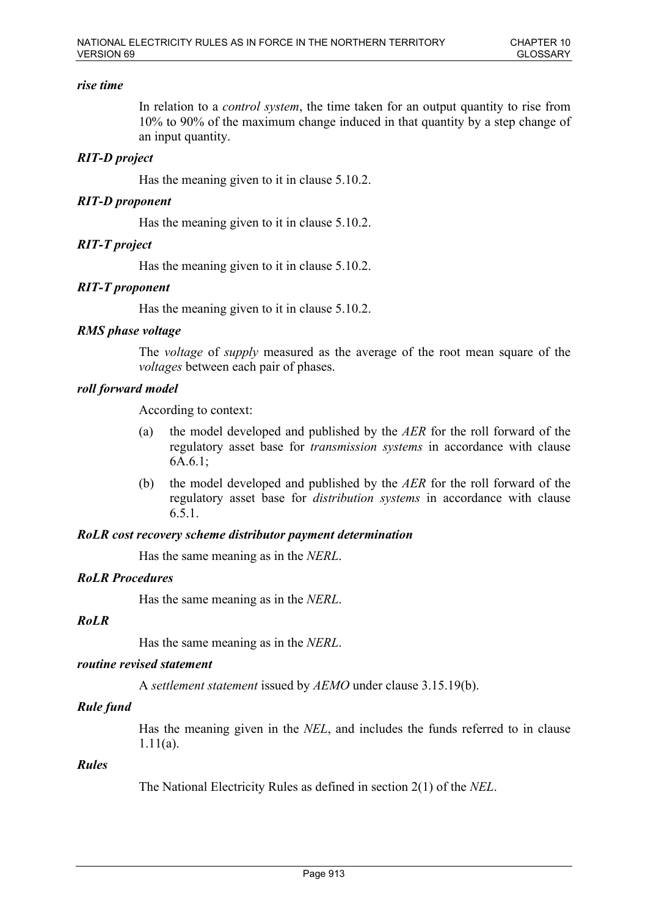### *rise time*

In relation to a *control system*, the time taken for an output quantity to rise from 10% to 90% of the maximum change induced in that quantity by a step change of an input quantity.

## *RIT-D project*

Has the meaning given to it in clause 5.10.2.

## *RIT-D proponent*

Has the meaning given to it in clause 5.10.2.

# *RIT-T project*

Has the meaning given to it in clause 5.10.2.

# *RIT-T proponent*

Has the meaning given to it in clause 5.10.2.

## *RMS phase voltage*

The *voltage* of *supply* measured as the average of the root mean square of the *voltages* between each pair of phases.

# *roll forward model*

According to context:

- (a) the model developed and published by the *AER* for the roll forward of the regulatory asset base for *transmission systems* in accordance with clause 6A.6.1;
- (b) the model developed and published by the *AER* for the roll forward of the regulatory asset base for *distribution systems* in accordance with clause 6.5.1.

## *RoLR cost recovery scheme distributor payment determination*

Has the same meaning as in the *NERL*.

## *RoLR Procedures*

Has the same meaning as in the *NERL*.

## *RoLR*

Has the same meaning as in the *NERL*.

## *routine revised statement*

A *settlement statement* issued by *AEMO* under clause 3.15.19(b).

# *Rule fund*

Has the meaning given in the *NEL*, and includes the funds referred to in clause 1.11(a).

## *Rules*

The National Electricity Rules as defined in section 2(1) of the *NEL*.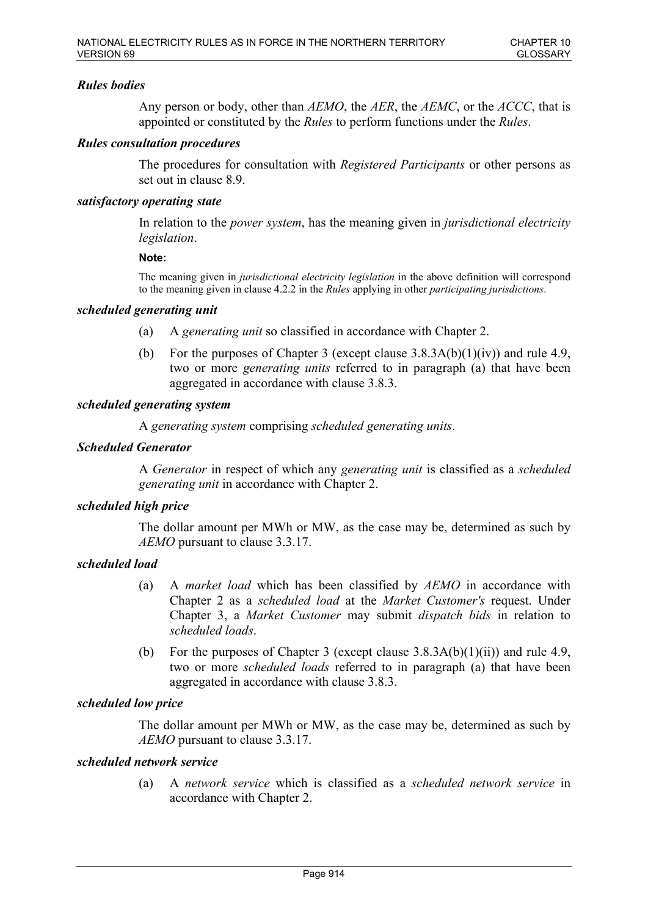# *Rules bodies*

Any person or body, other than *AEMO*, the *AER*, the *AEMC*, or the *ACCC*, that is appointed or constituted by the *Rules* to perform functions under the *Rules*.

## *Rules consultation procedures*

The procedures for consultation with *Registered Participants* or other persons as set out in clause 8.9.

### *satisfactory operating state*

In relation to the *power system*, has the meaning given in *jurisdictional electricity legislation*.

#### **Note:**

The meaning given in *jurisdictional electricity legislation* in the above definition will correspond to the meaning given in clause 4.2.2 in the *Rules* applying in other *participating jurisdictions*.

#### *scheduled generating unit*

- (a) A *generating unit* so classified in accordance with Chapter 2.
- (b) For the purposes of Chapter 3 (except clause  $3.8.3A(b)(1)(iv)$ ) and rule 4.9, two or more *generating units* referred to in paragraph (a) that have been aggregated in accordance with clause 3.8.3.

### *scheduled generating system*

A *generating system* comprising *scheduled generating units*.

### *Scheduled Generator*

A *Generator* in respect of which any *generating unit* is classified as a *scheduled generating unit* in accordance with Chapter 2.

### *scheduled high price*

The dollar amount per MWh or MW, as the case may be, determined as such by *AEMO* pursuant to clause 3.3.17.

## *scheduled load*

- (a) A *market load* which has been classified by *AEMO* in accordance with Chapter 2 as a *scheduled load* at the *Market Customer's* request. Under Chapter 3, a *Market Customer* may submit *dispatch bids* in relation to *scheduled loads*.
- (b) For the purposes of Chapter 3 (except clause  $3.8.3A(b)(1)(ii)$ ) and rule 4.9, two or more *scheduled loads* referred to in paragraph (a) that have been aggregated in accordance with clause 3.8.3.

## *scheduled low price*

The dollar amount per MWh or MW, as the case may be, determined as such by *AEMO* pursuant to clause 3.3.17.

## *scheduled network service*

(a) A *network service* which is classified as a *scheduled network service* in accordance with Chapter 2.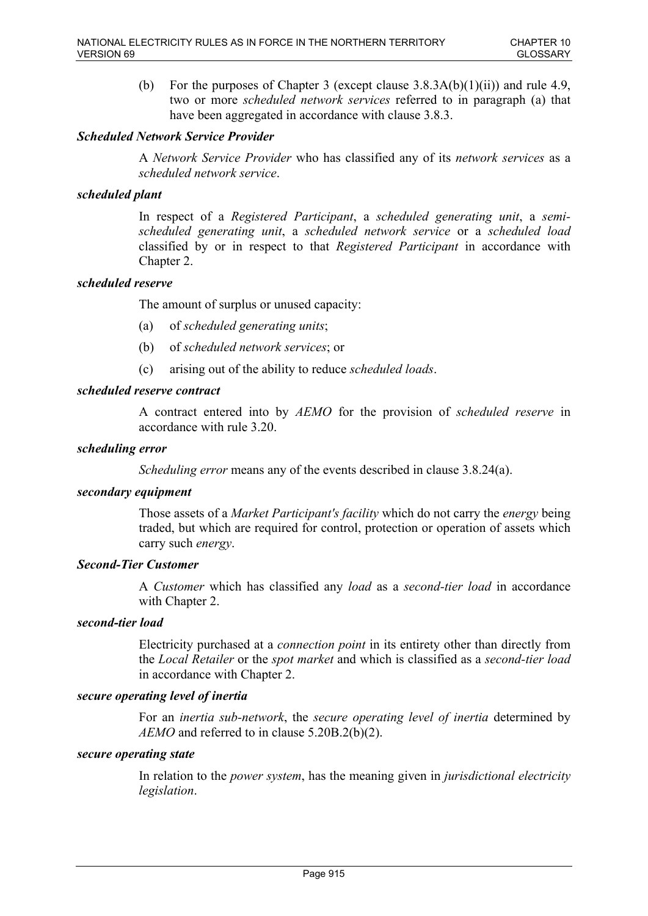(b) For the purposes of Chapter 3 (except clause  $3.8.3A(b)(1)(ii)$ ) and rule 4.9, two or more *scheduled network services* referred to in paragraph (a) that have been aggregated in accordance with clause 3.8.3.

# *Scheduled Network Service Provider*

A *Network Service Provider* who has classified any of its *network services* as a *scheduled network service*.

## *scheduled plant*

In respect of a *Registered Participant*, a *scheduled generating unit*, a *semischeduled generating unit*, a *scheduled network service* or a *scheduled load* classified by or in respect to that *Registered Participant* in accordance with Chapter 2.

# *scheduled reserve*

The amount of surplus or unused capacity:

- (a) of *scheduled generating units*;
- (b) of *scheduled network services*; or
- (c) arising out of the ability to reduce *scheduled loads*.

# *scheduled reserve contract*

A contract entered into by *AEMO* for the provision of *scheduled reserve* in accordance with rule 3.20.

## *scheduling error*

*Scheduling error* means any of the events described in clause 3.8.24(a).

## *secondary equipment*

Those assets of a *Market Participant's facility* which do not carry the *energy* being traded, but which are required for control, protection or operation of assets which carry such *energy*.

## *Second-Tier Customer*

A *Customer* which has classified any *load* as a *second-tier load* in accordance with Chapter 2.

## *second-tier load*

Electricity purchased at a *connection point* in its entirety other than directly from the *Local Retailer* or the *spot market* and which is classified as a *second-tier load* in accordance with Chapter 2.

## *secure operating level of inertia*

For an *inertia sub-network*, the *secure operating level of inertia* determined by *AEMO* and referred to in clause 5.20B.2(b)(2).

# *secure operating state*

In relation to the *power system*, has the meaning given in *jurisdictional electricity legislation*.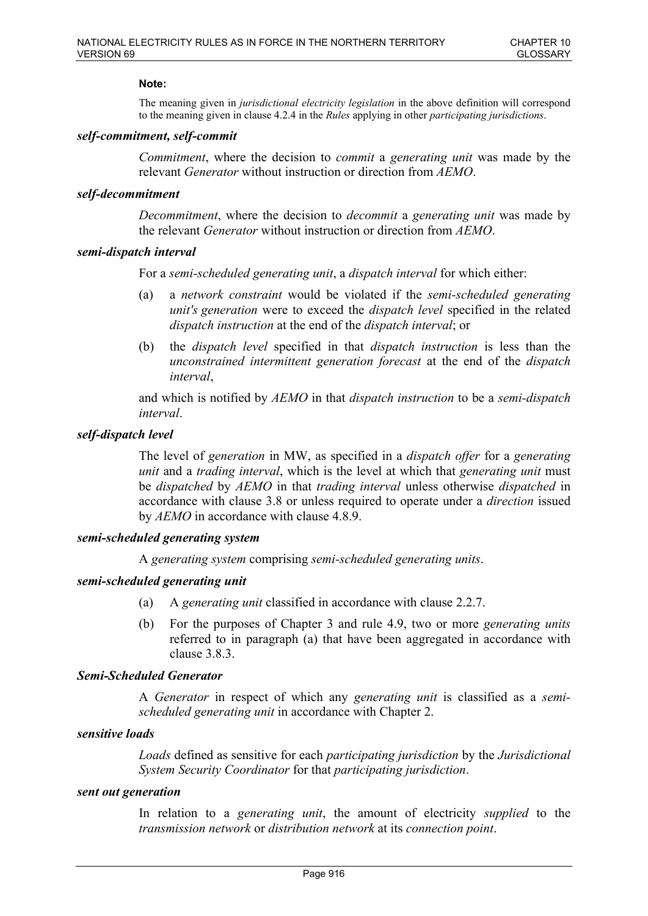### **Note:**

The meaning given in *jurisdictional electricity legislation* in the above definition will correspond to the meaning given in clause 4.2.4 in the *Rules* applying in other *participating jurisdictions*.

### *self-commitment, self-commit*

*Commitment*, where the decision to *commit* a *generating unit* was made by the relevant *Generator* without instruction or direction from *AEMO*.

### *self-decommitment*

*Decommitment*, where the decision to *decommit* a *generating unit* was made by the relevant *Generator* without instruction or direction from *AEMO*.

### *semi-dispatch interval*

For a *semi-scheduled generating unit*, a *dispatch interval* for which either:

- (a) a *network constraint* would be violated if the *semi-scheduled generating unit's generation* were to exceed the *dispatch level* specified in the related *dispatch instruction* at the end of the *dispatch interval*; or
- (b) the *dispatch level* specified in that *dispatch instruction* is less than the *unconstrained intermittent generation forecast* at the end of the *dispatch interval*,

and which is notified by *AEMO* in that *dispatch instruction* to be a *semi-dispatch interval*.

## *self-dispatch level*

The level of *generation* in MW, as specified in a *dispatch offer* for a *generating unit* and a *trading interval*, which is the level at which that *generating unit* must be *dispatched* by *AEMO* in that *trading interval* unless otherwise *dispatched* in accordance with clause 3.8 or unless required to operate under a *direction* issued by *AEMO* in accordance with clause 4.8.9.

#### *semi-scheduled generating system*

A *generating system* comprising *semi-scheduled generating units*.

## *semi-scheduled generating unit*

- (a) A *generating unit* classified in accordance with clause 2.2.7.
- (b) For the purposes of Chapter 3 and rule 4.9, two or more *generating units* referred to in paragraph (a) that have been aggregated in accordance with clause 3.8.3.

## *Semi-Scheduled Generator*

A *Generator* in respect of which any *generating unit* is classified as a *semischeduled generating unit* in accordance with Chapter 2.

### *sensitive loads*

*Loads* defined as sensitive for each *participating jurisdiction* by the *Jurisdictional System Security Coordinator* for that *participating jurisdiction*.

#### *sent out generation*

In relation to a *generating unit*, the amount of electricity *supplied* to the *transmission network* or *distribution network* at its *connection point*.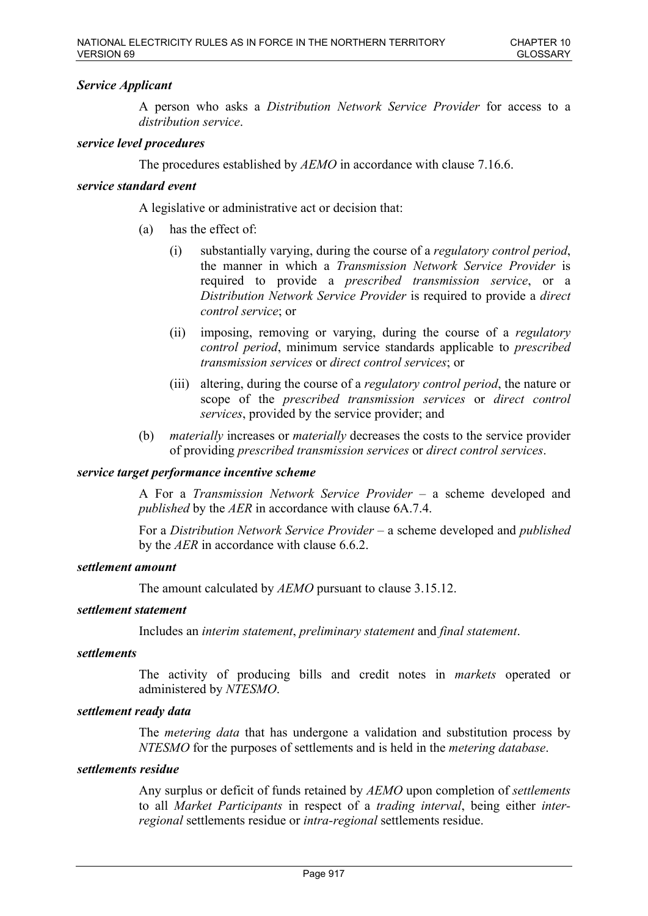# *Service Applicant*

A person who asks a *Distribution Network Service Provider* for access to a *distribution service*.

### *service level procedures*

The procedures established by *AEMO* in accordance with clause 7.16.6.

## *service standard event*

A legislative or administrative act or decision that:

- (a) has the effect of:
	- (i) substantially varying, during the course of a *regulatory control period*, the manner in which a *Transmission Network Service Provider* is required to provide a *prescribed transmission service*, or a *Distribution Network Service Provider* is required to provide a *direct control service*; or
	- (ii) imposing, removing or varying, during the course of a *regulatory control period*, minimum service standards applicable to *prescribed transmission services* or *direct control services*; or
	- (iii) altering, during the course of a *regulatory control period*, the nature or scope of the *prescribed transmission services* or *direct control services*, provided by the service provider; and
- (b) *materially* increases or *materially* decreases the costs to the service provider of providing *prescribed transmission services* or *direct control services*.

## *service target performance incentive scheme*

A For a *Transmission Network Service Provider* – a scheme developed and *published* by the *AER* in accordance with clause 6A.7.4.

For a *Distribution Network Service Provider* – a scheme developed and *published* by the *AER* in accordance with clause 6.6.2.

#### *settlement amount*

The amount calculated by *AEMO* pursuant to clause 3.15.12.

#### *settlement statement*

Includes an *interim statement*, *preliminary statement* and *final statement*.

#### *settlements*

The activity of producing bills and credit notes in *markets* operated or administered by *NTESMO*.

#### *settlement ready data*

The *metering data* that has undergone a validation and substitution process by *NTESMO* for the purposes of settlements and is held in the *metering database*.

### *settlements residue*

Any surplus or deficit of funds retained by *AEMO* upon completion of *settlements* to all *Market Participants* in respect of a *trading interval*, being either *interregional* settlements residue or *intra-regional* settlements residue.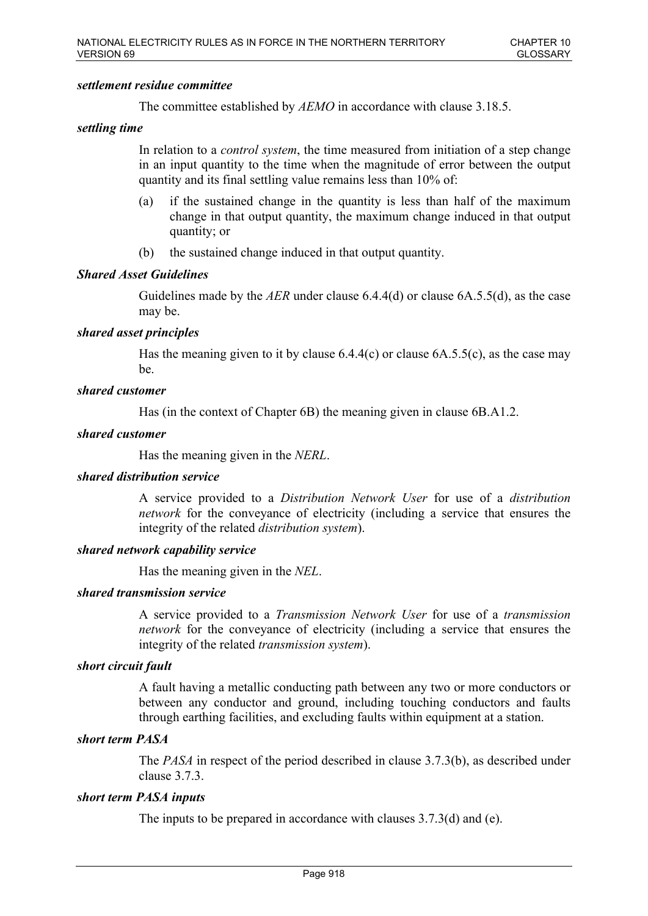### *settlement residue committee*

The committee established by *AEMO* in accordance with clause 3.18.5.

## *settling time*

In relation to a *control system*, the time measured from initiation of a step change in an input quantity to the time when the magnitude of error between the output quantity and its final settling value remains less than 10% of:

- (a) if the sustained change in the quantity is less than half of the maximum change in that output quantity, the maximum change induced in that output quantity; or
- (b) the sustained change induced in that output quantity.

### *Shared Asset Guidelines*

Guidelines made by the *AER* under clause 6.4.4(d) or clause 6A.5.5(d), as the case may be.

### *shared asset principles*

Has the meaning given to it by clause  $6.4.4(c)$  or clause  $6A.5.5(c)$ , as the case may be.

### *shared customer*

Has (in the context of Chapter 6B) the meaning given in clause 6B.A1.2.

#### *shared customer*

Has the meaning given in the *NERL*.

#### *shared distribution service*

A service provided to a *Distribution Network User* for use of a *distribution network* for the conveyance of electricity (including a service that ensures the integrity of the related *distribution system*).

## *shared network capability service*

Has the meaning given in the *NEL*.

### *shared transmission service*

A service provided to a *Transmission Network User* for use of a *transmission network* for the conveyance of electricity (including a service that ensures the integrity of the related *transmission system*).

## *short circuit fault*

A fault having a metallic conducting path between any two or more conductors or between any conductor and ground, including touching conductors and faults through earthing facilities, and excluding faults within equipment at a station.

#### *short term PASA*

The *PASA* in respect of the period described in clause 3.7.3(b), as described under clause 3.7.3.

## *short term PASA inputs*

The inputs to be prepared in accordance with clauses 3.7.3(d) and (e).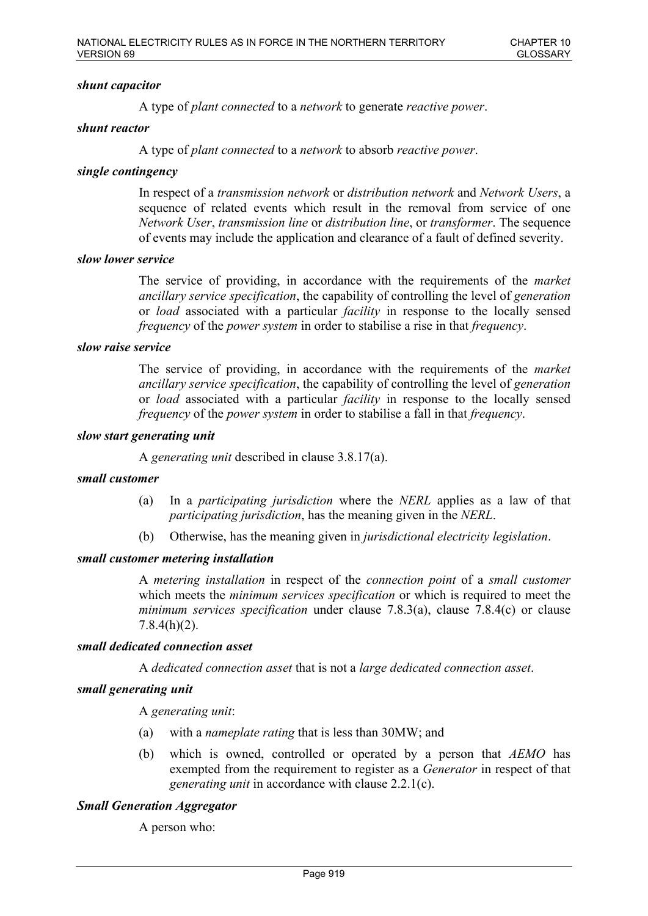## *shunt capacitor*

A type of *plant connected* to a *network* to generate *reactive power*.

## *shunt reactor*

A type of *plant connected* to a *network* to absorb *reactive power*.

# *single contingency*

In respect of a *transmission network* or *distribution network* and *Network Users*, a sequence of related events which result in the removal from service of one *Network User*, *transmission line* or *distribution line*, or *transformer*. The sequence of events may include the application and clearance of a fault of defined severity.

## *slow lower service*

The service of providing, in accordance with the requirements of the *market ancillary service specification*, the capability of controlling the level of *generation* or *load* associated with a particular *facility* in response to the locally sensed *frequency* of the *power system* in order to stabilise a rise in that *frequency*.

### *slow raise service*

The service of providing, in accordance with the requirements of the *market ancillary service specification*, the capability of controlling the level of *generation* or *load* associated with a particular *facility* in response to the locally sensed *frequency* of the *power system* in order to stabilise a fall in that *frequency*.

### *slow start generating unit*

A *generating unit* described in clause 3.8.17(a).

## *small customer*

- (a) In a *participating jurisdiction* where the *NERL* applies as a law of that *participating jurisdiction*, has the meaning given in the *NERL*.
- (b) Otherwise, has the meaning given in *jurisdictional electricity legislation*.

## *small customer metering installation*

A *metering installation* in respect of the *connection point* of a *small customer* which meets the *minimum services specification* or which is required to meet the *minimum services specification* under clause 7.8.3(a), clause 7.8.4(c) or clause 7.8.4(h)(2).

#### *small dedicated connection asset*

A *dedicated connection asset* that is not a *large dedicated connection asset*.

## *small generating unit*

A *generating unit*:

- (a) with a *nameplate rating* that is less than 30MW; and
- (b) which is owned, controlled or operated by a person that *AEMO* has exempted from the requirement to register as a *Generator* in respect of that *generating unit* in accordance with clause 2.2.1(c).

# *Small Generation Aggregator*

A person who: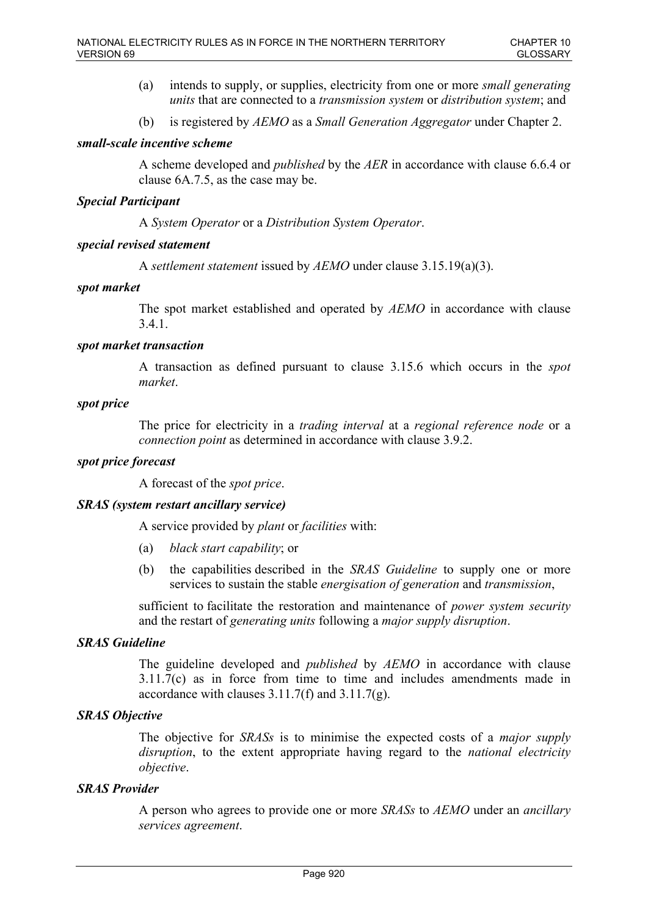- (a) intends to supply, or supplies, electricity from one or more *small generating units* that are connected to a *transmission system* or *distribution system*; and
- (b) is registered by *AEMO* as a *Small Generation Aggregator* under Chapter 2.

# *small-scale incentive scheme*

A scheme developed and *published* by the *AER* in accordance with clause 6.6.4 or clause 6A.7.5, as the case may be.

## *Special Participant*

A *System Operator* or a *Distribution System Operator*.

## *special revised statement*

A *settlement statement* issued by *AEMO* under clause 3.15.19(a)(3).

### *spot market*

The spot market established and operated by *AEMO* in accordance with clause 3.4.1.

### *spot market transaction*

A transaction as defined pursuant to clause 3.15.6 which occurs in the *spot market*.

### *spot price*

The price for electricity in a *trading interval* at a *regional reference node* or a *connection point* as determined in accordance with clause 3.9.2.

# *spot price forecast*

A forecast of the *spot price*.

## *SRAS (system restart ancillary service)*

A service provided by *plant* or *facilities* with:

- (a) *black start capability*; or
- (b) the capabilities described in the *SRAS Guideline* to supply one or more services to sustain the stable *energisation of generation* and *transmission*,

sufficient to facilitate the restoration and maintenance of *power system security*  and the restart of *generating units* following a *major supply disruption*.

# *SRAS Guideline*

The guideline developed and *published* by *AEMO* in accordance with clause 3.11.7(c) as in force from time to time and includes amendments made in accordance with clauses 3.11.7(f) and 3.11.7(g).

# *SRAS Objective*

The objective for *SRASs* is to minimise the expected costs of a *major supply disruption*, to the extent appropriate having regard to the *national electricity objective*.

## *SRAS Provider*

A person who agrees to provide one or more *SRASs* to *AEMO* under an *ancillary services agreement*.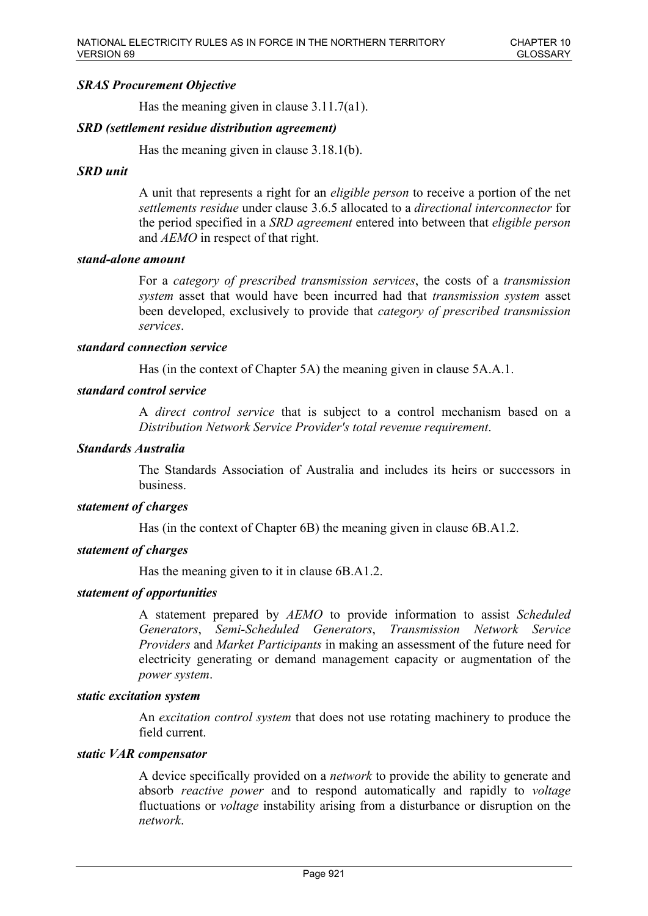## *SRAS Procurement Objective*

Has the meaning given in clause 3.11.7(a1).

### *SRD (settlement residue distribution agreement)*

Has the meaning given in clause 3.18.1(b).

### *SRD unit*

A unit that represents a right for an *eligible person* to receive a portion of the net *settlements residue* under clause 3.6.5 allocated to a *directional interconnector* for the period specified in a *SRD agreement* entered into between that *eligible person* and *AEMO* in respect of that right.

#### *stand-alone amount*

For a *category of prescribed transmission services*, the costs of a *transmission system* asset that would have been incurred had that *transmission system* asset been developed, exclusively to provide that *category of prescribed transmission services*.

#### *standard connection service*

Has (in the context of Chapter 5A) the meaning given in clause 5A.A.1.

## *standard control service*

A *direct control service* that is subject to a control mechanism based on a *Distribution Network Service Provider's total revenue requirement*.

## *Standards Australia*

The Standards Association of Australia and includes its heirs or successors in business.

#### *statement of charges*

Has (in the context of Chapter 6B) the meaning given in clause 6B.A1.2.

### *statement of charges*

Has the meaning given to it in clause 6B.A1.2.

## *statement of opportunities*

A statement prepared by *AEMO* to provide information to assist *Scheduled Generators*, *Semi-Scheduled Generators*, *Transmission Network Service Providers* and *Market Participants* in making an assessment of the future need for electricity generating or demand management capacity or augmentation of the *power system*.

#### *static excitation system*

An *excitation control system* that does not use rotating machinery to produce the field current.

### *static VAR compensator*

A device specifically provided on a *network* to provide the ability to generate and absorb *reactive power* and to respond automatically and rapidly to *voltage* fluctuations or *voltage* instability arising from a disturbance or disruption on the *network*.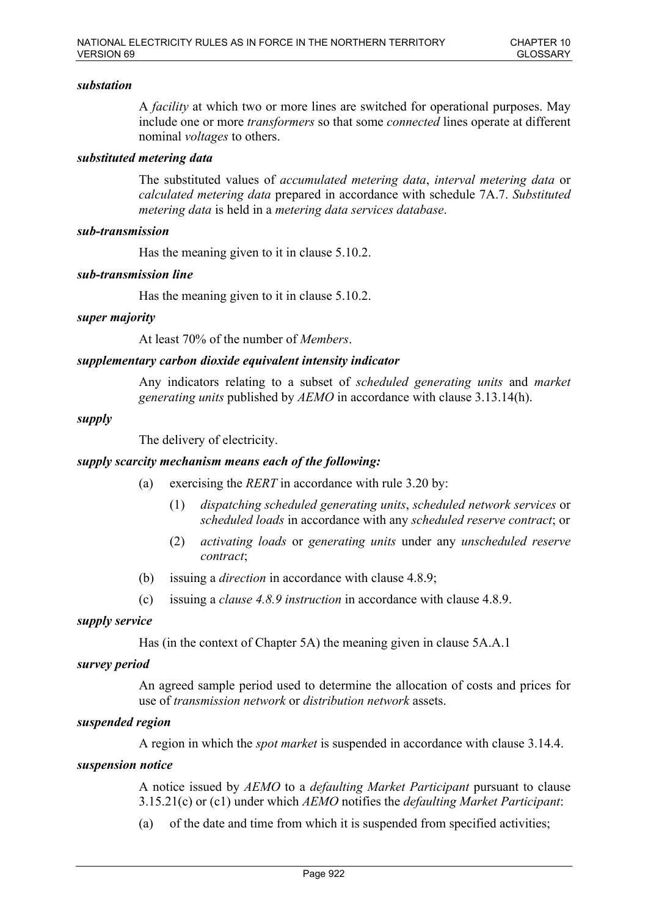## *substation*

A *facility* at which two or more lines are switched for operational purposes. May include one or more *transformers* so that some *connected* lines operate at different nominal *voltages* to others.

## *substituted metering data*

The substituted values of *accumulated metering data*, *interval metering data* or *calculated metering data* prepared in accordance with schedule 7A.7. *Substituted metering data* is held in a *metering data services database*.

## *sub-transmission*

Has the meaning given to it in clause 5.10.2.

## *sub-transmission line*

Has the meaning given to it in clause 5.10.2.

## *super majority*

At least 70% of the number of *Members*.

## *supplementary carbon dioxide equivalent intensity indicator*

Any indicators relating to a subset of *scheduled generating units* and *market generating units* published by *AEMO* in accordance with clause 3.13.14(h).

#### *supply*

The delivery of electricity.

### *supply scarcity mechanism means each of the following:*

- (a) exercising the *RERT* in accordance with rule 3.20 by:
	- (1) *dispatching scheduled generating units*, *scheduled network services* or *scheduled loads* in accordance with any *scheduled reserve contract*; or
	- (2) *activating loads* or *generating units* under any *unscheduled reserve contract*;
- (b) issuing a *direction* in accordance with clause 4.8.9;
- (c) issuing a *clause 4.8.9 instruction* in accordance with clause 4.8.9.

## *supply service*

Has (in the context of Chapter 5A) the meaning given in clause 5A.A.1

#### *survey period*

An agreed sample period used to determine the allocation of costs and prices for use of *transmission network* or *distribution network* assets.

## *suspended region*

A region in which the *spot market* is suspended in accordance with clause 3.14.4.

#### *suspension notice*

A notice issued by *AEMO* to a *defaulting Market Participant* pursuant to clause 3.15.21(c) or (c1) under which *AEMO* notifies the *defaulting Market Participant*:

(a) of the date and time from which it is suspended from specified activities;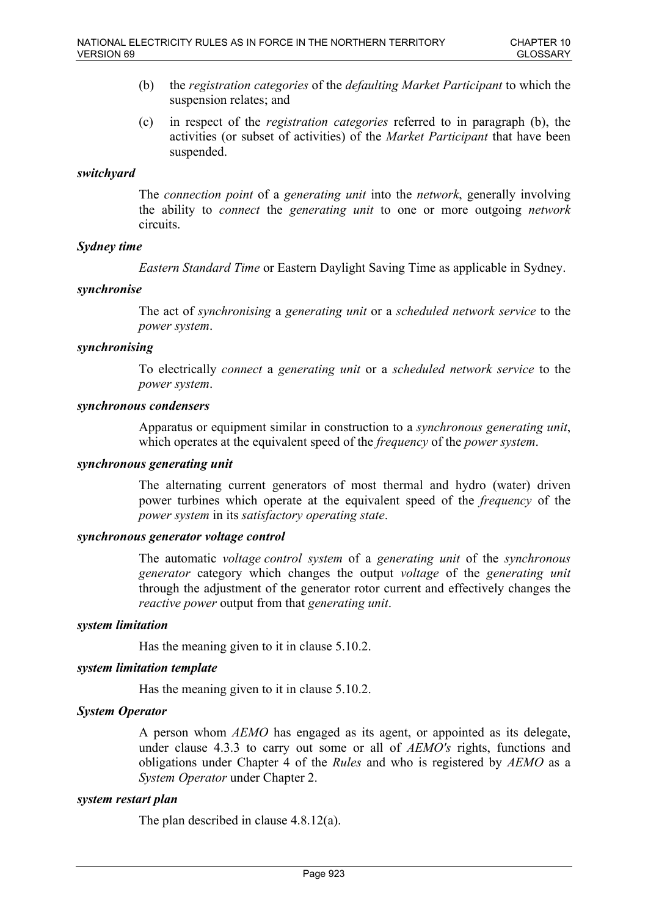- (b) the *registration categories* of the *defaulting Market Participant* to which the suspension relates; and
- (c) in respect of the *registration categories* referred to in paragraph (b), the activities (or subset of activities) of the *Market Participant* that have been suspended.

## *switchyard*

The *connection point* of a *generating unit* into the *network*, generally involving the ability to *connect* the *generating unit* to one or more outgoing *network* circuits.

## *Sydney time*

*Eastern Standard Time* or Eastern Daylight Saving Time as applicable in Sydney.

## *synchronise*

The act of *synchronising* a *generating unit* or a *scheduled network service* to the *power system*.

## *synchronising*

To electrically *connect* a *generating unit* or a *scheduled network service* to the *power system*.

#### *synchronous condensers*

Apparatus or equipment similar in construction to a *synchronous generating unit*, which operates at the equivalent speed of the *frequency* of the *power system*.

### *synchronous generating unit*

The alternating current generators of most thermal and hydro (water) driven power turbines which operate at the equivalent speed of the *frequency* of the *power system* in its *satisfactory operating state*.

## *synchronous generator voltage control*

The automatic *voltage control system* of a *generating unit* of the *synchronous generator* category which changes the output *voltage* of the *generating unit* through the adjustment of the generator rotor current and effectively changes the *reactive power* output from that *generating unit*.

#### *system limitation*

Has the meaning given to it in clause 5.10.2.

#### *system limitation template*

Has the meaning given to it in clause 5.10.2.

## *System Operator*

A person whom *AEMO* has engaged as its agent, or appointed as its delegate, under clause 4.3.3 to carry out some or all of *AEMO's* rights, functions and obligations under Chapter 4 of the *Rules* and who is registered by *AEMO* as a *System Operator* under Chapter 2.

#### *system restart plan*

The plan described in clause 4.8.12(a).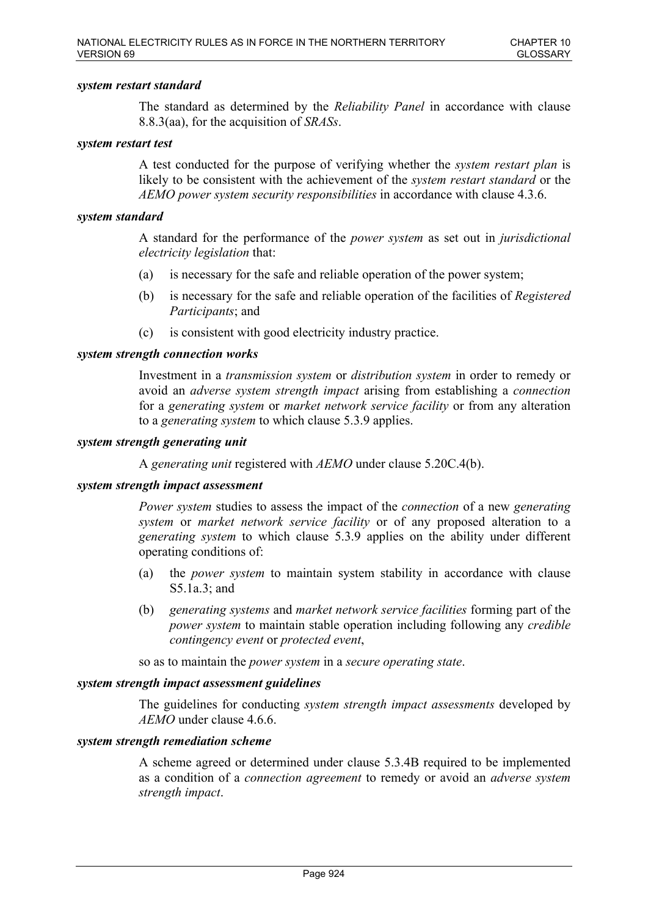### *system restart standard*

The standard as determined by the *Reliability Panel* in accordance with clause 8.8.3(aa), for the acquisition of *SRASs*.

#### *system restart test*

A test conducted for the purpose of verifying whether the *system restart plan* is likely to be consistent with the achievement of the *system restart standard* or the *AEMO power system security responsibilities* in accordance with clause 4.3.6.

## *system standard*

A standard for the performance of the *power system* as set out in *jurisdictional electricity legislation* that:

- (a) is necessary for the safe and reliable operation of the power system;
- (b) is necessary for the safe and reliable operation of the facilities of *Registered Participants*; and
- (c) is consistent with good electricity industry practice.

## *system strength connection works*

Investment in a *transmission system* or *distribution system* in order to remedy or avoid an *adverse system strength impact* arising from establishing a *connection* for a *generating system* or *market network service facility* or from any alteration to a *generating system* to which clause 5.3.9 applies.

## *system strength generating unit*

A *generating unit* registered with *AEMO* under clause 5.20C.4(b).

#### *system strength impact assessment*

*Power system* studies to assess the impact of the *connection* of a new *generating system* or *market network service facility* or of any proposed alteration to a *generating system* to which clause 5.3.9 applies on the ability under different operating conditions of:

- (a) the *power system* to maintain system stability in accordance with clause S5.1a.3; and
- (b) *generating systems* and *market network service facilities* forming part of the *power system* to maintain stable operation including following any *credible contingency event* or *protected event*,

so as to maintain the *power system* in a *secure operating state*.

## *system strength impact assessment guidelines*

The guidelines for conducting *system strength impact assessments* developed by *AEMO* under clause 4.6.6.

#### *system strength remediation scheme*

A scheme agreed or determined under clause 5.3.4B required to be implemented as a condition of a *connection agreement* to remedy or avoid an *adverse system strength impact*.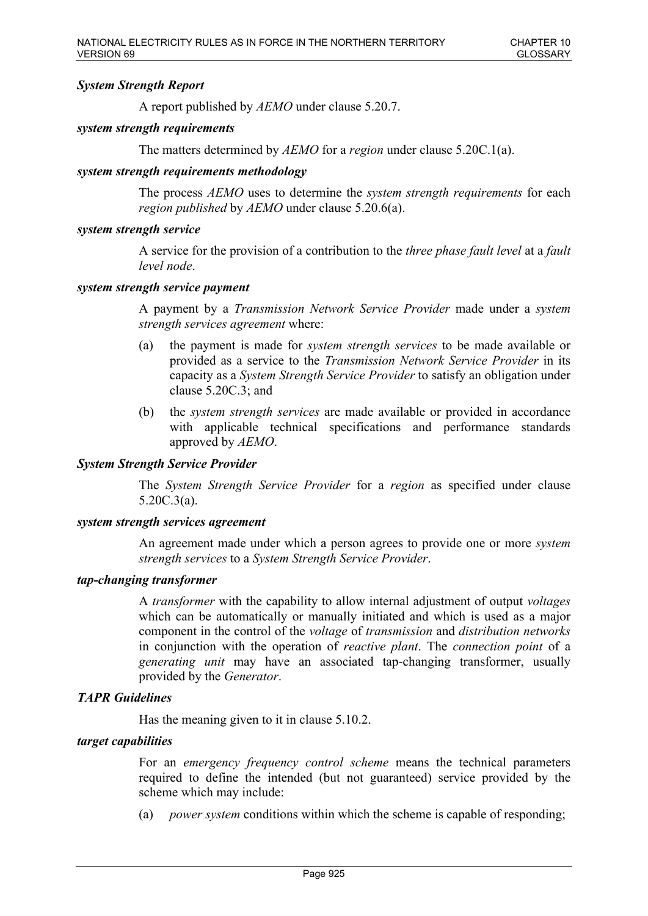## *System Strength Report*

A report published by *AEMO* under clause 5.20.7.

## *system strength requirements*

The matters determined by *AEMO* for a *region* under clause 5.20C.1(a).

## *system strength requirements methodology*

The process *AEMO* uses to determine the *system strength requirements* for each *region published* by *AEMO* under clause 5.20.6(a).

### *system strength service*

A service for the provision of a contribution to the *three phase fault level* at a *fault level node*.

### *system strength service payment*

A payment by a *Transmission Network Service Provider* made under a *system strength services agreement* where:

- (a) the payment is made for *system strength services* to be made available or provided as a service to the *Transmission Network Service Provider* in its capacity as a *System Strength Service Provider* to satisfy an obligation under clause 5.20C.3; and
- (b) the *system strength services* are made available or provided in accordance with applicable technical specifications and performance standards approved by *AEMO*.

## *System Strength Service Provider*

The *System Strength Service Provider* for a *region* as specified under clause 5.20C.3(a).

#### *system strength services agreement*

An agreement made under which a person agrees to provide one or more *system strength services* to a *System Strength Service Provider*.

## *tap-changing transformer*

A *transformer* with the capability to allow internal adjustment of output *voltages* which can be automatically or manually initiated and which is used as a major component in the control of the *voltage* of *transmission* and *distribution networks* in conjunction with the operation of *reactive plant*. The *connection point* of a *generating unit* may have an associated tap-changing transformer, usually provided by the *Generator*.

## *TAPR Guidelines*

Has the meaning given to it in clause 5.10.2.

## *target capabilities*

For an *emergency frequency control scheme* means the technical parameters required to define the intended (but not guaranteed) service provided by the scheme which may include:

(a) *power system* conditions within which the scheme is capable of responding;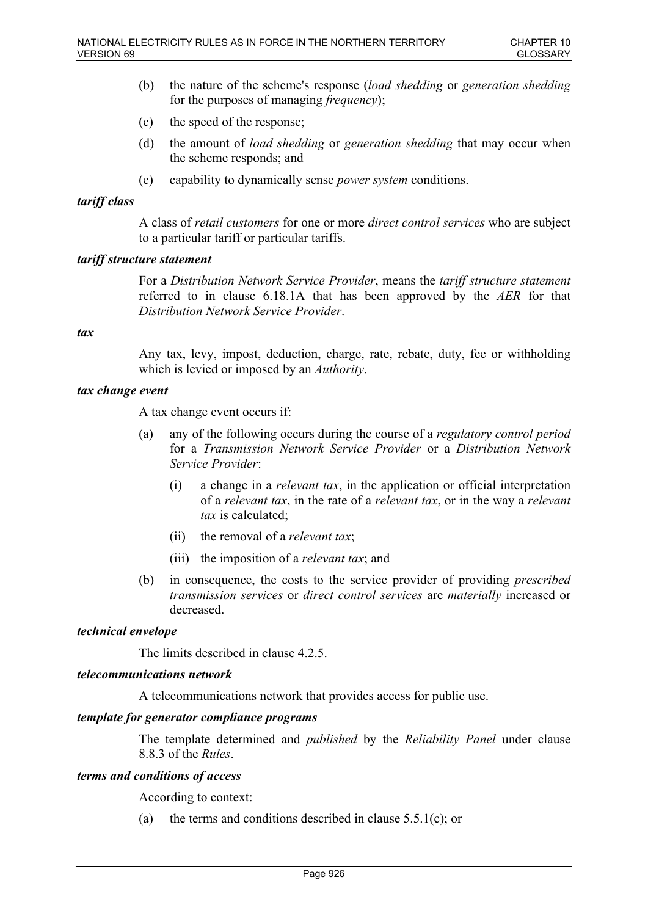- (b) the nature of the scheme's response (*load shedding* or *generation shedding* for the purposes of managing *frequency*);
- (c) the speed of the response;
- (d) the amount of *load shedding* or *generation shedding* that may occur when the scheme responds; and
- (e) capability to dynamically sense *power system* conditions.

## *tariff class*

A class of *retail customers* for one or more *direct control services* who are subject to a particular tariff or particular tariffs.

## *tariff structure statement*

For a *Distribution Network Service Provider*, means the *tariff structure statement* referred to in clause 6.18.1A that has been approved by the *AER* for that *Distribution Network Service Provider*.

## *tax*

Any tax, levy, impost, deduction, charge, rate, rebate, duty, fee or withholding which is levied or imposed by an *Authority*.

## *tax change event*

A tax change event occurs if:

- (a) any of the following occurs during the course of a *regulatory control period* for a *Transmission Network Service Provider* or a *Distribution Network Service Provider*:
	- (i) a change in a *relevant tax*, in the application or official interpretation of a *relevant tax*, in the rate of a *relevant tax*, or in the way a *relevant tax* is calculated;
	- (ii) the removal of a *relevant tax*;
	- (iii) the imposition of a *relevant tax*; and
- (b) in consequence, the costs to the service provider of providing *prescribed transmission services* or *direct control services* are *materially* increased or decreased.

## *technical envelope*

The limits described in clause 4.2.5.

## *telecommunications network*

A telecommunications network that provides access for public use.

## *template for generator compliance programs*

The template determined and *published* by the *Reliability Panel* under clause 8.8.3 of the *Rules*.

## *terms and conditions of access*

According to context:

(a) the terms and conditions described in clause  $5.5.1(c)$ ; or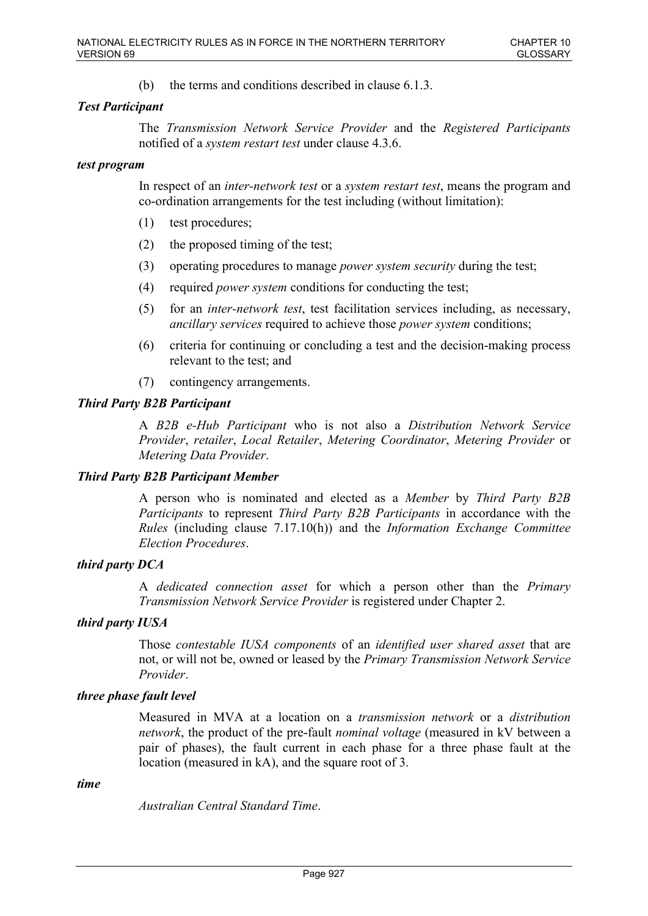(b) the terms and conditions described in clause 6.1.3.

## *Test Participant*

The *Transmission Network Service Provider* and the *Registered Participants* notified of a *system restart test* under clause 4.3.6.

## *test program*

In respect of an *inter-network test* or a *system restart test*, means the program and co-ordination arrangements for the test including (without limitation):

- (1) test procedures;
- (2) the proposed timing of the test;
- (3) operating procedures to manage *power system security* during the test;
- (4) required *power system* conditions for conducting the test;
- (5) for an *inter-network test*, test facilitation services including, as necessary, *ancillary services* required to achieve those *power system* conditions;
- (6) criteria for continuing or concluding a test and the decision-making process relevant to the test; and
- (7) contingency arrangements.

## *Third Party B2B Participant*

A *B2B e-Hub Participant* who is not also a *Distribution Network Service Provider*, *retailer*, *Local Retailer*, *Metering Coordinator*, *Metering Provider* or *Metering Data Provider*.

## *Third Party B2B Participant Member*

A person who is nominated and elected as a *Member* by *Third Party B2B Participants* to represent *Third Party B2B Participants* in accordance with the *Rules* (including clause 7.17.10(h)) and the *Information Exchange Committee Election Procedures*.

## *third party DCA*

A *dedicated connection asset* for which a person other than the *Primary Transmission Network Service Provider* is registered under Chapter 2.

## *third party IUSA*

Those *contestable IUSA components* of an *identified user shared asset* that are not, or will not be, owned or leased by the *Primary Transmission Network Service Provider*.

## *three phase fault level*

Measured in MVA at a location on a *transmission network* or a *distribution network*, the product of the pre-fault *nominal voltage* (measured in kV between a pair of phases), the fault current in each phase for a three phase fault at the location (measured in kA), and the square root of 3.

#### *time*

*Australian Central Standard Time*.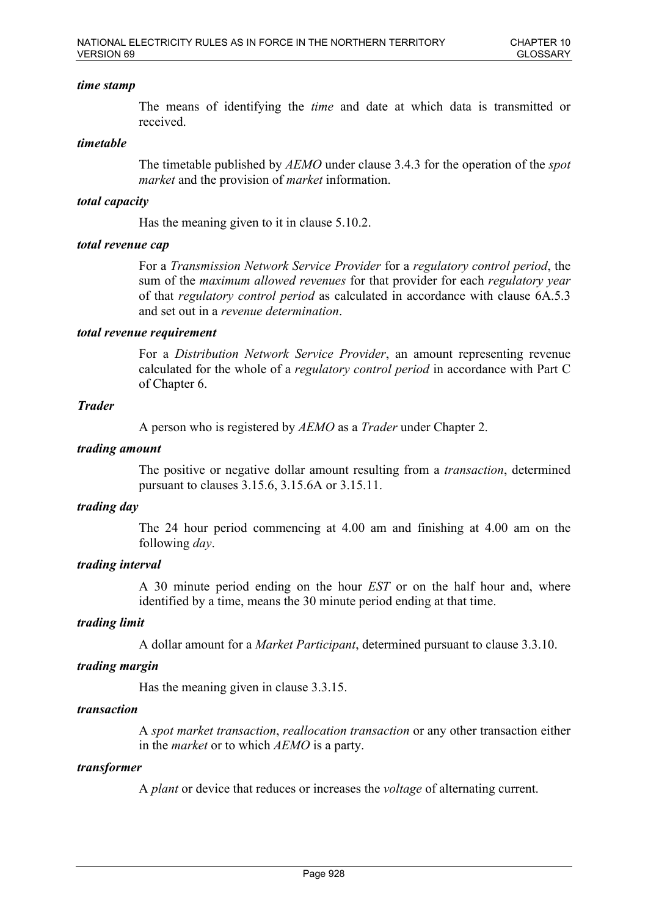## *time stamp*

The means of identifying the *time* and date at which data is transmitted or received.

### *timetable*

The timetable published by *AEMO* under clause 3.4.3 for the operation of the *spot market* and the provision of *market* information.

## *total capacity*

Has the meaning given to it in clause 5.10.2.

## *total revenue cap*

For a *Transmission Network Service Provider* for a *regulatory control period*, the sum of the *maximum allowed revenues* for that provider for each *regulatory year* of that *regulatory control period* as calculated in accordance with clause 6A.5.3 and set out in a *revenue determination*.

## *total revenue requirement*

For a *Distribution Network Service Provider*, an amount representing revenue calculated for the whole of a *regulatory control period* in accordance with Part C of Chapter 6.

## *Trader*

A person who is registered by *AEMO* as a *Trader* under Chapter 2.

## *trading amount*

The positive or negative dollar amount resulting from a *transaction*, determined pursuant to clauses 3.15.6, 3.15.6A or 3.15.11.

#### *trading day*

The 24 hour period commencing at 4.00 am and finishing at 4.00 am on the following *day*.

## *trading interval*

A 30 minute period ending on the hour *EST* or on the half hour and, where identified by a time, means the 30 minute period ending at that time.

## *trading limit*

A dollar amount for a *Market Participant*, determined pursuant to clause 3.3.10.

#### *trading margin*

Has the meaning given in clause 3.3.15.

## *transaction*

A *spot market transaction*, *reallocation transaction* or any other transaction either in the *market* or to which *AEMO* is a party.

#### *transformer*

A *plant* or device that reduces or increases the *voltage* of alternating current.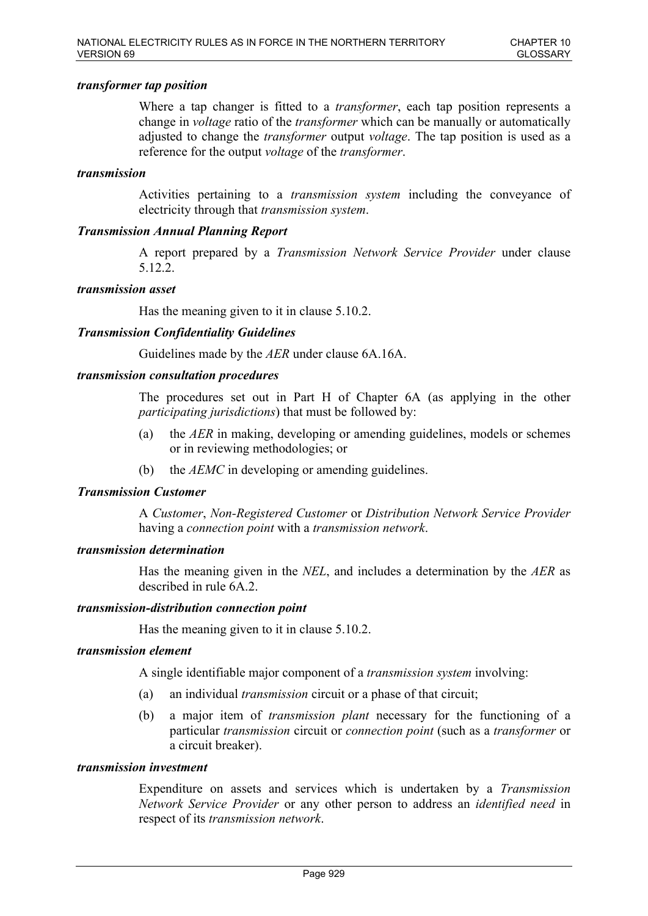### *transformer tap position*

Where a tap changer is fitted to a *transformer*, each tap position represents a change in *voltage* ratio of the *transformer* which can be manually or automatically adjusted to change the *transformer* output *voltage*. The tap position is used as a reference for the output *voltage* of the *transformer*.

## *transmission*

Activities pertaining to a *transmission system* including the conveyance of electricity through that *transmission system*.

## *Transmission Annual Planning Report*

A report prepared by a *Transmission Network Service Provider* under clause 5.12.2.

#### *transmission asset*

Has the meaning given to it in clause 5.10.2.

## *Transmission Confidentiality Guidelines*

Guidelines made by the *AER* under clause 6A.16A.

#### *transmission consultation procedures*

The procedures set out in Part H of Chapter 6A (as applying in the other *participating jurisdictions*) that must be followed by:

- (a) the *AER* in making, developing or amending guidelines, models or schemes or in reviewing methodologies; or
- (b) the *AEMC* in developing or amending guidelines.

#### *Transmission Customer*

A *Customer*, *Non-Registered Customer* or *Distribution Network Service Provider* having a *connection point* with a *transmission network*.

## *transmission determination*

Has the meaning given in the *NEL*, and includes a determination by the *AER* as described in rule 6A.2.

#### *transmission-distribution connection point*

Has the meaning given to it in clause 5.10.2.

## *transmission element*

A single identifiable major component of a *transmission system* involving:

- (a) an individual *transmission* circuit or a phase of that circuit;
- (b) a major item of *transmission plant* necessary for the functioning of a particular *transmission* circuit or *connection point* (such as a *transformer* or a circuit breaker).

## *transmission investment*

Expenditure on assets and services which is undertaken by a *Transmission Network Service Provider* or any other person to address an *identified need* in respect of its *transmission network*.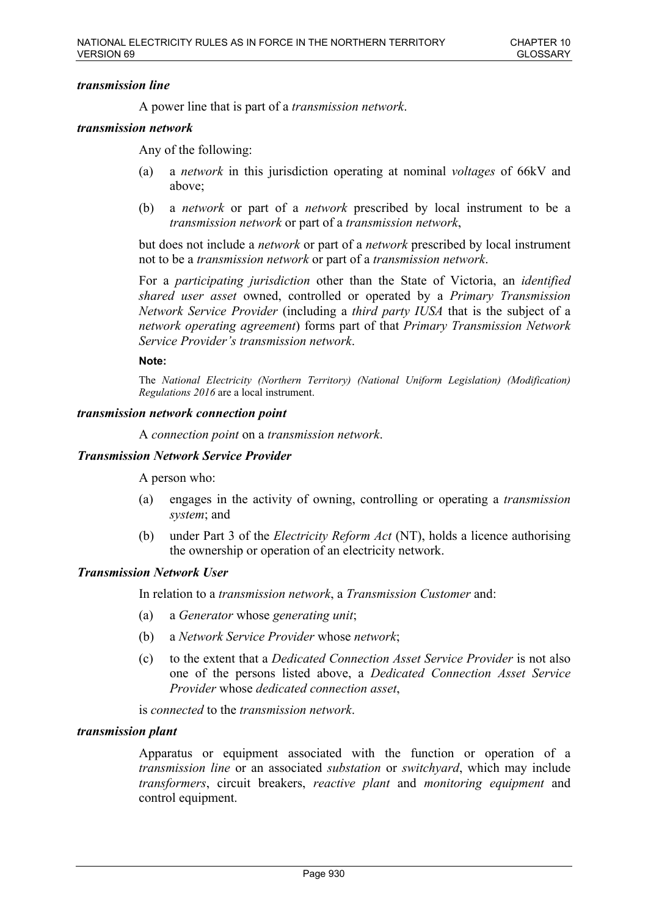## *transmission line*

A power line that is part of a *transmission network*.

### *transmission network*

Any of the following:

- (a) a *network* in this jurisdiction operating at nominal *voltages* of 66kV and above;
- (b) a *network* or part of a *network* prescribed by local instrument to be a *transmission network* or part of a *transmission network*,

but does not include a *network* or part of a *network* prescribed by local instrument not to be a *transmission network* or part of a *transmission network*.

For a *participating jurisdiction* other than the State of Victoria, an *identified shared user asset* owned, controlled or operated by a *Primary Transmission Network Service Provider* (including a *third party IUSA* that is the subject of a *network operating agreement*) forms part of that *Primary Transmission Network Service Provider's transmission network*.

#### **Note:**

The *National Electricity (Northern Territory) (National Uniform Legislation) (Modification) Regulations 2016* are a local instrument.

#### *transmission network connection point*

A *connection point* on a *transmission network*.

#### *Transmission Network Service Provider*

A person who:

- (a) engages in the activity of owning, controlling or operating a *transmission system*; and
- (b) under Part 3 of the *Electricity Reform Act* (NT), holds a licence authorising the ownership or operation of an electricity network.

### *Transmission Network User*

In relation to a *transmission network*, a *Transmission Customer* and:

- (a) a *Generator* whose *generating unit*;
- (b) a *Network Service Provider* whose *network*;
- (c) to the extent that a *Dedicated Connection Asset Service Provider* is not also one of the persons listed above, a *Dedicated Connection Asset Service Provider* whose *dedicated connection asset*,

is *connected* to the *transmission network*.

#### *transmission plant*

Apparatus or equipment associated with the function or operation of a *transmission line* or an associated *substation* or *switchyard*, which may include *transformers*, circuit breakers, *reactive plant* and *monitoring equipment* and control equipment.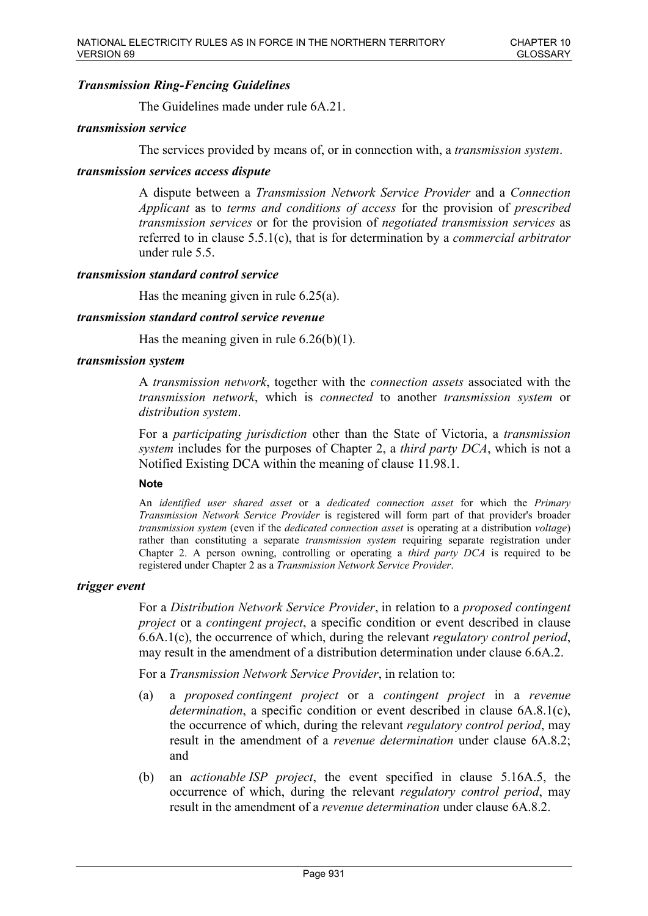## *Transmission Ring-Fencing Guidelines*

The Guidelines made under rule 6A.21.

## *transmission service*

The services provided by means of, or in connection with, a *transmission system*.

## *transmission services access dispute*

A dispute between a *Transmission Network Service Provider* and a *Connection Applicant* as to *terms and conditions of access* for the provision of *prescribed transmission services* or for the provision of *negotiated transmission services* as referred to in clause 5.5.1(c), that is for determination by a *commercial arbitrator* under rule 5.5.

## *transmission standard control service*

Has the meaning given in rule 6.25(a).

## *transmission standard control service revenue*

Has the meaning given in rule  $6.26(b)(1)$ .

### *transmission system*

A *transmission network*, together with the *connection assets* associated with the *transmission network*, which is *connected* to another *transmission system* or *distribution system*.

For a *participating jurisdiction* other than the State of Victoria, a *transmission system* includes for the purposes of Chapter 2, a *third party DCA*, which is not a Notified Existing DCA within the meaning of clause 11.98.1.

#### **Note**

An *identified user shared asset* or a *dedicated connection asset* for which the *Primary Transmission Network Service Provider* is registered will form part of that provider's broader *transmission system* (even if the *dedicated connection asset* is operating at a distribution *voltage*) rather than constituting a separate *transmission system* requiring separate registration under Chapter 2. A person owning, controlling or operating a *third party DCA* is required to be registered under Chapter 2 as a *Transmission Network Service Provider*.

#### *trigger event*

For a *Distribution Network Service Provider*, in relation to a *proposed contingent project* or a *contingent project*, a specific condition or event described in clause 6.6A.1(c), the occurrence of which, during the relevant *regulatory control period*, may result in the amendment of a distribution determination under clause 6.6A.2.

For a *Transmission Network Service Provider*, in relation to:

- (a) a *proposed contingent project* or a *contingent project* in a *revenue determination*, a specific condition or event described in clause 6A.8.1(c), the occurrence of which, during the relevant *regulatory control period*, may result in the amendment of a *revenue determination* under clause 6A.8.2; and
- (b) an *actionable ISP project*, the event specified in clause 5.16A.5, the occurrence of which, during the relevant *regulatory control period*, may result in the amendment of a *revenue determination* under clause 6A.8.2.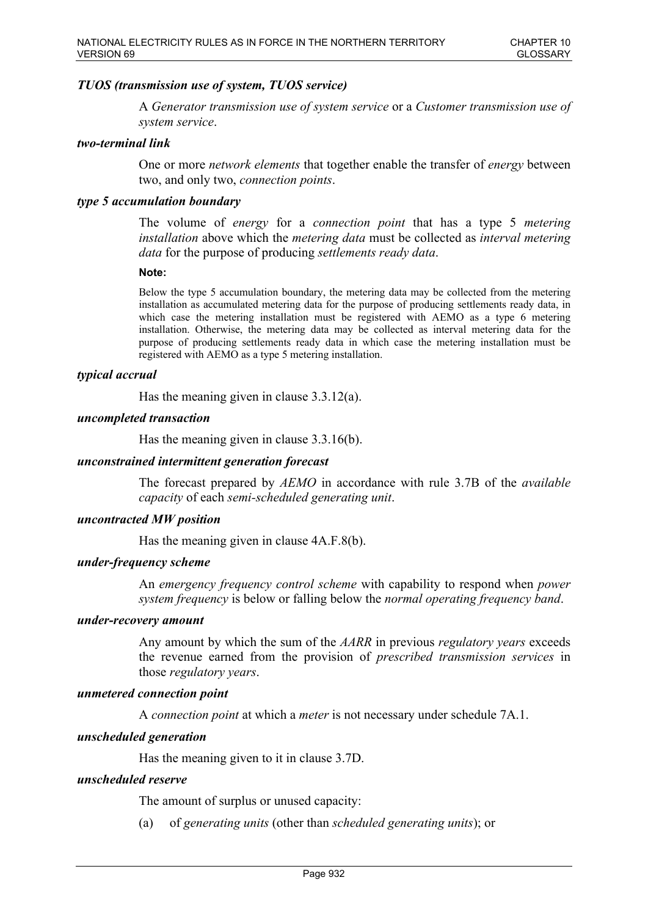## *TUOS (transmission use of system, TUOS service)*

A *Generator transmission use of system service* or a *Customer transmission use of system service*.

#### *two-terminal link*

One or more *network elements* that together enable the transfer of *energy* between two, and only two, *connection points*.

### *type 5 accumulation boundary*

The volume of *energy* for a *connection point* that has a type 5 *metering installation* above which the *metering data* must be collected as *interval metering data* for the purpose of producing *settlements ready data*.

#### **Note:**

Below the type 5 accumulation boundary, the metering data may be collected from the metering installation as accumulated metering data for the purpose of producing settlements ready data, in which case the metering installation must be registered with AEMO as a type 6 metering installation. Otherwise, the metering data may be collected as interval metering data for the purpose of producing settlements ready data in which case the metering installation must be registered with AEMO as a type 5 metering installation.

#### *typical accrual*

Has the meaning given in clause 3.3.12(a).

#### *uncompleted transaction*

Has the meaning given in clause 3.3.16(b).

### *unconstrained intermittent generation forecast*

The forecast prepared by *AEMO* in accordance with rule 3.7B of the *available capacity* of each *semi-scheduled generating unit*.

## *uncontracted MW position*

Has the meaning given in clause 4A.F.8(b).

### *under-frequency scheme*

An *emergency frequency control scheme* with capability to respond when *power system frequency* is below or falling below the *normal operating frequency band*.

## *under-recovery amount*

Any amount by which the sum of the *AARR* in previous *regulatory years* exceeds the revenue earned from the provision of *prescribed transmission services* in those *regulatory years*.

#### *unmetered connection point*

A *connection point* at which a *meter* is not necessary under schedule 7A.1.

#### *unscheduled generation*

Has the meaning given to it in clause 3.7D.

## *unscheduled reserve*

The amount of surplus or unused capacity:

(a) of *generating units* (other than *scheduled generating units*); or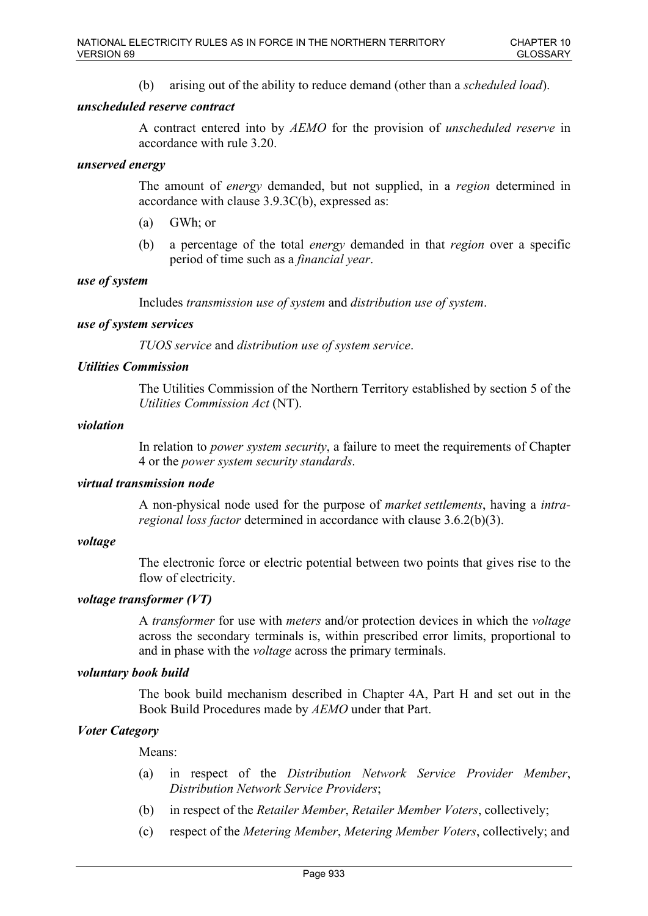(b) arising out of the ability to reduce demand (other than a *scheduled load*).

## *unscheduled reserve contract*

A contract entered into by *AEMO* for the provision of *unscheduled reserve* in accordance with rule 3.20.

## *unserved energy*

The amount of *energy* demanded, but not supplied, in a *region* determined in accordance with clause 3.9.3C(b), expressed as:

- (a) GWh; or
- (b) a percentage of the total *energy* demanded in that *region* over a specific period of time such as a *financial year*.

## *use of system*

Includes *transmission use of system* and *distribution use of system*.

## *use of system services*

*TUOS service* and *distribution use of system service*.

## *Utilities Commission*

The Utilities Commission of the Northern Territory established by section 5 of the *Utilities Commission Act* (NT).

## *violation*

In relation to *power system security*, a failure to meet the requirements of Chapter 4 or the *power system security standards*.

## *virtual transmission node*

A non-physical node used for the purpose of *market settlements*, having a *intraregional loss factor* determined in accordance with clause 3.6.2(b)(3).

### *voltage*

The electronic force or electric potential between two points that gives rise to the flow of electricity.

## *voltage transformer (VT)*

A *transformer* for use with *meters* and/or protection devices in which the *voltage* across the secondary terminals is, within prescribed error limits, proportional to and in phase with the *voltage* across the primary terminals.

## *voluntary book build*

The book build mechanism described in Chapter 4A, Part H and set out in the Book Build Procedures made by *AEMO* under that Part.

## *Voter Category*

Means:

- (a) in respect of the *Distribution Network Service Provider Member*, *Distribution Network Service Providers*;
- (b) in respect of the *Retailer Member*, *Retailer Member Voters*, collectively;
- (c) respect of the *Metering Member*, *Metering Member Voters*, collectively; and